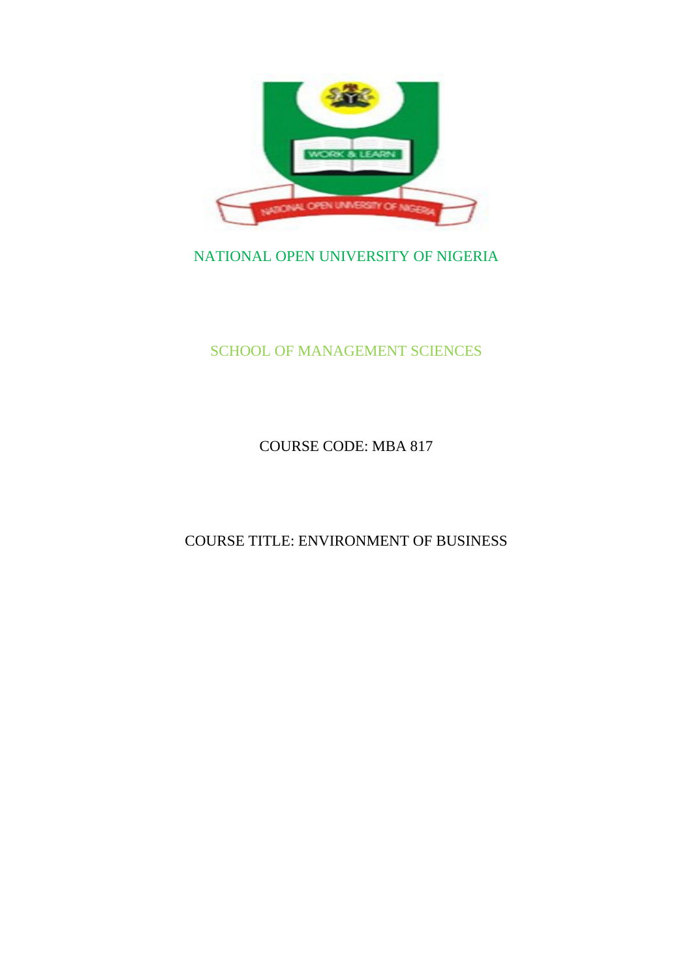

## NATIONAL OPEN UNIVERSITY OF NIGERIA

## SCHOOL OF MANAGEMENT SCIENCES

COURSE CODE: MBA 817

COURSE TITLE: ENVIRONMENT OF BUSINESS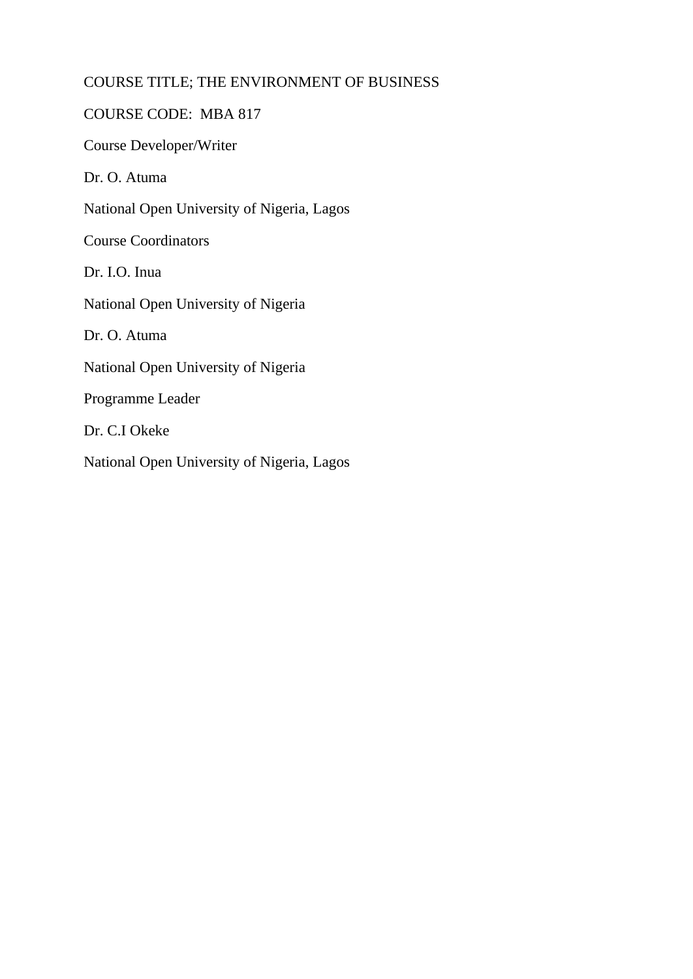## COURSE TITLE; THE ENVIRONMENT OF BUSINESS

# COURSE CODE: MBA 817

Course Developer/Writer

Dr. O. Atuma

National Open University of Nigeria, Lagos

Course Coordinators

Dr. I.O. Inua

National Open University of Nigeria

Dr. O. Atuma

National Open University of Nigeria

Programme Leader

Dr. C.I Okeke

National Open University of Nigeria, Lagos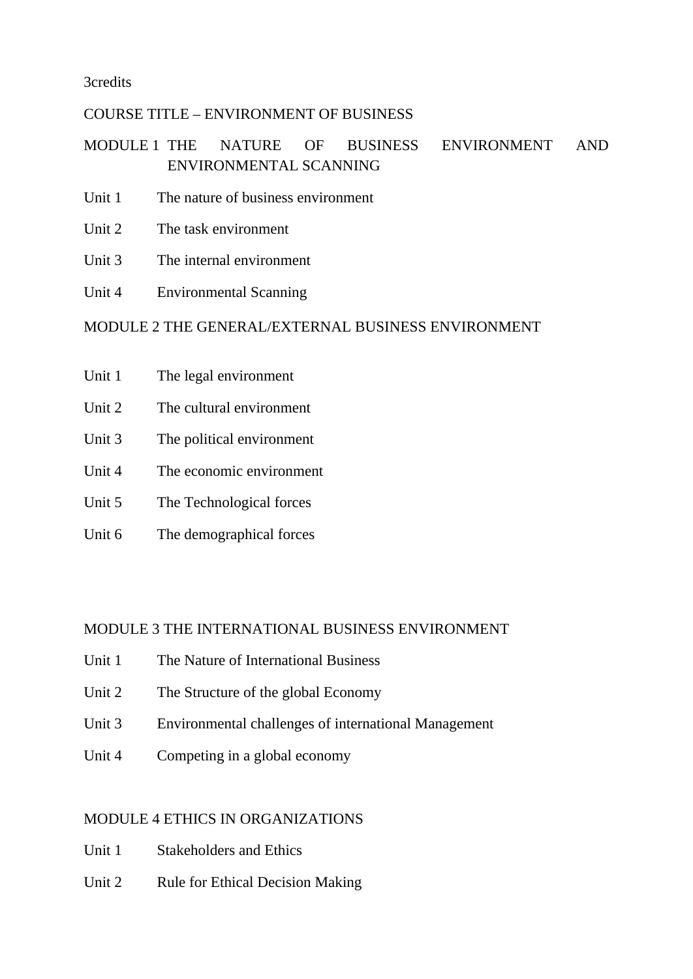3credits

## COURSE TITLE – ENVIRONMENT OF BUSINESS

## MODULE 1 THE NATURE OF BUSINESS ENVIRONMENT AND ENVIRONMENTAL SCANNING

- Unit 1 The nature of business environment
- Unit 2 The task environment
- Unit 3 The internal environment
- Unit 4 Environmental Scanning

## MODULE 2 THE GENERAL/EXTERNAL BUSINESS ENVIRONMENT

- Unit 1 The legal environment
- Unit 2 The cultural environment
- Unit 3 The political environment
- Unit 4 The economic environment
- Unit 5 The Technological forces
- Unit 6 The demographical forces

#### MODULE 3 THE INTERNATIONAL BUSINESS ENVIRONMENT

- Unit 1 The Nature of International Business
- Unit 2 The Structure of the global Economy
- Unit 3 Environmental challenges of international Management
- Unit 4 Competing in a global economy

#### MODULE 4 ETHICS IN ORGANIZATIONS

- Unit 1 Stakeholders and Ethics
- Unit 2 Rule for Ethical Decision Making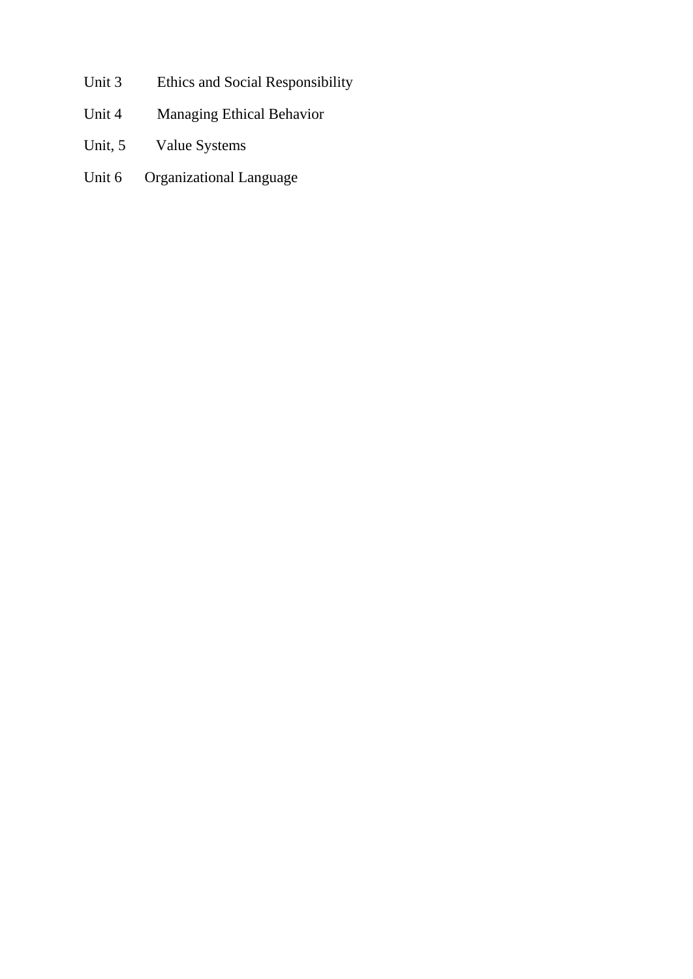- Unit 3 Ethics and Social Responsibility
- Unit 4 Managing Ethical Behavior
- Unit, 5 Value Systems
- Unit 6 Organizational Language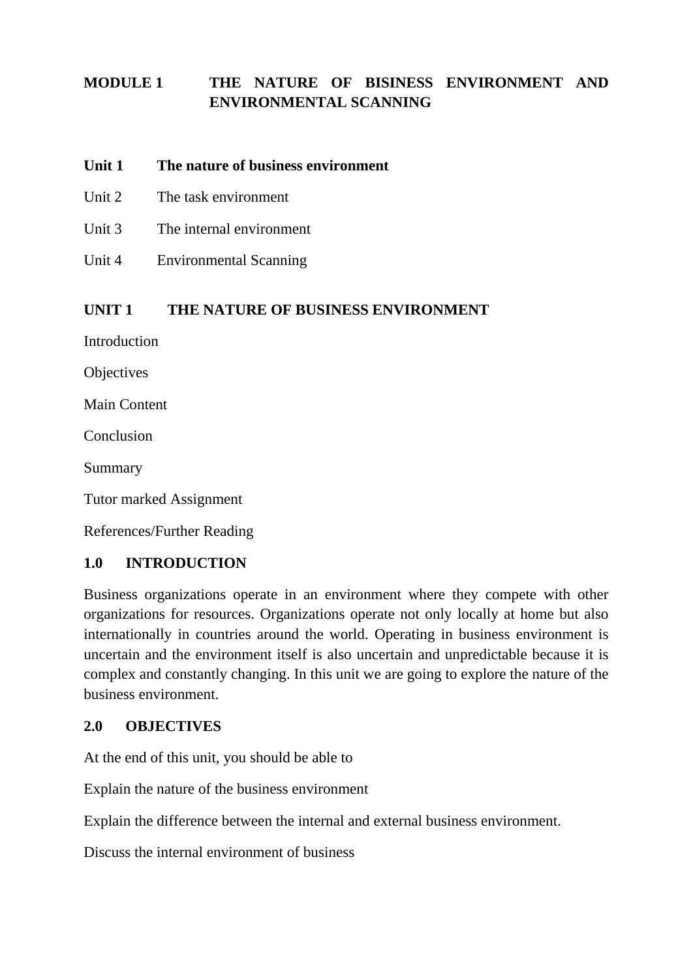## **MODULE 1 THE NATURE OF BISINESS ENVIRONMENT AND ENVIRONMENTAL SCANNING**

#### **Unit 1 The nature of business environment**

- Unit 2 The task environment
- Unit 3 The internal environment
- Unit 4 Environmental Scanning

#### **UNIT 1 THE NATURE OF BUSINESS ENVIRONMENT**

Introduction

**Objectives** 

Main Content

Conclusion

Summary

Tutor marked Assignment

References/Further Reading

#### **1.0 INTRODUCTION**

Business organizations operate in an environment where they compete with other organizations for resources. Organizations operate not only locally at home but also internationally in countries around the world. Operating in business environment is uncertain and the environment itself is also uncertain and unpredictable because it is complex and constantly changing. In this unit we are going to explore the nature of the business environment.

#### **2.0 OBJECTIVES**

At the end of this unit, you should be able to

Explain the nature of the business environment

Explain the difference between the internal and external business environment.

Discuss the internal environment of business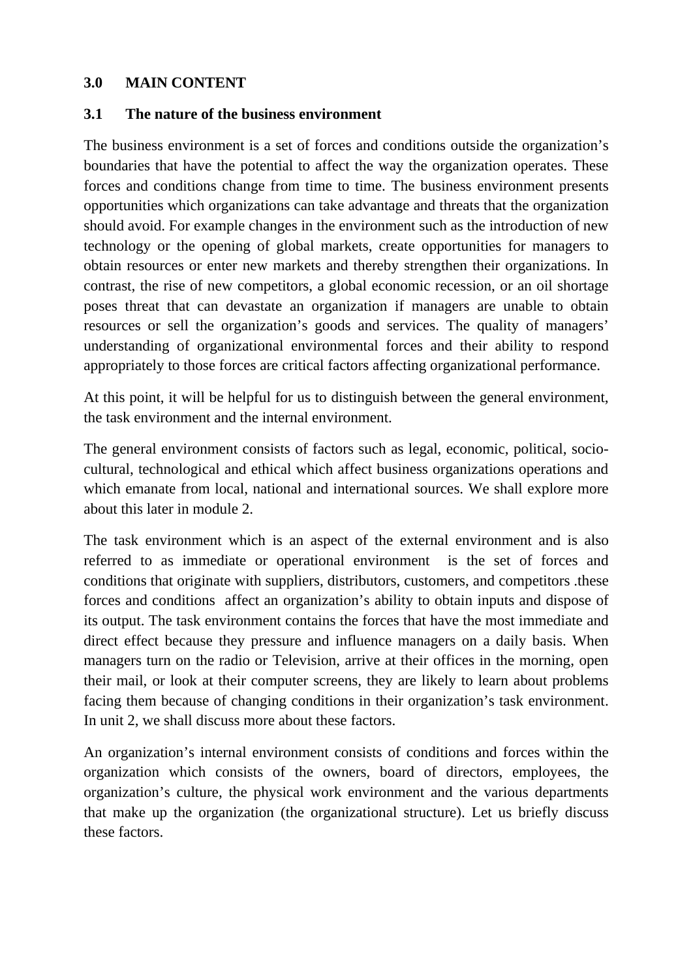## **3.0 MAIN CONTENT**

## **3.1 The nature of the business environment**

The business environment is a set of forces and conditions outside the organization's boundaries that have the potential to affect the way the organization operates. These forces and conditions change from time to time. The business environment presents opportunities which organizations can take advantage and threats that the organization should avoid. For example changes in the environment such as the introduction of new technology or the opening of global markets, create opportunities for managers to obtain resources or enter new markets and thereby strengthen their organizations. In contrast, the rise of new competitors, a global economic recession, or an oil shortage poses threat that can devastate an organization if managers are unable to obtain resources or sell the organization's goods and services. The quality of managers' understanding of organizational environmental forces and their ability to respond appropriately to those forces are critical factors affecting organizational performance.

At this point, it will be helpful for us to distinguish between the general environment, the task environment and the internal environment.

The general environment consists of factors such as legal, economic, political, sociocultural, technological and ethical which affect business organizations operations and which emanate from local, national and international sources. We shall explore more about this later in module 2.

The task environment which is an aspect of the external environment and is also referred to as immediate or operational environment is the set of forces and conditions that originate with suppliers, distributors, customers, and competitors .these forces and conditions affect an organization's ability to obtain inputs and dispose of its output. The task environment contains the forces that have the most immediate and direct effect because they pressure and influence managers on a daily basis. When managers turn on the radio or Television, arrive at their offices in the morning, open their mail, or look at their computer screens, they are likely to learn about problems facing them because of changing conditions in their organization's task environment. In unit 2, we shall discuss more about these factors.

An organization's internal environment consists of conditions and forces within the organization which consists of the owners, board of directors, employees, the organization's culture, the physical work environment and the various departments that make up the organization (the organizational structure). Let us briefly discuss these factors.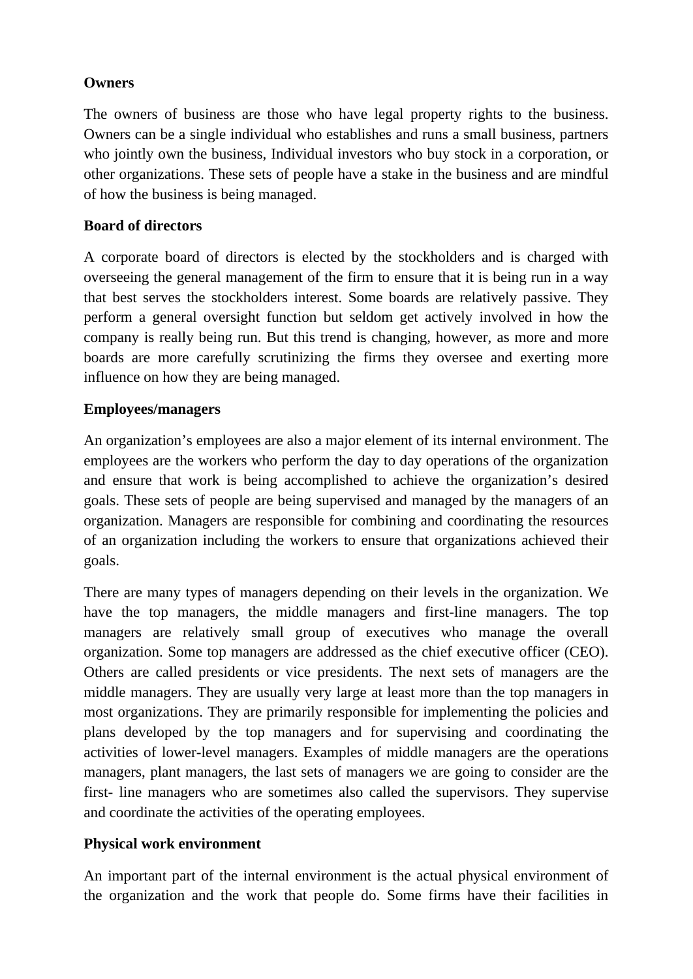## **Owners**

The owners of business are those who have legal property rights to the business. Owners can be a single individual who establishes and runs a small business, partners who jointly own the business, Individual investors who buy stock in a corporation, or other organizations. These sets of people have a stake in the business and are mindful of how the business is being managed.

## **Board of directors**

A corporate board of directors is elected by the stockholders and is charged with overseeing the general management of the firm to ensure that it is being run in a way that best serves the stockholders interest. Some boards are relatively passive. They perform a general oversight function but seldom get actively involved in how the company is really being run. But this trend is changing, however, as more and more boards are more carefully scrutinizing the firms they oversee and exerting more influence on how they are being managed.

## **Employees/managers**

An organization's employees are also a major element of its internal environment. The employees are the workers who perform the day to day operations of the organization and ensure that work is being accomplished to achieve the organization's desired goals. These sets of people are being supervised and managed by the managers of an organization. Managers are responsible for combining and coordinating the resources of an organization including the workers to ensure that organizations achieved their goals.

There are many types of managers depending on their levels in the organization. We have the top managers, the middle managers and first-line managers. The top managers are relatively small group of executives who manage the overall organization. Some top managers are addressed as the chief executive officer (CEO). Others are called presidents or vice presidents. The next sets of managers are the middle managers. They are usually very large at least more than the top managers in most organizations. They are primarily responsible for implementing the policies and plans developed by the top managers and for supervising and coordinating the activities of lower-level managers. Examples of middle managers are the operations managers, plant managers, the last sets of managers we are going to consider are the first- line managers who are sometimes also called the supervisors. They supervise and coordinate the activities of the operating employees.

## **Physical work environment**

An important part of the internal environment is the actual physical environment of the organization and the work that people do. Some firms have their facilities in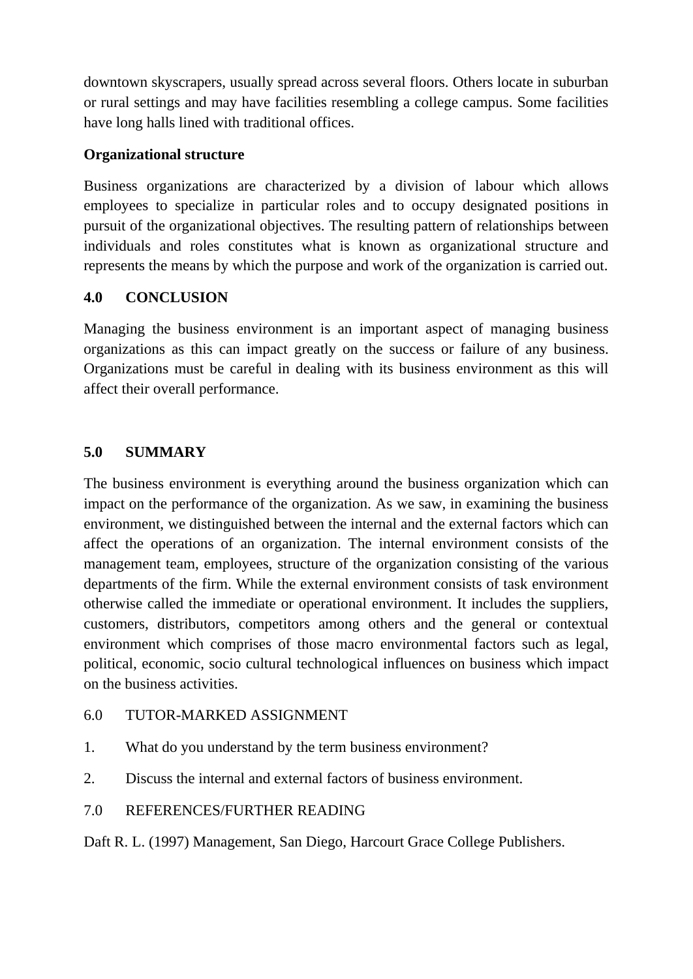downtown skyscrapers, usually spread across several floors. Others locate in suburban or rural settings and may have facilities resembling a college campus. Some facilities have long halls lined with traditional offices.

## **Organizational structure**

Business organizations are characterized by a division of labour which allows employees to specialize in particular roles and to occupy designated positions in pursuit of the organizational objectives. The resulting pattern of relationships between individuals and roles constitutes what is known as organizational structure and represents the means by which the purpose and work of the organization is carried out.

## **4.0 CONCLUSION**

Managing the business environment is an important aspect of managing business organizations as this can impact greatly on the success or failure of any business. Organizations must be careful in dealing with its business environment as this will affect their overall performance.

## **5.0 SUMMARY**

The business environment is everything around the business organization which can impact on the performance of the organization. As we saw, in examining the business environment, we distinguished between the internal and the external factors which can affect the operations of an organization. The internal environment consists of the management team, employees, structure of the organization consisting of the various departments of the firm. While the external environment consists of task environment otherwise called the immediate or operational environment. It includes the suppliers, customers, distributors, competitors among others and the general or contextual environment which comprises of those macro environmental factors such as legal, political, economic, socio cultural technological influences on business which impact on the business activities.

- 6.0 TUTOR-MARKED ASSIGNMENT
- 1. What do you understand by the term business environment?
- 2. Discuss the internal and external factors of business environment.
- 7.0 REFERENCES/FURTHER READING

Daft R. L. (1997) Management, San Diego, Harcourt Grace College Publishers.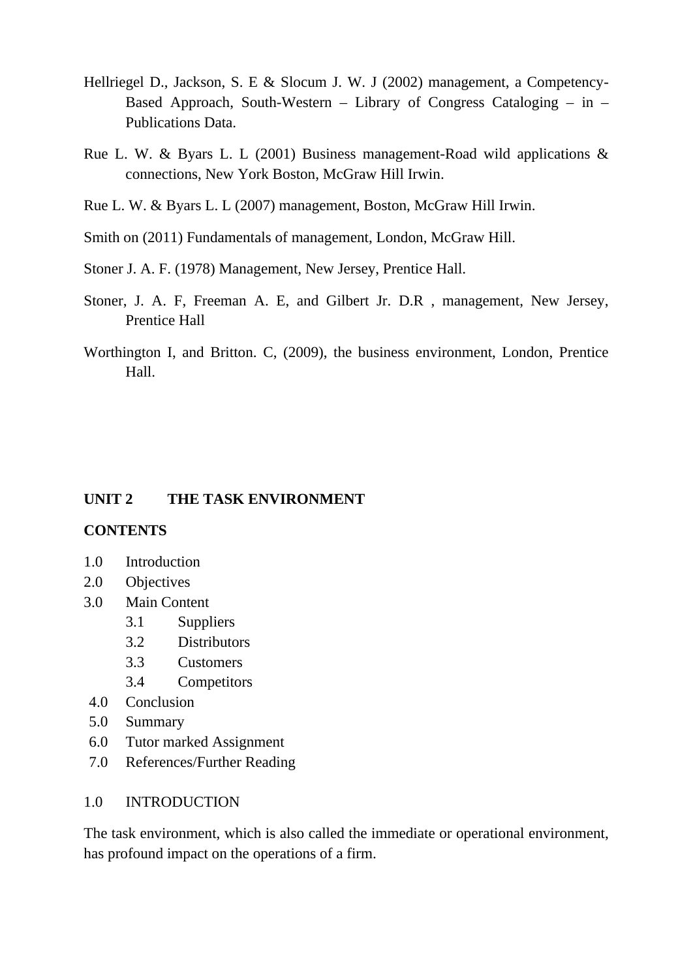- Hellriegel D., Jackson, S. E & Slocum J. W. J (2002) management, a Competency-Based Approach, South-Western – Library of Congress Cataloging – in – Publications Data.
- Rue L. W. & Byars L. L (2001) Business management-Road wild applications & connections, New York Boston, McGraw Hill Irwin.
- Rue L. W. & Byars L. L (2007) management, Boston, McGraw Hill Irwin.
- Smith on (2011) Fundamentals of management, London, McGraw Hill.
- Stoner J. A. F. (1978) Management, New Jersey, Prentice Hall.
- Stoner, J. A. F, Freeman A. E, and Gilbert Jr. D.R , management, New Jersey, Prentice Hall
- Worthington I, and Britton. C, (2009), the business environment, London, Prentice Hall.

#### **UNIT 2 THE TASK ENVIRONMENT**

#### **CONTENTS**

- 1.0 Introduction
- 2.0 Objectives
- 3.0 Main Content
	- 3.1 Suppliers
	- 3.2 Distributors
	- 3.3 Customers
	- 3.4 Competitors
- 4.0 Conclusion
- 5.0 Summary
- 6.0 Tutor marked Assignment
- 7.0 References/Further Reading

#### 1.0 INTRODUCTION

The task environment, which is also called the immediate or operational environment, has profound impact on the operations of a firm.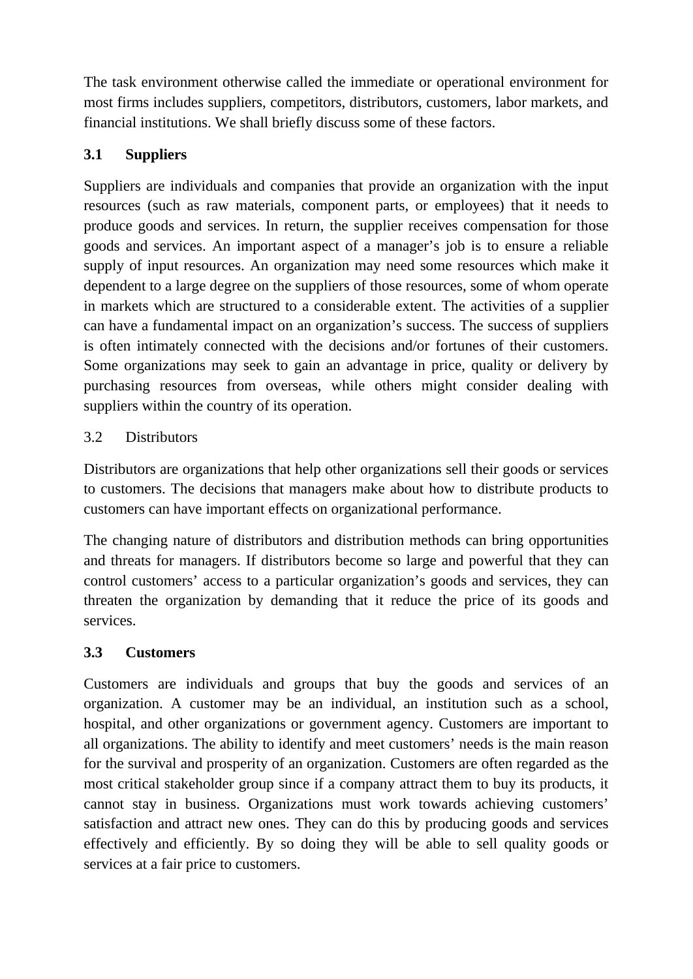The task environment otherwise called the immediate or operational environment for most firms includes suppliers, competitors, distributors, customers, labor markets, and financial institutions. We shall briefly discuss some of these factors.

## **3.1 Suppliers**

Suppliers are individuals and companies that provide an organization with the input resources (such as raw materials, component parts, or employees) that it needs to produce goods and services. In return, the supplier receives compensation for those goods and services. An important aspect of a manager's job is to ensure a reliable supply of input resources. An organization may need some resources which make it dependent to a large degree on the suppliers of those resources, some of whom operate in markets which are structured to a considerable extent. The activities of a supplier can have a fundamental impact on an organization's success. The success of suppliers is often intimately connected with the decisions and/or fortunes of their customers. Some organizations may seek to gain an advantage in price, quality or delivery by purchasing resources from overseas, while others might consider dealing with suppliers within the country of its operation.

## 3.2 Distributors

Distributors are organizations that help other organizations sell their goods or services to customers. The decisions that managers make about how to distribute products to customers can have important effects on organizational performance.

The changing nature of distributors and distribution methods can bring opportunities and threats for managers. If distributors become so large and powerful that they can control customers' access to a particular organization's goods and services, they can threaten the organization by demanding that it reduce the price of its goods and services.

## **3.3 Customers**

Customers are individuals and groups that buy the goods and services of an organization. A customer may be an individual, an institution such as a school, hospital, and other organizations or government agency. Customers are important to all organizations. The ability to identify and meet customers' needs is the main reason for the survival and prosperity of an organization. Customers are often regarded as the most critical stakeholder group since if a company attract them to buy its products, it cannot stay in business. Organizations must work towards achieving customers' satisfaction and attract new ones. They can do this by producing goods and services effectively and efficiently. By so doing they will be able to sell quality goods or services at a fair price to customers.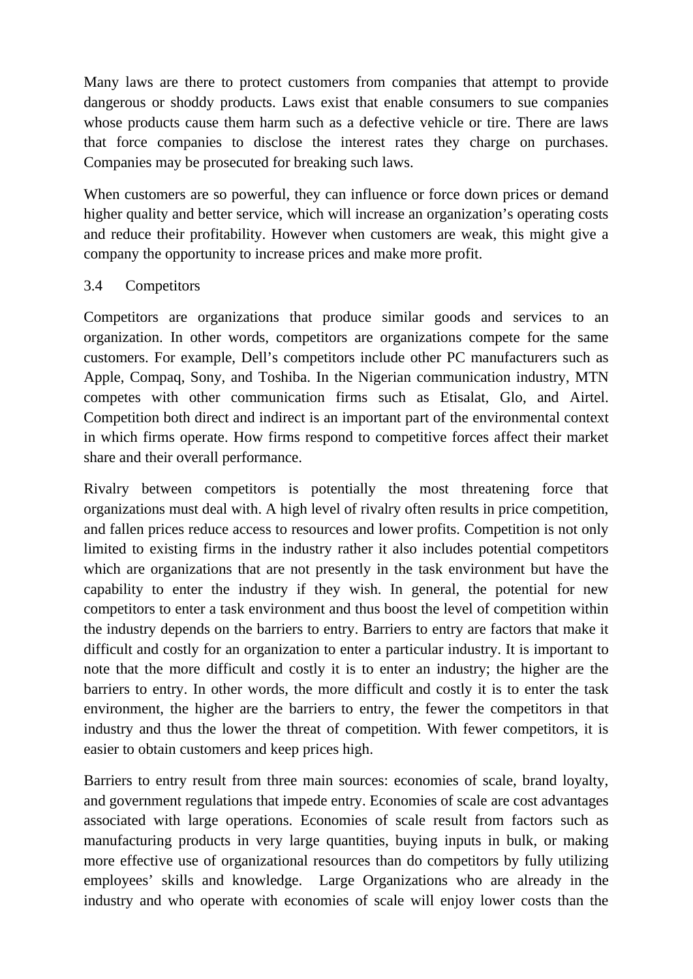Many laws are there to protect customers from companies that attempt to provide dangerous or shoddy products. Laws exist that enable consumers to sue companies whose products cause them harm such as a defective vehicle or tire. There are laws that force companies to disclose the interest rates they charge on purchases. Companies may be prosecuted for breaking such laws.

When customers are so powerful, they can influence or force down prices or demand higher quality and better service, which will increase an organization's operating costs and reduce their profitability. However when customers are weak, this might give a company the opportunity to increase prices and make more profit.

## 3.4 Competitors

Competitors are organizations that produce similar goods and services to an organization. In other words, competitors are organizations compete for the same customers. For example, Dell's competitors include other PC manufacturers such as Apple, Compaq, Sony, and Toshiba. In the Nigerian communication industry, MTN competes with other communication firms such as Etisalat, Glo, and Airtel. Competition both direct and indirect is an important part of the environmental context in which firms operate. How firms respond to competitive forces affect their market share and their overall performance.

Rivalry between competitors is potentially the most threatening force that organizations must deal with. A high level of rivalry often results in price competition, and fallen prices reduce access to resources and lower profits. Competition is not only limited to existing firms in the industry rather it also includes potential competitors which are organizations that are not presently in the task environment but have the capability to enter the industry if they wish. In general, the potential for new competitors to enter a task environment and thus boost the level of competition within the industry depends on the barriers to entry. Barriers to entry are factors that make it difficult and costly for an organization to enter a particular industry. It is important to note that the more difficult and costly it is to enter an industry; the higher are the barriers to entry. In other words, the more difficult and costly it is to enter the task environment, the higher are the barriers to entry, the fewer the competitors in that industry and thus the lower the threat of competition. With fewer competitors, it is easier to obtain customers and keep prices high.

Barriers to entry result from three main sources: economies of scale, brand loyalty, and government regulations that impede entry. Economies of scale are cost advantages associated with large operations. Economies of scale result from factors such as manufacturing products in very large quantities, buying inputs in bulk, or making more effective use of organizational resources than do competitors by fully utilizing employees' skills and knowledge. Large Organizations who are already in the industry and who operate with economies of scale will enjoy lower costs than the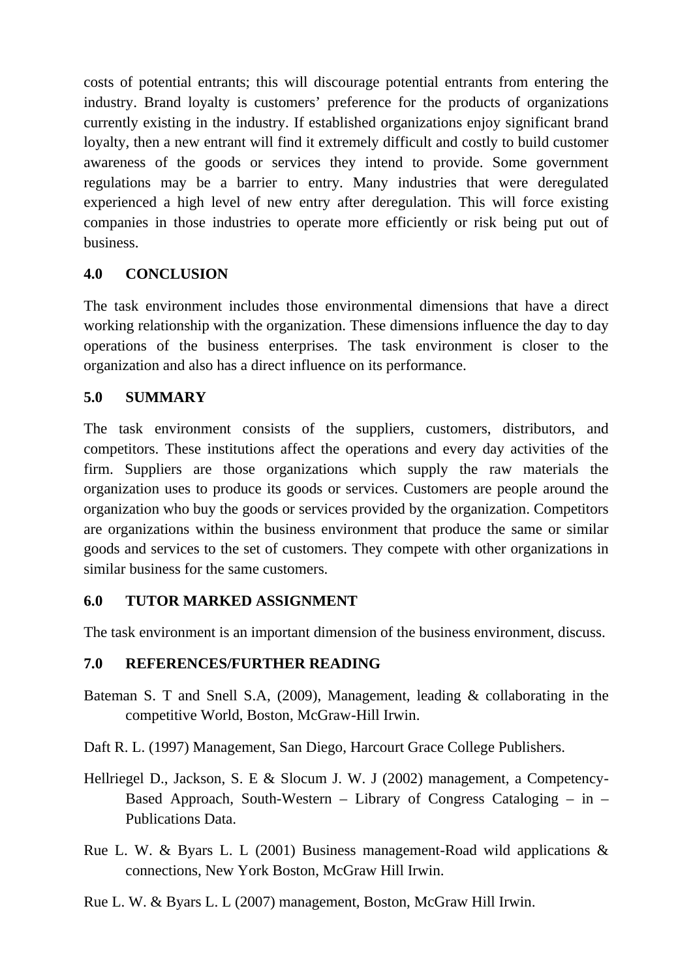costs of potential entrants; this will discourage potential entrants from entering the industry. Brand loyalty is customers' preference for the products of organizations currently existing in the industry. If established organizations enjoy significant brand loyalty, then a new entrant will find it extremely difficult and costly to build customer awareness of the goods or services they intend to provide. Some government regulations may be a barrier to entry. Many industries that were deregulated experienced a high level of new entry after deregulation. This will force existing companies in those industries to operate more efficiently or risk being put out of business.

## **4.0 CONCLUSION**

The task environment includes those environmental dimensions that have a direct working relationship with the organization. These dimensions influence the day to day operations of the business enterprises. The task environment is closer to the organization and also has a direct influence on its performance.

## **5.0 SUMMARY**

The task environment consists of the suppliers, customers, distributors, and competitors. These institutions affect the operations and every day activities of the firm. Suppliers are those organizations which supply the raw materials the organization uses to produce its goods or services. Customers are people around the organization who buy the goods or services provided by the organization. Competitors are organizations within the business environment that produce the same or similar goods and services to the set of customers. They compete with other organizations in similar business for the same customers.

## **6.0 TUTOR MARKED ASSIGNMENT**

The task environment is an important dimension of the business environment, discuss.

## **7.0 REFERENCES/FURTHER READING**

- Bateman S. T and Snell S.A, (2009), Management, leading & collaborating in the competitive World, Boston, McGraw-Hill Irwin.
- Daft R. L. (1997) Management, San Diego, Harcourt Grace College Publishers.
- Hellriegel D., Jackson, S. E & Slocum J. W. J (2002) management, a Competency-Based Approach, South-Western – Library of Congress Cataloging – in – Publications Data.
- Rue L. W. & Byars L. L (2001) Business management-Road wild applications & connections, New York Boston, McGraw Hill Irwin.
- Rue L. W. & Byars L. L (2007) management, Boston, McGraw Hill Irwin.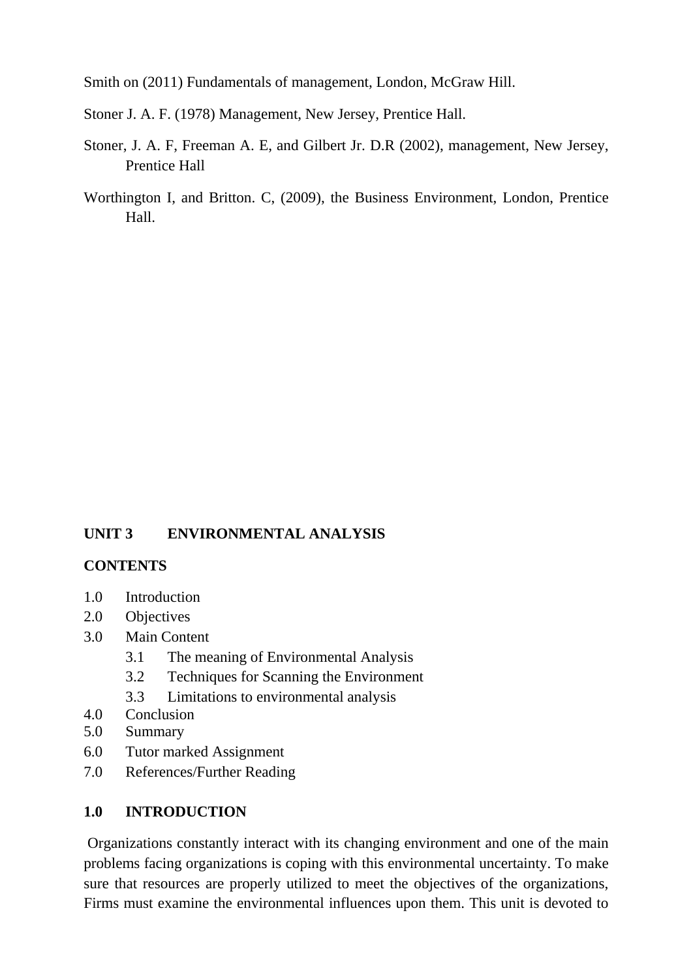Smith on (2011) Fundamentals of management, London, McGraw Hill.

Stoner J. A. F. (1978) Management, New Jersey, Prentice Hall.

- Stoner, J. A. F, Freeman A. E, and Gilbert Jr. D.R (2002), management, New Jersey, Prentice Hall
- Worthington I, and Britton. C, (2009), the Business Environment, London, Prentice Hall.

#### **UNIT 3 ENVIRONMENTAL ANALYSIS**

#### **CONTENTS**

- 1.0 Introduction
- 2.0 Objectives
- 3.0 Main Content
	- 3.1 The meaning of Environmental Analysis
	- 3.2 Techniques for Scanning the Environment
	- 3.3 Limitations to environmental analysis
- 4.0 Conclusion
- 5.0 Summary
- 6.0 Tutor marked Assignment
- 7.0 References/Further Reading

#### **1.0 INTRODUCTION**

Organizations constantly interact with its changing environment and one of the main problems facing organizations is coping with this environmental uncertainty. To make sure that resources are properly utilized to meet the objectives of the organizations, Firms must examine the environmental influences upon them. This unit is devoted to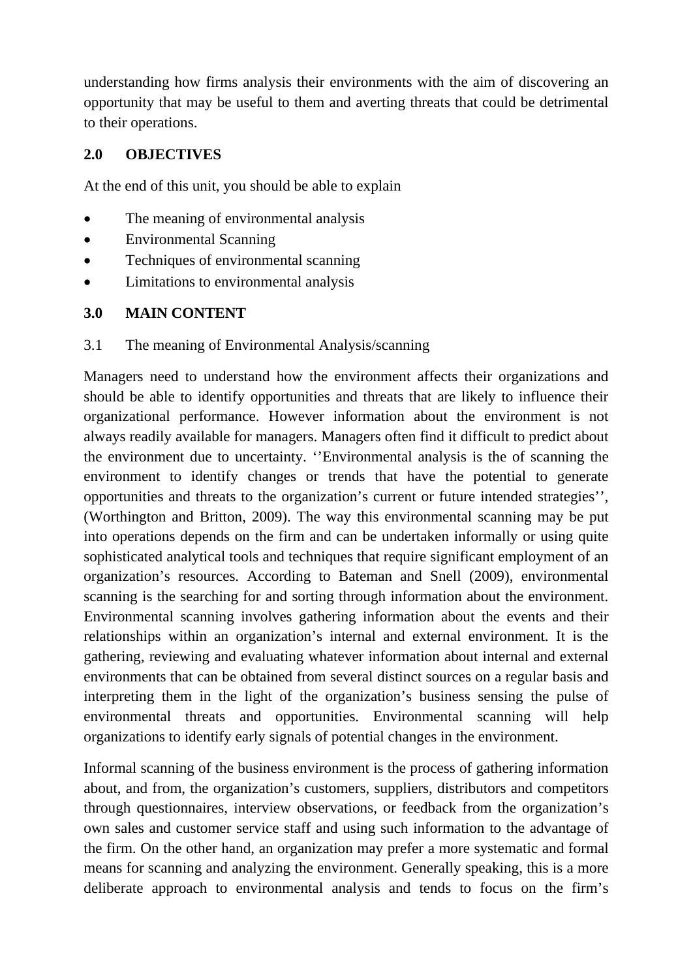understanding how firms analysis their environments with the aim of discovering an opportunity that may be useful to them and averting threats that could be detrimental to their operations.

## **2.0 OBJECTIVES**

At the end of this unit, you should be able to explain

- The meaning of environmental analysis
- Environmental Scanning
- Techniques of environmental scanning
- Limitations to environmental analysis

## **3.0 MAIN CONTENT**

## 3.1 The meaning of Environmental Analysis/scanning

Managers need to understand how the environment affects their organizations and should be able to identify opportunities and threats that are likely to influence their organizational performance. However information about the environment is not always readily available for managers. Managers often find it difficult to predict about the environment due to uncertainty. ''Environmental analysis is the of scanning the environment to identify changes or trends that have the potential to generate opportunities and threats to the organization's current or future intended strategies'', (Worthington and Britton, 2009). The way this environmental scanning may be put into operations depends on the firm and can be undertaken informally or using quite sophisticated analytical tools and techniques that require significant employment of an organization's resources. According to Bateman and Snell (2009), environmental scanning is the searching for and sorting through information about the environment. Environmental scanning involves gathering information about the events and their relationships within an organization's internal and external environment. It is the gathering, reviewing and evaluating whatever information about internal and external environments that can be obtained from several distinct sources on a regular basis and interpreting them in the light of the organization's business sensing the pulse of environmental threats and opportunities. Environmental scanning will help organizations to identify early signals of potential changes in the environment.

Informal scanning of the business environment is the process of gathering information about, and from, the organization's customers, suppliers, distributors and competitors through questionnaires, interview observations, or feedback from the organization's own sales and customer service staff and using such information to the advantage of the firm. On the other hand, an organization may prefer a more systematic and formal means for scanning and analyzing the environment. Generally speaking, this is a more deliberate approach to environmental analysis and tends to focus on the firm's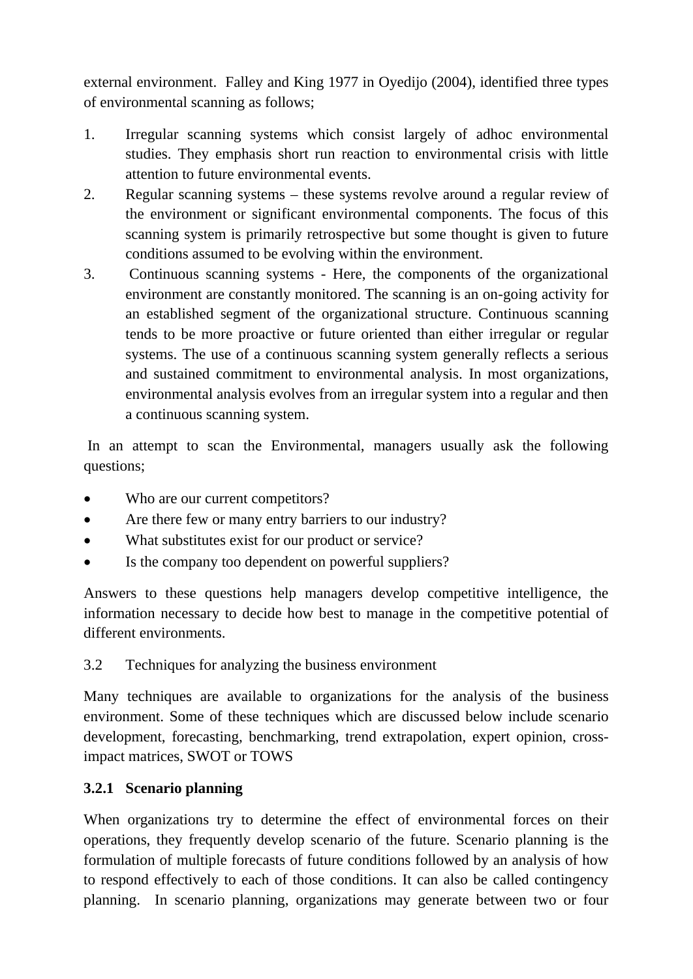external environment. Falley and King 1977 in Oyedijo (2004), identified three types of environmental scanning as follows;

- 1. Irregular scanning systems which consist largely of adhoc environmental studies. They emphasis short run reaction to environmental crisis with little attention to future environmental events.
- 2. Regular scanning systems these systems revolve around a regular review of the environment or significant environmental components. The focus of this scanning system is primarily retrospective but some thought is given to future conditions assumed to be evolving within the environment.
- 3. Continuous scanning systems Here, the components of the organizational environment are constantly monitored. The scanning is an on-going activity for an established segment of the organizational structure. Continuous scanning tends to be more proactive or future oriented than either irregular or regular systems. The use of a continuous scanning system generally reflects a serious and sustained commitment to environmental analysis. In most organizations, environmental analysis evolves from an irregular system into a regular and then a continuous scanning system.

In an attempt to scan the Environmental, managers usually ask the following questions;

- Who are our current competitors?
- Are there few or many entry barriers to our industry?
- What substitutes exist for our product or service?
- Is the company too dependent on powerful suppliers?

Answers to these questions help managers develop competitive intelligence, the information necessary to decide how best to manage in the competitive potential of different environments.

## 3.2 Techniques for analyzing the business environment

Many techniques are available to organizations for the analysis of the business environment. Some of these techniques which are discussed below include scenario development, forecasting, benchmarking, trend extrapolation, expert opinion, crossimpact matrices, SWOT or TOWS

## **3.2.1 Scenario planning**

When organizations try to determine the effect of environmental forces on their operations, they frequently develop scenario of the future. Scenario planning is the formulation of multiple forecasts of future conditions followed by an analysis of how to respond effectively to each of those conditions. It can also be called contingency planning. In scenario planning, organizations may generate between two or four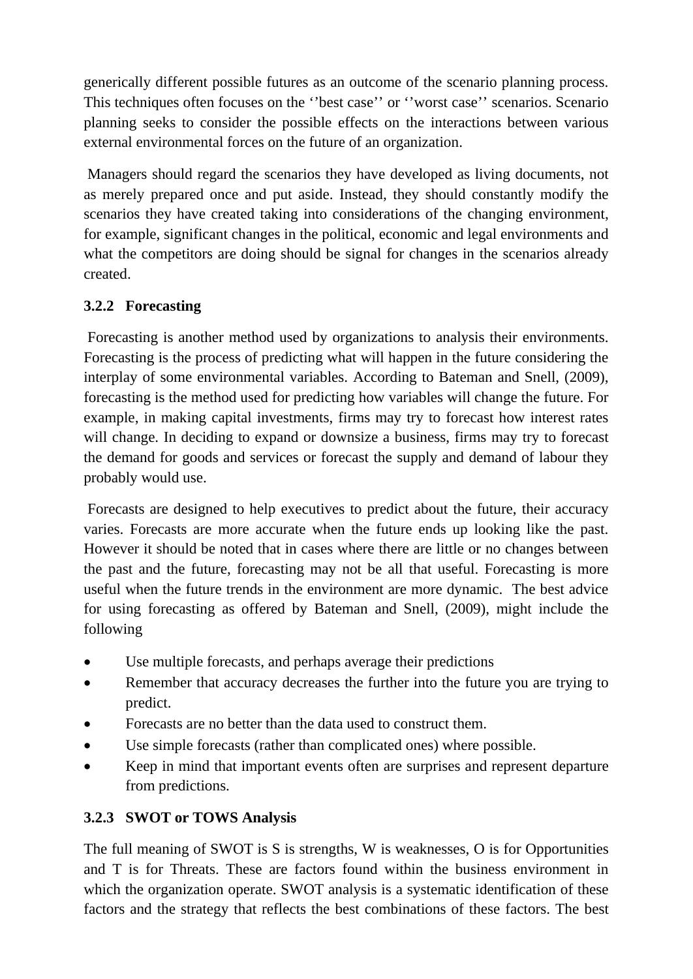generically different possible futures as an outcome of the scenario planning process. This techniques often focuses on the ''best case'' or ''worst case'' scenarios. Scenario planning seeks to consider the possible effects on the interactions between various external environmental forces on the future of an organization.

Managers should regard the scenarios they have developed as living documents, not as merely prepared once and put aside. Instead, they should constantly modify the scenarios they have created taking into considerations of the changing environment, for example, significant changes in the political, economic and legal environments and what the competitors are doing should be signal for changes in the scenarios already created.

## **3.2.2 Forecasting**

Forecasting is another method used by organizations to analysis their environments. Forecasting is the process of predicting what will happen in the future considering the interplay of some environmental variables. According to Bateman and Snell, (2009), forecasting is the method used for predicting how variables will change the future. For example, in making capital investments, firms may try to forecast how interest rates will change. In deciding to expand or downsize a business, firms may try to forecast the demand for goods and services or forecast the supply and demand of labour they probably would use.

Forecasts are designed to help executives to predict about the future, their accuracy varies. Forecasts are more accurate when the future ends up looking like the past. However it should be noted that in cases where there are little or no changes between the past and the future, forecasting may not be all that useful. Forecasting is more useful when the future trends in the environment are more dynamic. The best advice for using forecasting as offered by Bateman and Snell, (2009), might include the following

- Use multiple forecasts, and perhaps average their predictions
- Remember that accuracy decreases the further into the future you are trying to predict.
- Forecasts are no better than the data used to construct them.
- Use simple forecasts (rather than complicated ones) where possible.
- Keep in mind that important events often are surprises and represent departure from predictions.

## **3.2.3 SWOT or TOWS Analysis**

The full meaning of SWOT is S is strengths, W is weaknesses, O is for Opportunities and T is for Threats. These are factors found within the business environment in which the organization operate. SWOT analysis is a systematic identification of these factors and the strategy that reflects the best combinations of these factors. The best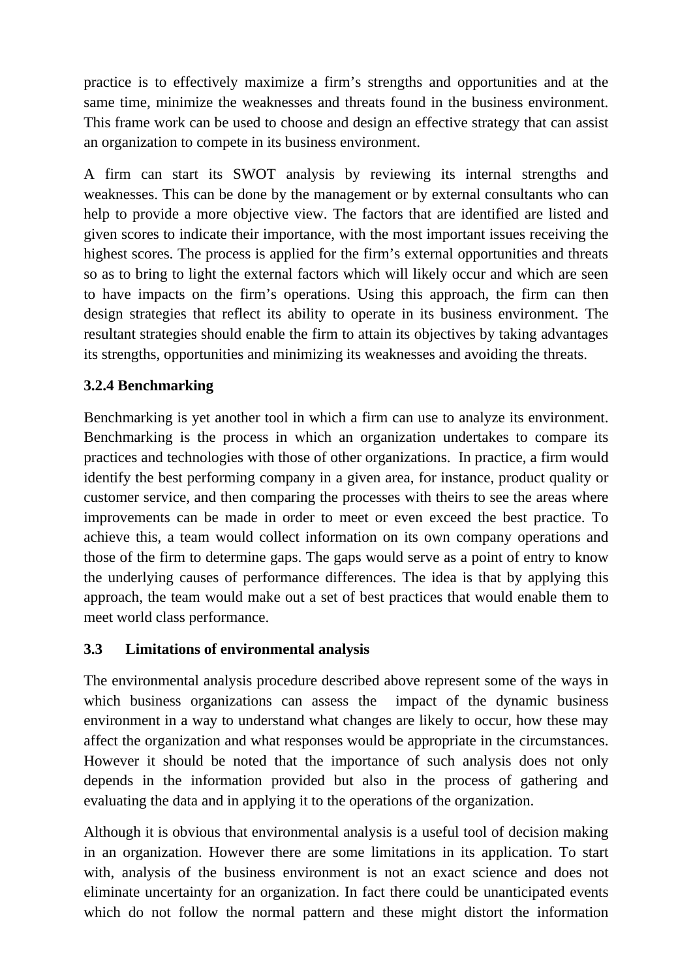practice is to effectively maximize a firm's strengths and opportunities and at the same time, minimize the weaknesses and threats found in the business environment. This frame work can be used to choose and design an effective strategy that can assist an organization to compete in its business environment.

A firm can start its SWOT analysis by reviewing its internal strengths and weaknesses. This can be done by the management or by external consultants who can help to provide a more objective view. The factors that are identified are listed and given scores to indicate their importance, with the most important issues receiving the highest scores. The process is applied for the firm's external opportunities and threats so as to bring to light the external factors which will likely occur and which are seen to have impacts on the firm's operations. Using this approach, the firm can then design strategies that reflect its ability to operate in its business environment. The resultant strategies should enable the firm to attain its objectives by taking advantages its strengths, opportunities and minimizing its weaknesses and avoiding the threats.

## **3.2.4 Benchmarking**

Benchmarking is yet another tool in which a firm can use to analyze its environment. Benchmarking is the process in which an organization undertakes to compare its practices and technologies with those of other organizations. In practice, a firm would identify the best performing company in a given area, for instance, product quality or customer service, and then comparing the processes with theirs to see the areas where improvements can be made in order to meet or even exceed the best practice. To achieve this, a team would collect information on its own company operations and those of the firm to determine gaps. The gaps would serve as a point of entry to know the underlying causes of performance differences. The idea is that by applying this approach, the team would make out a set of best practices that would enable them to meet world class performance.

## **3.3 Limitations of environmental analysis**

The environmental analysis procedure described above represent some of the ways in which business organizations can assess the impact of the dynamic business environment in a way to understand what changes are likely to occur, how these may affect the organization and what responses would be appropriate in the circumstances. However it should be noted that the importance of such analysis does not only depends in the information provided but also in the process of gathering and evaluating the data and in applying it to the operations of the organization.

Although it is obvious that environmental analysis is a useful tool of decision making in an organization. However there are some limitations in its application. To start with, analysis of the business environment is not an exact science and does not eliminate uncertainty for an organization. In fact there could be unanticipated events which do not follow the normal pattern and these might distort the information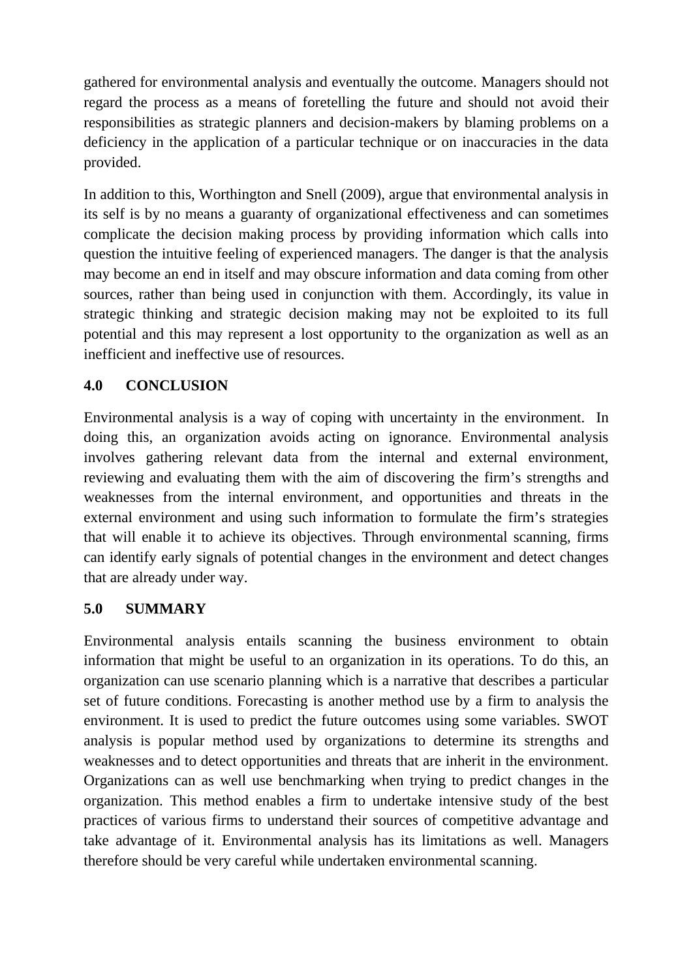gathered for environmental analysis and eventually the outcome. Managers should not regard the process as a means of foretelling the future and should not avoid their responsibilities as strategic planners and decision-makers by blaming problems on a deficiency in the application of a particular technique or on inaccuracies in the data provided.

In addition to this, Worthington and Snell (2009), argue that environmental analysis in its self is by no means a guaranty of organizational effectiveness and can sometimes complicate the decision making process by providing information which calls into question the intuitive feeling of experienced managers. The danger is that the analysis may become an end in itself and may obscure information and data coming from other sources, rather than being used in conjunction with them. Accordingly, its value in strategic thinking and strategic decision making may not be exploited to its full potential and this may represent a lost opportunity to the organization as well as an inefficient and ineffective use of resources.

## **4.0 CONCLUSION**

Environmental analysis is a way of coping with uncertainty in the environment. In doing this, an organization avoids acting on ignorance. Environmental analysis involves gathering relevant data from the internal and external environment, reviewing and evaluating them with the aim of discovering the firm's strengths and weaknesses from the internal environment, and opportunities and threats in the external environment and using such information to formulate the firm's strategies that will enable it to achieve its objectives. Through environmental scanning, firms can identify early signals of potential changes in the environment and detect changes that are already under way.

## **5.0 SUMMARY**

Environmental analysis entails scanning the business environment to obtain information that might be useful to an organization in its operations. To do this, an organization can use scenario planning which is a narrative that describes a particular set of future conditions. Forecasting is another method use by a firm to analysis the environment. It is used to predict the future outcomes using some variables. SWOT analysis is popular method used by organizations to determine its strengths and weaknesses and to detect opportunities and threats that are inherit in the environment. Organizations can as well use benchmarking when trying to predict changes in the organization. This method enables a firm to undertake intensive study of the best practices of various firms to understand their sources of competitive advantage and take advantage of it. Environmental analysis has its limitations as well. Managers therefore should be very careful while undertaken environmental scanning.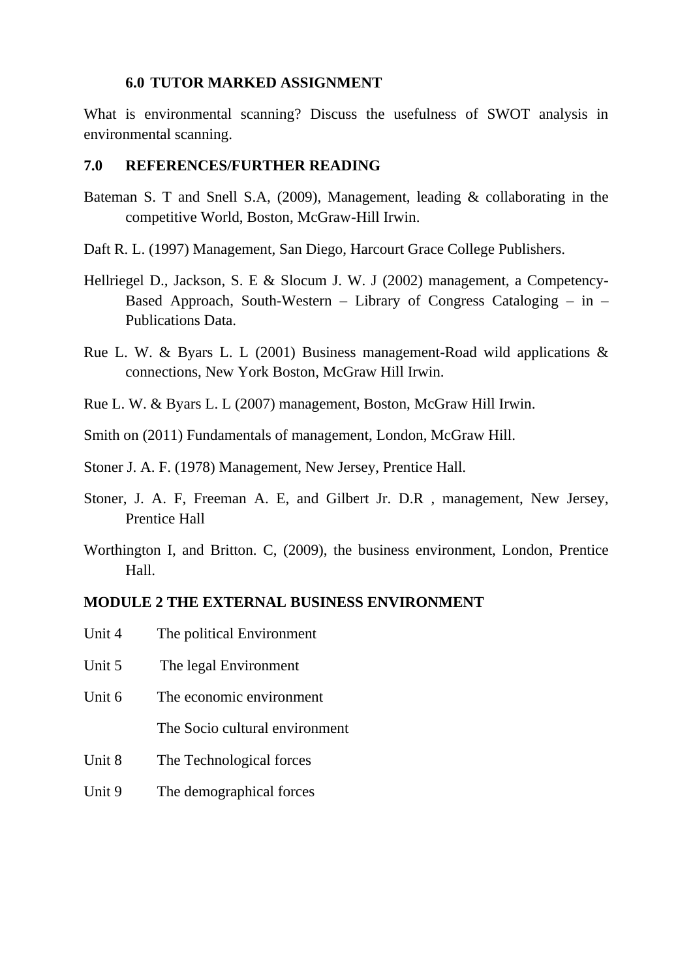#### **6.0 TUTOR MARKED ASSIGNMENT**

What is environmental scanning? Discuss the usefulness of SWOT analysis in environmental scanning.

#### **7.0 REFERENCES/FURTHER READING**

- Bateman S. T and Snell S.A, (2009), Management, leading & collaborating in the competitive World, Boston, McGraw-Hill Irwin.
- Daft R. L. (1997) Management, San Diego, Harcourt Grace College Publishers.
- Hellriegel D., Jackson, S. E & Slocum J. W. J (2002) management, a Competency-Based Approach, South-Western – Library of Congress Cataloging – in – Publications Data.
- Rue L. W. & Byars L. L (2001) Business management-Road wild applications & connections, New York Boston, McGraw Hill Irwin.
- Rue L. W. & Byars L. L (2007) management, Boston, McGraw Hill Irwin.
- Smith on (2011) Fundamentals of management, London, McGraw Hill.
- Stoner J. A. F. (1978) Management, New Jersey, Prentice Hall.
- Stoner, J. A. F, Freeman A. E, and Gilbert Jr. D.R , management, New Jersey, Prentice Hall
- Worthington I, and Britton. C, (2009), the business environment, London, Prentice Hall.

#### **MODULE 2 THE EXTERNAL BUSINESS ENVIRONMENT**

- Unit 4 The political Environment
- Unit 5 The legal Environment
- Unit 6 The economic environment

The Socio cultural environment

- Unit 8 The Technological forces
- Unit 9 The demographical forces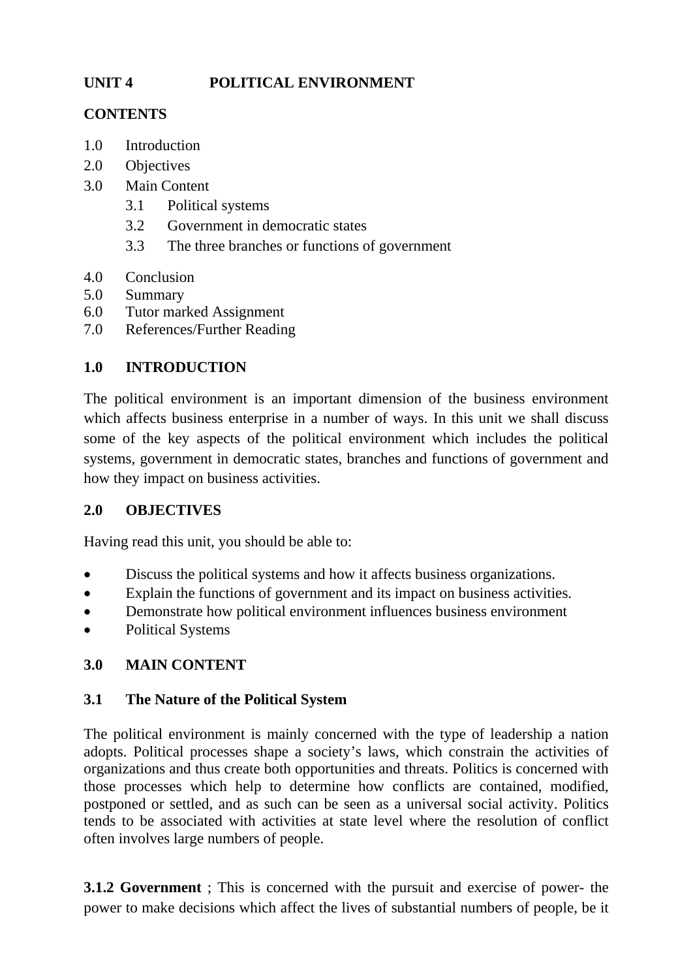## **UNIT 4 POLITICAL ENVIRONMENT**

## **CONTENTS**

- 1.0 Introduction
- 2.0 Objectives
- 3.0 Main Content
	- 3.1 Political systems
	- 3.2 Government in democratic states
	- 3.3 The three branches or functions of government
- 4.0 Conclusion
- 5.0 Summary
- 6.0 Tutor marked Assignment
- 7.0 References/Further Reading

## **1.0 INTRODUCTION**

The political environment is an important dimension of the business environment which affects business enterprise in a number of ways. In this unit we shall discuss some of the key aspects of the political environment which includes the political systems, government in democratic states, branches and functions of government and how they impact on business activities.

## **2.0 OBJECTIVES**

Having read this unit, you should be able to:

- Discuss the political systems and how it affects business organizations.
- Explain the functions of government and its impact on business activities.
- Demonstrate how political environment influences business environment
- Political Systems

## **3.0 MAIN CONTENT**

## **3.1 The Nature of the Political System**

The political environment is mainly concerned with the type of leadership a nation adopts. Political processes shape a society's laws, which constrain the activities of organizations and thus create both opportunities and threats. Politics is concerned with those processes which help to determine how conflicts are contained, modified, postponed or settled, and as such can be seen as a universal social activity. Politics tends to be associated with activities at state level where the resolution of conflict often involves large numbers of people.

**3.1.2 Government** ; This is concerned with the pursuit and exercise of power- the power to make decisions which affect the lives of substantial numbers of people, be it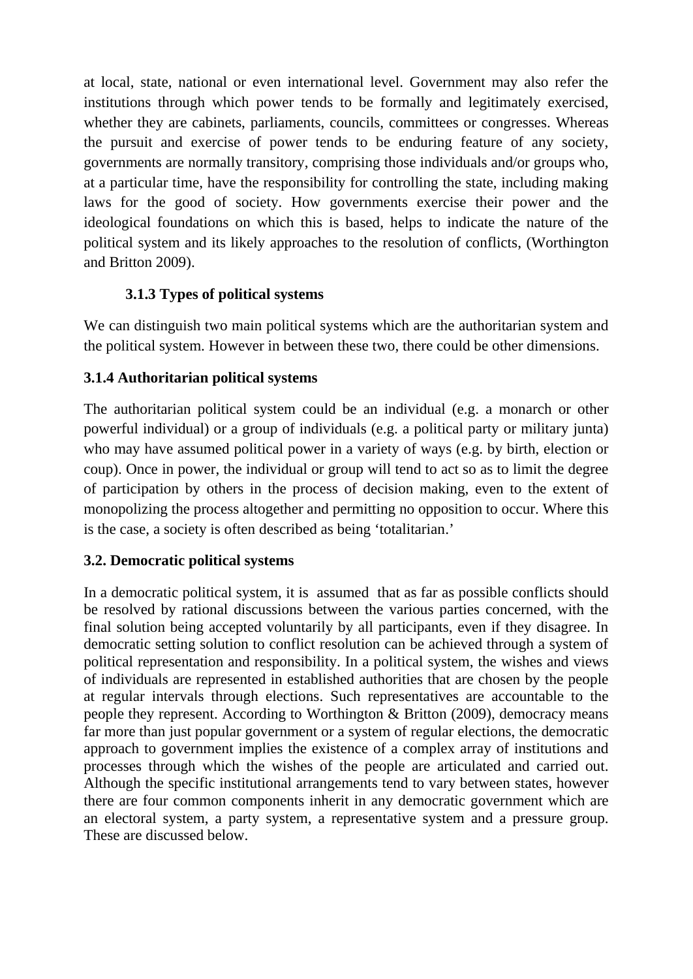at local, state, national or even international level. Government may also refer the institutions through which power tends to be formally and legitimately exercised, whether they are cabinets, parliaments, councils, committees or congresses. Whereas the pursuit and exercise of power tends to be enduring feature of any society, governments are normally transitory, comprising those individuals and/or groups who, at a particular time, have the responsibility for controlling the state, including making laws for the good of society. How governments exercise their power and the ideological foundations on which this is based, helps to indicate the nature of the political system and its likely approaches to the resolution of conflicts, (Worthington and Britton 2009).

## **3.1.3 Types of political systems**

We can distinguish two main political systems which are the authoritarian system and the political system. However in between these two, there could be other dimensions.

## **3.1.4 Authoritarian political systems**

The authoritarian political system could be an individual (e.g. a monarch or other powerful individual) or a group of individuals (e.g. a political party or military junta) who may have assumed political power in a variety of ways (e.g. by birth, election or coup). Once in power, the individual or group will tend to act so as to limit the degree of participation by others in the process of decision making, even to the extent of monopolizing the process altogether and permitting no opposition to occur. Where this is the case, a society is often described as being 'totalitarian.'

## **3.2. Democratic political systems**

In a democratic political system, it is assumed that as far as possible conflicts should be resolved by rational discussions between the various parties concerned, with the final solution being accepted voluntarily by all participants, even if they disagree. In democratic setting solution to conflict resolution can be achieved through a system of political representation and responsibility. In a political system, the wishes and views of individuals are represented in established authorities that are chosen by the people at regular intervals through elections. Such representatives are accountable to the people they represent. According to Worthington & Britton (2009), democracy means far more than just popular government or a system of regular elections, the democratic approach to government implies the existence of a complex array of institutions and processes through which the wishes of the people are articulated and carried out. Although the specific institutional arrangements tend to vary between states, however there are four common components inherit in any democratic government which are an electoral system, a party system, a representative system and a pressure group. These are discussed below.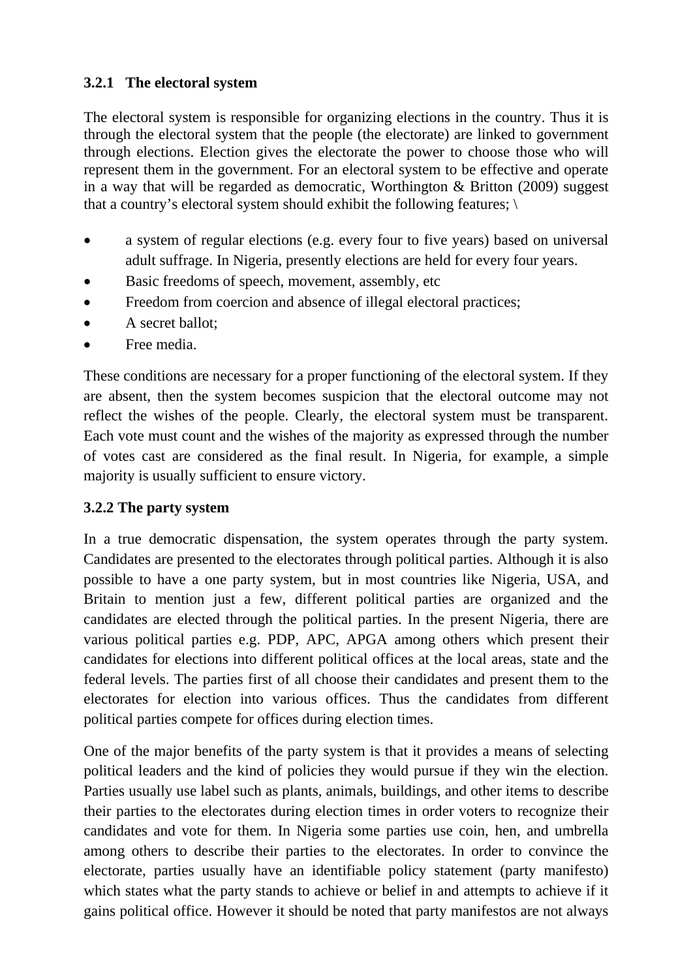## **3.2.1 The electoral system**

The electoral system is responsible for organizing elections in the country. Thus it is through the electoral system that the people (the electorate) are linked to government through elections. Election gives the electorate the power to choose those who will represent them in the government. For an electoral system to be effective and operate in a way that will be regarded as democratic, Worthington & Britton (2009) suggest that a country's electoral system should exhibit the following features; \

- a system of regular elections (e.g. every four to five years) based on universal adult suffrage. In Nigeria, presently elections are held for every four years.
- Basic freedoms of speech, movement, assembly, etc
- Freedom from coercion and absence of illegal electoral practices;
- A secret ballot:
- Free media.

These conditions are necessary for a proper functioning of the electoral system. If they are absent, then the system becomes suspicion that the electoral outcome may not reflect the wishes of the people. Clearly, the electoral system must be transparent. Each vote must count and the wishes of the majority as expressed through the number of votes cast are considered as the final result. In Nigeria, for example, a simple majority is usually sufficient to ensure victory.

## **3.2.2 The party system**

In a true democratic dispensation, the system operates through the party system. Candidates are presented to the electorates through political parties. Although it is also possible to have a one party system, but in most countries like Nigeria, USA, and Britain to mention just a few, different political parties are organized and the candidates are elected through the political parties. In the present Nigeria, there are various political parties e.g. PDP, APC, APGA among others which present their candidates for elections into different political offices at the local areas, state and the federal levels. The parties first of all choose their candidates and present them to the electorates for election into various offices. Thus the candidates from different political parties compete for offices during election times.

One of the major benefits of the party system is that it provides a means of selecting political leaders and the kind of policies they would pursue if they win the election. Parties usually use label such as plants, animals, buildings, and other items to describe their parties to the electorates during election times in order voters to recognize their candidates and vote for them. In Nigeria some parties use coin, hen, and umbrella among others to describe their parties to the electorates. In order to convince the electorate, parties usually have an identifiable policy statement (party manifesto) which states what the party stands to achieve or belief in and attempts to achieve if it gains political office. However it should be noted that party manifestos are not always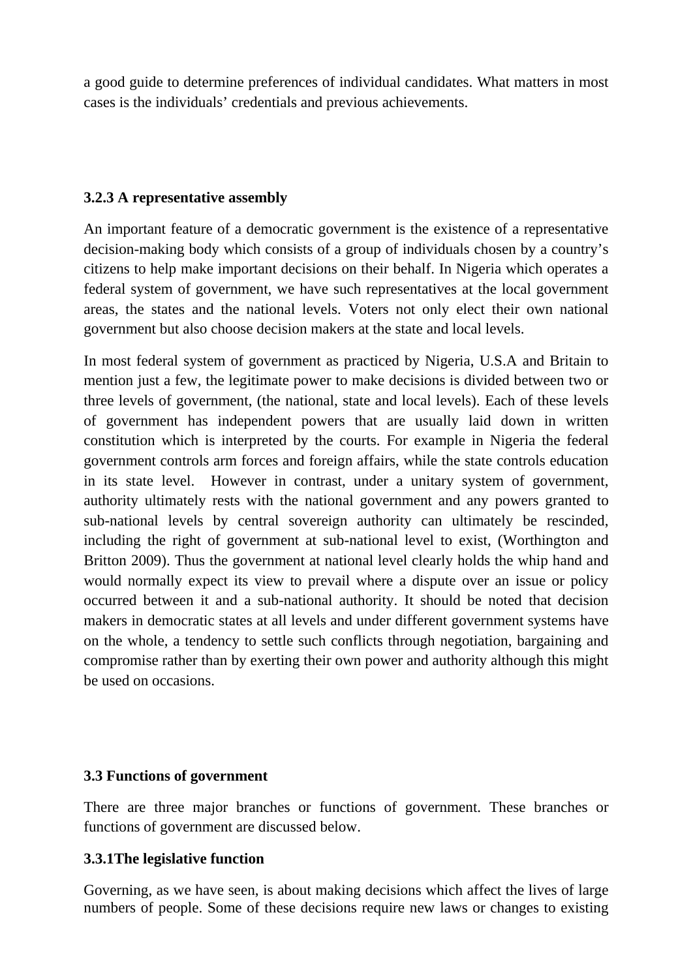a good guide to determine preferences of individual candidates. What matters in most cases is the individuals' credentials and previous achievements.

### **3.2.3 A representative assembly**

An important feature of a democratic government is the existence of a representative decision-making body which consists of a group of individuals chosen by a country's citizens to help make important decisions on their behalf. In Nigeria which operates a federal system of government, we have such representatives at the local government areas, the states and the national levels. Voters not only elect their own national government but also choose decision makers at the state and local levels.

In most federal system of government as practiced by Nigeria, U.S.A and Britain to mention just a few, the legitimate power to make decisions is divided between two or three levels of government, (the national, state and local levels). Each of these levels of government has independent powers that are usually laid down in written constitution which is interpreted by the courts. For example in Nigeria the federal government controls arm forces and foreign affairs, while the state controls education in its state level. However in contrast, under a unitary system of government, authority ultimately rests with the national government and any powers granted to sub-national levels by central sovereign authority can ultimately be rescinded, including the right of government at sub-national level to exist, (Worthington and Britton 2009). Thus the government at national level clearly holds the whip hand and would normally expect its view to prevail where a dispute over an issue or policy occurred between it and a sub-national authority. It should be noted that decision makers in democratic states at all levels and under different government systems have on the whole, a tendency to settle such conflicts through negotiation, bargaining and compromise rather than by exerting their own power and authority although this might be used on occasions.

## **3.3 Functions of government**

There are three major branches or functions of government. These branches or functions of government are discussed below.

## **3.3.1The legislative function**

Governing, as we have seen, is about making decisions which affect the lives of large numbers of people. Some of these decisions require new laws or changes to existing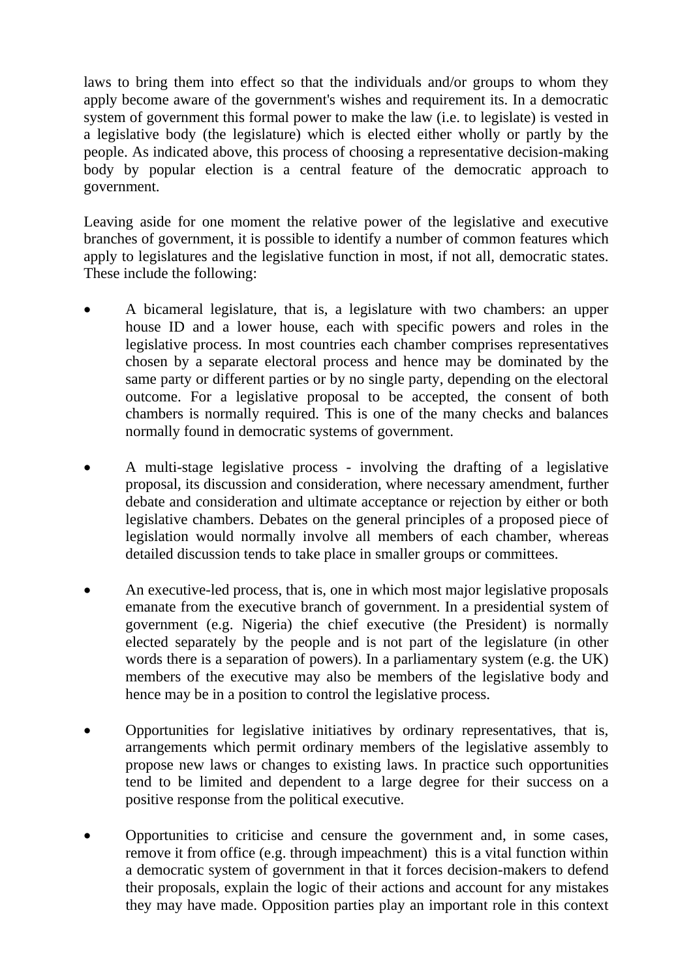laws to bring them into effect so that the individuals and/or groups to whom they apply become aware of the government's wishes and requirement its. In a democratic system of government this formal power to make the law (i.e. to legislate) is vested in a legislative body (the legislature) which is elected either wholly or partly by the people. As indicated above, this process of choosing a representative decision-making body by popular election is a central feature of the democratic approach to government.

Leaving aside for one moment the relative power of the legislative and executive branches of government, it is possible to identify a number of common features which apply to legislatures and the legislative function in most, if not all, democratic states. These include the following:

- A bicameral legislature, that is, a legislature with two chambers: an upper house ID and a lower house, each with specific powers and roles in the legislative process. In most countries each chamber comprises representatives chosen by a separate electoral process and hence may be dominated by the same party or different parties or by no single party, depending on the electoral outcome. For a legislative proposal to be accepted, the consent of both chambers is normally required. This is one of the many checks and balances normally found in democratic systems of government.
- A multi-stage legislative process involving the drafting of a legislative proposal, its discussion and consideration, where necessary amendment, further debate and consideration and ultimate acceptance or rejection by either or both legislative chambers. Debates on the general principles of a proposed piece of legislation would normally involve all members of each chamber, whereas detailed discussion tends to take place in smaller groups or committees.
- An executive-led process, that is, one in which most major legislative proposals emanate from the executive branch of government. In a presidential system of government (e.g. Nigeria) the chief executive (the President) is normally elected separately by the people and is not part of the legislature (in other words there is a separation of powers). In a parliamentary system (e.g. the UK) members of the executive may also be members of the legislative body and hence may be in a position to control the legislative process.
- Opportunities for legislative initiatives by ordinary representatives, that is, arrangements which permit ordinary members of the legislative assembly to propose new laws or changes to existing laws. In practice such opportunities tend to be limited and dependent to a large degree for their success on a positive response from the political executive.
- Opportunities to criticise and censure the government and, in some cases, remove it from office (e.g. through impeachment) this is a vital function within a democratic system of government in that it forces decision-makers to defend their proposals, explain the logic of their actions and account for any mistakes they may have made. Opposition parties play an important role in this context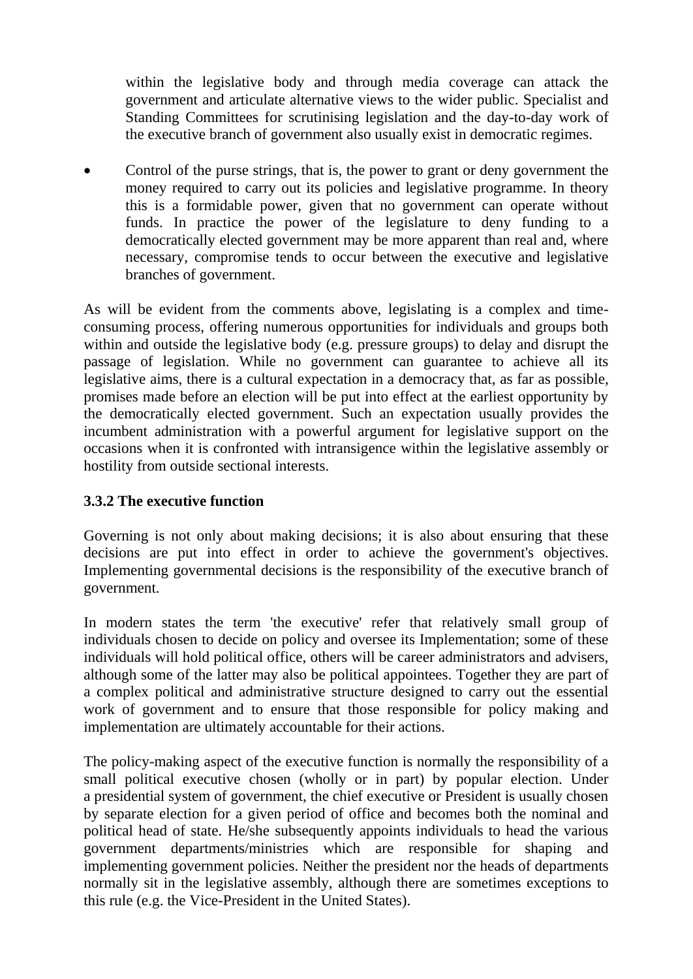within the legislative body and through media coverage can attack the government and articulate alternative views to the wider public. Specialist and Standing Committees for scrutinising legislation and the day-to-day work of the executive branch of government also usually exist in democratic regimes.

• Control of the purse strings, that is, the power to grant or deny government the money required to carry out its policies and legislative programme. In theory this is a formidable power, given that no government can operate without funds. In practice the power of the legislature to deny funding to a democratically elected government may be more apparent than real and, where necessary, compromise tends to occur between the executive and legislative branches of government.

As will be evident from the comments above, legislating is a complex and timeconsuming process, offering numerous opportunities for individuals and groups both within and outside the legislative body (e.g. pressure groups) to delay and disrupt the passage of legislation. While no government can guarantee to achieve all its legislative aims, there is a cultural expectation in a democracy that, as far as possible, promises made before an election will be put into effect at the earliest opportunity by the democratically elected government. Such an expectation usually provides the incumbent administration with a powerful argument for legislative support on the occasions when it is confronted with intransigence within the legislative assembly or hostility from outside sectional interests.

## **3.3.2 The executive function**

Governing is not only about making decisions; it is also about ensuring that these decisions are put into effect in order to achieve the government's objectives. Implementing governmental decisions is the responsibility of the executive branch of government.

In modern states the term 'the executive' refer that relatively small group of individuals chosen to decide on policy and oversee its Implementation; some of these individuals will hold political office, others will be career administrators and advisers, although some of the latter may also be political appointees. Together they are part of a complex political and administrative structure designed to carry out the essential work of government and to ensure that those responsible for policy making and implementation are ultimately accountable for their actions.

The policy-making aspect of the executive function is normally the responsibility of a small political executive chosen (wholly or in part) by popular election. Under a presidential system of government, the chief executive or President is usually chosen by separate election for a given period of office and becomes both the nominal and political head of state. He/she subsequently appoints individuals to head the various government departments/ministries which are responsible for shaping and implementing government policies. Neither the president nor the heads of departments normally sit in the legislative assembly, although there are sometimes exceptions to this rule (e.g. the Vice-President in the United States).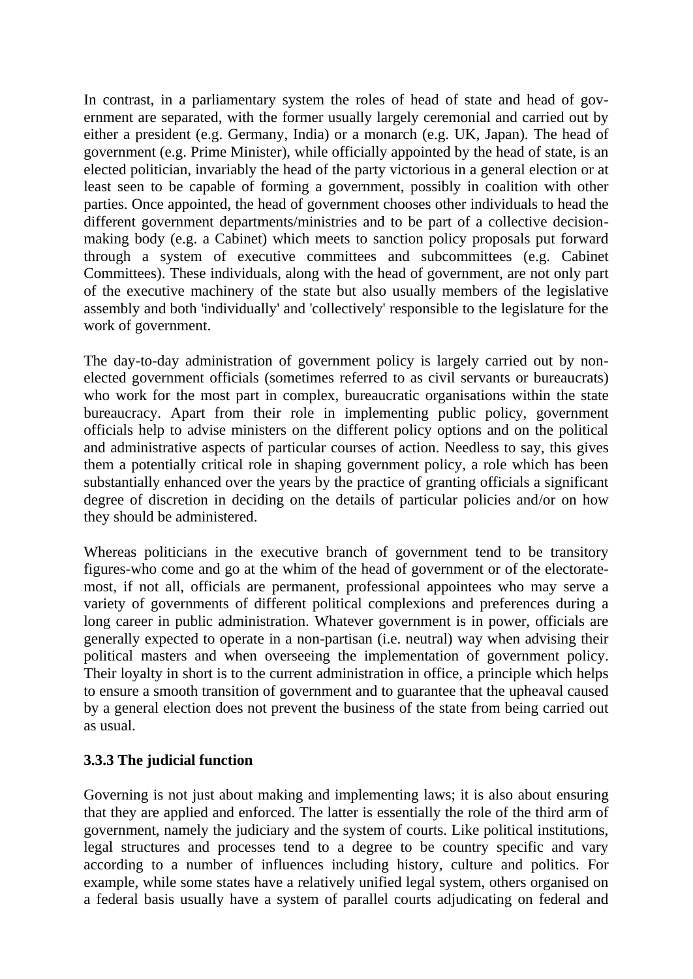In contrast, in a parliamentary system the roles of head of state and head of government are separated, with the former usually largely ceremonial and carried out by either a president (e.g. Germany, India) or a monarch (e.g. UK, Japan). The head of government (e.g. Prime Minister), while officially appointed by the head of state, is an elected politician, invariably the head of the party victorious in a general election or at least seen to be capable of forming a government, possibly in coalition with other parties. Once appointed, the head of government chooses other individuals to head the different government departments/ministries and to be part of a collective decisionmaking body (e.g. a Cabinet) which meets to sanction policy proposals put forward through a system of executive committees and subcommittees (e.g. Cabinet Committees). These individuals, along with the head of government, are not only part of the executive machinery of the state but also usually members of the legislative assembly and both 'individually' and 'collectively' responsible to the legislature for the work of government.

The day-to-day administration of government policy is largely carried out by nonelected government officials (sometimes referred to as civil servants or bureaucrats) who work for the most part in complex, bureaucratic organisations within the state bureaucracy. Apart from their role in implementing public policy, government officials help to advise ministers on the different policy options and on the political and administrative aspects of particular courses of action. Needless to say, this gives them a potentially critical role in shaping government policy, a role which has been substantially enhanced over the years by the practice of granting officials a significant degree of discretion in deciding on the details of particular policies and/or on how they should be administered.

Whereas politicians in the executive branch of government tend to be transitory figures-who come and go at the whim of the head of government or of the electoratemost, if not all, officials are permanent, professional appointees who may serve a variety of governments of different political complexions and preferences during a long career in public administration. Whatever government is in power, officials are generally expected to operate in a non-partisan (i.e. neutral) way when advising their political masters and when overseeing the implementation of government policy. Their loyalty in short is to the current administration in office, a principle which helps to ensure a smooth transition of government and to guarantee that the upheaval caused by a general election does not prevent the business of the state from being carried out as usual.

## **3.3.3 The judicial function**

Governing is not just about making and implementing laws; it is also about ensuring that they are applied and enforced. The latter is essentially the role of the third arm of government, namely the judiciary and the system of courts. Like political institutions, legal structures and processes tend to a degree to be country specific and vary according to a number of influences including history, culture and politics. For example, while some states have a relatively unified legal system, others organised on a federal basis usually have a system of parallel courts adjudicating on federal and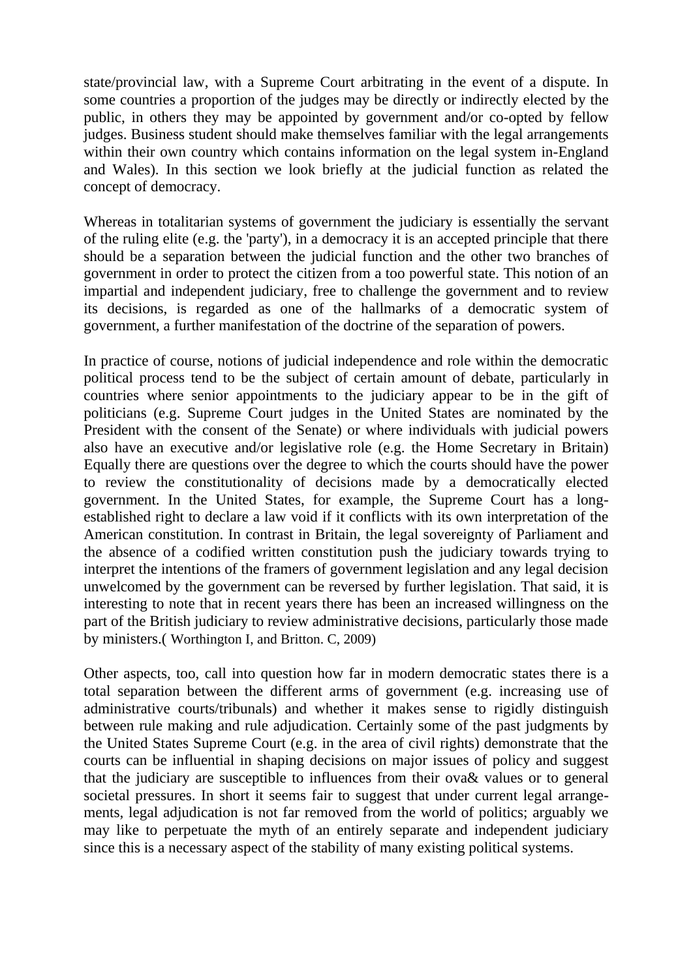state/provincial law, with a Supreme Court arbitrating in the event of a dispute. In some countries a proportion of the judges may be directly or indirectly elected by the public, in others they may be appointed by government and/or co-opted by fellow judges. Business student should make themselves familiar with the legal arrangements within their own country which contains information on the legal system in-England and Wales). In this section we look briefly at the judicial function as related the concept of democracy.

Whereas in totalitarian systems of government the judiciary is essentially the servant of the ruling elite (e.g. the 'party'), in a democracy it is an accepted principle that there should be a separation between the judicial function and the other two branches of government in order to protect the citizen from a too powerful state. This notion of an impartial and independent judiciary, free to challenge the government and to review its decisions, is regarded as one of the hallmarks of a democratic system of government, a further manifestation of the doctrine of the separation of powers.

In practice of course, notions of judicial independence and role within the democratic political process tend to be the subject of certain amount of debate, particularly in countries where senior appointments to the judiciary appear to be in the gift of politicians (e.g. Supreme Court judges in the United States are nominated by the President with the consent of the Senate) or where individuals with judicial powers also have an executive and/or legislative role (e.g. the Home Secretary in Britain) Equally there are questions over the degree to which the courts should have the power to review the constitutionality of decisions made by a democratically elected government. In the United States, for example, the Supreme Court has a longestablished right to declare a law void if it conflicts with its own interpretation of the American constitution. In contrast in Britain, the legal sovereignty of Parliament and the absence of a codified written constitution push the judiciary towards trying to interpret the intentions of the framers of government legislation and any legal decision unwelcomed by the government can be reversed by further legislation. That said, it is interesting to note that in recent years there has been an increased willingness on the part of the British judiciary to review administrative decisions, particularly those made by ministers.( Worthington I, and Britton. C, 2009)

Other aspects, too, call into question how far in modern democratic states there is a total separation between the different arms of government (e.g. increasing use of administrative courts/tribunals) and whether it makes sense to rigidly distinguish between rule making and rule adjudication. Certainly some of the past judgments by the United States Supreme Court (e.g. in the area of civil rights) demonstrate that the courts can be influential in shaping decisions on major issues of policy and suggest that the judiciary are susceptible to influences from their ova& values or to general societal pressures. In short it seems fair to suggest that under current legal arrangements, legal adjudication is not far removed from the world of politics; arguably we may like to perpetuate the myth of an entirely separate and independent judiciary since this is a necessary aspect of the stability of many existing political systems.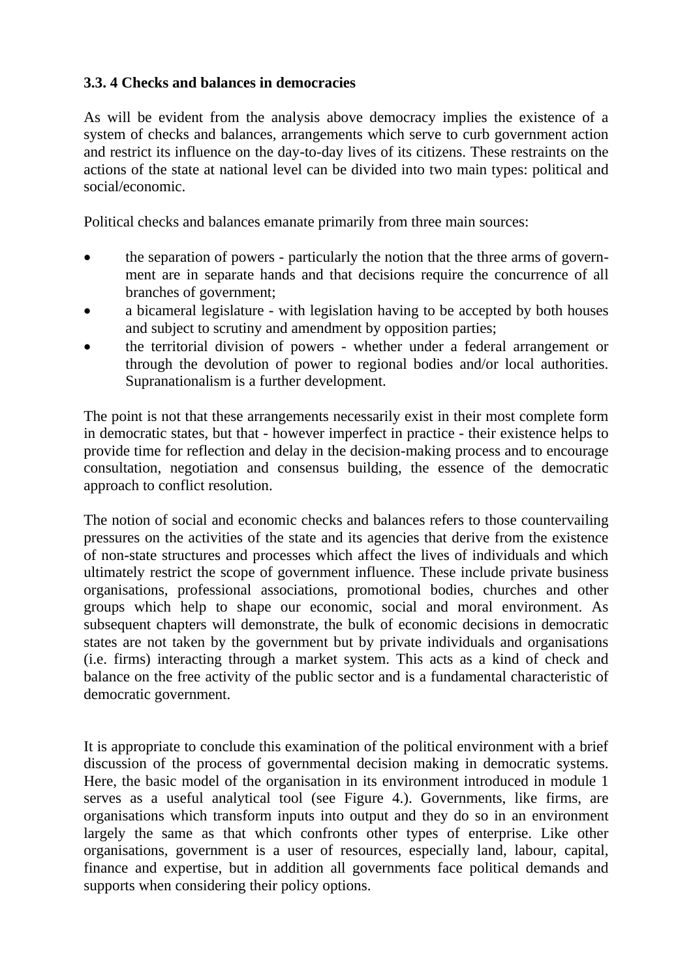## **3.3. 4 Checks and balances in democracies**

As will be evident from the analysis above democracy implies the existence of a system of checks and balances, arrangements which serve to curb government action and restrict its influence on the day-to-day lives of its citizens. These restraints on the actions of the state at national level can be divided into two main types: political and social/economic.

Political checks and balances emanate primarily from three main sources:

- the separation of powers particularly the notion that the three arms of government are in separate hands and that decisions require the concurrence of all branches of government;
- a bicameral legislature with legislation having to be accepted by both houses and subject to scrutiny and amendment by opposition parties;
- the territorial division of powers whether under a federal arrangement or through the devolution of power to regional bodies and/or local authorities. Supranationalism is a further development.

The point is not that these arrangements necessarily exist in their most complete form in democratic states, but that - however imperfect in practice - their existence helps to provide time for reflection and delay in the decision-making process and to encourage consultation, negotiation and consensus building, the essence of the democratic approach to conflict resolution.

The notion of social and economic checks and balances refers to those countervailing pressures on the activities of the state and its agencies that derive from the existence of non-state structures and processes which affect the lives of individuals and which ultimately restrict the scope of government influence. These include private business organisations, professional associations, promotional bodies, churches and other groups which help to shape our economic, social and moral environment. As subsequent chapters will demonstrate, the bulk of economic decisions in democratic states are not taken by the government but by private individuals and organisations (i.e. firms) interacting through a market system. This acts as a kind of check and balance on the free activity of the public sector and is a fundamental characteristic of democratic government.

It is appropriate to conclude this examination of the political environment with a brief discussion of the process of governmental decision making in democratic systems. Here, the basic model of the organisation in its environment introduced in module 1 serves as a useful analytical tool (see Figure 4.). Governments, like firms, are organisations which transform inputs into output and they do so in an environment largely the same as that which confronts other types of enterprise. Like other organisations, government is a user of resources, especially land, labour, capital, finance and expertise, but in addition all governments face political demands and supports when considering their policy options.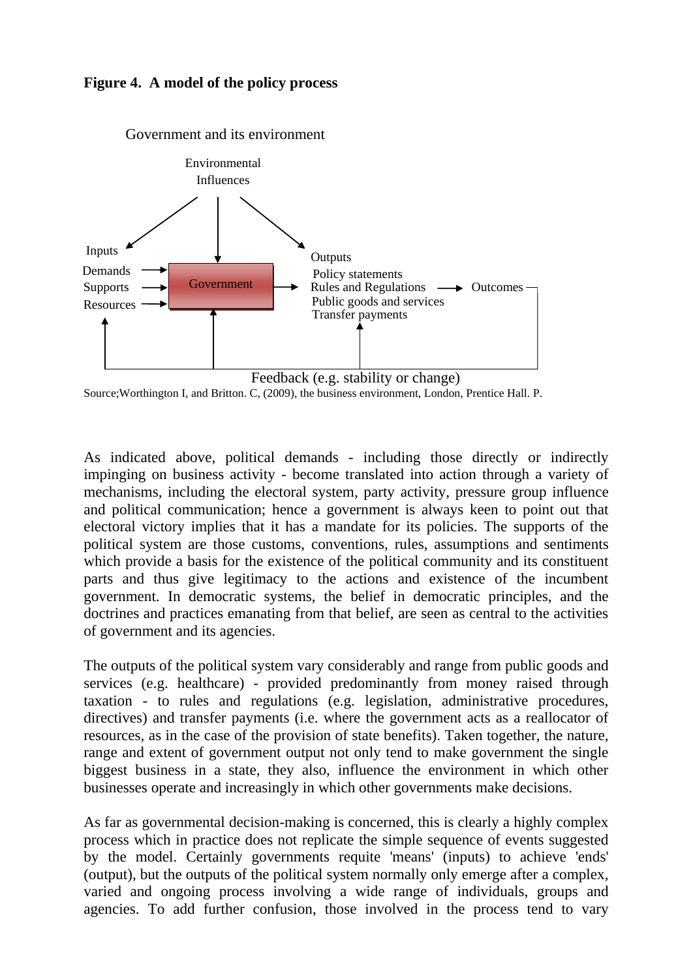





As indicated above, political demands - including those directly or indirectly impinging on business activity - become translated into action through a variety of mechanisms, including the electoral system, party activity, pressure group influence and political communication; hence a government is always keen to point out that electoral victory implies that it has a mandate for its policies. The supports of the political system are those customs, conventions, rules, assumptions and sentiments which provide a basis for the existence of the political community and its constituent parts and thus give legitimacy to the actions and existence of the incumbent government. In democratic systems, the belief in democratic principles, and the doctrines and practices emanating from that belief, are seen as central to the activities of government and its agencies.

The outputs of the political system vary considerably and range from public goods and services (e.g. healthcare) - provided predominantly from money raised through taxation - to rules and regulations (e.g. legislation, administrative procedures, directives) and transfer payments (i.e. where the government acts as a reallocator of resources, as in the case of the provision of state benefits). Taken together, the nature, range and extent of government output not only tend to make government the single biggest business in a state, they also, influence the environment in which other businesses operate and increasingly in which other governments make decisions.

As far as governmental decision-making is concerned, this is clearly a highly complex process which in practice does not replicate the simple sequence of events suggested by the model. Certainly governments requite 'means' (inputs) to achieve 'ends' (output), but the outputs of the political system normally only emerge after a complex, varied and ongoing process involving a wide range of individuals, groups and agencies. To add further confusion, those involved in the process tend to vary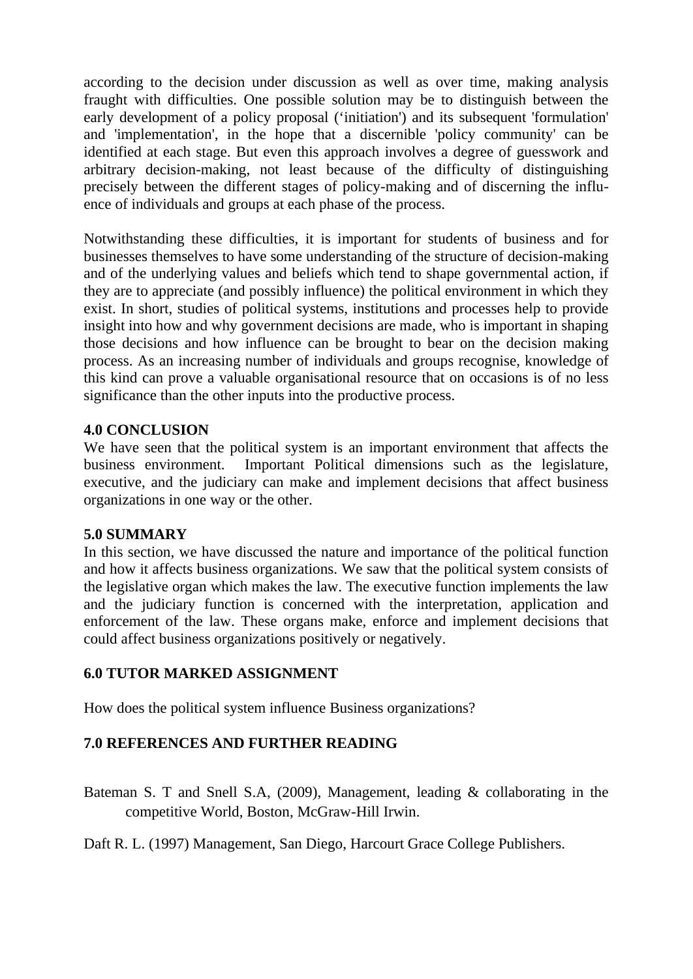according to the decision under discussion as well as over time, making analysis fraught with difficulties. One possible solution may be to distinguish between the early development of a policy proposal ('initiation') and its subsequent 'formulation' and 'implementation', in the hope that a discernible 'policy community' can be identified at each stage. But even this approach involves a degree of guesswork and arbitrary decision-making, not least because of the difficulty of distinguishing precisely between the different stages of policy-making and of discerning the influence of individuals and groups at each phase of the process.

Notwithstanding these difficulties, it is important for students of business and for businesses themselves to have some understanding of the structure of decision-making and of the underlying values and beliefs which tend to shape governmental action, if they are to appreciate (and possibly influence) the political environment in which they exist. In short, studies of political systems, institutions and processes help to provide insight into how and why government decisions are made, who is important in shaping those decisions and how influence can be brought to bear on the decision making process. As an increasing number of individuals and groups recognise, knowledge of this kind can prove a valuable organisational resource that on occasions is of no less significance than the other inputs into the productive process.

### **4.0 CONCLUSION**

We have seen that the political system is an important environment that affects the business environment. Important Political dimensions such as the legislature, executive, and the judiciary can make and implement decisions that affect business organizations in one way or the other.

#### **5.0 SUMMARY**

In this section, we have discussed the nature and importance of the political function and how it affects business organizations. We saw that the political system consists of the legislative organ which makes the law. The executive function implements the law and the judiciary function is concerned with the interpretation, application and enforcement of the law. These organs make, enforce and implement decisions that could affect business organizations positively or negatively.

## **6.0 TUTOR MARKED ASSIGNMENT**

How does the political system influence Business organizations?

## **7.0 REFERENCES AND FURTHER READING**

Bateman S. T and Snell S.A, (2009), Management, leading & collaborating in the competitive World, Boston, McGraw-Hill Irwin.

Daft R. L. (1997) Management, San Diego, Harcourt Grace College Publishers.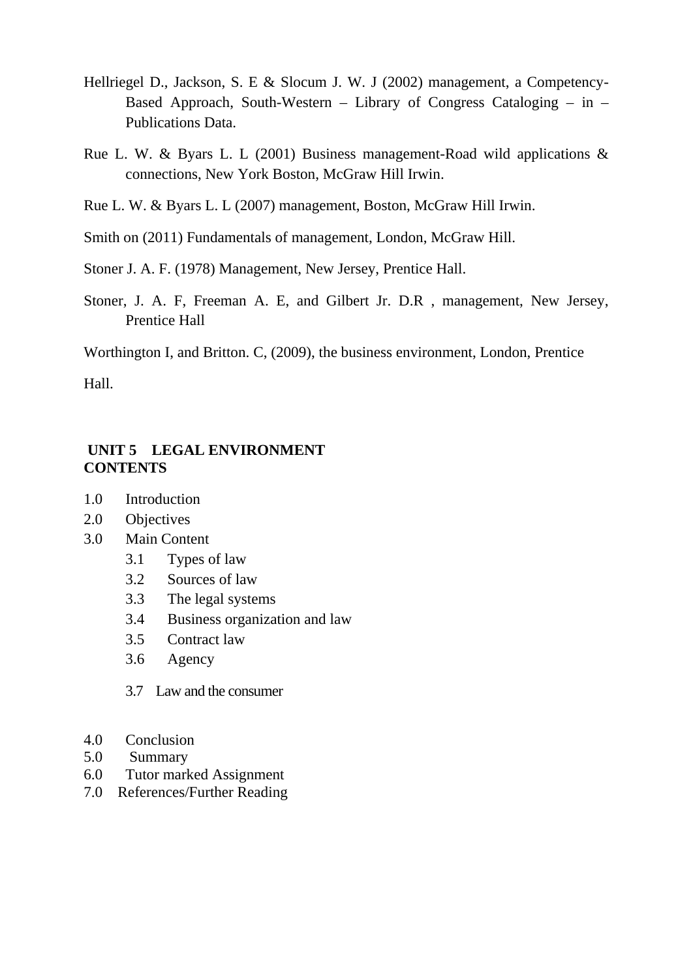- Hellriegel D., Jackson, S. E & Slocum J. W. J (2002) management, a Competency-Based Approach, South-Western – Library of Congress Cataloging – in – Publications Data.
- Rue L. W. & Byars L. L (2001) Business management-Road wild applications & connections, New York Boston, McGraw Hill Irwin.
- Rue L. W. & Byars L. L (2007) management, Boston, McGraw Hill Irwin.
- Smith on (2011) Fundamentals of management, London, McGraw Hill.
- Stoner J. A. F. (1978) Management, New Jersey, Prentice Hall.
- Stoner, J. A. F, Freeman A. E, and Gilbert Jr. D.R , management, New Jersey, Prentice Hall

Worthington I, and Britton. C, (2009), the business environment, London, Prentice

Hall.

## **UNIT 5 LEGAL ENVIRONMENT CONTENTS**

- 1.0 Introduction
- 2.0 Objectives
- 3.0 Main Content
	- 3.1 Types of law
	- 3.2 Sources of law
	- 3.3 The legal systems
	- 3.4 Business organization and law
	- 3.5 Contract law
	- 3.6 Agency
	- 3.7 Law and the consumer
- 4.0 Conclusion
- 5.0 Summary
- 6.0 Tutor marked Assignment
- 7.0 References/Further Reading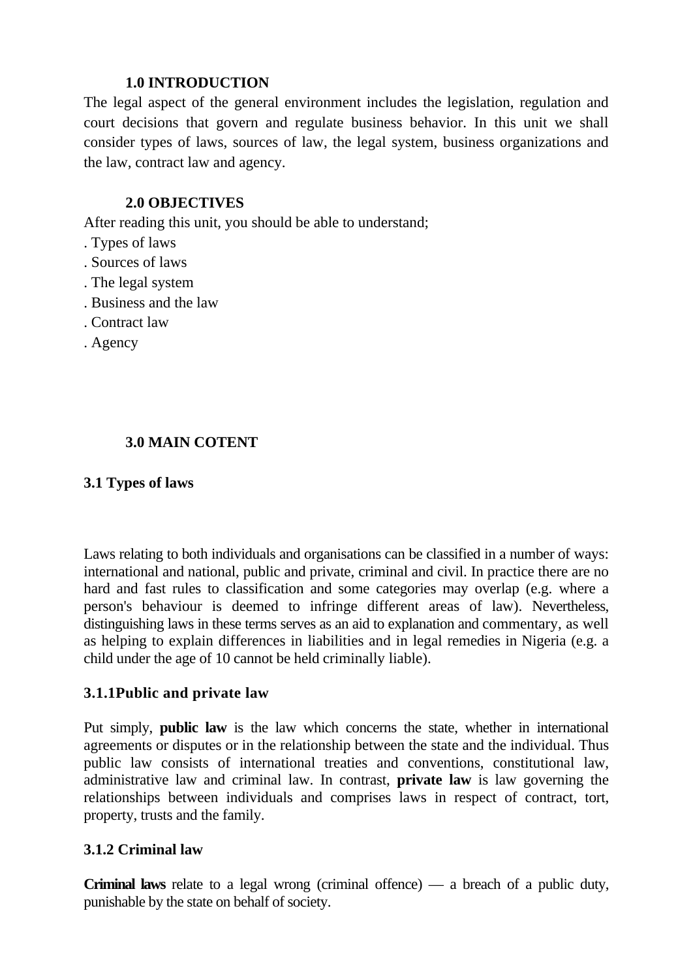## **1.0 INTRODUCTION**

The legal aspect of the general environment includes the legislation, regulation and court decisions that govern and regulate business behavior. In this unit we shall consider types of laws, sources of law, the legal system, business organizations and the law, contract law and agency.

## **2.0 OBJECTIVES**

After reading this unit, you should be able to understand;

- . Types of laws
- . Sources of laws
- . The legal system
- . Business and the law
- . Contract law
- . Agency

## **3.0 MAIN COTENT**

## **3.1 Types of laws**

Laws relating to both individuals and organisations can be classified in a number of ways: international and national, public and private, criminal and civil. In practice there are no hard and fast rules to classification and some categories may overlap (e.g. where a person's behaviour is deemed to infringe different areas of law). Nevertheless, distinguishing laws in these terms serves as an aid to explanation and commentary, as well as helping to explain differences in liabilities and in legal remedies in Nigeria (e.g. a child under the age of 10 cannot be held criminally liable).

## **3.1.1Public and private law**

Put simply, **public law** is the law which concerns the state, whether in international agreements or disputes or in the relationship between the state and the individual. Thus public law consists of international treaties and conventions, constitutional law, administrative law and criminal law. In contrast, **private law** is law governing the relationships between individuals and comprises laws in respect of contract, tort, property, trusts and the family.

## **3.1.2 Criminal law**

**Criminal laws** relate to a legal wrong (criminal offence) — a breach of a public duty, punishable by the state on behalf of society.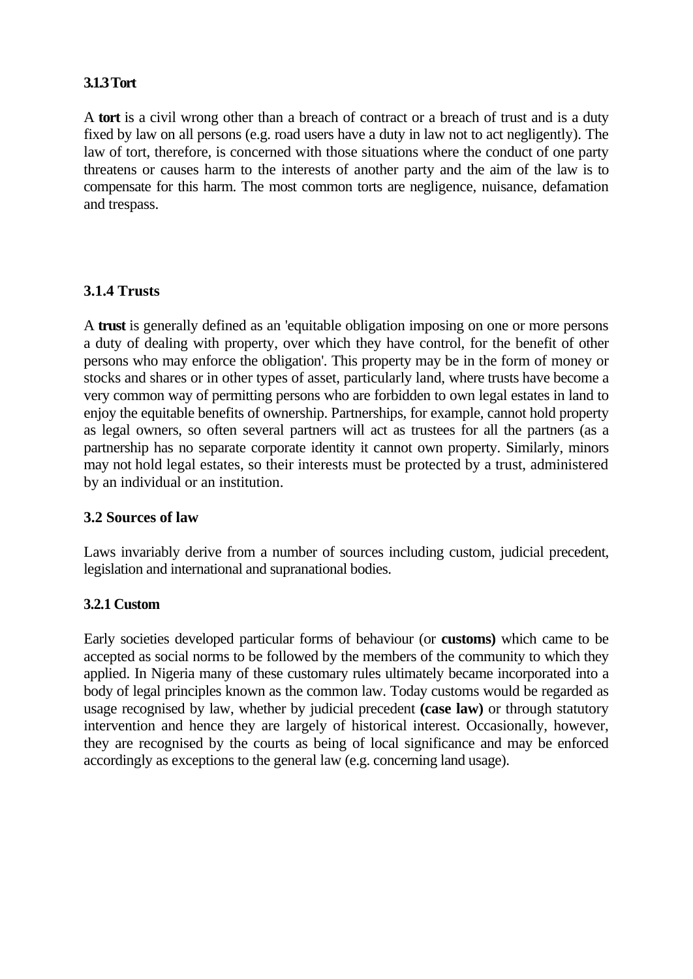## **3.1.3 Tort**

A **tort** is a civil wrong other than a breach of contract or a breach of trust and is a duty fixed by law on all persons (e.g. road users have a duty in law not to act negligently). The law of tort, therefore, is concerned with those situations where the conduct of one party threatens or causes harm to the interests of another party and the aim of the law is to compensate for this harm. The most common torts are negligence, nuisance, defamation and trespass.

## **3.1.4 Trusts**

A **trust** is generally defined as an 'equitable obligation imposing on one or more persons a duty of dealing with property, over which they have control, for the benefit of other persons who may enforce the obligation'. This property may be in the form of money or stocks and shares or in other types of asset, particularly land, where trusts have become a very common way of permitting persons who are forbidden to own legal estates in land to enjoy the equitable benefits of ownership. Partnerships, for example, cannot hold property as legal owners, so often several partners will act as trustees for all the partners (as a partnership has no separate corporate identity it cannot own property. Similarly, minors may not hold legal estates, so their interests must be protected by a trust, administered by an individual or an institution.

## **3.2 Sources of law**

Laws invariably derive from a number of sources including custom, judicial precedent, legislation and international and supranational bodies.

## **3.2.1 Custom**

Early societies developed particular forms of behaviour (or **customs)** which came to be accepted as social norms to be followed by the members of the community to which they applied. In Nigeria many of these customary rules ultimately became incorporated into a body of legal principles known as the common law. Today customs would be regarded as usage recognised by law, whether by judicial precedent **(case law)** or through statutory intervention and hence they are largely of historical interest. Occasionally, however, they are recognised by the courts as being of local significance and may be enforced accordingly as exceptions to the general law (e.g. concerning land usage).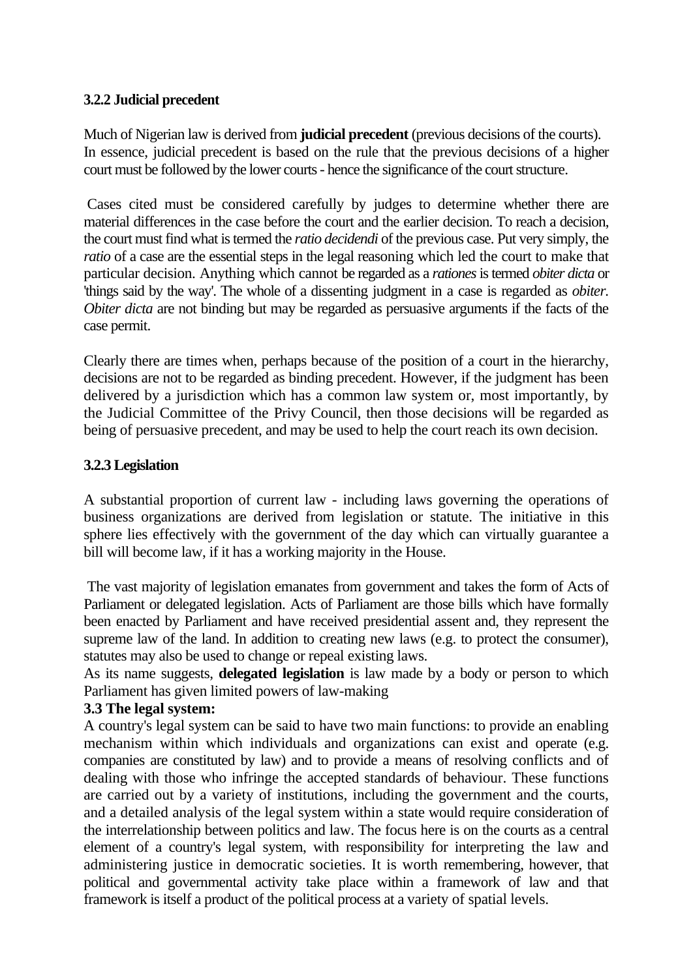### **3.2.2 Judicial precedent**

Much of Nigerian law is derived from **judicial precedent** (previous decisions of the courts). In essence, judicial precedent is based on the rule that the previous decisions of a higher court must be followed by the lower courts - hence the significance of the court structure.

Cases cited must be considered carefully by judges to determine whether there are material differences in the case before the court and the earlier decision. To reach a decision, the court must find what is termed the *ratio decidendi* of the previous case. Put very simply, the *ratio* of a case are the essential steps in the legal reasoning which led the court to make that particular decision. Anything which cannot be regarded as a *rationes* is termed *obiter dicta* or 'things said by the way'. The whole of a dissenting judgment in a case is regarded as *obiter. Obiter dicta* are not binding but may be regarded as persuasive arguments if the facts of the case permit.

Clearly there are times when, perhaps because of the position of a court in the hierarchy, decisions are not to be regarded as binding precedent. However, if the judgment has been delivered by a jurisdiction which has a common law system or, most importantly, by the Judicial Committee of the Privy Council, then those decisions will be regarded as being of persuasive precedent, and may be used to help the court reach its own decision.

## **3.2.3 Legislation**

A substantial proportion of current law - including laws governing the operations of business organizations are derived from legislation or statute. The initiative in this sphere lies effectively with the government of the day which can virtually guarantee a bill will become law, if it has a working majority in the House.

The vast majority of legislation emanates from government and takes the form of Acts of Parliament or delegated legislation. Acts of Parliament are those bills which have formally been enacted by Parliament and have received presidential assent and, they represent the supreme law of the land. In addition to creating new laws (e.g. to protect the consumer), statutes may also be used to change or repeal existing laws.

As its name suggests, **delegated legislation** is law made by a body or person to which Parliament has given limited powers of law-making

## **3.3 The legal system:**

A country's legal system can be said to have two main functions: to provide an enabling mechanism within which individuals and organizations can exist and operate (e.g. companies are constituted by law) and to provide a means of resolving conflicts and of dealing with those who infringe the accepted standards of behaviour. These functions are carried out by a variety of institutions, including the government and the courts, and a detailed analysis of the legal system within a state would require consideration of the interrelationship between politics and law. The focus here is on the courts as a central element of a country's legal system, with responsibility for interpreting the law and administering justice in democratic societies. It is worth remembering, however, that political and governmental activity take place within a framework of law and that framework is itself a product of the political process at a variety of spatial levels.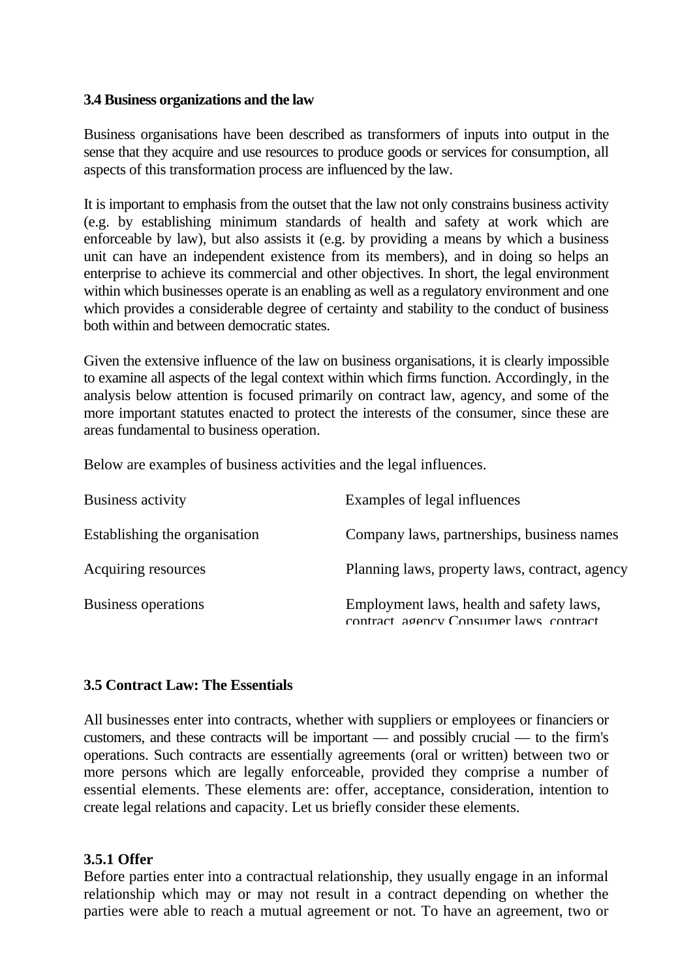#### **3.4 Business organizations and the law**

Business organisations have been described as transformers of inputs into output in the sense that they acquire and use resources to produce goods or services for consumption, all aspects of this transformation process are influenced by the law.

It is important to emphasis from the outset that the law not only constrains business activity (e.g. by establishing minimum standards of health and safety at work which are enforceable by law), but also assists it (e.g. by providing a means by which a business unit can have an independent existence from its members), and in doing so helps an enterprise to achieve its commercial and other objectives. In short, the legal environment within which businesses operate is an enabling as well as a regulatory environment and one which provides a considerable degree of certainty and stability to the conduct of business both within and between democratic states.

Given the extensive influence of the law on business organisations, it is clearly impossible to examine all aspects of the legal context within which firms function. Accordingly, in the analysis below attention is focused primarily on contract law, agency, and some of the more important statutes enacted to protect the interests of the consumer, since these are areas fundamental to business operation.

Below are examples of business activities and the legal influences.

| Business activity             | Examples of legal influences                                                       |
|-------------------------------|------------------------------------------------------------------------------------|
| Establishing the organisation | Company laws, partnerships, business names                                         |
| Acquiring resources           | Planning laws, property laws, contract, agency                                     |
| Business operations           | Employment laws, health and safety laws,<br>contract agency Consumer laws contract |

## **3.5 Contract Law: The Essentials**

All businesses enter into contracts, whether with suppliers or employees or financiers or customers, and these contracts will be important — and possibly crucial — to the firm's operations. Such contracts are essentially agreements (oral or written) between two or more persons which are legally enforceable, provided they comprise a number of essential elements. These elements are: offer, acceptance, consideration, intention to create legal relations and capacity. Let us briefly consider these elements.

## **3.5.1 Offer**

Before parties enter into a contractual relationship, they usually engage in an informal relationship which may or may not result in a contract depending on whether the parties were able to reach a mutual agreement or not. To have an agreement, two or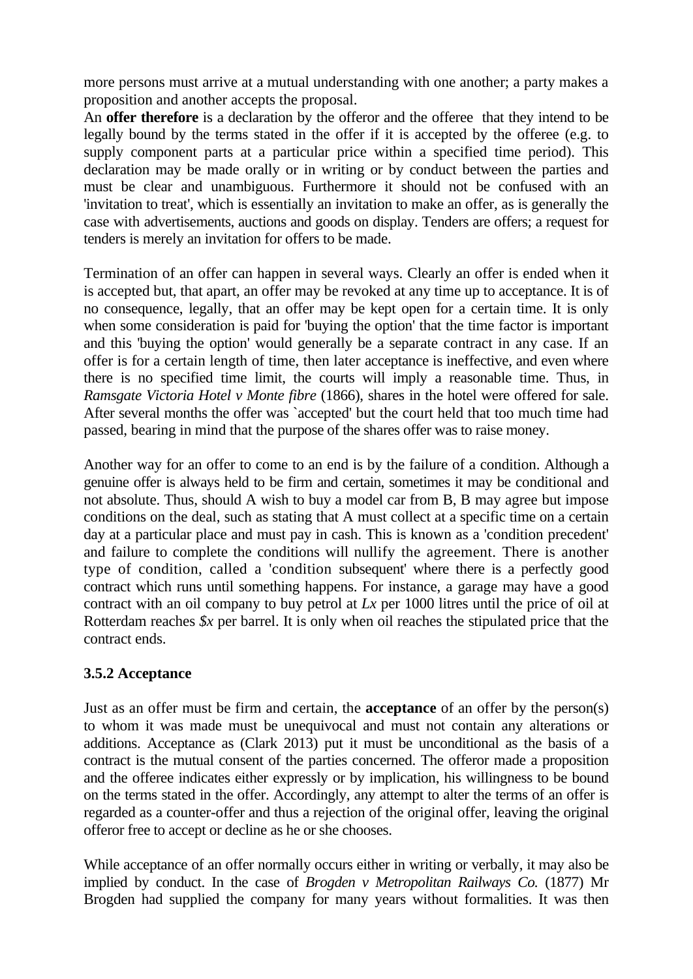more persons must arrive at a mutual understanding with one another; a party makes a proposition and another accepts the proposal.

An **offer therefore** is a declaration by the offeror and the offeree that they intend to be legally bound by the terms stated in the offer if it is accepted by the offeree (e.g. to supply component parts at a particular price within a specified time period). This declaration may be made orally or in writing or by conduct between the parties and must be clear and unambiguous. Furthermore it should not be confused with an 'invitation to treat', which is essentially an invitation to make an offer, as is generally the case with advertisements, auctions and goods on display. Tenders are offers; a request for tenders is merely an invitation for offers to be made.

Termination of an offer can happen in several ways. Clearly an offer is ended when it is accepted but, that apart, an offer may be revoked at any time up to acceptance. It is of no consequence, legally, that an offer may be kept open for a certain time. It is only when some consideration is paid for 'buying the option' that the time factor is important and this 'buying the option' would generally be a separate contract in any case. If an offer is for a certain length of time, then later acceptance is ineffective, and even where there is no specified time limit, the courts will imply a reasonable time. Thus, in *Ramsgate Victoria Hotel v Monte fibre* (1866), shares in the hotel were offered for sale. After several months the offer was `accepted' but the court held that too much time had passed, bearing in mind that the purpose of the shares offer was to raise money.

Another way for an offer to come to an end is by the failure of a condition. Although a genuine offer is always held to be firm and certain, sometimes it may be conditional and not absolute. Thus, should A wish to buy a model car from B, B may agree but impose conditions on the deal, such as stating that A must collect at a specific time on a certain day at a particular place and must pay in cash. This is known as a 'condition precedent' and failure to complete the conditions will nullify the agreement. There is another type of condition, called a 'condition subsequent' where there is a perfectly good contract which runs until something happens. For instance, a garage may have a good contract with an oil company to buy petrol at *Lx* per 1000 litres until the price of oil at Rotterdam reaches *\$x* per barrel. It is only when oil reaches the stipulated price that the contract ends.

## **3.5.2 Acceptance**

Just as an offer must be firm and certain, the **acceptance** of an offer by the person(s) to whom it was made must be unequivocal and must not contain any alterations or additions. Acceptance as (Clark 2013) put it must be unconditional as the basis of a contract is the mutual consent of the parties concerned. The offeror made a proposition and the offeree indicates either expressly or by implication, his willingness to be bound on the terms stated in the offer. Accordingly, any attempt to alter the terms of an offer is regarded as a counter-offer and thus a rejection of the original offer, leaving the original offeror free to accept or decline as he or she chooses.

While acceptance of an offer normally occurs either in writing or verbally, it may also be implied by conduct. In the case of *Brogden v Metropolitan Railways Co.* (1877) Mr Brogden had supplied the company for many years without formalities. It was then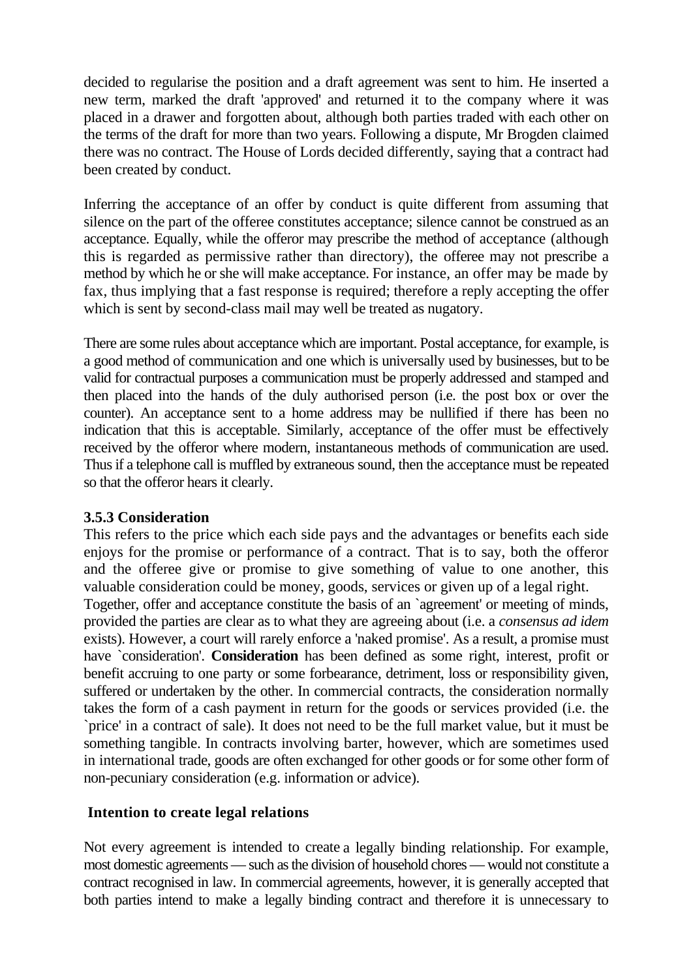decided to regularise the position and a draft agreement was sent to him. He inserted a new term, marked the draft 'approved' and returned it to the company where it was placed in a drawer and forgotten about, although both parties traded with each other on the terms of the draft for more than two years. Following a dispute, Mr Brogden claimed there was no contract. The House of Lords decided differently, saying that a contract had been created by conduct.

Inferring the acceptance of an offer by conduct is quite different from assuming that silence on the part of the offeree constitutes acceptance; silence cannot be construed as an acceptance. Equally, while the offeror may prescribe the method of acceptance (although this is regarded as permissive rather than directory), the offeree may not prescribe a method by which he or she will make acceptance. For instance, an offer may be made by fax, thus implying that a fast response is required; therefore a reply accepting the offer which is sent by second-class mail may well be treated as nugatory.

There are some rules about acceptance which are important. Postal acceptance, for example, is a good method of communication and one which is universally used by businesses, but to be valid for contractual purposes a communication must be properly addressed and stamped and then placed into the hands of the duly authorised person (i.e. the post box or over the counter). An acceptance sent to a home address may be nullified if there has been no indication that this is acceptable. Similarly, acceptance of the offer must be effectively received by the offeror where modern, instantaneous methods of communication are used. Thus if a telephone call is muffled by extraneous sound, then the acceptance must be repeated so that the offeror hears it clearly.

## **3.5.3 Consideration**

This refers to the price which each side pays and the advantages or benefits each side enjoys for the promise or performance of a contract. That is to say, both the offeror and the offeree give or promise to give something of value to one another, this valuable consideration could be money, goods, services or given up of a legal right. Together, offer and acceptance constitute the basis of an `agreement' or meeting of minds, provided the parties are clear as to what they are agreeing about (i.e. a *consensus ad idem*  exists). However, a court will rarely enforce a 'naked promise'. As a result, a promise must have `consideration'. **Consideration** has been defined as some right, interest, profit or benefit accruing to one party or some forbearance, detriment, loss or responsibility given, suffered or undertaken by the other. In commercial contracts, the consideration normally takes the form of a cash payment in return for the goods or services provided (i.e. the `price' in a contract of sale). It does not need to be the full market value, but it must be something tangible. In contracts involving barter, however, which are sometimes used in international trade, goods are often exchanged for other goods or for some other form of non-pecuniary consideration (e.g. information or advice).

## **Intention to create legal relations**

Not every agreement is intended to create a legally binding relationship. For example, most domestic agreements — such as the division of household chores — would not constitute a contract recognised in law. In commercial agreements, however, it is generally accepted that both parties intend to make a legally binding contract and therefore it is unnecessary to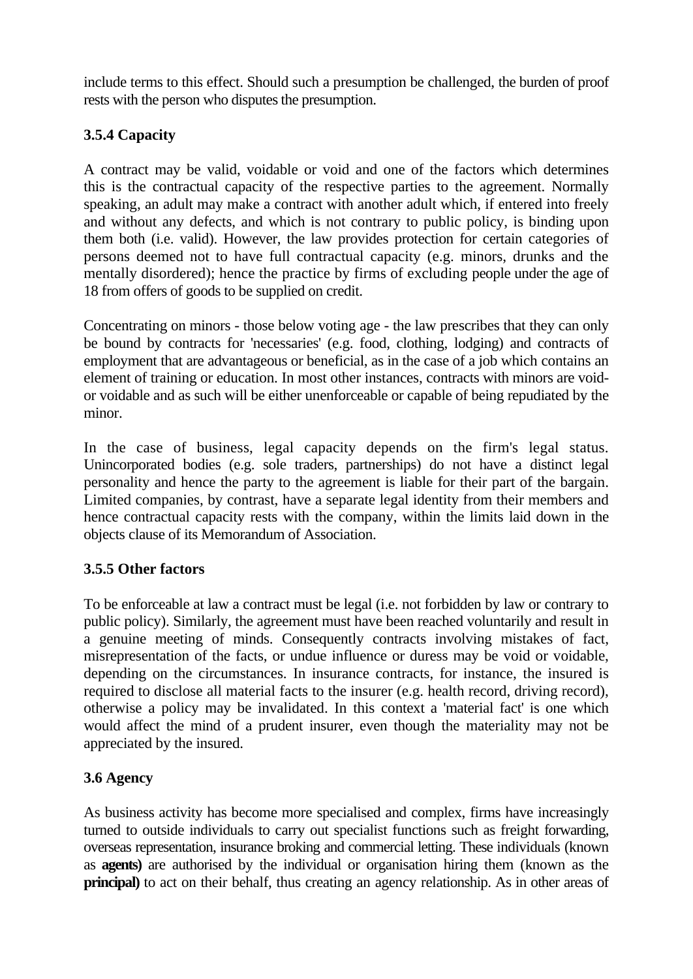include terms to this effect. Should such a presumption be challenged, the burden of proof rests with the person who disputes the presumption.

# **3.5.4 Capacity**

A contract may be valid, voidable or void and one of the factors which determines this is the contractual capacity of the respective parties to the agreement. Normally speaking, an adult may make a contract with another adult which, if entered into freely and without any defects, and which is not contrary to public policy, is binding upon them both (i.e. valid). However, the law provides protection for certain categories of persons deemed not to have full contractual capacity (e.g. minors, drunks and the mentally disordered); hence the practice by firms of excluding people under the age of 18 from offers of goods to be supplied on credit.

Concentrating on minors - those below voting age - the law prescribes that they can only be bound by contracts for 'necessaries' (e.g. food, clothing, lodging) and contracts of employment that are advantageous or beneficial, as in the case of a job which contains an element of training or education. In most other instances, contracts with minors are voidor voidable and as such will be either unenforceable or capable of being repudiated by the minor.

In the case of business, legal capacity depends on the firm's legal status. Unincorporated bodies (e.g. sole traders, partnerships) do not have a distinct legal personality and hence the party to the agreement is liable for their part of the bargain. Limited companies, by contrast, have a separate legal identity from their members and hence contractual capacity rests with the company, within the limits laid down in the objects clause of its Memorandum of Association.

# **3.5.5 Other factors**

To be enforceable at law a contract must be legal (i.e. not forbidden by law or contrary to public policy). Similarly, the agreement must have been reached voluntarily and result in a genuine meeting of minds. Consequently contracts involving mistakes of fact, misrepresentation of the facts, or undue influence or duress may be void or voidable, depending on the circumstances. In insurance contracts, for instance, the insured is required to disclose all material facts to the insurer (e.g. health record, driving record), otherwise a policy may be invalidated. In this context a 'material fact' is one which would affect the mind of a prudent insurer, even though the materiality may not be appreciated by the insured.

# **3.6 Agency**

As business activity has become more specialised and complex, firms have increasingly turned to outside individuals to carry out specialist functions such as freight forwarding, overseas representation, insurance broking and commercial letting. These individuals (known as **agents)** are authorised by the individual or organisation hiring them (known as the **principal)** to act on their behalf, thus creating an agency relationship. As in other areas of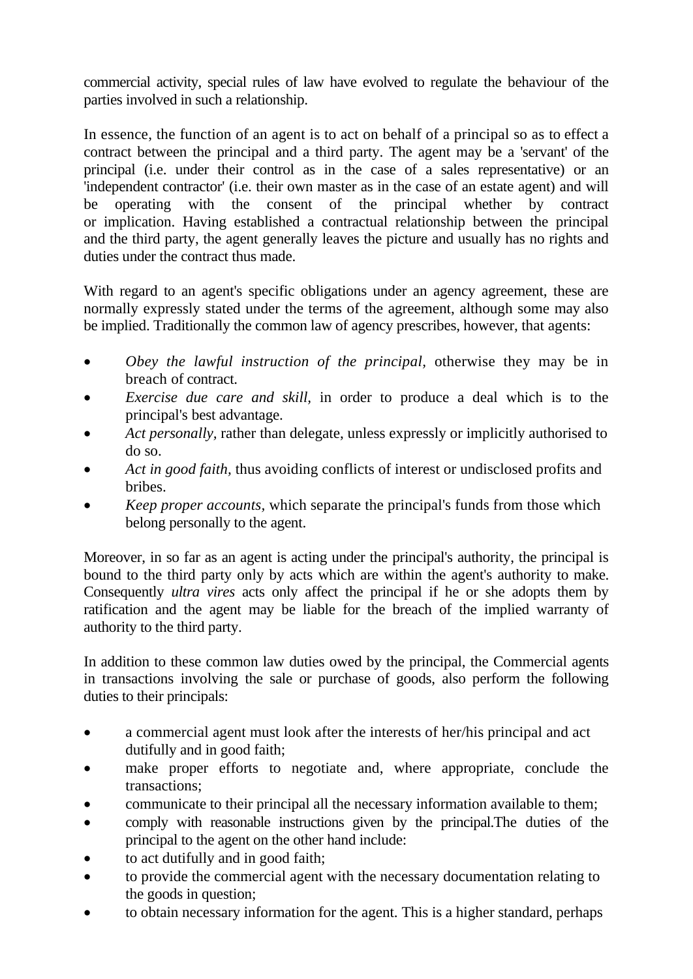commercial activity, special rules of law have evolved to regulate the behaviour of the parties involved in such a relationship.

In essence, the function of an agent is to act on behalf of a principal so as to effect a contract between the principal and a third party. The agent may be a 'servant' of the principal (i.e. under their control as in the case of a sales representative) or an 'independent contractor' (i.e. their own master as in the case of an estate agent) and will be operating with the consent of the principal whether by contract or implication. Having established a contractual relationship between the principal and the third party, the agent generally leaves the picture and usually has no rights and duties under the contract thus made.

With regard to an agent's specific obligations under an agency agreement, these are normally expressly stated under the terms of the agreement, although some may also be implied. Traditionally the common law of agency prescribes, however, that agents:

- *Obey the lawful instruction of the principal,* otherwise they may be in breach of contract.
- *Exercise due care and skill*, in order to produce a deal which is to the principal's best advantage.
- *Act personally,* rather than delegate, unless expressly or implicitly authorised to do so.
- *Act in good faith,* thus avoiding conflicts of interest or undisclosed profits and bribes.
- *Keep proper accounts,* which separate the principal's funds from those which belong personally to the agent.

Moreover, in so far as an agent is acting under the principal's authority, the principal is bound to the third party only by acts which are within the agent's authority to make. Consequently *ultra vires* acts only affect the principal if he or she adopts them by ratification and the agent may be liable for the breach of the implied warranty of authority to the third party.

In addition to these common law duties owed by the principal, the Commercial agents in transactions involving the sale or purchase of goods, also perform the following duties to their principals:

- a commercial agent must look after the interests of her/his principal and act dutifully and in good faith;
- make proper efforts to negotiate and, where appropriate, conclude the transactions;
- communicate to their principal all the necessary information available to them;
- comply with reasonable instructions given by the principal. The duties of the principal to the agent on the other hand include:
- to act dutifully and in good faith;
- to provide the commercial agent with the necessary documentation relating to the goods in question;
- to obtain necessary information for the agent. This is a higher standard, perhaps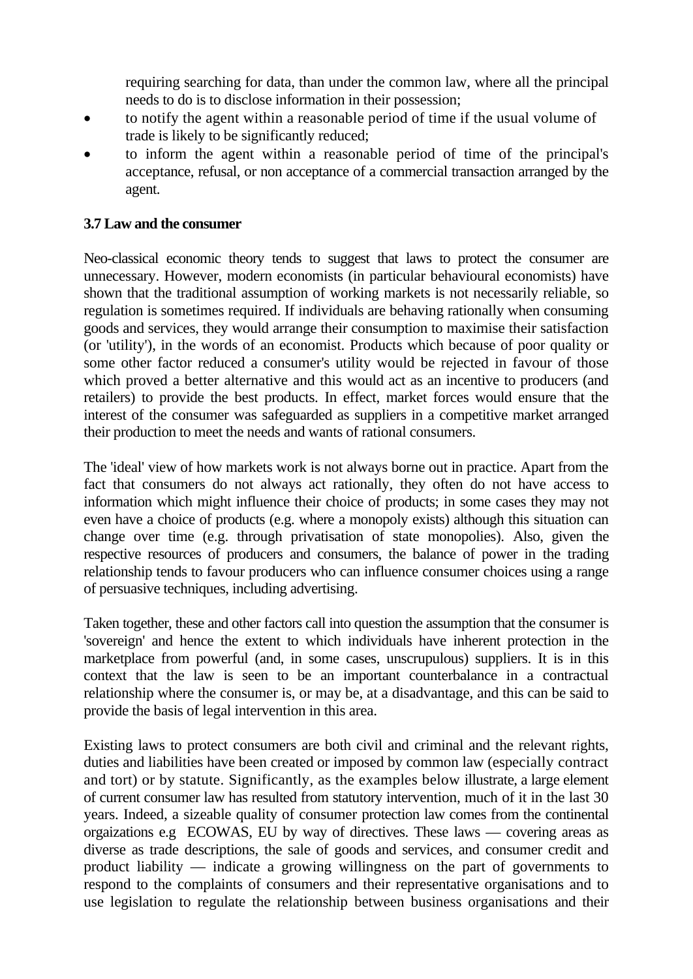requiring searching for data, than under the common law, where all the principal needs to do is to disclose information in their possession;

- to notify the agent within a reasonable period of time if the usual volume of trade is likely to be significantly reduced;
- to inform the agent within a reasonable period of time of the principal's acceptance, refusal, or non acceptance of a commercial transaction arranged by the agent.

### **3.7 Law and the consumer**

Neo-classical economic theory tends to suggest that laws to protect the consumer are unnecessary. However, modern economists (in particular behavioural economists) have shown that the traditional assumption of working markets is not necessarily reliable, so regulation is sometimes required. If individuals are behaving rationally when consuming goods and services, they would arrange their consumption to maximise their satisfaction (or 'utility'), in the words of an economist. Products which because of poor quality or some other factor reduced a consumer's utility would be rejected in favour of those which proved a better alternative and this would act as an incentive to producers (and retailers) to provide the best products. In effect, market forces would ensure that the interest of the consumer was safeguarded as suppliers in a competitive market arranged their production to meet the needs and wants of rational consumers.

The 'ideal' view of how markets work is not always borne out in practice. Apart from the fact that consumers do not always act rationally, they often do not have access to information which might influence their choice of products; in some cases they may not even have a choice of products (e.g. where a monopoly exists) although this situation can change over time (e.g. through privatisation of state monopolies). Also, given the respective resources of producers and consumers, the balance of power in the trading relationship tends to favour producers who can influence consumer choices using a range of persuasive techniques, including advertising.

Taken together, these and other factors call into question the assumption that the consumer is 'sovereign' and hence the extent to which individuals have inherent protection in the marketplace from powerful (and, in some cases, unscrupulous) suppliers. It is in this context that the law is seen to be an important counterbalance in a contractual relationship where the consumer is, or may be, at a disadvantage, and this can be said to provide the basis of legal intervention in this area.

Existing laws to protect consumers are both civil and criminal and the relevant rights, duties and liabilities have been created or imposed by common law (especially contract and tort) or by statute. Significantly, as the examples below illustrate, a large element of current consumer law has resulted from statutory intervention, much of it in the last 30 years. Indeed, a sizeable quality of consumer protection law comes from the continental orgaizations e.g ECOWAS, EU by way of directives. These laws — covering areas as diverse as trade descriptions, the sale of goods and services, and consumer credit and product liability — indicate a growing willingness on the part of governments to respond to the complaints of consumers and their representative organisations and to use legislation to regulate the relationship between business organisations and their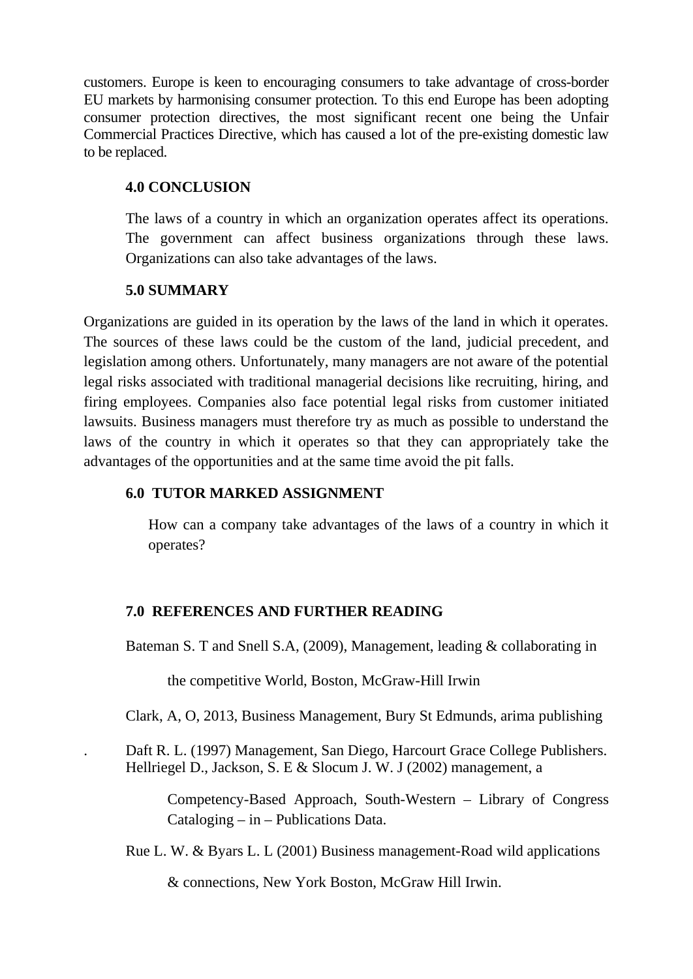customers. Europe is keen to encouraging consumers to take advantage of cross-border EU markets by harmonising consumer protection. To this end Europe has been adopting consumer protection directives, the most significant recent one being the Unfair Commercial Practices Directive, which has caused a lot of the pre-existing domestic law to be replaced.

## **4.0 CONCLUSION**

The laws of a country in which an organization operates affect its operations. The government can affect business organizations through these laws. Organizations can also take advantages of the laws.

## **5.0 SUMMARY**

Organizations are guided in its operation by the laws of the land in which it operates. The sources of these laws could be the custom of the land, judicial precedent, and legislation among others. Unfortunately, many managers are not aware of the potential legal risks associated with traditional managerial decisions like recruiting, hiring, and firing employees. Companies also face potential legal risks from customer initiated lawsuits. Business managers must therefore try as much as possible to understand the laws of the country in which it operates so that they can appropriately take the advantages of the opportunities and at the same time avoid the pit falls.

## **6.0 TUTOR MARKED ASSIGNMENT**

How can a company take advantages of the laws of a country in which it operates?

# **7.0 REFERENCES AND FURTHER READING**

Bateman S. T and Snell S.A, (2009), Management, leading & collaborating in

the competitive World, Boston, McGraw-Hill Irwin

Clark, A, O, 2013, Business Management, Bury St Edmunds, arima publishing

. Daft R. L. (1997) Management, San Diego, Harcourt Grace College Publishers. Hellriegel D., Jackson, S. E & Slocum J. W. J (2002) management, a

Competency-Based Approach, South-Western – Library of Congress Cataloging – in – Publications Data.

Rue L. W. & Byars L. L (2001) Business management-Road wild applications

& connections, New York Boston, McGraw Hill Irwin.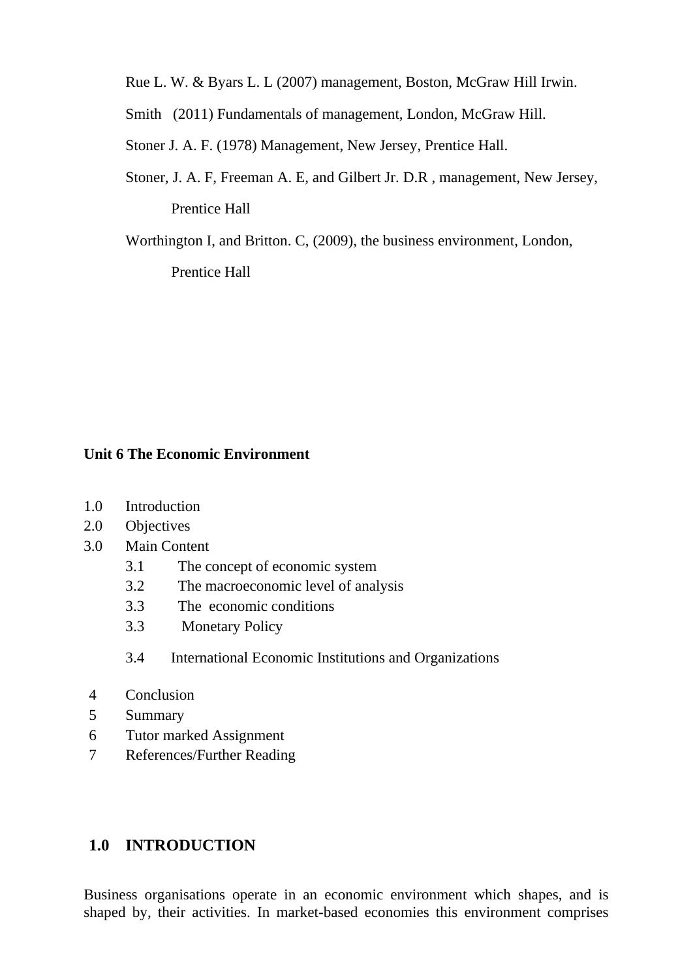Rue L. W. & Byars L. L (2007) management, Boston, McGraw Hill Irwin.

Smith (2011) Fundamentals of management, London, McGraw Hill.

Stoner J. A. F. (1978) Management, New Jersey, Prentice Hall.

Stoner, J. A. F, Freeman A. E, and Gilbert Jr. D.R , management, New Jersey, Prentice Hall

Worthington I, and Britton. C, (2009), the business environment, London,

Prentice Hall

### **Unit 6 The Economic Environment**

- 1.0 Introduction
- 2.0 Objectives
- 3.0 Main Content
	- 3.1 The concept of economic system
	- 3.2 The macroeconomic level of analysis
	- 3.3 The economic conditions
	- 3.3 Monetary Policy
	- 3.4 International Economic Institutions and Organizations
- 4 Conclusion
- 5 Summary
- 6 Tutor marked Assignment
- 7 References/Further Reading

## **1.0 INTRODUCTION**

Business organisations operate in an economic environment which shapes, and is shaped by, their activities. In market-based economies this environment comprises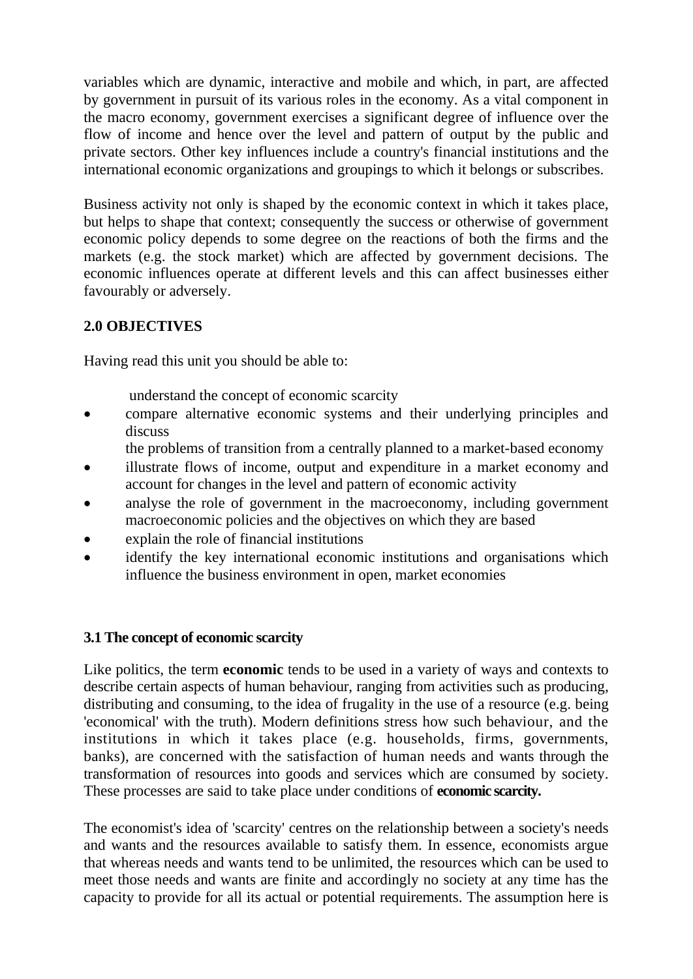variables which are dynamic, interactive and mobile and which, in part, are affected by government in pursuit of its various roles in the economy. As a vital component in the macro economy, government exercises a significant degree of influence over the flow of income and hence over the level and pattern of output by the public and private sectors. Other key influences include a country's financial institutions and the international economic organizations and groupings to which it belongs or subscribes.

Business activity not only is shaped by the economic context in which it takes place, but helps to shape that context; consequently the success or otherwise of government economic policy depends to some degree on the reactions of both the firms and the markets (e.g. the stock market) which are affected by government decisions. The economic influences operate at different levels and this can affect businesses either favourably or adversely.

# **2.0 OBJECTIVES**

Having read this unit you should be able to:

- understand the concept of economic scarcity
- compare alternative economic systems and their underlying principles and discuss
	- the problems of transition from a centrally planned to a market-based economy
- illustrate flows of income, output and expenditure in a market economy and account for changes in the level and pattern of economic activity
- analyse the role of government in the macroeconomy, including government macroeconomic policies and the objectives on which they are based
- explain the role of financial institutions
- identify the key international economic institutions and organisations which influence the business environment in open, market economies

## **3.1 The concept of economic scarcity**

Like politics, the term **economic** tends to be used in a variety of ways and contexts to describe certain aspects of human behaviour, ranging from activities such as producing, distributing and consuming, to the idea of frugality in the use of a resource (e.g. being 'economical' with the truth). Modern definitions stress how such behaviour, and the institutions in which it takes place (e.g. households, firms, governments, banks), are concerned with the satisfaction of human needs and wants through the transformation of resources into goods and services which are consumed by society. These processes are said to take place under conditions of **economic scarcity.**

The economist's idea of 'scarcity' centres on the relationship between a society's needs and wants and the resources available to satisfy them. In essence, economists argue that whereas needs and wants tend to be unlimited, the resources which can be used to meet those needs and wants are finite and accordingly no society at any time has the capacity to provide for all its actual or potential requirements. The assumption here is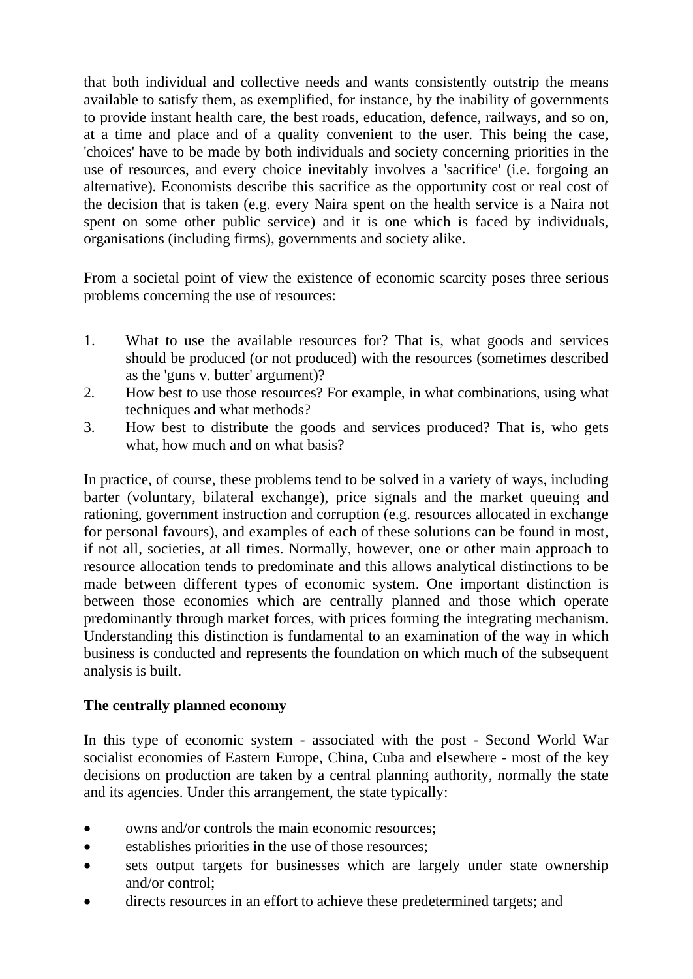that both individual and collective needs and wants consistently outstrip the means available to satisfy them, as exemplified, for instance, by the inability of governments to provide instant health care, the best roads, education, defence, railways, and so on, at a time and place and of a quality convenient to the user. This being the case, 'choices' have to be made by both individuals and society concerning priorities in the use of resources, and every choice inevitably involves a 'sacrifice' (i.e. forgoing an alternative). Economists describe this sacrifice as the opportunity cost or real cost of the decision that is taken (e.g. every Naira spent on the health service is a Naira not spent on some other public service) and it is one which is faced by individuals, organisations (including firms), governments and society alike.

From a societal point of view the existence of economic scarcity poses three serious problems concerning the use of resources:

- 1. What to use the available resources for? That is, what goods and services should be produced (or not produced) with the resources (sometimes described as the 'guns v. butter' argument)?
- 2. How best to use those resources? For example, in what combinations, using what techniques and what methods?
- 3. How best to distribute the goods and services produced? That is, who gets what, how much and on what basis?

In practice, of course, these problems tend to be solved in a variety of ways, including barter (voluntary, bilateral exchange), price signals and the market queuing and rationing, government instruction and corruption (e.g. resources allocated in exchange for personal favours), and examples of each of these solutions can be found in most, if not all, societies, at all times. Normally, however, one or other main approach to resource allocation tends to predominate and this allows analytical distinctions to be made between different types of economic system. One important distinction is between those economies which are centrally planned and those which operate predominantly through market forces, with prices forming the integrating mechanism. Understanding this distinction is fundamental to an examination of the way in which business is conducted and represents the foundation on which much of the subsequent analysis is built.

## **The centrally planned economy**

In this type of economic system - associated with the post - Second World War socialist economies of Eastern Europe, China, Cuba and elsewhere - most of the key decisions on production are taken by a central planning authority, normally the state and its agencies. Under this arrangement, the state typically:

- owns and/or controls the main economic resources;
- establishes priorities in the use of those resources;
- sets output targets for businesses which are largely under state ownership and/or control;
- directs resources in an effort to achieve these predetermined targets; and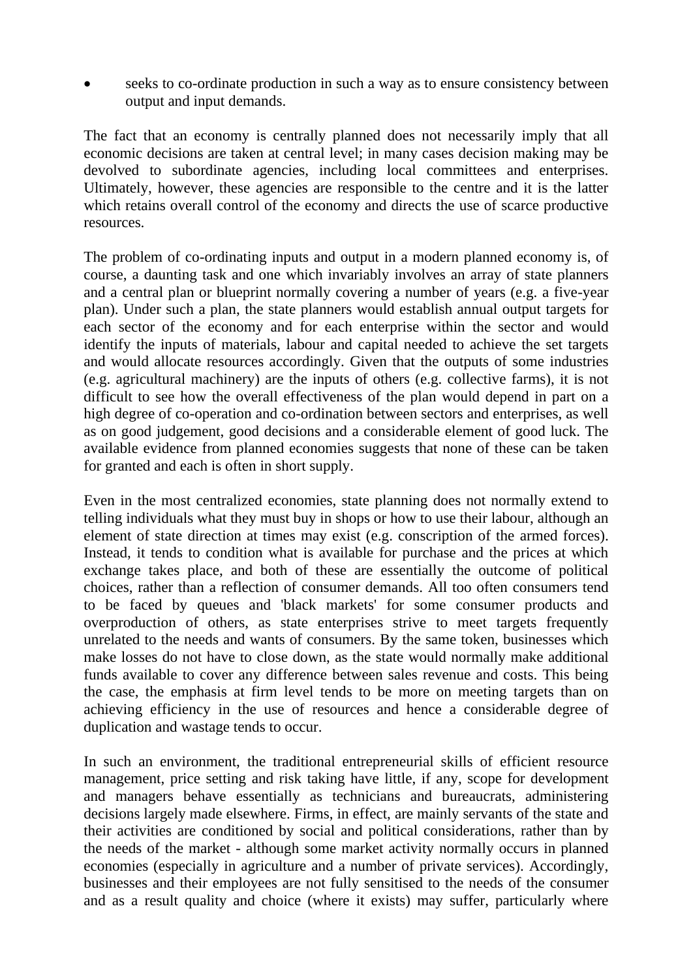seeks to co-ordinate production in such a way as to ensure consistency between output and input demands.

The fact that an economy is centrally planned does not necessarily imply that all economic decisions are taken at central level; in many cases decision making may be devolved to subordinate agencies, including local committees and enterprises. Ultimately, however, these agencies are responsible to the centre and it is the latter which retains overall control of the economy and directs the use of scarce productive resources.

The problem of co-ordinating inputs and output in a modern planned economy is, of course, a daunting task and one which invariably involves an array of state planners and a central plan or blueprint normally covering a number of years (e.g. a five-year plan). Under such a plan, the state planners would establish annual output targets for each sector of the economy and for each enterprise within the sector and would identify the inputs of materials, labour and capital needed to achieve the set targets and would allocate resources accordingly. Given that the outputs of some industries (e.g. agricultural machinery) are the inputs of others (e.g. collective farms), it is not difficult to see how the overall effectiveness of the plan would depend in part on a high degree of co-operation and co-ordination between sectors and enterprises, as well as on good judgement, good decisions and a considerable element of good luck. The available evidence from planned economies suggests that none of these can be taken for granted and each is often in short supply.

Even in the most centralized economies, state planning does not normally extend to telling individuals what they must buy in shops or how to use their labour, although an element of state direction at times may exist (e.g. conscription of the armed forces). Instead, it tends to condition what is available for purchase and the prices at which exchange takes place, and both of these are essentially the outcome of political choices, rather than a reflection of consumer demands. All too often consumers tend to be faced by queues and 'black markets' for some consumer products and overproduction of others, as state enterprises strive to meet targets frequently unrelated to the needs and wants of consumers. By the same token, businesses which make losses do not have to close down, as the state would normally make additional funds available to cover any difference between sales revenue and costs. This being the case, the emphasis at firm level tends to be more on meeting targets than on achieving efficiency in the use of resources and hence a considerable degree of duplication and wastage tends to occur.

In such an environment, the traditional entrepreneurial skills of efficient resource management, price setting and risk taking have little, if any, scope for development and managers behave essentially as technicians and bureaucrats, administering decisions largely made elsewhere. Firms, in effect, are mainly servants of the state and their activities are conditioned by social and political considerations, rather than by the needs of the market - although some market activity normally occurs in planned economies (especially in agriculture and a number of private services). Accordingly, businesses and their employees are not fully sensitised to the needs of the consumer and as a result quality and choice (where it exists) may suffer, particularly where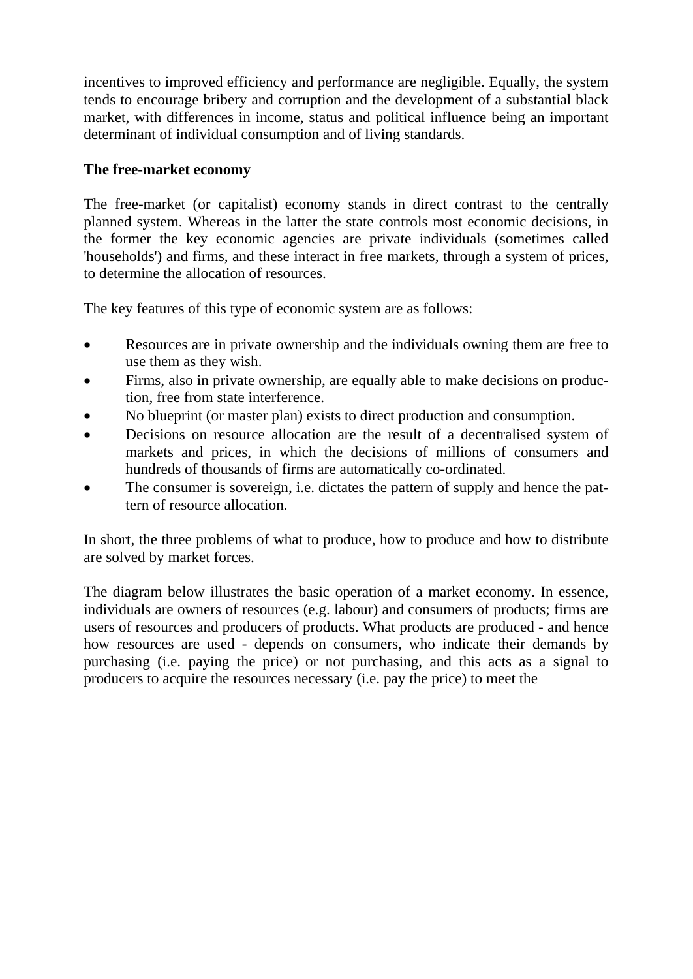incentives to improved efficiency and performance are negligible. Equally, the system tends to encourage bribery and corruption and the development of a substantial black market, with differences in income, status and political influence being an important determinant of individual consumption and of living standards.

## **The free-market economy**

The free-market (or capitalist) economy stands in direct contrast to the centrally planned system. Whereas in the latter the state controls most economic decisions, in the former the key economic agencies are private individuals (sometimes called 'households') and firms, and these interact in free markets, through a system of prices, to determine the allocation of resources.

The key features of this type of economic system are as follows:

- Resources are in private ownership and the individuals owning them are free to use them as they wish.
- Firms, also in private ownership, are equally able to make decisions on production, free from state interference.
- No blueprint (or master plan) exists to direct production and consumption.
- Decisions on resource allocation are the result of a decentralised system of markets and prices, in which the decisions of millions of consumers and hundreds of thousands of firms are automatically co-ordinated.
- The consumer is sovereign, i.e. dictates the pattern of supply and hence the pattern of resource allocation.

In short, the three problems of what to produce, how to produce and how to distribute are solved by market forces.

The diagram below illustrates the basic operation of a market economy. In essence, individuals are owners of resources (e.g. labour) and consumers of products; firms are users of resources and producers of products. What products are produced - and hence how resources are used - depends on consumers, who indicate their demands by purchasing (i.e. paying the price) or not purchasing, and this acts as a signal to producers to acquire the resources necessary (i.e. pay the price) to meet the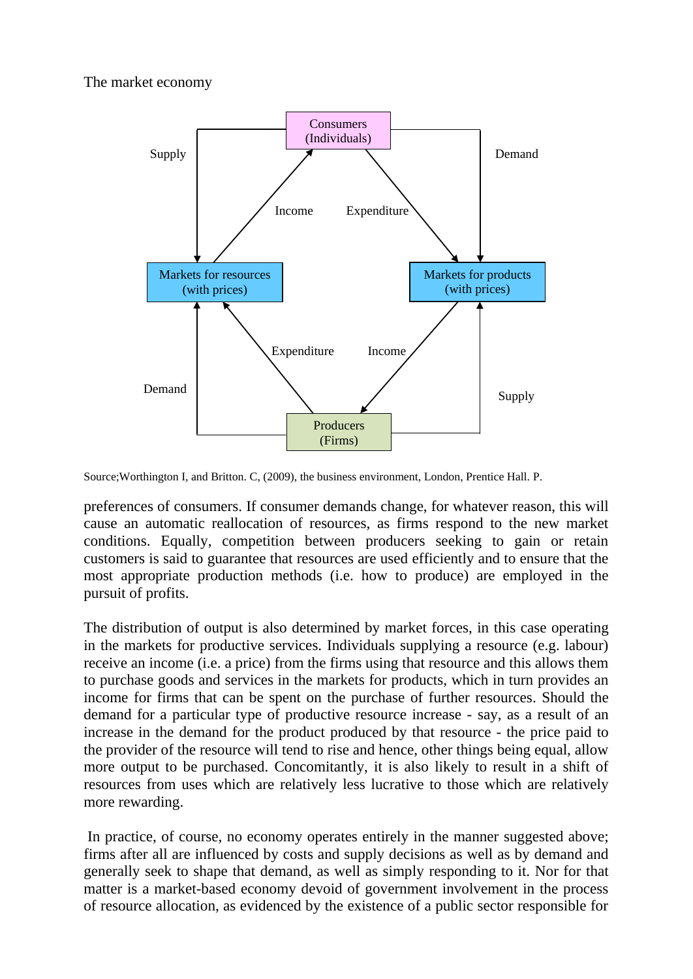### The market economy



Source;Worthington I, and Britton. C, (2009), the business environment, London, Prentice Hall. P.

preferences of consumers. If consumer demands change, for whatever reason, this will cause an automatic reallocation of resources, as firms respond to the new market conditions. Equally, competition between producers seeking to gain or retain customers is said to guarantee that resources are used efficiently and to ensure that the most appropriate production methods (i.e. how to produce) are employed in the pursuit of profits.

The distribution of output is also determined by market forces, in this case operating in the markets for productive services. Individuals supplying a resource (e.g. labour) receive an income (i.e. a price) from the firms using that resource and this allows them to purchase goods and services in the markets for products, which in turn provides an income for firms that can be spent on the purchase of further resources. Should the demand for a particular type of productive resource increase - say, as a result of an increase in the demand for the product produced by that resource - the price paid to the provider of the resource will tend to rise and hence, other things being equal, allow more output to be purchased. Concomitantly, it is also likely to result in a shift of resources from uses which are relatively less lucrative to those which are relatively more rewarding.

In practice, of course, no economy operates entirely in the manner suggested above; firms after all are influenced by costs and supply decisions as well as by demand and generally seek to shape that demand, as well as simply responding to it. Nor for that matter is a market-based economy devoid of government involvement in the process of resource allocation, as evidenced by the existence of a public sector responsible for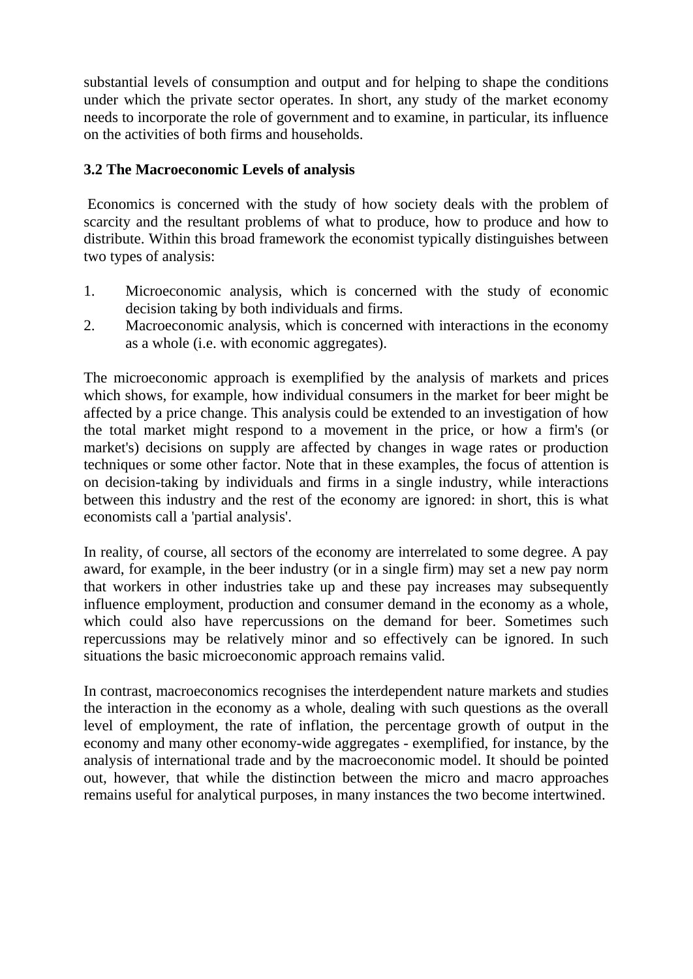substantial levels of consumption and output and for helping to shape the conditions under which the private sector operates. In short, any study of the market economy needs to incorporate the role of government and to examine, in particular, its influence on the activities of both firms and households.

# **3.2 The Macroeconomic Levels of analysis**

Economics is concerned with the study of how society deals with the problem of scarcity and the resultant problems of what to produce, how to produce and how to distribute. Within this broad framework the economist typically distinguishes between two types of analysis:

- 1. Microeconomic analysis, which is concerned with the study of economic decision taking by both individuals and firms.
- 2. Macroeconomic analysis, which is concerned with interactions in the economy as a whole (i.e. with economic aggregates).

The microeconomic approach is exemplified by the analysis of markets and prices which shows, for example, how individual consumers in the market for beer might be affected by a price change. This analysis could be extended to an investigation of how the total market might respond to a movement in the price, or how a firm's (or market's) decisions on supply are affected by changes in wage rates or production techniques or some other factor. Note that in these examples, the focus of attention is on decision-taking by individuals and firms in a single industry, while interactions between this industry and the rest of the economy are ignored: in short, this is what economists call a 'partial analysis'.

In reality, of course, all sectors of the economy are interrelated to some degree. A pay award, for example, in the beer industry (or in a single firm) may set a new pay norm that workers in other industries take up and these pay increases may subsequently influence employment, production and consumer demand in the economy as a whole, which could also have repercussions on the demand for beer. Sometimes such repercussions may be relatively minor and so effectively can be ignored. In such situations the basic microeconomic approach remains valid.

In contrast, macroeconomics recognises the interdependent nature markets and studies the interaction in the economy as a whole, dealing with such questions as the overall level of employment, the rate of inflation, the percentage growth of output in the economy and many other economy-wide aggregates - exemplified, for instance, by the analysis of international trade and by the macroeconomic model. It should be pointed out, however, that while the distinction between the micro and macro approaches remains useful for analytical purposes, in many instances the two become intertwined.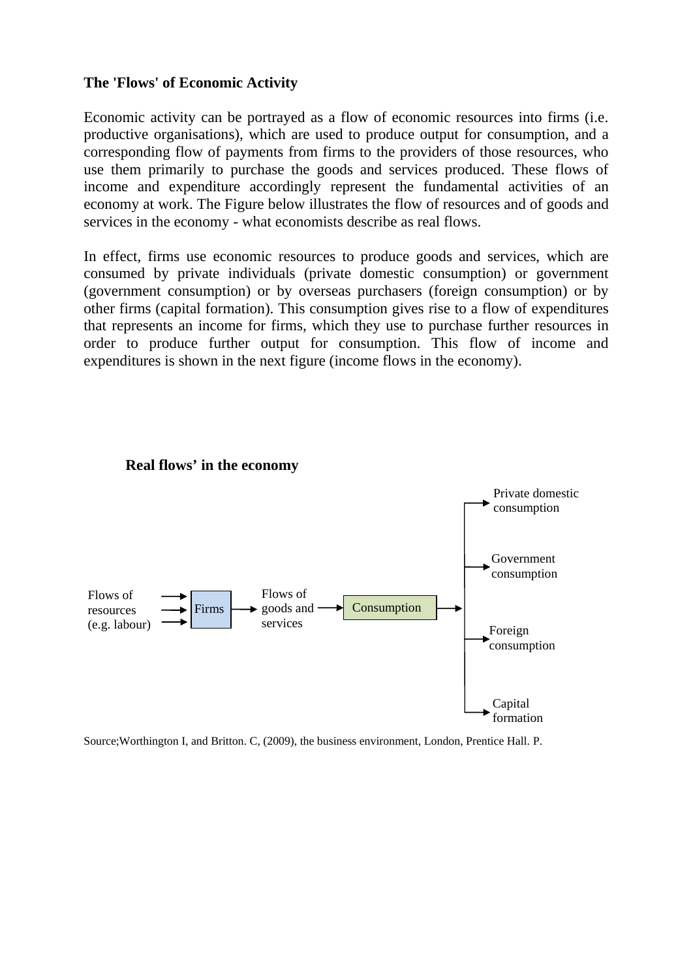#### **The 'Flows' of Economic Activity**

Economic activity can be portrayed as a flow of economic resources into firms (i.e. productive organisations), which are used to produce output for consumption, and a corresponding flow of payments from firms to the providers of those resources, who use them primarily to purchase the goods and services produced. These flows of income and expenditure accordingly represent the fundamental activities of an economy at work. The Figure below illustrates the flow of resources and of goods and services in the economy - what economists describe as real flows.

In effect, firms use economic resources to produce goods and services, which are consumed by private individuals (private domestic consumption) or government (government consumption) or by overseas purchasers (foreign consumption) or by other firms (capital formation). This consumption gives rise to a flow of expenditures that represents an income for firms, which they use to purchase further resources in order to produce further output for consumption. This flow of income and expenditures is shown in the next figure (income flows in the economy).



#### **Real flows' in the economy**

Source;Worthington I, and Britton. C, (2009), the business environment, London, Prentice Hall. P.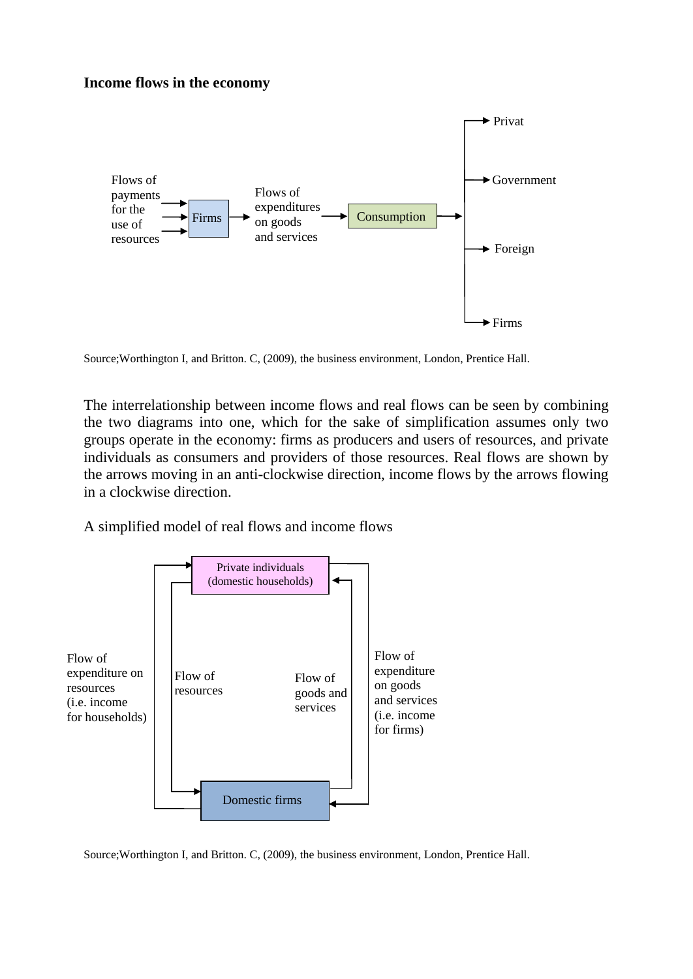

Source;Worthington I, and Britton. C, (2009), the business environment, London, Prentice Hall.

The interrelationship between income flows and real flows can be seen by combining the two diagrams into one, which for the sake of simplification assumes only two groups operate in the economy: firms as producers and users of resources, and private individuals as consumers and providers of those resources. Real flows are shown by the arrows moving in an anti-clockwise direction, income flows by the arrows flowing in a clockwise direction.

A simplified model of real flows and income flows



Source;Worthington I, and Britton. C, (2009), the business environment, London, Prentice Hall.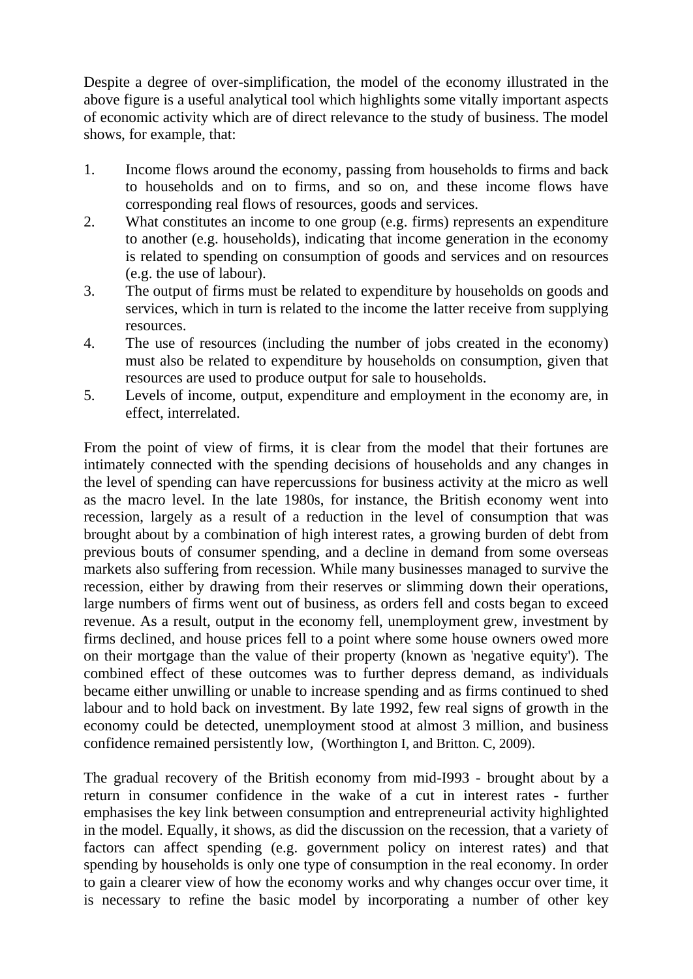Despite a degree of over-simplification, the model of the economy illustrated in the above figure is a useful analytical tool which highlights some vitally important aspects of economic activity which are of direct relevance to the study of business. The model shows, for example, that:

- 1. Income flows around the economy, passing from households to firms and back to households and on to firms, and so on, and these income flows have corresponding real flows of resources, goods and services.
- 2. What constitutes an income to one group (e.g. firms) represents an expenditure to another (e.g. households), indicating that income generation in the economy is related to spending on consumption of goods and services and on resources (e.g. the use of labour).
- 3. The output of firms must be related to expenditure by households on goods and services, which in turn is related to the income the latter receive from supplying resources.
- 4. The use of resources (including the number of jobs created in the economy) must also be related to expenditure by households on consumption, given that resources are used to produce output for sale to households.
- 5. Levels of income, output, expenditure and employment in the economy are, in effect, interrelated.

From the point of view of firms, it is clear from the model that their fortunes are intimately connected with the spending decisions of households and any changes in the level of spending can have repercussions for business activity at the micro as well as the macro level. In the late 1980s, for instance, the British economy went into recession, largely as a result of a reduction in the level of consumption that was brought about by a combination of high interest rates, a growing burden of debt from previous bouts of consumer spending, and a decline in demand from some overseas markets also suffering from recession. While many businesses managed to survive the recession, either by drawing from their reserves or slimming down their operations, large numbers of firms went out of business, as orders fell and costs began to exceed revenue. As a result, output in the economy fell, unemployment grew, investment by firms declined, and house prices fell to a point where some house owners owed more on their mortgage than the value of their property (known as 'negative equity'). The combined effect of these outcomes was to further depress demand, as individuals became either unwilling or unable to increase spending and as firms continued to shed labour and to hold back on investment. By late 1992, few real signs of growth in the economy could be detected, unemployment stood at almost 3 million, and business confidence remained persistently low, (Worthington I, and Britton. C, 2009).

The gradual recovery of the British economy from mid-I993 - brought about by a return in consumer confidence in the wake of a cut in interest rates - further emphasises the key link between consumption and entrepreneurial activity highlighted in the model. Equally, it shows, as did the discussion on the recession, that a variety of factors can affect spending (e.g. government policy on interest rates) and that spending by households is only one type of consumption in the real economy. In order to gain a clearer view of how the economy works and why changes occur over time, it is necessary to refine the basic model by incorporating a number of other key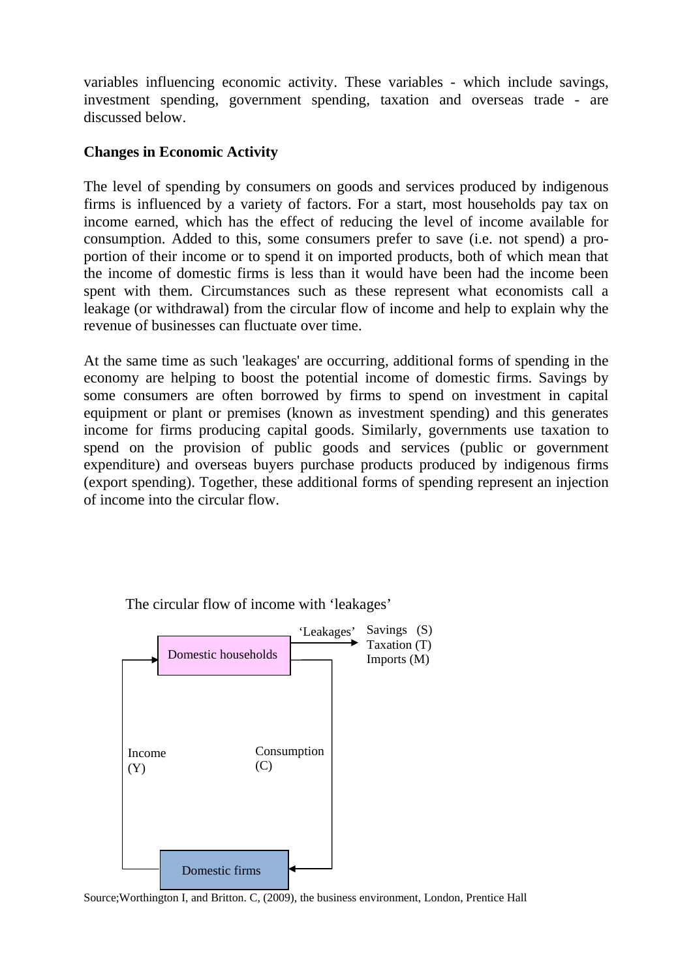variables influencing economic activity. These variables - which include savings, investment spending, government spending, taxation and overseas trade - are discussed below.

### **Changes in Economic Activity**

The level of spending by consumers on goods and services produced by indigenous firms is influenced by a variety of factors. For a start, most households pay tax on income earned, which has the effect of reducing the level of income available for consumption. Added to this, some consumers prefer to save (i.e. not spend) a proportion of their income or to spend it on imported products, both of which mean that the income of domestic firms is less than it would have been had the income been spent with them. Circumstances such as these represent what economists call a leakage (or withdrawal) from the circular flow of income and help to explain why the revenue of businesses can fluctuate over time.

At the same time as such 'leakages' are occurring, additional forms of spending in the economy are helping to boost the potential income of domestic firms. Savings by some consumers are often borrowed by firms to spend on investment in capital equipment or plant or premises (known as investment spending) and this generates income for firms producing capital goods. Similarly, governments use taxation to spend on the provision of public goods and services (public or government expenditure) and overseas buyers purchase products produced by indigenous firms (export spending). Together, these additional forms of spending represent an injection of income into the circular flow.



The circular flow of income with 'leakages'

Source;Worthington I, and Britton. C, (2009), the business environment, London, Prentice Hall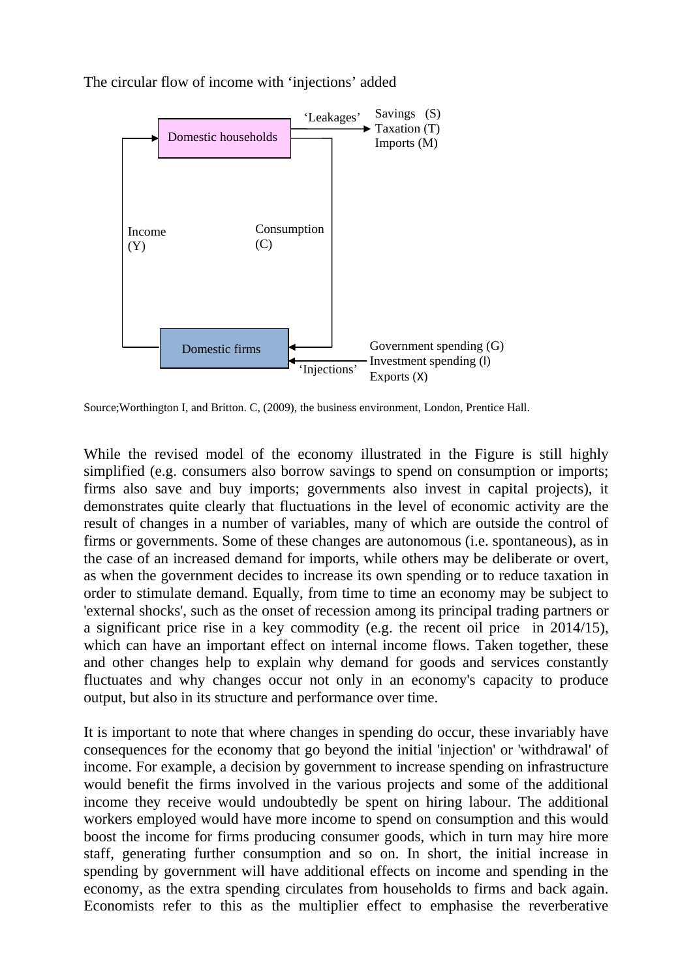

The circular flow of income with 'injections' added

Source;Worthington I, and Britton. C, (2009), the business environment, London, Prentice Hall.

While the revised model of the economy illustrated in the Figure is still highly simplified (e.g. consumers also borrow savings to spend on consumption or imports; firms also save and buy imports; governments also invest in capital projects), it demonstrates quite clearly that fluctuations in the level of economic activity are the result of changes in a number of variables, many of which are outside the control of firms or governments. Some of these changes are autonomous (i.e. spontaneous), as in the case of an increased demand for imports, while others may be deliberate or overt, as when the government decides to increase its own spending or to reduce taxation in order to stimulate demand. Equally, from time to time an economy may be subject to 'external shocks', such as the onset of recession among its principal trading partners or a significant price rise in a key commodity (e.g. the recent oil price in 2014/15), which can have an important effect on internal income flows. Taken together, these and other changes help to explain why demand for goods and services constantly fluctuates and why changes occur not only in an economy's capacity to produce output, but also in its structure and performance over time.

It is important to note that where changes in spending do occur, these invariably have consequences for the economy that go beyond the initial 'injection' or 'withdrawal' of income. For example, a decision by government to increase spending on infrastructure would benefit the firms involved in the various projects and some of the additional income they receive would undoubtedly be spent on hiring labour. The additional workers employed would have more income to spend on consumption and this would boost the income for firms producing consumer goods, which in turn may hire more staff, generating further consumption and so on. In short, the initial increase in spending by government will have additional effects on income and spending in the economy, as the extra spending circulates from households to firms and back again. Economists refer to this as the multiplier effect to emphasise the reverberative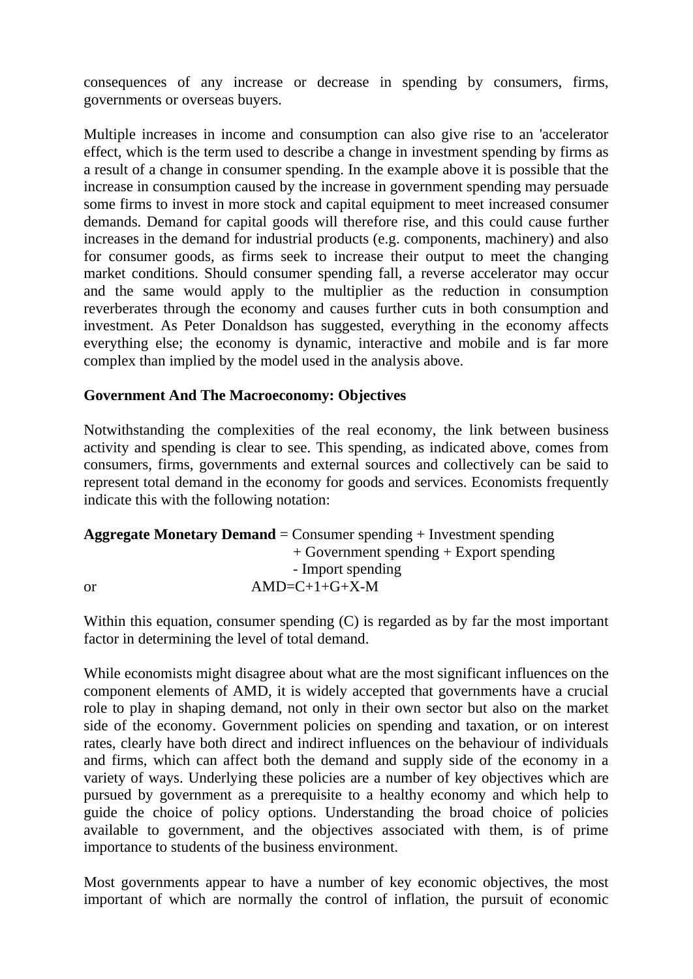consequences of any increase or decrease in spending by consumers, firms, governments or overseas buyers.

Multiple increases in income and consumption can also give rise to an 'accelerator effect, which is the term used to describe a change in investment spending by firms as a result of a change in consumer spending. In the example above it is possible that the increase in consumption caused by the increase in government spending may persuade some firms to invest in more stock and capital equipment to meet increased consumer demands. Demand for capital goods will therefore rise, and this could cause further increases in the demand for industrial products (e.g. components, machinery) and also for consumer goods, as firms seek to increase their output to meet the changing market conditions. Should consumer spending fall, a reverse accelerator may occur and the same would apply to the multiplier as the reduction in consumption reverberates through the economy and causes further cuts in both consumption and investment. As Peter Donaldson has suggested, everything in the economy affects everything else; the economy is dynamic, interactive and mobile and is far more complex than implied by the model used in the analysis above.

## **Government And The Macroeconomy: Objectives**

Notwithstanding the complexities of the real economy, the link between business activity and spending is clear to see. This spending, as indicated above, comes from consumers, firms, governments and external sources and collectively can be said to represent total demand in the economy for goods and services. Economists frequently indicate this with the following notation:

**Aggregate Monetary Demand** = Consumer spending + Investment spending + Government spending + Export spending - Import spending or  $AMD=C+1+G+X-M$ 

Within this equation, consumer spending (C) is regarded as by far the most important factor in determining the level of total demand.

While economists might disagree about what are the most significant influences on the component elements of AMD, it is widely accepted that governments have a crucial role to play in shaping demand, not only in their own sector but also on the market side of the economy. Government policies on spending and taxation, or on interest rates, clearly have both direct and indirect influences on the behaviour of individuals and firms, which can affect both the demand and supply side of the economy in a variety of ways. Underlying these policies are a number of key objectives which are pursued by government as a prerequisite to a healthy economy and which help to guide the choice of policy options. Understanding the broad choice of policies available to government, and the objectives associated with them, is of prime importance to students of the business environment.

Most governments appear to have a number of key economic objectives, the most important of which are normally the control of inflation, the pursuit of economic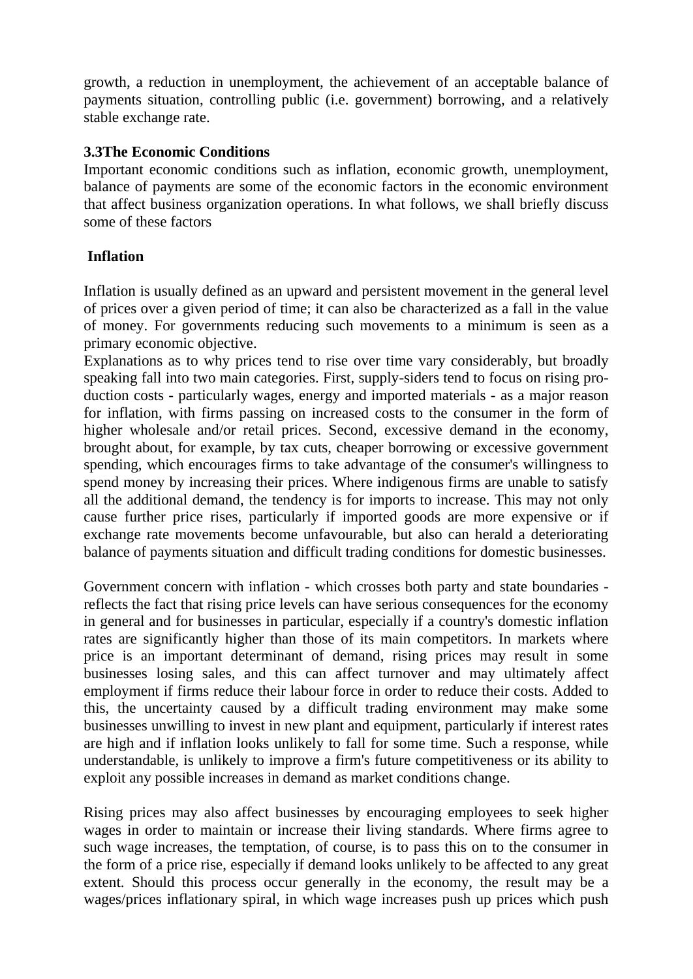growth, a reduction in unemployment, the achievement of an acceptable balance of payments situation, controlling public (i.e. government) borrowing, and a relatively stable exchange rate.

## **3.3The Economic Conditions**

Important economic conditions such as inflation, economic growth, unemployment, balance of payments are some of the economic factors in the economic environment that affect business organization operations. In what follows, we shall briefly discuss some of these factors

## **Inflation**

Inflation is usually defined as an upward and persistent movement in the general level of prices over a given period of time; it can also be characterized as a fall in the value of money. For governments reducing such movements to a minimum is seen as a primary economic objective.

Explanations as to why prices tend to rise over time vary considerably, but broadly speaking fall into two main categories. First, supply-siders tend to focus on rising production costs - particularly wages, energy and imported materials - as a major reason for inflation, with firms passing on increased costs to the consumer in the form of higher wholesale and/or retail prices. Second, excessive demand in the economy, brought about, for example, by tax cuts, cheaper borrowing or excessive government spending, which encourages firms to take advantage of the consumer's willingness to spend money by increasing their prices. Where indigenous firms are unable to satisfy all the additional demand, the tendency is for imports to increase. This may not only cause further price rises, particularly if imported goods are more expensive or if exchange rate movements become unfavourable, but also can herald a deteriorating balance of payments situation and difficult trading conditions for domestic businesses.

Government concern with inflation - which crosses both party and state boundaries reflects the fact that rising price levels can have serious consequences for the economy in general and for businesses in particular, especially if a country's domestic inflation rates are significantly higher than those of its main competitors. In markets where price is an important determinant of demand, rising prices may result in some businesses losing sales, and this can affect turnover and may ultimately affect employment if firms reduce their labour force in order to reduce their costs. Added to this, the uncertainty caused by a difficult trading environment may make some businesses unwilling to invest in new plant and equipment, particularly if interest rates are high and if inflation looks unlikely to fall for some time. Such a response, while understandable, is unlikely to improve a firm's future competitiveness or its ability to exploit any possible increases in demand as market conditions change.

Rising prices may also affect businesses by encouraging employees to seek higher wages in order to maintain or increase their living standards. Where firms agree to such wage increases, the temptation, of course, is to pass this on to the consumer in the form of a price rise, especially if demand looks unlikely to be affected to any great extent. Should this process occur generally in the economy, the result may be a wages/prices inflationary spiral, in which wage increases push up prices which push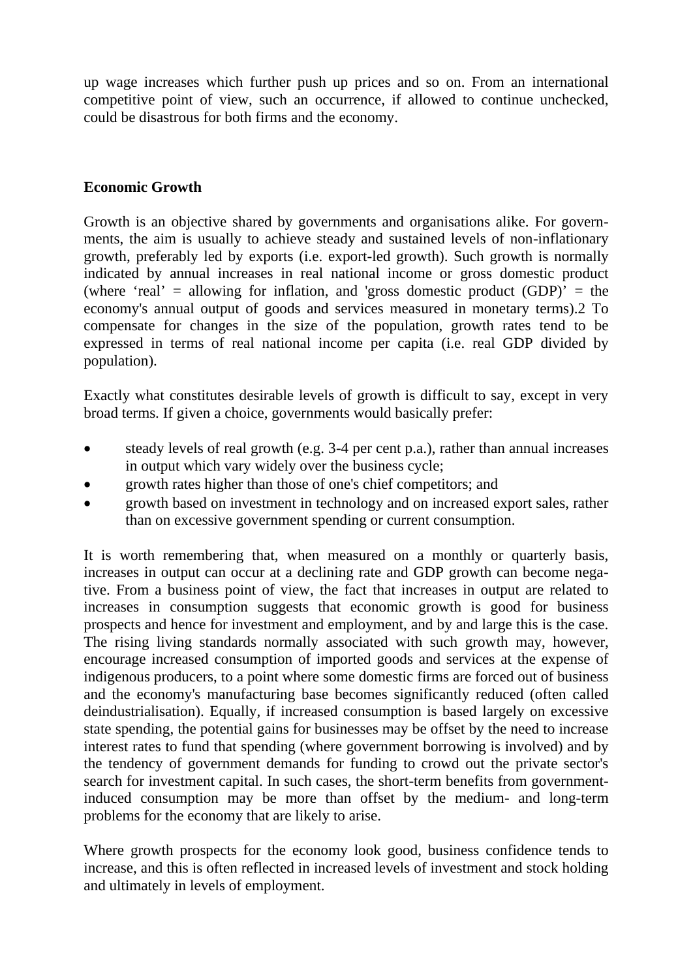up wage increases which further push up prices and so on. From an international competitive point of view, such an occurrence, if allowed to continue unchecked, could be disastrous for both firms and the economy.

## **Economic Growth**

Growth is an objective shared by governments and organisations alike. For governments, the aim is usually to achieve steady and sustained levels of non-inflationary growth, preferably led by exports (i.e. export-led growth). Such growth is normally indicated by annual increases in real national income or gross domestic product (where 'real' = allowing for inflation, and 'gross domestic product  $(GDP)'$  = the economy's annual output of goods and services measured in monetary terms).2 To compensate for changes in the size of the population, growth rates tend to be expressed in terms of real national income per capita (i.e. real GDP divided by population).

Exactly what constitutes desirable levels of growth is difficult to say, except in very broad terms. If given a choice, governments would basically prefer:

- steady levels of real growth (e.g. 3-4 per cent p.a.), rather than annual increases in output which vary widely over the business cycle;
- growth rates higher than those of one's chief competitors; and
- growth based on investment in technology and on increased export sales, rather than on excessive government spending or current consumption.

It is worth remembering that, when measured on a monthly or quarterly basis, increases in output can occur at a declining rate and GDP growth can become negative. From a business point of view, the fact that increases in output are related to increases in consumption suggests that economic growth is good for business prospects and hence for investment and employment, and by and large this is the case. The rising living standards normally associated with such growth may, however, encourage increased consumption of imported goods and services at the expense of indigenous producers, to a point where some domestic firms are forced out of business and the economy's manufacturing base becomes significantly reduced (often called deindustrialisation). Equally, if increased consumption is based largely on excessive state spending, the potential gains for businesses may be offset by the need to increase interest rates to fund that spending (where government borrowing is involved) and by the tendency of government demands for funding to crowd out the private sector's search for investment capital. In such cases, the short-term benefits from governmentinduced consumption may be more than offset by the medium- and long-term problems for the economy that are likely to arise.

Where growth prospects for the economy look good, business confidence tends to increase, and this is often reflected in increased levels of investment and stock holding and ultimately in levels of employment.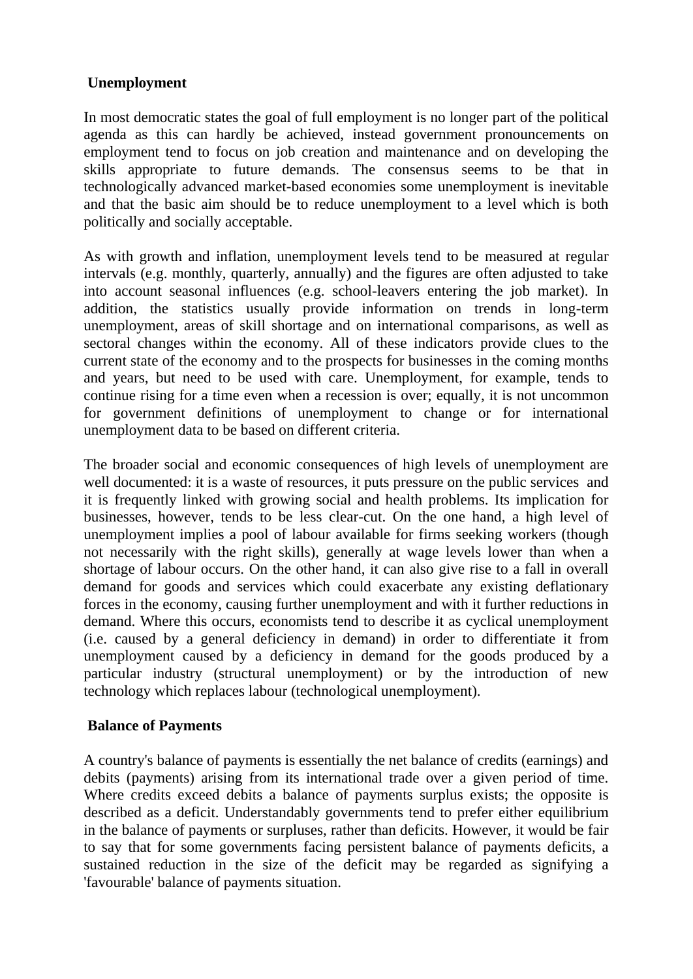## **Unemployment**

In most democratic states the goal of full employment is no longer part of the political agenda as this can hardly be achieved, instead government pronouncements on employment tend to focus on job creation and maintenance and on developing the skills appropriate to future demands. The consensus seems to be that in technologically advanced market-based economies some unemployment is inevitable and that the basic aim should be to reduce unemployment to a level which is both politically and socially acceptable.

As with growth and inflation, unemployment levels tend to be measured at regular intervals (e.g. monthly, quarterly, annually) and the figures are often adjusted to take into account seasonal influences (e.g. school-leavers entering the job market). In addition, the statistics usually provide information on trends in long-term unemployment, areas of skill shortage and on international comparisons, as well as sectoral changes within the economy. All of these indicators provide clues to the current state of the economy and to the prospects for businesses in the coming months and years, but need to be used with care. Unemployment, for example, tends to continue rising for a time even when a recession is over; equally, it is not uncommon for government definitions of unemployment to change or for international unemployment data to be based on different criteria.

The broader social and economic consequences of high levels of unemployment are well documented: it is a waste of resources, it puts pressure on the public services and it is frequently linked with growing social and health problems. Its implication for businesses, however, tends to be less clear-cut. On the one hand, a high level of unemployment implies a pool of labour available for firms seeking workers (though not necessarily with the right skills), generally at wage levels lower than when a shortage of labour occurs. On the other hand, it can also give rise to a fall in overall demand for goods and services which could exacerbate any existing deflationary forces in the economy, causing further unemployment and with it further reductions in demand. Where this occurs, economists tend to describe it as cyclical unemployment (i.e. caused by a general deficiency in demand) in order to differentiate it from unemployment caused by a deficiency in demand for the goods produced by a particular industry (structural unemployment) or by the introduction of new technology which replaces labour (technological unemployment).

### **Balance of Payments**

A country's balance of payments is essentially the net balance of credits (earnings) and debits (payments) arising from its international trade over a given period of time. Where credits exceed debits a balance of payments surplus exists; the opposite is described as a deficit. Understandably governments tend to prefer either equilibrium in the balance of payments or surpluses, rather than deficits. However, it would be fair to say that for some governments facing persistent balance of payments deficits, a sustained reduction in the size of the deficit may be regarded as signifying a 'favourable' balance of payments situation.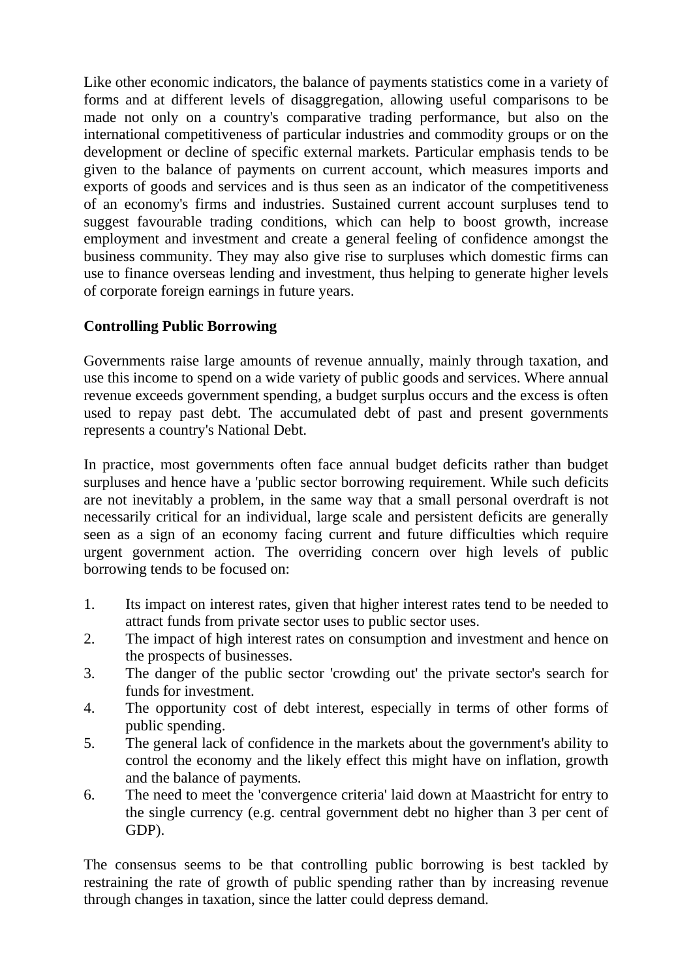Like other economic indicators, the balance of payments statistics come in a variety of forms and at different levels of disaggregation, allowing useful comparisons to be made not only on a country's comparative trading performance, but also on the international competitiveness of particular industries and commodity groups or on the development or decline of specific external markets. Particular emphasis tends to be given to the balance of payments on current account, which measures imports and exports of goods and services and is thus seen as an indicator of the competitiveness of an economy's firms and industries. Sustained current account surpluses tend to suggest favourable trading conditions, which can help to boost growth, increase employment and investment and create a general feeling of confidence amongst the business community. They may also give rise to surpluses which domestic firms can use to finance overseas lending and investment, thus helping to generate higher levels of corporate foreign earnings in future years.

## **Controlling Public Borrowing**

Governments raise large amounts of revenue annually, mainly through taxation, and use this income to spend on a wide variety of public goods and services. Where annual revenue exceeds government spending, a budget surplus occurs and the excess is often used to repay past debt. The accumulated debt of past and present governments represents a country's National Debt.

In practice, most governments often face annual budget deficits rather than budget surpluses and hence have a 'public sector borrowing requirement. While such deficits are not inevitably a problem, in the same way that a small personal overdraft is not necessarily critical for an individual, large scale and persistent deficits are generally seen as a sign of an economy facing current and future difficulties which require urgent government action. The overriding concern over high levels of public borrowing tends to be focused on:

- 1. Its impact on interest rates, given that higher interest rates tend to be needed to attract funds from private sector uses to public sector uses.
- 2. The impact of high interest rates on consumption and investment and hence on the prospects of businesses.
- 3. The danger of the public sector 'crowding out' the private sector's search for funds for investment.
- 4. The opportunity cost of debt interest, especially in terms of other forms of public spending.
- 5. The general lack of confidence in the markets about the government's ability to control the economy and the likely effect this might have on inflation, growth and the balance of payments.
- 6. The need to meet the 'convergence criteria' laid down at Maastricht for entry to the single currency (e.g. central government debt no higher than 3 per cent of GDP).

The consensus seems to be that controlling public borrowing is best tackled by restraining the rate of growth of public spending rather than by increasing revenue through changes in taxation, since the latter could depress demand.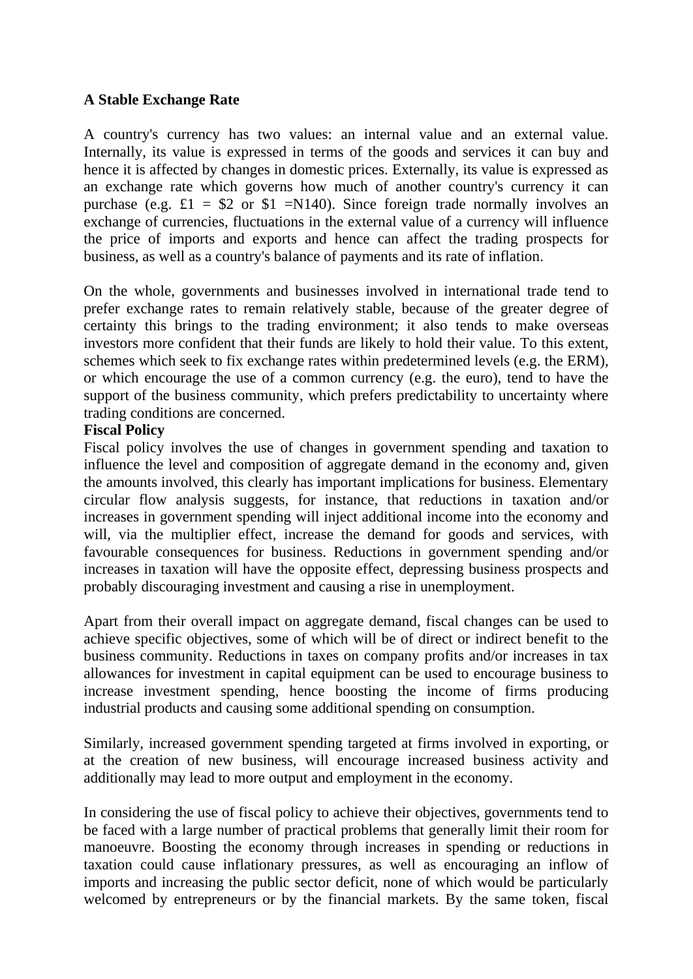### **A Stable Exchange Rate**

A country's currency has two values: an internal value and an external value. Internally, its value is expressed in terms of the goods and services it can buy and hence it is affected by changes in domestic prices. Externally, its value is expressed as an exchange rate which governs how much of another country's currency it can purchase (e.g.  $\text{\pounds}1 = \text{\pounds}2$  or  $\text{\pounds}1 = N140$ ). Since foreign trade normally involves an exchange of currencies, fluctuations in the external value of a currency will influence the price of imports and exports and hence can affect the trading prospects for business, as well as a country's balance of payments and its rate of inflation.

On the whole, governments and businesses involved in international trade tend to prefer exchange rates to remain relatively stable, because of the greater degree of certainty this brings to the trading environment; it also tends to make overseas investors more confident that their funds are likely to hold their value. To this extent, schemes which seek to fix exchange rates within predetermined levels (e.g. the ERM), or which encourage the use of a common currency (e.g. the euro), tend to have the support of the business community, which prefers predictability to uncertainty where trading conditions are concerned.

### **Fiscal Policy**

Fiscal policy involves the use of changes in government spending and taxation to influence the level and composition of aggregate demand in the economy and, given the amounts involved, this clearly has important implications for business. Elementary circular flow analysis suggests, for instance, that reductions in taxation and/or increases in government spending will inject additional income into the economy and will, via the multiplier effect, increase the demand for goods and services, with favourable consequences for business. Reductions in government spending and/or increases in taxation will have the opposite effect, depressing business prospects and probably discouraging investment and causing a rise in unemployment.

Apart from their overall impact on aggregate demand, fiscal changes can be used to achieve specific objectives, some of which will be of direct or indirect benefit to the business community. Reductions in taxes on company profits and/or increases in tax allowances for investment in capital equipment can be used to encourage business to increase investment spending, hence boosting the income of firms producing industrial products and causing some additional spending on consumption.

Similarly, increased government spending targeted at firms involved in exporting, or at the creation of new business, will encourage increased business activity and additionally may lead to more output and employment in the economy.

In considering the use of fiscal policy to achieve their objectives, governments tend to be faced with a large number of practical problems that generally limit their room for manoeuvre. Boosting the economy through increases in spending or reductions in taxation could cause inflationary pressures, as well as encouraging an inflow of imports and increasing the public sector deficit, none of which would be particularly welcomed by entrepreneurs or by the financial markets. By the same token, fiscal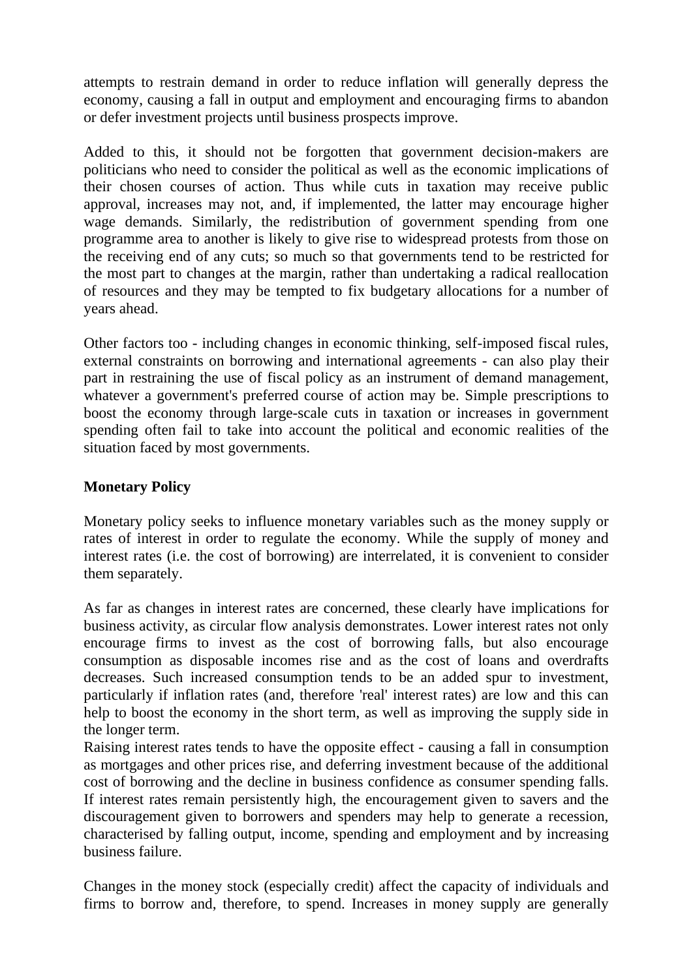attempts to restrain demand in order to reduce inflation will generally depress the economy, causing a fall in output and employment and encouraging firms to abandon or defer investment projects until business prospects improve.

Added to this, it should not be forgotten that government decision-makers are politicians who need to consider the political as well as the economic implications of their chosen courses of action. Thus while cuts in taxation may receive public approval, increases may not, and, if implemented, the latter may encourage higher wage demands. Similarly, the redistribution of government spending from one programme area to another is likely to give rise to widespread protests from those on the receiving end of any cuts; so much so that governments tend to be restricted for the most part to changes at the margin, rather than undertaking a radical reallocation of resources and they may be tempted to fix budgetary allocations for a number of years ahead.

Other factors too - including changes in economic thinking, self-imposed fiscal rules, external constraints on borrowing and international agreements - can also play their part in restraining the use of fiscal policy as an instrument of demand management, whatever a government's preferred course of action may be. Simple prescriptions to boost the economy through large-scale cuts in taxation or increases in government spending often fail to take into account the political and economic realities of the situation faced by most governments.

## **Monetary Policy**

Monetary policy seeks to influence monetary variables such as the money supply or rates of interest in order to regulate the economy. While the supply of money and interest rates (i.e. the cost of borrowing) are interrelated, it is convenient to consider them separately.

As far as changes in interest rates are concerned, these clearly have implications for business activity, as circular flow analysis demonstrates. Lower interest rates not only encourage firms to invest as the cost of borrowing falls, but also encourage consumption as disposable incomes rise and as the cost of loans and overdrafts decreases. Such increased consumption tends to be an added spur to investment, particularly if inflation rates (and, therefore 'real' interest rates) are low and this can help to boost the economy in the short term, as well as improving the supply side in the longer term.

Raising interest rates tends to have the opposite effect - causing a fall in consumption as mortgages and other prices rise, and deferring investment because of the additional cost of borrowing and the decline in business confidence as consumer spending falls. If interest rates remain persistently high, the encouragement given to savers and the discouragement given to borrowers and spenders may help to generate a recession, characterised by falling output, income, spending and employment and by increasing business failure.

Changes in the money stock (especially credit) affect the capacity of individuals and firms to borrow and, therefore, to spend. Increases in money supply are generally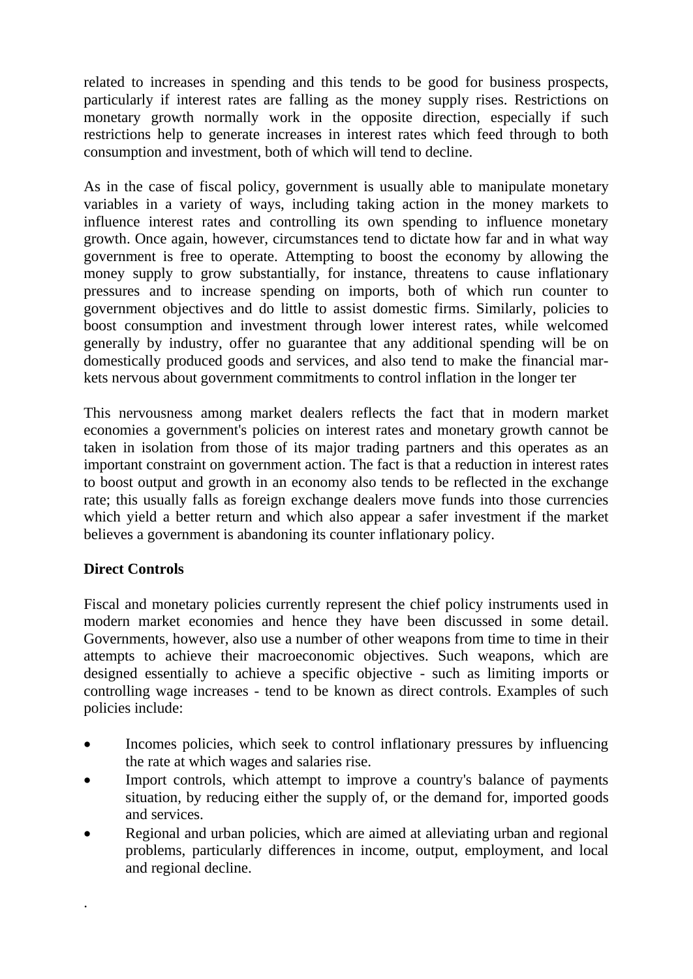related to increases in spending and this tends to be good for business prospects, particularly if interest rates are falling as the money supply rises. Restrictions on monetary growth normally work in the opposite direction, especially if such restrictions help to generate increases in interest rates which feed through to both consumption and investment, both of which will tend to decline.

As in the case of fiscal policy, government is usually able to manipulate monetary variables in a variety of ways, including taking action in the money markets to influence interest rates and controlling its own spending to influence monetary growth. Once again, however, circumstances tend to dictate how far and in what way government is free to operate. Attempting to boost the economy by allowing the money supply to grow substantially, for instance, threatens to cause inflationary pressures and to increase spending on imports, both of which run counter to government objectives and do little to assist domestic firms. Similarly, policies to boost consumption and investment through lower interest rates, while welcomed generally by industry, offer no guarantee that any additional spending will be on domestically produced goods and services, and also tend to make the financial markets nervous about government commitments to control inflation in the longer ter

This nervousness among market dealers reflects the fact that in modern market economies a government's policies on interest rates and monetary growth cannot be taken in isolation from those of its major trading partners and this operates as an important constraint on government action. The fact is that a reduction in interest rates to boost output and growth in an economy also tends to be reflected in the exchange rate; this usually falls as foreign exchange dealers move funds into those currencies which yield a better return and which also appear a safer investment if the market believes a government is abandoning its counter inflationary policy.

# **Direct Controls**

.

Fiscal and monetary policies currently represent the chief policy instruments used in modern market economies and hence they have been discussed in some detail. Governments, however, also use a number of other weapons from time to time in their attempts to achieve their macroeconomic objectives. Such weapons, which are designed essentially to achieve a specific objective - such as limiting imports or controlling wage increases - tend to be known as direct controls. Examples of such policies include:

- Incomes policies, which seek to control inflationary pressures by influencing the rate at which wages and salaries rise.
- Import controls, which attempt to improve a country's balance of payments situation, by reducing either the supply of, or the demand for, imported goods and services.
- Regional and urban policies, which are aimed at alleviating urban and regional problems, particularly differences in income, output, employment, and local and regional decline.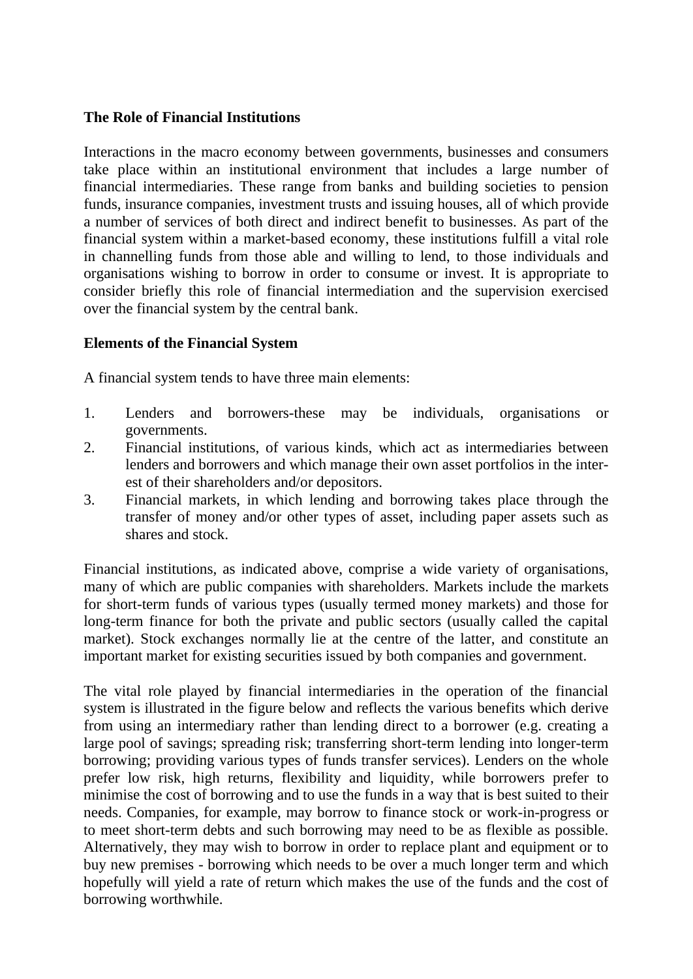## **The Role of Financial Institutions**

Interactions in the macro economy between governments, businesses and consumers take place within an institutional environment that includes a large number of financial intermediaries. These range from banks and building societies to pension funds, insurance companies, investment trusts and issuing houses, all of which provide a number of services of both direct and indirect benefit to businesses. As part of the financial system within a market-based economy, these institutions fulfill a vital role in channelling funds from those able and willing to lend, to those individuals and organisations wishing to borrow in order to consume or invest. It is appropriate to consider briefly this role of financial intermediation and the supervision exercised over the financial system by the central bank.

## **Elements of the Financial System**

A financial system tends to have three main elements:

- 1. Lenders and borrowers-these may be individuals, organisations or governments.
- 2. Financial institutions, of various kinds, which act as intermediaries between lenders and borrowers and which manage their own asset portfolios in the interest of their shareholders and/or depositors.
- 3. Financial markets, in which lending and borrowing takes place through the transfer of money and/or other types of asset, including paper assets such as shares and stock.

Financial institutions, as indicated above, comprise a wide variety of organisations, many of which are public companies with shareholders. Markets include the markets for short-term funds of various types (usually termed money markets) and those for long-term finance for both the private and public sectors (usually called the capital market). Stock exchanges normally lie at the centre of the latter, and constitute an important market for existing securities issued by both companies and government.

The vital role played by financial intermediaries in the operation of the financial system is illustrated in the figure below and reflects the various benefits which derive from using an intermediary rather than lending direct to a borrower (e.g. creating a large pool of savings; spreading risk; transferring short-term lending into longer-term borrowing; providing various types of funds transfer services). Lenders on the whole prefer low risk, high returns, flexibility and liquidity, while borrowers prefer to minimise the cost of borrowing and to use the funds in a way that is best suited to their needs. Companies, for example, may borrow to finance stock or work-in-progress or to meet short-term debts and such borrowing may need to be as flexible as possible. Alternatively, they may wish to borrow in order to replace plant and equipment or to buy new premises - borrowing which needs to be over a much longer term and which hopefully will yield a rate of return which makes the use of the funds and the cost of borrowing worthwhile.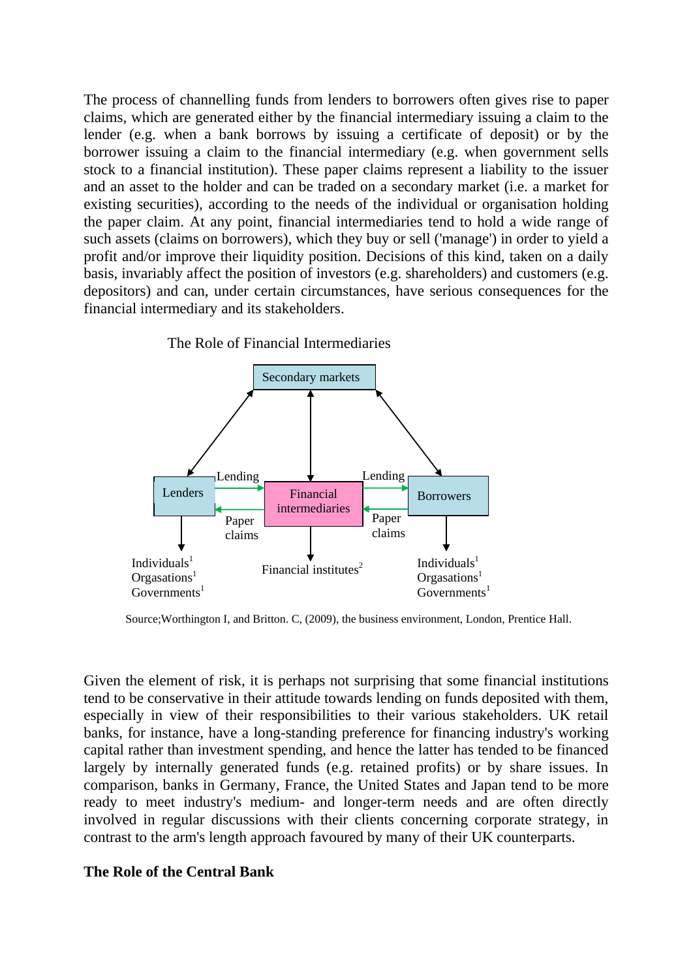The process of channelling funds from lenders to borrowers often gives rise to paper claims, which are generated either by the financial intermediary issuing a claim to the lender (e.g. when a bank borrows by issuing a certificate of deposit) or by the borrower issuing a claim to the financial intermediary (e.g. when government sells stock to a financial institution). These paper claims represent a liability to the issuer and an asset to the holder and can be traded on a secondary market (i.e. a market for existing securities), according to the needs of the individual or organisation holding the paper claim. At any point, financial intermediaries tend to hold a wide range of such assets (claims on borrowers), which they buy or sell ('manage') in order to yield a profit and/or improve their liquidity position. Decisions of this kind, taken on a daily basis, invariably affect the position of investors (e.g. shareholders) and customers (e.g. depositors) and can, under certain circumstances, have serious consequences for the financial intermediary and its stakeholders.



Source;Worthington I, and Britton. C, (2009), the business environment, London, Prentice Hall.

Given the element of risk, it is perhaps not surprising that some financial institutions tend to be conservative in their attitude towards lending on funds deposited with them, especially in view of their responsibilities to their various stakeholders. UK retail banks, for instance, have a long-standing preference for financing industry's working capital rather than investment spending, and hence the latter has tended to be financed largely by internally generated funds (e.g. retained profits) or by share issues. In comparison, banks in Germany, France, the United States and Japan tend to be more ready to meet industry's medium- and longer-term needs and are often directly involved in regular discussions with their clients concerning corporate strategy, in contrast to the arm's length approach favoured by many of their UK counterparts.

#### **The Role of the Central Bank**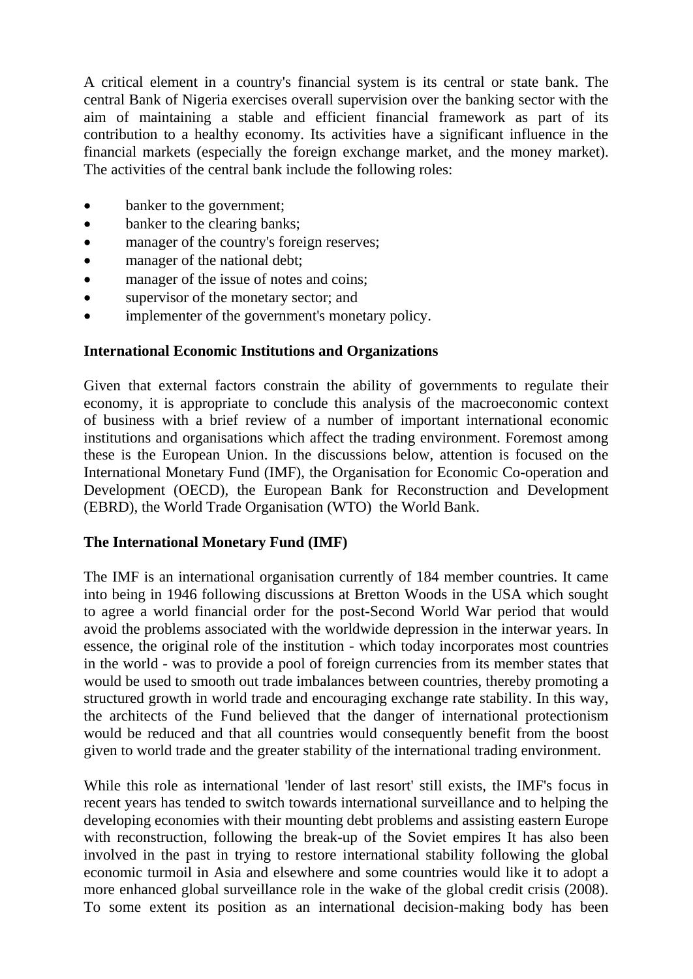A critical element in a country's financial system is its central or state bank. The central Bank of Nigeria exercises overall supervision over the banking sector with the aim of maintaining a stable and efficient financial framework as part of its contribution to a healthy economy. Its activities have a significant influence in the financial markets (especially the foreign exchange market, and the money market). The activities of the central bank include the following roles:

- banker to the government;
- banker to the clearing banks;
- manager of the country's foreign reserves;
- manager of the national debt;
- manager of the issue of notes and coins;
- supervisor of the monetary sector; and
- implementer of the government's monetary policy.

## **International Economic Institutions and Organizations**

Given that external factors constrain the ability of governments to regulate their economy, it is appropriate to conclude this analysis of the macroeconomic context of business with a brief review of a number of important international economic institutions and organisations which affect the trading environment. Foremost among these is the European Union. In the discussions below, attention is focused on the International Monetary Fund (IMF), the Organisation for Economic Co-operation and Development (OECD), the European Bank for Reconstruction and Development (EBRD), the World Trade Organisation (WTO) the World Bank.

## **The International Monetary Fund (IMF)**

The IMF is an international organisation currently of 184 member countries. It came into being in 1946 following discussions at Bretton Woods in the USA which sought to agree a world financial order for the post-Second World War period that would avoid the problems associated with the worldwide depression in the interwar years. In essence, the original role of the institution - which today incorporates most countries in the world - was to provide a pool of foreign currencies from its member states that would be used to smooth out trade imbalances between countries, thereby promoting a structured growth in world trade and encouraging exchange rate stability. In this way, the architects of the Fund believed that the danger of international protectionism would be reduced and that all countries would consequently benefit from the boost given to world trade and the greater stability of the international trading environment.

While this role as international 'lender of last resort' still exists, the IMF's focus in recent years has tended to switch towards international surveillance and to helping the developing economies with their mounting debt problems and assisting eastern Europe with reconstruction, following the break-up of the Soviet empires It has also been involved in the past in trying to restore international stability following the global economic turmoil in Asia and elsewhere and some countries would like it to adopt a more enhanced global surveillance role in the wake of the global credit crisis (2008). To some extent its position as an international decision-making body has been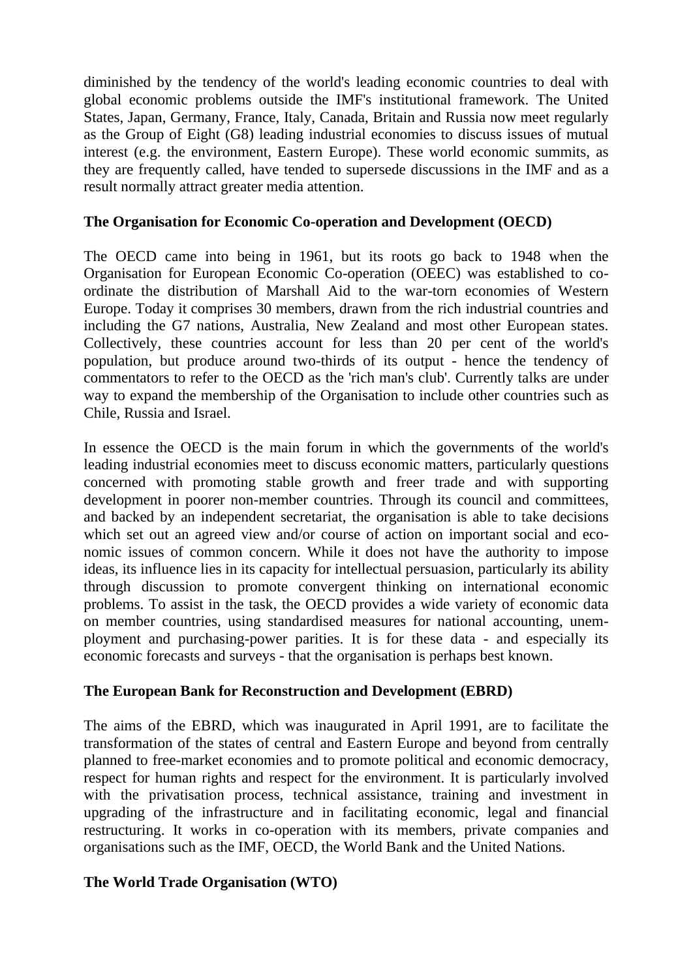diminished by the tendency of the world's leading economic countries to deal with global economic problems outside the IMF's institutional framework. The United States, Japan, Germany, France, Italy, Canada, Britain and Russia now meet regularly as the Group of Eight (G8) leading industrial economies to discuss issues of mutual interest (e.g. the environment, Eastern Europe). These world economic summits, as they are frequently called, have tended to supersede discussions in the IMF and as a result normally attract greater media attention.

## **The Organisation for Economic Co-operation and Development (OECD)**

The OECD came into being in 1961, but its roots go back to 1948 when the Organisation for European Economic Co-operation (OEEC) was established to coordinate the distribution of Marshall Aid to the war-torn economies of Western Europe. Today it comprises 30 members, drawn from the rich industrial countries and including the G7 nations, Australia, New Zealand and most other European states. Collectively, these countries account for less than 20 per cent of the world's population, but produce around two-thirds of its output - hence the tendency of commentators to refer to the OECD as the 'rich man's club'. Currently talks are under way to expand the membership of the Organisation to include other countries such as Chile, Russia and Israel.

In essence the OECD is the main forum in which the governments of the world's leading industrial economies meet to discuss economic matters, particularly questions concerned with promoting stable growth and freer trade and with supporting development in poorer non-member countries. Through its council and committees, and backed by an independent secretariat, the organisation is able to take decisions which set out an agreed view and/or course of action on important social and economic issues of common concern. While it does not have the authority to impose ideas, its influence lies in its capacity for intellectual persuasion, particularly its ability through discussion to promote convergent thinking on international economic problems. To assist in the task, the OECD provides a wide variety of economic data on member countries, using standardised measures for national accounting, unemployment and purchasing-power parities. It is for these data - and especially its economic forecasts and surveys - that the organisation is perhaps best known.

### **The European Bank for Reconstruction and Development (EBRD)**

The aims of the EBRD, which was inaugurated in April 1991, are to facilitate the transformation of the states of central and Eastern Europe and beyond from centrally planned to free-market economies and to promote political and economic democracy, respect for human rights and respect for the environment. It is particularly involved with the privatisation process, technical assistance, training and investment in upgrading of the infrastructure and in facilitating economic, legal and financial restructuring. It works in co-operation with its members, private companies and organisations such as the IMF, OECD, the World Bank and the United Nations.

### **The World Trade Organisation (WTO)**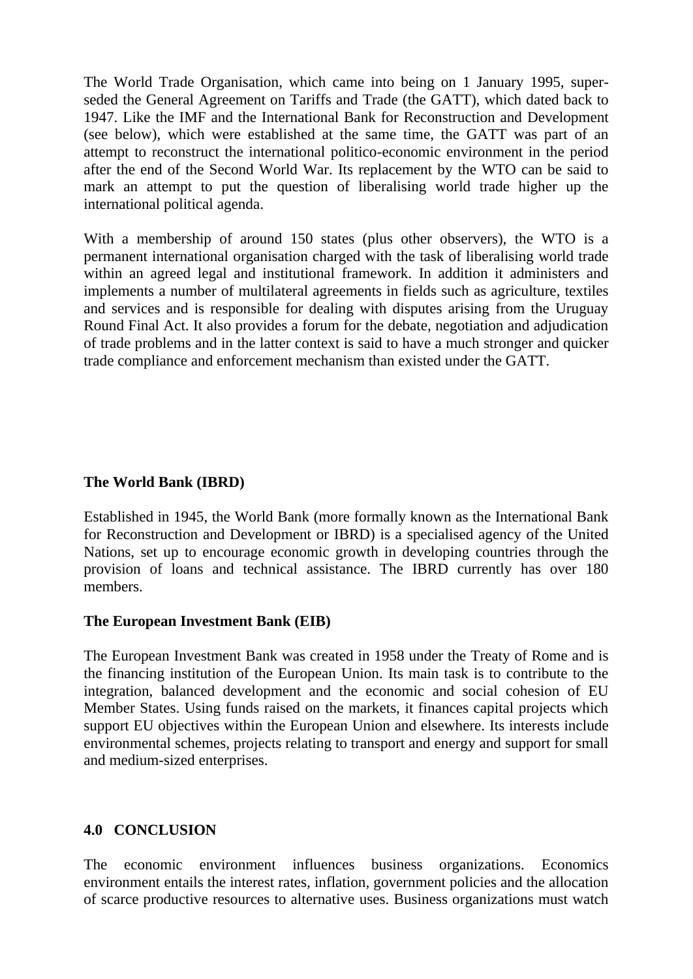The World Trade Organisation, which came into being on 1 January 1995, superseded the General Agreement on Tariffs and Trade (the GATT), which dated back to 1947. Like the IMF and the International Bank for Reconstruction and Development (see below), which were established at the same time, the GATT was part of an attempt to reconstruct the international politico-economic environment in the period after the end of the Second World War. Its replacement by the WTO can be said to mark an attempt to put the question of liberalising world trade higher up the international political agenda.

With a membership of around 150 states (plus other observers), the WTO is a permanent international organisation charged with the task of liberalising world trade within an agreed legal and institutional framework. In addition it administers and implements a number of multilateral agreements in fields such as agriculture, textiles and services and is responsible for dealing with disputes arising from the Uruguay Round Final Act. It also provides a forum for the debate, negotiation and adjudication of trade problems and in the latter context is said to have a much stronger and quicker trade compliance and enforcement mechanism than existed under the GATT.

## **The World Bank (IBRD)**

Established in 1945, the World Bank (more formally known as the International Bank for Reconstruction and Development or IBRD) is a specialised agency of the United Nations, set up to encourage economic growth in developing countries through the provision of loans and technical assistance. The IBRD currently has over 180 members.

## **The European Investment Bank (EIB)**

The European Investment Bank was created in 1958 under the Treaty of Rome and is the financing institution of the European Union. Its main task is to contribute to the integration, balanced development and the economic and social cohesion of EU Member States. Using funds raised on the markets, it finances capital projects which support EU objectives within the European Union and elsewhere. Its interests include environmental schemes, projects relating to transport and energy and support for small and medium-sized enterprises.

### **4.0 CONCLUSION**

The economic environment influences business organizations. Economics environment entails the interest rates, inflation, government policies and the allocation of scarce productive resources to alternative uses. Business organizations must watch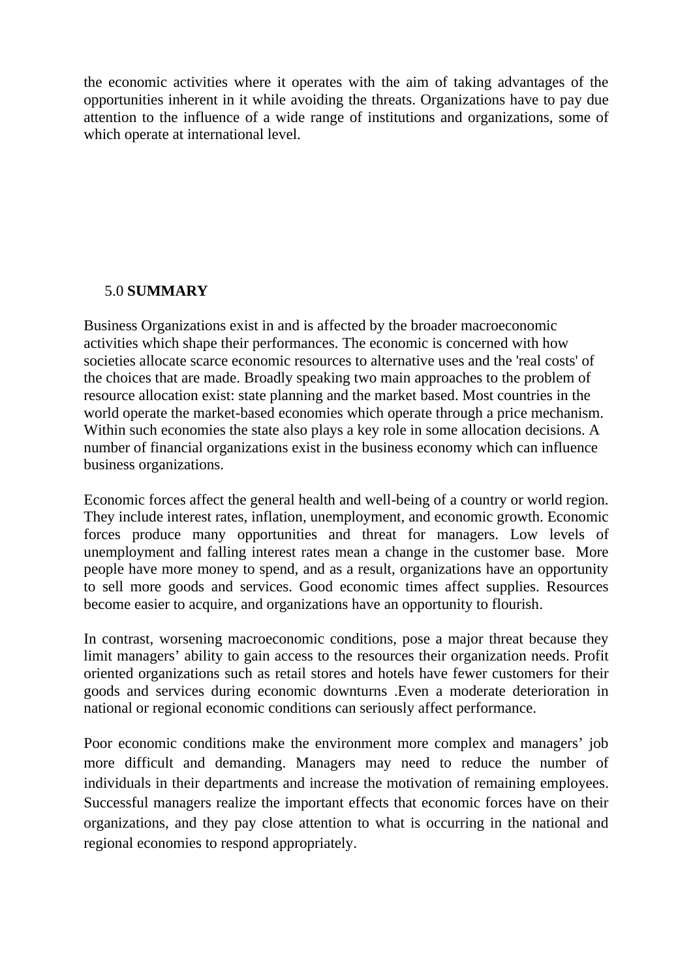the economic activities where it operates with the aim of taking advantages of the opportunities inherent in it while avoiding the threats. Organizations have to pay due attention to the influence of a wide range of institutions and organizations, some of which operate at international level.

## 5.0 **SUMMARY**

Business Organizations exist in and is affected by the broader macroeconomic activities which shape their performances. The economic is concerned with how societies allocate scarce economic resources to alternative uses and the 'real costs' of the choices that are made. Broadly speaking two main approaches to the problem of resource allocation exist: state planning and the market based. Most countries in the world operate the market-based economies which operate through a price mechanism. Within such economies the state also plays a key role in some allocation decisions. A number of financial organizations exist in the business economy which can influence business organizations.

Economic forces affect the general health and well-being of a country or world region. They include interest rates, inflation, unemployment, and economic growth. Economic forces produce many opportunities and threat for managers. Low levels of unemployment and falling interest rates mean a change in the customer base. More people have more money to spend, and as a result, organizations have an opportunity to sell more goods and services. Good economic times affect supplies. Resources become easier to acquire, and organizations have an opportunity to flourish.

In contrast, worsening macroeconomic conditions, pose a major threat because they limit managers' ability to gain access to the resources their organization needs. Profit oriented organizations such as retail stores and hotels have fewer customers for their goods and services during economic downturns .Even a moderate deterioration in national or regional economic conditions can seriously affect performance.

Poor economic conditions make the environment more complex and managers' job more difficult and demanding. Managers may need to reduce the number of individuals in their departments and increase the motivation of remaining employees. Successful managers realize the important effects that economic forces have on their organizations, and they pay close attention to what is occurring in the national and regional economies to respond appropriately.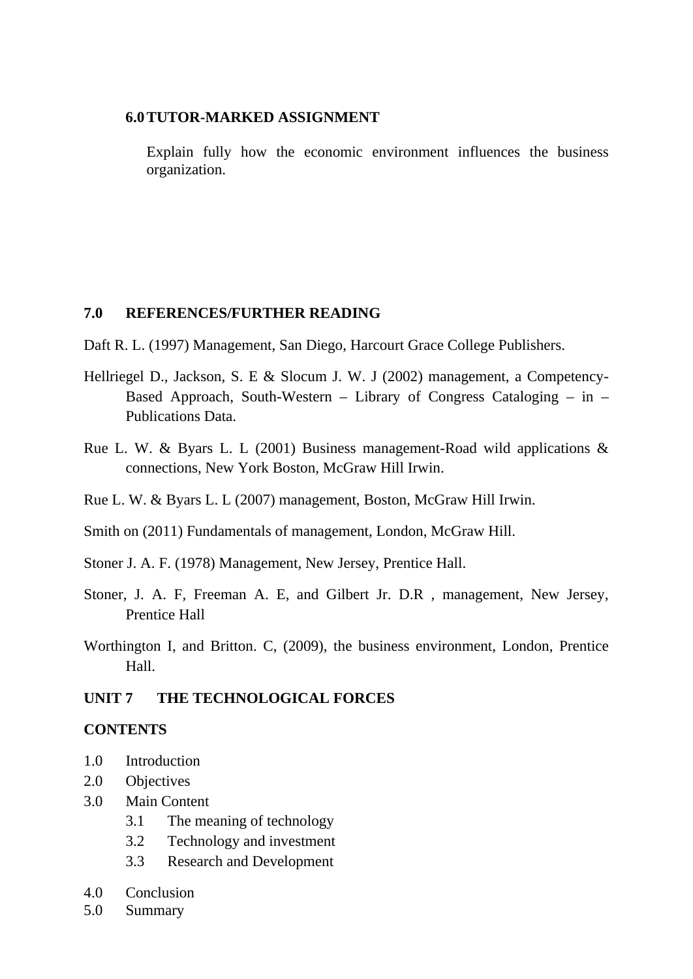#### **6.0TUTOR-MARKED ASSIGNMENT**

Explain fully how the economic environment influences the business organization.

## **7.0 REFERENCES/FURTHER READING**

- Daft R. L. (1997) Management, San Diego, Harcourt Grace College Publishers.
- Hellriegel D., Jackson, S. E & Slocum J. W. J (2002) management, a Competency-Based Approach, South-Western – Library of Congress Cataloging – in – Publications Data.
- Rue L. W. & Byars L. L (2001) Business management-Road wild applications & connections, New York Boston, McGraw Hill Irwin.
- Rue L. W. & Byars L. L (2007) management, Boston, McGraw Hill Irwin.
- Smith on (2011) Fundamentals of management, London, McGraw Hill.
- Stoner J. A. F. (1978) Management, New Jersey, Prentice Hall.
- Stoner, J. A. F, Freeman A. E, and Gilbert Jr. D.R , management, New Jersey, Prentice Hall
- Worthington I, and Britton. C, (2009), the business environment, London, Prentice Hall.

### **UNIT 7 THE TECHNOLOGICAL FORCES**

#### **CONTENTS**

- 1.0 Introduction
- 2.0 Objectives
- 3.0 Main Content
	- 3.1 The meaning of technology
	- 3.2 Technology and investment
	- 3.3 Research and Development
- 4.0 Conclusion
- 5.0 Summary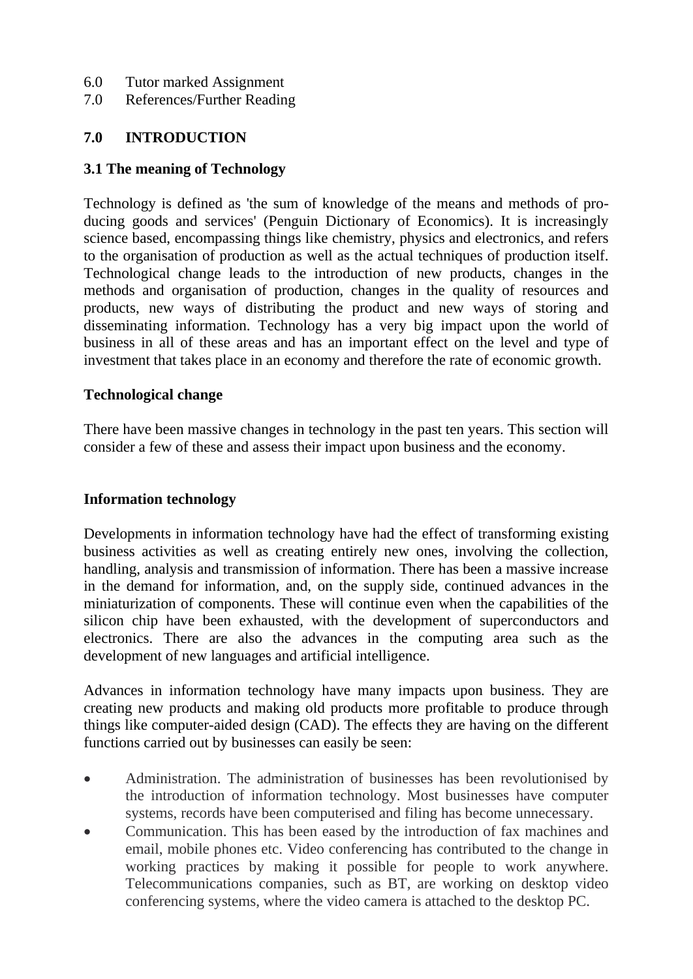- 6.0 Tutor marked Assignment
- 7.0 References/Further Reading

## **7.0 INTRODUCTION**

## **3.1 The meaning of Technology**

Technology is defined as 'the sum of knowledge of the means and methods of producing goods and services' (Penguin Dictionary of Economics). It is increasingly science based, encompassing things like chemistry, physics and electronics, and refers to the organisation of production as well as the actual techniques of production itself. Technological change leads to the introduction of new products, changes in the methods and organisation of production, changes in the quality of resources and products, new ways of distributing the product and new ways of storing and disseminating information. Technology has a very big impact upon the world of business in all of these areas and has an important effect on the level and type of investment that takes place in an economy and therefore the rate of economic growth.

### **Technological change**

There have been massive changes in technology in the past ten years. This section will consider a few of these and assess their impact upon business and the economy.

### **Information technology**

Developments in information technology have had the effect of transforming existing business activities as well as creating entirely new ones, involving the collection, handling, analysis and transmission of information. There has been a massive increase in the demand for information, and, on the supply side, continued advances in the miniaturization of components. These will continue even when the capabilities of the silicon chip have been exhausted, with the development of superconductors and electronics. There are also the advances in the computing area such as the development of new languages and artificial intelligence.

Advances in information technology have many impacts upon business. They are creating new products and making old products more profitable to produce through things like computer-aided design (CAD). The effects they are having on the different functions carried out by businesses can easily be seen:

- Administration. The administration of businesses has been revolutionised by the introduction of information technology. Most businesses have computer systems, records have been computerised and filing has become unnecessary.
- Communication. This has been eased by the introduction of fax machines and email, mobile phones etc. Video conferencing has contributed to the change in working practices by making it possible for people to work anywhere. Telecommunications companies, such as BT, are working on desktop video conferencing systems, where the video camera is attached to the desktop PC.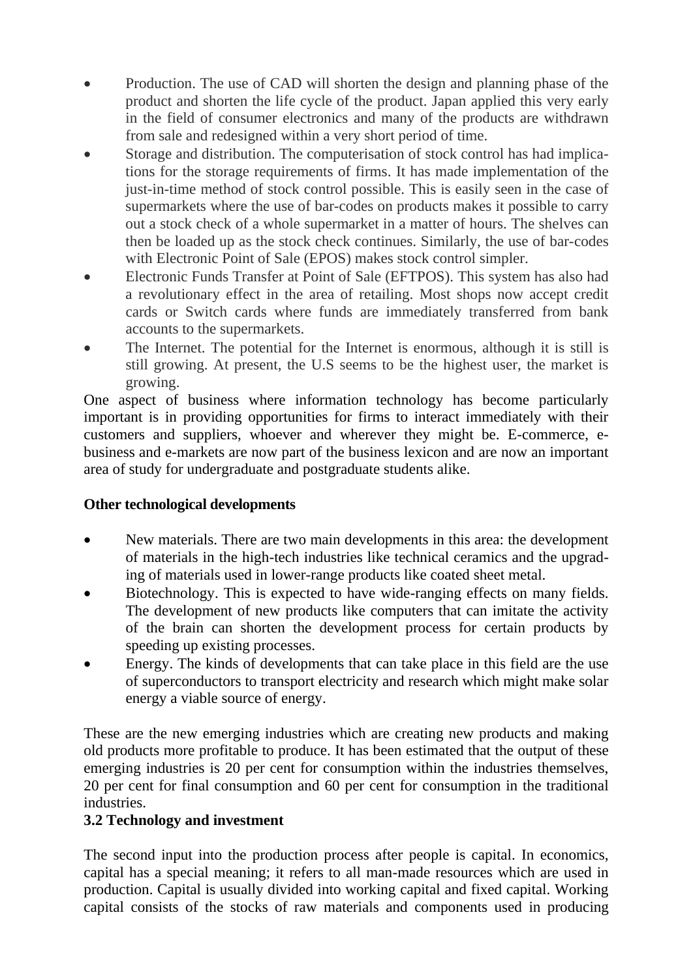- Production. The use of CAD will shorten the design and planning phase of the product and shorten the life cycle of the product. Japan applied this very early in the field of consumer electronics and many of the products are withdrawn from sale and redesigned within a very short period of time.
- Storage and distribution. The computerisation of stock control has had implications for the storage requirements of firms. It has made implementation of the just-in-time method of stock control possible. This is easily seen in the case of supermarkets where the use of bar-codes on products makes it possible to carry out a stock check of a whole supermarket in a matter of hours. The shelves can then be loaded up as the stock check continues. Similarly, the use of bar-codes with Electronic Point of Sale (EPOS) makes stock control simpler.
- Electronic Funds Transfer at Point of Sale (EFTPOS). This system has also had a revolutionary effect in the area of retailing. Most shops now accept credit cards or Switch cards where funds are immediately transferred from bank accounts to the supermarkets.
- The Internet. The potential for the Internet is enormous, although it is still is still growing. At present, the U.S seems to be the highest user, the market is growing.

One aspect of business where information technology has become particularly important is in providing opportunities for firms to interact immediately with their customers and suppliers, whoever and wherever they might be. E-commerce, ebusiness and e-markets are now part of the business lexicon and are now an important area of study for undergraduate and postgraduate students alike.

# **Other technological developments**

- New materials. There are two main developments in this area: the development of materials in the high-tech industries like technical ceramics and the upgrading of materials used in lower-range products like coated sheet metal.
- Biotechnology. This is expected to have wide-ranging effects on many fields. The development of new products like computers that can imitate the activity of the brain can shorten the development process for certain products by speeding up existing processes.
- Energy. The kinds of developments that can take place in this field are the use of superconductors to transport electricity and research which might make solar energy a viable source of energy.

These are the new emerging industries which are creating new products and making old products more profitable to produce. It has been estimated that the output of these emerging industries is 20 per cent for consumption within the industries themselves, 20 per cent for final consumption and 60 per cent for consumption in the traditional industries.

## **3.2 Technology and investment**

The second input into the production process after people is capital. In economics, capital has a special meaning; it refers to all man-made resources which are used in production. Capital is usually divided into working capital and fixed capital. Working capital consists of the stocks of raw materials and components used in producing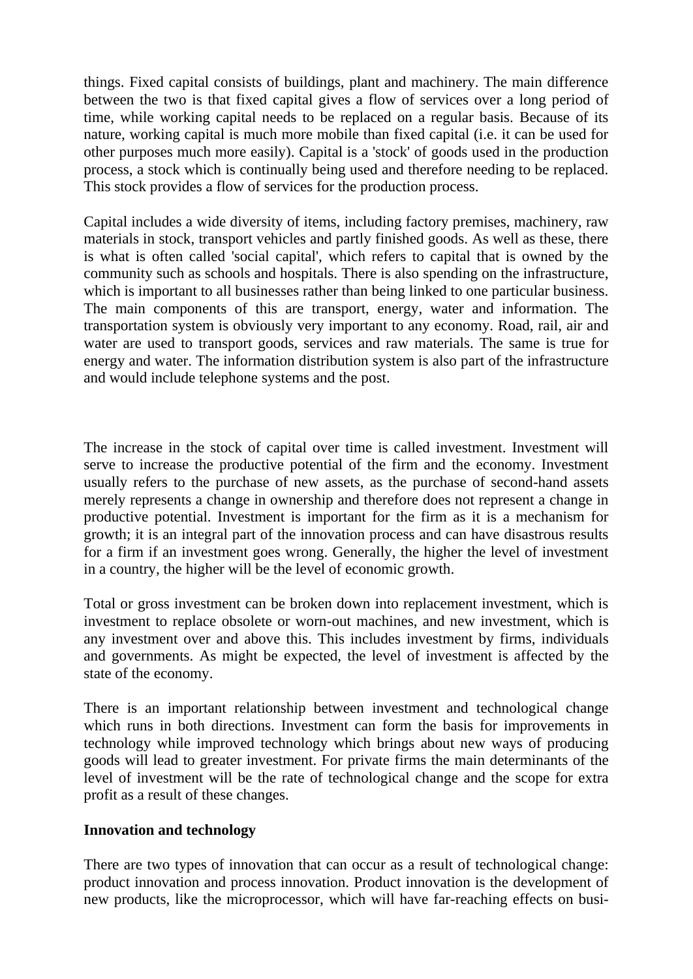things. Fixed capital consists of buildings, plant and machinery. The main difference between the two is that fixed capital gives a flow of services over a long period of time, while working capital needs to be replaced on a regular basis. Because of its nature, working capital is much more mobile than fixed capital (i.e. it can be used for other purposes much more easily). Capital is a 'stock' of goods used in the production process, a stock which is continually being used and therefore needing to be replaced. This stock provides a flow of services for the production process.

Capital includes a wide diversity of items, including factory premises, machinery, raw materials in stock, transport vehicles and partly finished goods. As well as these, there is what is often called 'social capital', which refers to capital that is owned by the community such as schools and hospitals. There is also spending on the infrastructure, which is important to all businesses rather than being linked to one particular business. The main components of this are transport, energy, water and information. The transportation system is obviously very important to any economy. Road, rail, air and water are used to transport goods, services and raw materials. The same is true for energy and water. The information distribution system is also part of the infrastructure and would include telephone systems and the post.

The increase in the stock of capital over time is called investment. Investment will serve to increase the productive potential of the firm and the economy. Investment usually refers to the purchase of new assets, as the purchase of second-hand assets merely represents a change in ownership and therefore does not represent a change in productive potential. Investment is important for the firm as it is a mechanism for growth; it is an integral part of the innovation process and can have disastrous results for a firm if an investment goes wrong. Generally, the higher the level of investment in a country, the higher will be the level of economic growth.

Total or gross investment can be broken down into replacement investment, which is investment to replace obsolete or worn-out machines, and new investment, which is any investment over and above this. This includes investment by firms, individuals and governments. As might be expected, the level of investment is affected by the state of the economy.

There is an important relationship between investment and technological change which runs in both directions. Investment can form the basis for improvements in technology while improved technology which brings about new ways of producing goods will lead to greater investment. For private firms the main determinants of the level of investment will be the rate of technological change and the scope for extra profit as a result of these changes.

### **Innovation and technology**

There are two types of innovation that can occur as a result of technological change: product innovation and process innovation. Product innovation is the development of new products, like the microprocessor, which will have far-reaching effects on busi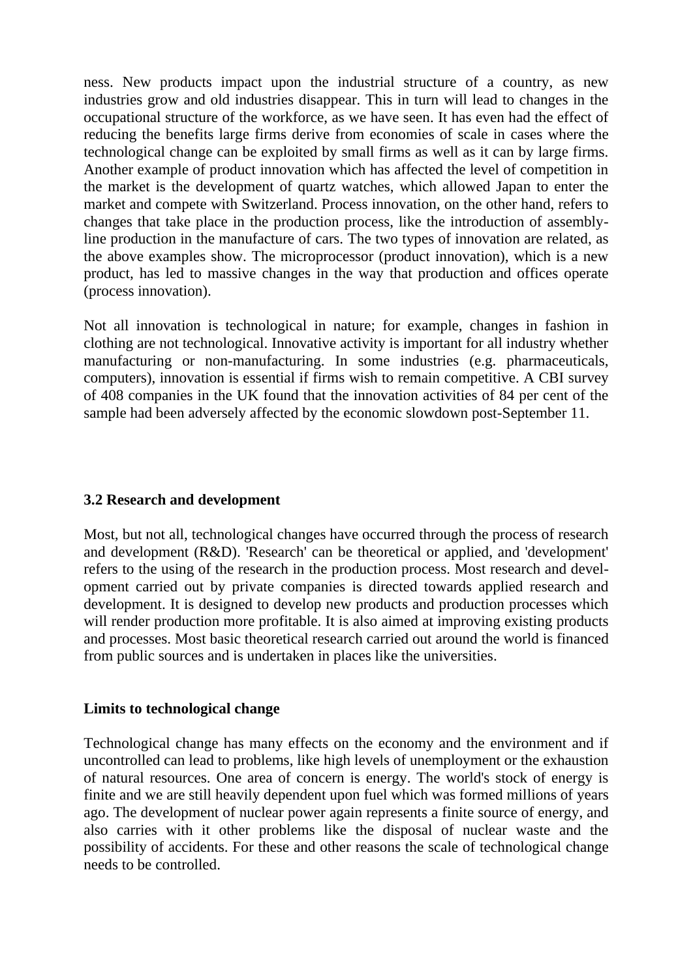ness. New products impact upon the industrial structure of a country, as new industries grow and old industries disappear. This in turn will lead to changes in the occupational structure of the workforce, as we have seen. It has even had the effect of reducing the benefits large firms derive from economies of scale in cases where the technological change can be exploited by small firms as well as it can by large firms. Another example of product innovation which has affected the level of competition in the market is the development of quartz watches, which allowed Japan to enter the market and compete with Switzerland. Process innovation, on the other hand, refers to changes that take place in the production process, like the introduction of assemblyline production in the manufacture of cars. The two types of innovation are related, as the above examples show. The microprocessor (product innovation), which is a new product, has led to massive changes in the way that production and offices operate (process innovation).

Not all innovation is technological in nature; for example, changes in fashion in clothing are not technological. Innovative activity is important for all industry whether manufacturing or non-manufacturing. In some industries (e.g. pharmaceuticals, computers), innovation is essential if firms wish to remain competitive. A CBI survey of 408 companies in the UK found that the innovation activities of 84 per cent of the sample had been adversely affected by the economic slowdown post-September 11.

## **3.2 Research and development**

Most, but not all, technological changes have occurred through the process of research and development (R&D). 'Research' can be theoretical or applied, and 'development' refers to the using of the research in the production process. Most research and development carried out by private companies is directed towards applied research and development. It is designed to develop new products and production processes which will render production more profitable. It is also aimed at improving existing products and processes. Most basic theoretical research carried out around the world is financed from public sources and is undertaken in places like the universities.

### **Limits to technological change**

Technological change has many effects on the economy and the environment and if uncontrolled can lead to problems, like high levels of unemployment or the exhaustion of natural resources. One area of concern is energy. The world's stock of energy is finite and we are still heavily dependent upon fuel which was formed millions of years ago. The development of nuclear power again represents a finite source of energy, and also carries with it other problems like the disposal of nuclear waste and the possibility of accidents. For these and other reasons the scale of technological change needs to be controlled.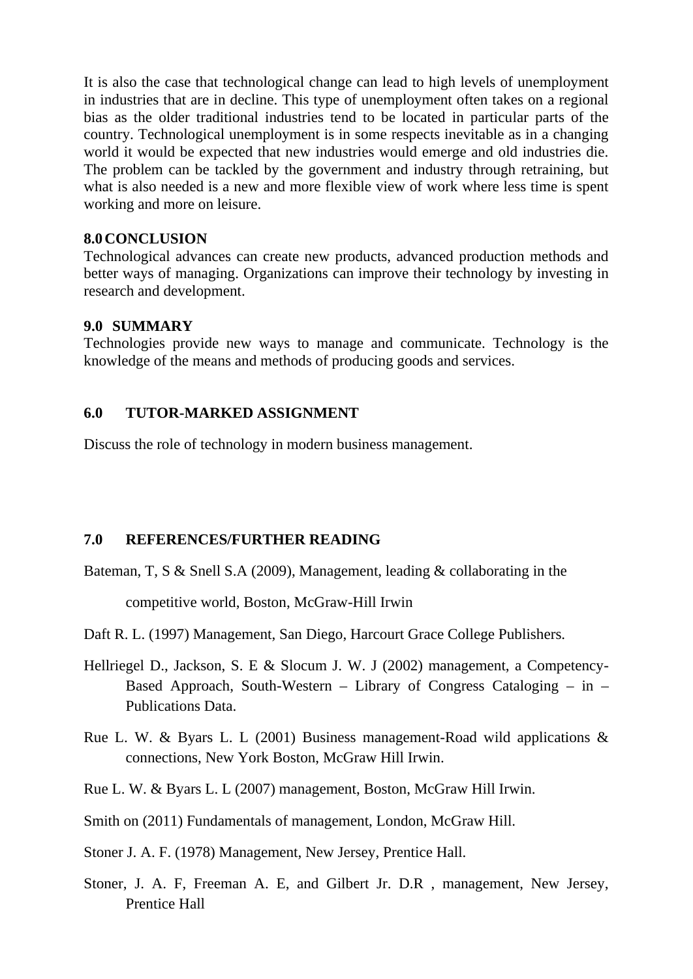It is also the case that technological change can lead to high levels of unemployment in industries that are in decline. This type of unemployment often takes on a regional bias as the older traditional industries tend to be located in particular parts of the country. Technological unemployment is in some respects inevitable as in a changing world it would be expected that new industries would emerge and old industries die. The problem can be tackled by the government and industry through retraining, but what is also needed is a new and more flexible view of work where less time is spent working and more on leisure.

### **8.0CONCLUSION**

Technological advances can create new products, advanced production methods and better ways of managing. Organizations can improve their technology by investing in research and development.

### **9.0 SUMMARY**

Technologies provide new ways to manage and communicate. Technology is the knowledge of the means and methods of producing goods and services.

### **6.0 TUTOR-MARKED ASSIGNMENT**

Discuss the role of technology in modern business management.

## **7.0 REFERENCES/FURTHER READING**

Bateman, T, S & Snell S.A (2009), Management, leading & collaborating in the

competitive world, Boston, McGraw-Hill Irwin

Daft R. L. (1997) Management, San Diego, Harcourt Grace College Publishers.

- Hellriegel D., Jackson, S. E & Slocum J. W. J (2002) management, a Competency-Based Approach, South-Western – Library of Congress Cataloging – in – Publications Data.
- Rue L. W. & Byars L. L (2001) Business management-Road wild applications & connections, New York Boston, McGraw Hill Irwin.
- Rue L. W. & Byars L. L (2007) management, Boston, McGraw Hill Irwin.
- Smith on (2011) Fundamentals of management, London, McGraw Hill.

Stoner J. A. F. (1978) Management, New Jersey, Prentice Hall.

Stoner, J. A. F, Freeman A. E, and Gilbert Jr. D.R , management, New Jersey, Prentice Hall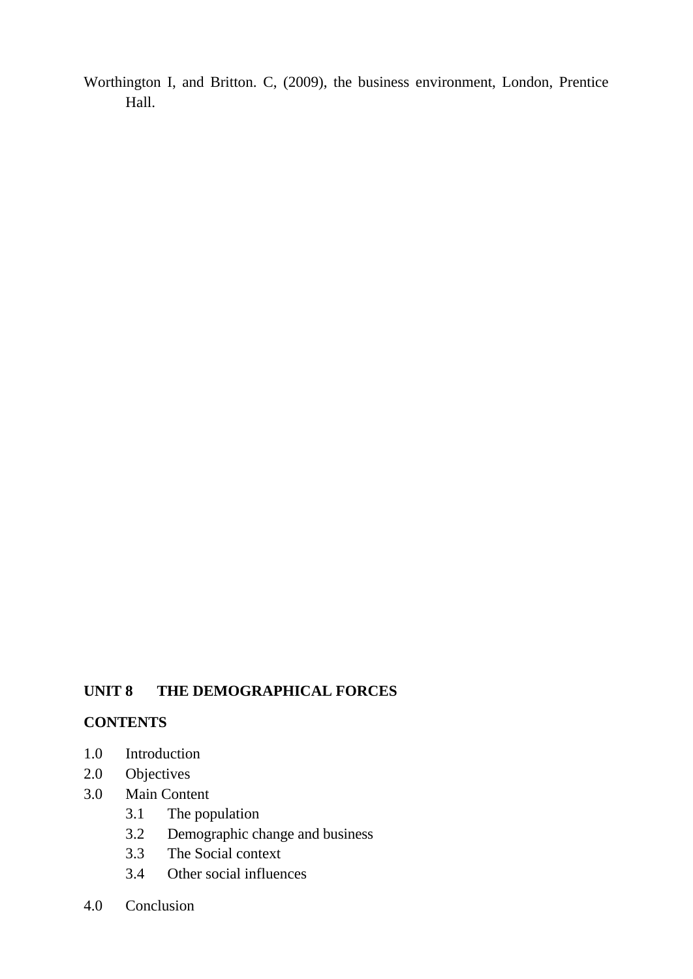Worthington I, and Britton. C, (2009), the business environment, London, Prentice Hall.

## **UNIT 8 THE DEMOGRAPHICAL FORCES**

## **CONTENTS**

- 1.0 Introduction
- 2.0 Objectives
- 3.0 Main Content
	- 3.1 The population
	- 3.2 Demographic change and business
	- 3.3 The Social context
	- 3.4 Other social influences
- 4.0 Conclusion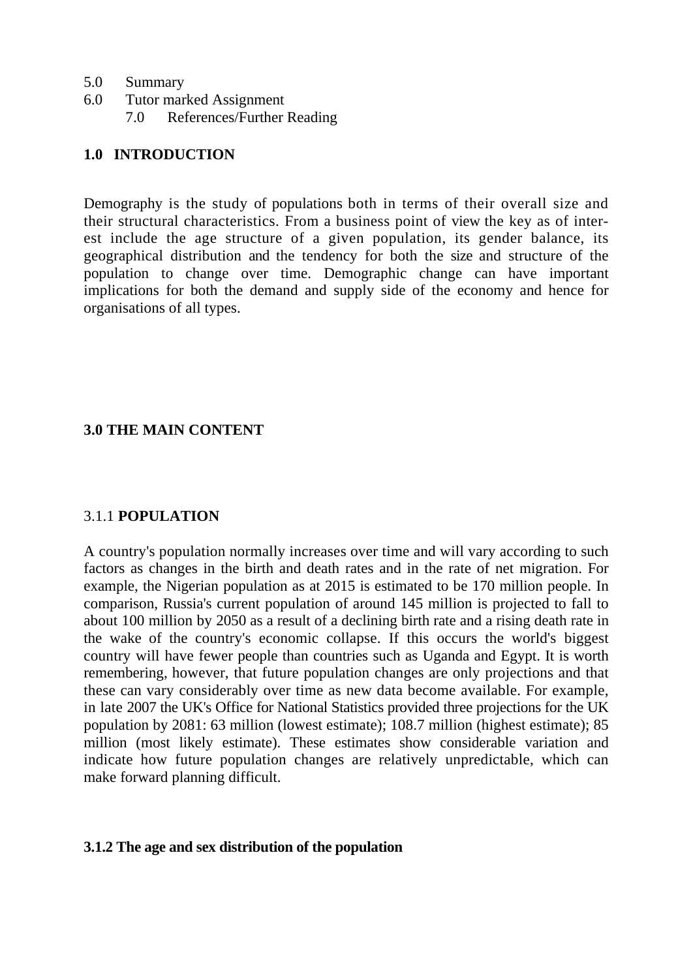- 5.0 Summary
- 6.0 Tutor marked Assignment 7.0 References/Further Reading

### **1.0 INTRODUCTION**

Demography is the study of populations both in terms of their overall size and their structural characteristics. From a business point of view the key as of interest include the age structure of a given population, its gender balance, its geographical distribution and the tendency for both the size and structure of the population to change over time. Demographic change can have important implications for both the demand and supply side of the economy and hence for organisations of all types.

### **3.0 THE MAIN CONTENT**

### 3.1.1 **POPULATION**

A country's population normally increases over time and will vary according to such factors as changes in the birth and death rates and in the rate of net migration. For example, the Nigerian population as at 2015 is estimated to be 170 million people. In comparison, Russia's current population of around 145 million is projected to fall to about 100 million by 2050 as a result of a declining birth rate and a rising death rate in the wake of the country's economic collapse. If this occurs the world's biggest country will have fewer people than countries such as Uganda and Egypt. It is worth remembering, however, that future population changes are only projections and that these can vary considerably over time as new data become available. For example, in late 2007 the UK's Office for National Statistics provided three projections for the UK population by 2081: 63 million (lowest estimate); 108.7 million (highest estimate); 85 million (most likely estimate). These estimates show considerable variation and indicate how future population changes are relatively unpredictable, which can make forward planning difficult.

### **3.1.2 The age and sex distribution of the population**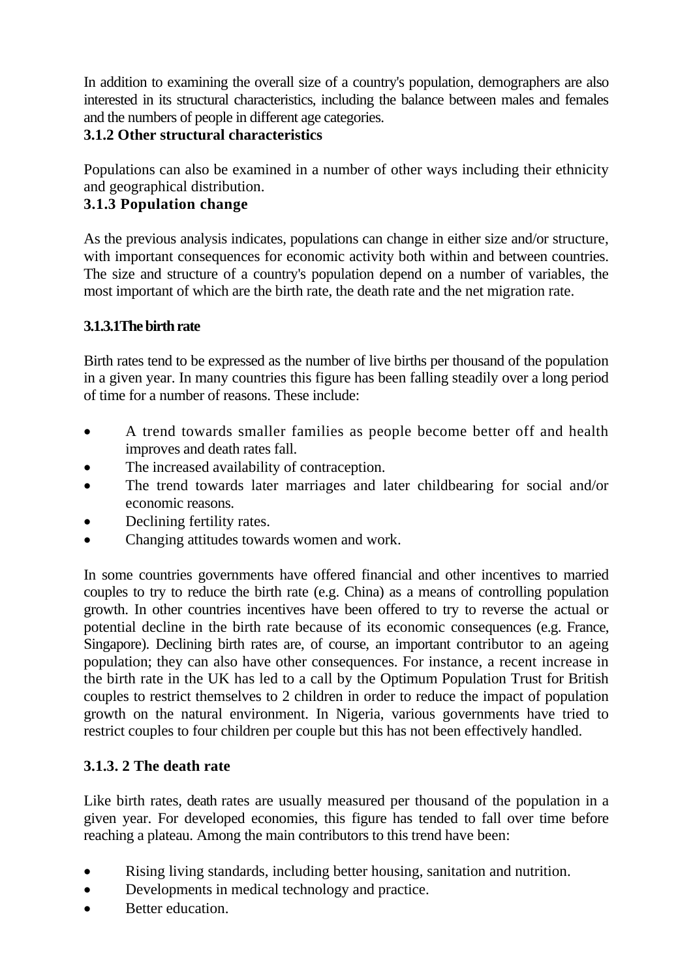In addition to examining the overall size of a country's population, demographers are also interested in its structural characteristics, including the balance between males and females and the numbers of people in different age categories.

# **3.1.2 Other structural characteristics**

Populations can also be examined in a number of other ways including their ethnicity and geographical distribution.

# **3.1.3 Population change**

As the previous analysis indicates, populations can change in either size and/or structure, with important consequences for economic activity both within and between countries. The size and structure of a country's population depend on a number of variables, the most important of which are the birth rate, the death rate and the net migration rate.

# **3.1.3.1The birth rate**

Birth rates tend to be expressed as the number of live births per thousand of the population in a given year. In many countries this figure has been falling steadily over a long period of time for a number of reasons. These include:

- A trend towards smaller families as people become better off and health improves and death rates fall.
- The increased availability of contraception.
- The trend towards later marriages and later childbearing for social and/or economic reasons.
- Declining fertility rates.
- Changing attitudes towards women and work.

In some countries governments have offered financial and other incentives to married couples to try to reduce the birth rate (e.g. China) as a means of controlling population growth. In other countries incentives have been offered to try to reverse the actual or potential decline in the birth rate because of its economic consequences (e.g. France, Singapore). Declining birth rates are, of course, an important contributor to an ageing population; they can also have other consequences. For instance, a recent increase in the birth rate in the UK has led to a call by the Optimum Population Trust for British couples to restrict themselves to 2 children in order to reduce the impact of population growth on the natural environment. In Nigeria, various governments have tried to restrict couples to four children per couple but this has not been effectively handled.

# **3.1.3. 2 The death rate**

Like birth rates, death rates are usually measured per thousand of the population in a given year. For developed economies, this figure has tended to fall over time before reaching a plateau. Among the main contributors to this trend have been:

- Rising living standards, including better housing, sanitation and nutrition.
- Developments in medical technology and practice.
- Better education.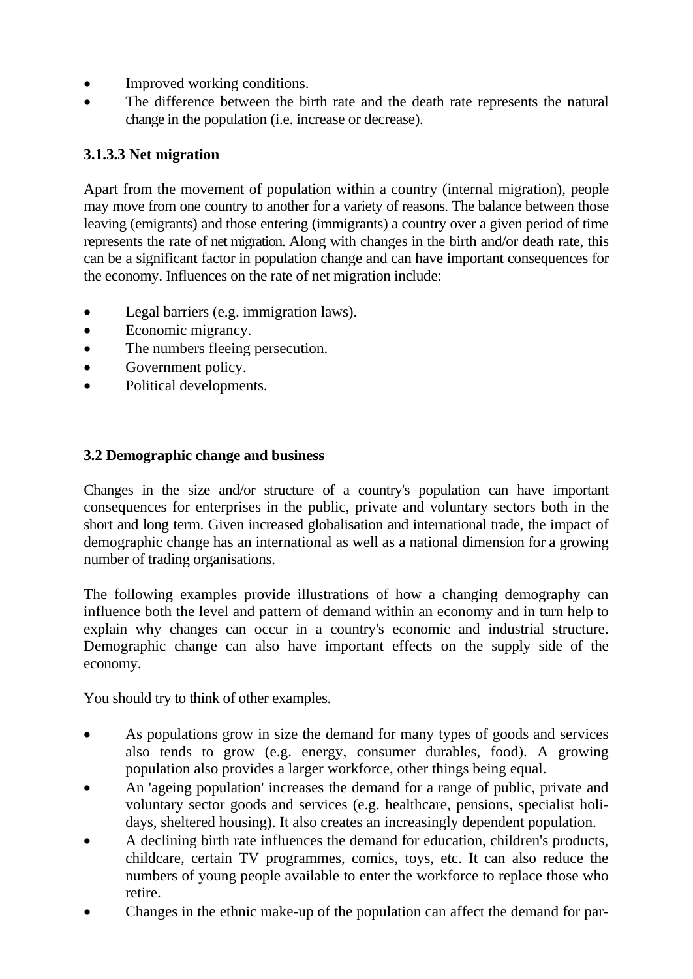- Improved working conditions.
- The difference between the birth rate and the death rate represents the natural change in the population (i.e. increase or decrease).

# **3.1.3.3 Net migration**

Apart from the movement of population within a country (internal migration), people may move from one country to another for a variety of reasons. The balance between those leaving (emigrants) and those entering (immigrants) a country over a given period of time represents the rate of net migration. Along with changes in the birth and/or death rate, this can be a significant factor in population change and can have important consequences for the economy. Influences on the rate of net migration include:

- Legal barriers (e.g. immigration laws).
- Economic migrancy.
- The numbers fleeing persecution.
- Government policy.
- Political developments.

## **3.2 Demographic change and business**

Changes in the size and/or structure of a country's population can have important consequences for enterprises in the public, private and voluntary sectors both in the short and long term. Given increased globalisation and international trade, the impact of demographic change has an international as well as a national dimension for a growing number of trading organisations.

The following examples provide illustrations of how a changing demography can influence both the level and pattern of demand within an economy and in turn help to explain why changes can occur in a country's economic and industrial structure. Demographic change can also have important effects on the supply side of the economy.

You should try to think of other examples.

- As populations grow in size the demand for many types of goods and services also tends to grow (e.g. energy, consumer durables, food). A growing population also provides a larger workforce, other things being equal.
- An 'ageing population' increases the demand for a range of public, private and voluntary sector goods and services (e.g. healthcare, pensions, specialist holidays, sheltered housing). It also creates an increasingly dependent population.
- A declining birth rate influences the demand for education, children's products, childcare, certain TV programmes, comics, toys, etc. It can also reduce the numbers of young people available to enter the workforce to replace those who retire.
- Changes in the ethnic make-up of the population can affect the demand for par-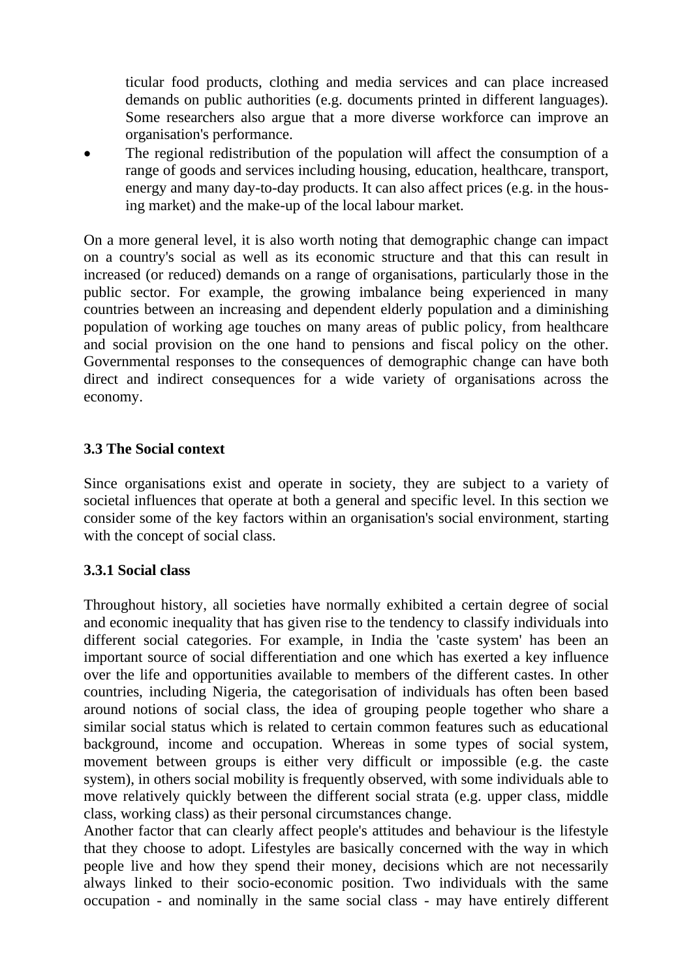ticular food products, clothing and media services and can place increased demands on public authorities (e.g. documents printed in different languages). Some researchers also argue that a more diverse workforce can improve an organisation's performance.

• The regional redistribution of the population will affect the consumption of a range of goods and services including housing, education, healthcare, transport, energy and many day-to-day products. It can also affect prices (e.g. in the housing market) and the make-up of the local labour market.

On a more general level, it is also worth noting that demographic change can impact on a country's social as well as its economic structure and that this can result in increased (or reduced) demands on a range of organisations, particularly those in the public sector. For example, the growing imbalance being experienced in many countries between an increasing and dependent elderly population and a diminishing population of working age touches on many areas of public policy, from healthcare and social provision on the one hand to pensions and fiscal policy on the other. Governmental responses to the consequences of demographic change can have both direct and indirect consequences for a wide variety of organisations across the economy.

# **3.3 The Social context**

Since organisations exist and operate in society, they are subject to a variety of societal influences that operate at both a general and specific level. In this section we consider some of the key factors within an organisation's social environment, starting with the concept of social class.

## **3.3.1 Social class**

Throughout history, all societies have normally exhibited a certain degree of social and economic inequality that has given rise to the tendency to classify individuals into different social categories. For example, in India the 'caste system' has been an important source of social differentiation and one which has exerted a key influence over the life and opportunities available to members of the different castes. In other countries, including Nigeria, the categorisation of individuals has often been based around notions of social class, the idea of grouping people together who share a similar social status which is related to certain common features such as educational background, income and occupation. Whereas in some types of social system, movement between groups is either very difficult or impossible (e.g. the caste system), in others social mobility is frequently observed, with some individuals able to move relatively quickly between the different social strata (e.g. upper class, middle class, working class) as their personal circumstances change.

Another factor that can clearly affect people's attitudes and behaviour is the lifestyle that they choose to adopt. Lifestyles are basically concerned with the way in which people live and how they spend their money, decisions which are not necessarily always linked to their socio-economic position. Two individuals with the same occupation - and nominally in the same social class - may have entirely different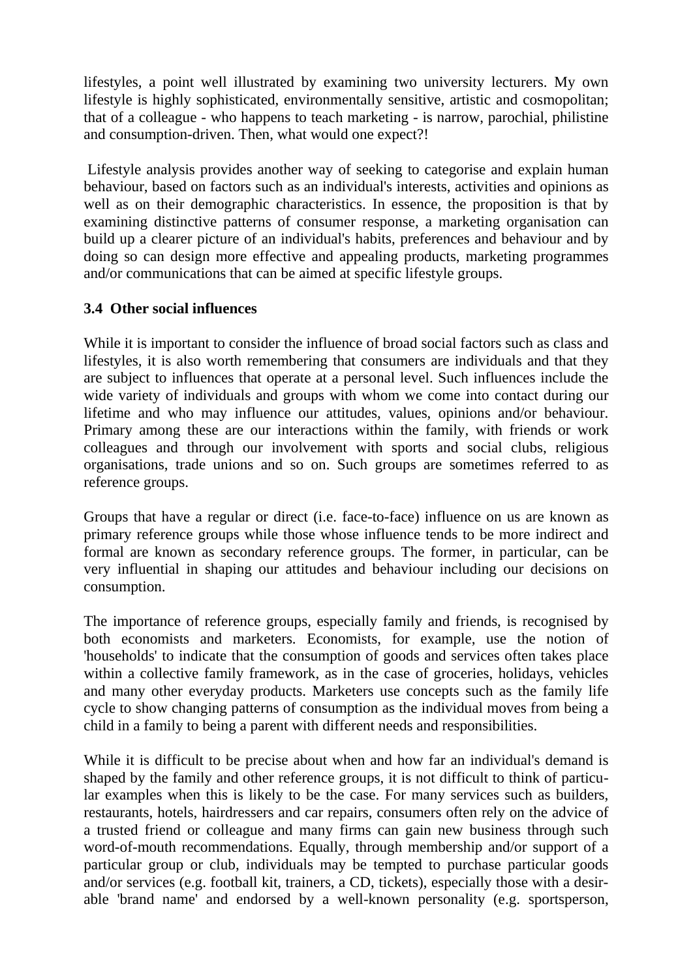lifestyles, a point well illustrated by examining two university lecturers. My own lifestyle is highly sophisticated, environmentally sensitive, artistic and cosmopolitan; that of a colleague - who happens to teach marketing - is narrow, parochial, philistine and consumption-driven. Then, what would one expect?!

Lifestyle analysis provides another way of seeking to categorise and explain human behaviour, based on factors such as an individual's interests, activities and opinions as well as on their demographic characteristics. In essence, the proposition is that by examining distinctive patterns of consumer response, a marketing organisation can build up a clearer picture of an individual's habits, preferences and behaviour and by doing so can design more effective and appealing products, marketing programmes and/or communications that can be aimed at specific lifestyle groups.

## **3.4 Other social influences**

While it is important to consider the influence of broad social factors such as class and lifestyles, it is also worth remembering that consumers are individuals and that they are subject to influences that operate at a personal level. Such influences include the wide variety of individuals and groups with whom we come into contact during our lifetime and who may influence our attitudes, values, opinions and/or behaviour. Primary among these are our interactions within the family, with friends or work colleagues and through our involvement with sports and social clubs, religious organisations, trade unions and so on. Such groups are sometimes referred to as reference groups.

Groups that have a regular or direct (i.e. face-to-face) influence on us are known as primary reference groups while those whose influence tends to be more indirect and formal are known as secondary reference groups. The former, in particular, can be very influential in shaping our attitudes and behaviour including our decisions on consumption.

The importance of reference groups, especially family and friends, is recognised by both economists and marketers. Economists, for example, use the notion of 'households' to indicate that the consumption of goods and services often takes place within a collective family framework, as in the case of groceries, holidays, vehicles and many other everyday products. Marketers use concepts such as the family life cycle to show changing patterns of consumption as the individual moves from being a child in a family to being a parent with different needs and responsibilities.

While it is difficult to be precise about when and how far an individual's demand is shaped by the family and other reference groups, it is not difficult to think of particular examples when this is likely to be the case. For many services such as builders, restaurants, hotels, hairdressers and car repairs, consumers often rely on the advice of a trusted friend or colleague and many firms can gain new business through such word-of-mouth recommendations. Equally, through membership and/or support of a particular group or club, individuals may be tempted to purchase particular goods and/or services (e.g. football kit, trainers, a CD, tickets), especially those with a desirable 'brand name' and endorsed by a well-known personality (e.g. sportsperson,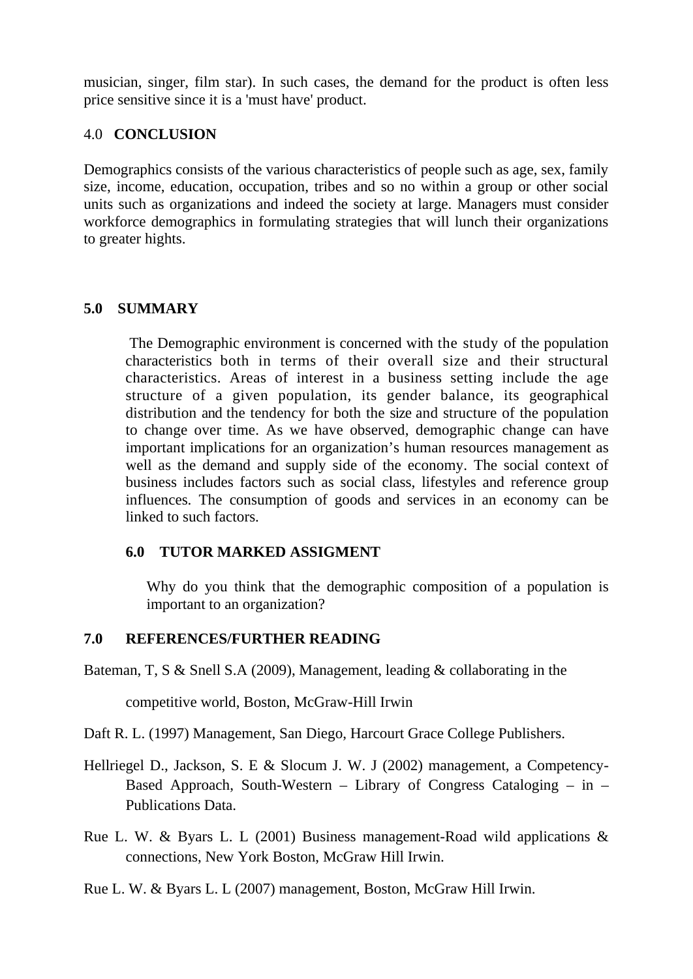musician, singer, film star). In such cases, the demand for the product is often less price sensitive since it is a 'must have' product.

### 4.0 **CONCLUSION**

Demographics consists of the various characteristics of people such as age, sex, family size, income, education, occupation, tribes and so no within a group or other social units such as organizations and indeed the society at large. Managers must consider workforce demographics in formulating strategies that will lunch their organizations to greater hights.

### **5.0 SUMMARY**

The Demographic environment is concerned with the study of the population characteristics both in terms of their overall size and their structural characteristics. Areas of interest in a business setting include the age structure of a given population, its gender balance, its geographical distribution and the tendency for both the size and structure of the population to change over time. As we have observed, demographic change can have important implications for an organization's human resources management as well as the demand and supply side of the economy. The social context of business includes factors such as social class, lifestyles and reference group influences. The consumption of goods and services in an economy can be linked to such factors.

### **6.0 TUTOR MARKED ASSIGMENT**

Why do you think that the demographic composition of a population is important to an organization?

## **7.0 REFERENCES/FURTHER READING**

Bateman, T, S & Snell S.A (2009), Management, leading & collaborating in the

competitive world, Boston, McGraw-Hill Irwin

- Daft R. L. (1997) Management, San Diego, Harcourt Grace College Publishers.
- Hellriegel D., Jackson, S. E & Slocum J. W. J (2002) management, a Competency-Based Approach, South-Western – Library of Congress Cataloging – in – Publications Data.
- Rue L. W. & Byars L. L (2001) Business management-Road wild applications & connections, New York Boston, McGraw Hill Irwin.
- Rue L. W. & Byars L. L (2007) management, Boston, McGraw Hill Irwin.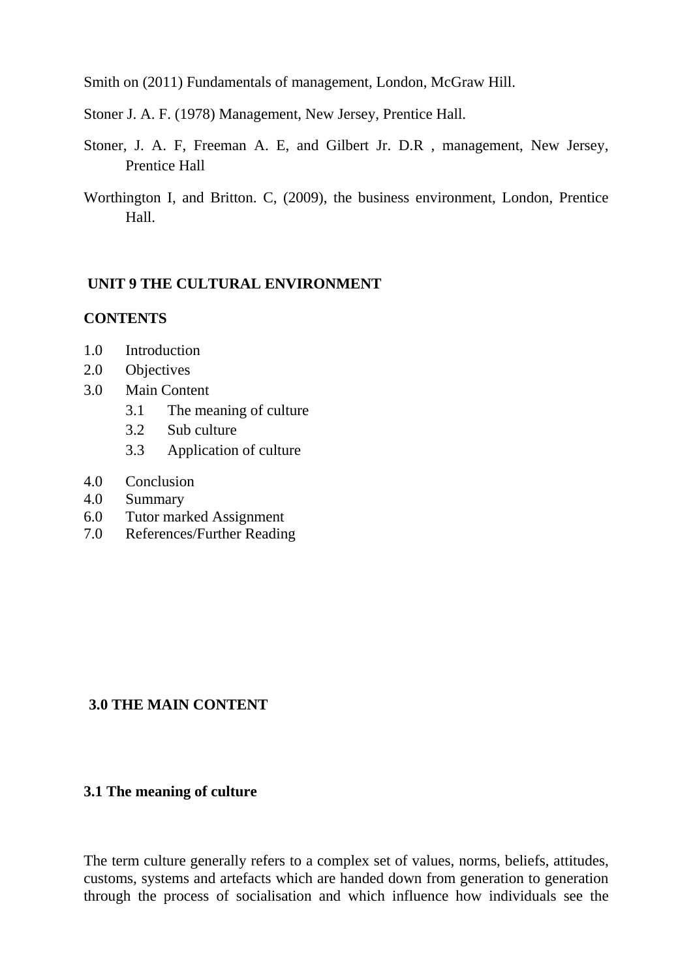Smith on (2011) Fundamentals of management, London, McGraw Hill.

Stoner J. A. F. (1978) Management, New Jersey, Prentice Hall.

- Stoner, J. A. F, Freeman A. E, and Gilbert Jr. D.R , management, New Jersey, Prentice Hall
- Worthington I, and Britton. C, (2009), the business environment, London, Prentice Hall.

### **UNIT 9 THE CULTURAL ENVIRONMENT**

### **CONTENTS**

- 1.0 Introduction
- 2.0 Objectives
- 3.0 Main Content
	- 3.1 The meaning of culture
	- 3.2 Sub culture
	- 3.3 Application of culture
- 4.0 Conclusion
- 4.0 Summary
- 6.0 Tutor marked Assignment
- 7.0 References/Further Reading

### **3.0 THE MAIN CONTENT**

#### **3.1 The meaning of culture**

The term culture generally refers to a complex set of values, norms, beliefs, attitudes, customs, systems and artefacts which are handed down from generation to generation through the process of socialisation and which influence how individuals see the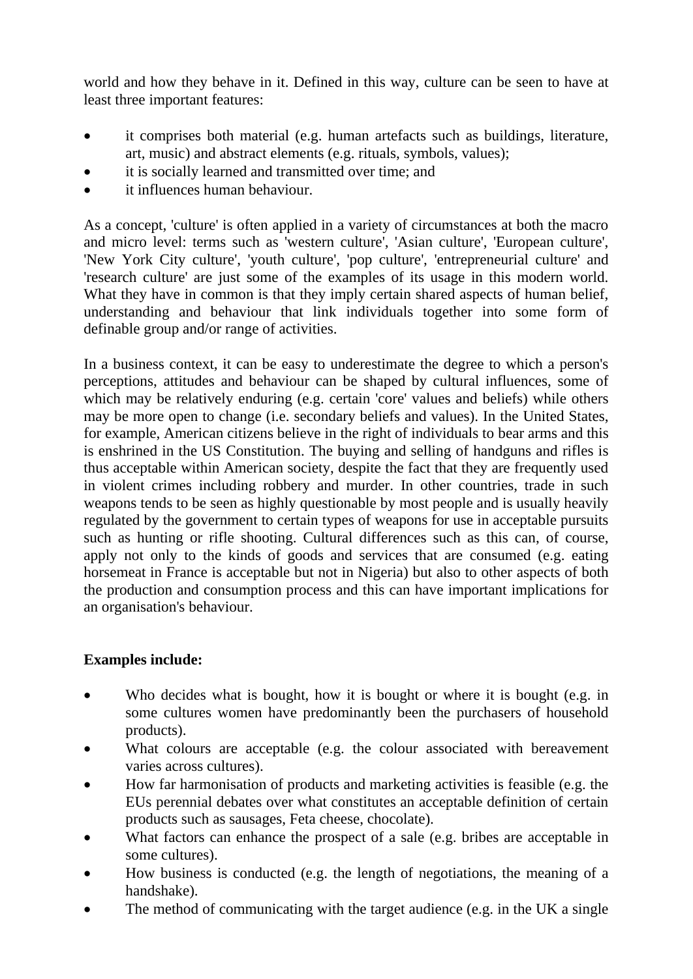world and how they behave in it. Defined in this way, culture can be seen to have at least three important features:

- it comprises both material (e.g. human artefacts such as buildings, literature, art, music) and abstract elements (e.g. rituals, symbols, values);
- it is socially learned and transmitted over time; and
- it influences human behaviour.

As a concept, 'culture' is often applied in a variety of circumstances at both the macro and micro level: terms such as 'western culture', 'Asian culture', 'European culture', 'New York City culture', 'youth culture', 'pop culture', 'entrepreneurial culture' and 'research culture' are just some of the examples of its usage in this modern world. What they have in common is that they imply certain shared aspects of human belief, understanding and behaviour that link individuals together into some form of definable group and/or range of activities.

In a business context, it can be easy to underestimate the degree to which a person's perceptions, attitudes and behaviour can be shaped by cultural influences, some of which may be relatively enduring (e.g. certain 'core' values and beliefs) while others may be more open to change (i.e. secondary beliefs and values). In the United States, for example, American citizens believe in the right of individuals to bear arms and this is enshrined in the US Constitution. The buying and selling of handguns and rifles is thus acceptable within American society, despite the fact that they are frequently used in violent crimes including robbery and murder. In other countries, trade in such weapons tends to be seen as highly questionable by most people and is usually heavily regulated by the government to certain types of weapons for use in acceptable pursuits such as hunting or rifle shooting. Cultural differences such as this can, of course, apply not only to the kinds of goods and services that are consumed (e.g. eating horsemeat in France is acceptable but not in Nigeria) but also to other aspects of both the production and consumption process and this can have important implications for an organisation's behaviour.

# **Examples include:**

- Who decides what is bought, how it is bought or where it is bought (e.g. in some cultures women have predominantly been the purchasers of household products).
- What colours are acceptable (e.g. the colour associated with bereavement varies across cultures).
- How far harmonisation of products and marketing activities is feasible (e.g. the EUs perennial debates over what constitutes an acceptable definition of certain products such as sausages, Feta cheese, chocolate).
- What factors can enhance the prospect of a sale (e.g. bribes are acceptable in some cultures).
- How business is conducted (e.g. the length of negotiations, the meaning of a handshake).
- The method of communicating with the target audience (e.g. in the UK a single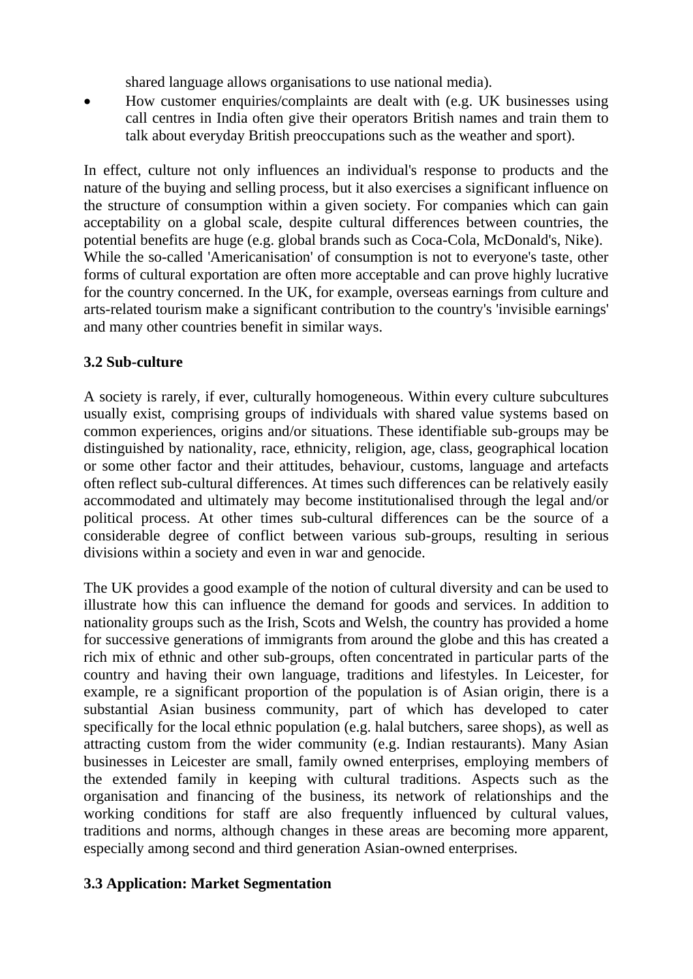shared language allows organisations to use national media).

• How customer enquiries/complaints are dealt with (e.g. UK businesses using call centres in India often give their operators British names and train them to talk about everyday British preoccupations such as the weather and sport).

In effect, culture not only influences an individual's response to products and the nature of the buying and selling process, but it also exercises a significant influence on the structure of consumption within a given society. For companies which can gain acceptability on a global scale, despite cultural differences between countries, the potential benefits are huge (e.g. global brands such as Coca-Cola, McDonald's, Nike). While the so-called 'Americanisation' of consumption is not to everyone's taste, other forms of cultural exportation are often more acceptable and can prove highly lucrative for the country concerned. In the UK, for example, overseas earnings from culture and arts-related tourism make a significant contribution to the country's 'invisible earnings' and many other countries benefit in similar ways.

## **3.2 Sub-culture**

A society is rarely, if ever, culturally homogeneous. Within every culture subcultures usually exist, comprising groups of individuals with shared value systems based on common experiences, origins and/or situations. These identifiable sub-groups may be distinguished by nationality, race, ethnicity, religion, age, class, geographical location or some other factor and their attitudes, behaviour, customs, language and artefacts often reflect sub-cultural differences. At times such differences can be relatively easily accommodated and ultimately may become institutionalised through the legal and/or political process. At other times sub-cultural differences can be the source of a considerable degree of conflict between various sub-groups, resulting in serious divisions within a society and even in war and genocide.

The UK provides a good example of the notion of cultural diversity and can be used to illustrate how this can influence the demand for goods and services. In addition to nationality groups such as the Irish, Scots and Welsh, the country has provided a home for successive generations of immigrants from around the globe and this has created a rich mix of ethnic and other sub-groups, often concentrated in particular parts of the country and having their own language, traditions and lifestyles. In Leicester, for example, re a significant proportion of the population is of Asian origin, there is a substantial Asian business community, part of which has developed to cater specifically for the local ethnic population (e.g. halal butchers, saree shops), as well as attracting custom from the wider community (e.g. Indian restaurants). Many Asian businesses in Leicester are small, family owned enterprises, employing members of the extended family in keeping with cultural traditions. Aspects such as the organisation and financing of the business, its network of relationships and the working conditions for staff are also frequently influenced by cultural values, traditions and norms, although changes in these areas are becoming more apparent, especially among second and third generation Asian-owned enterprises.

# **3.3 Application: Market Segmentation**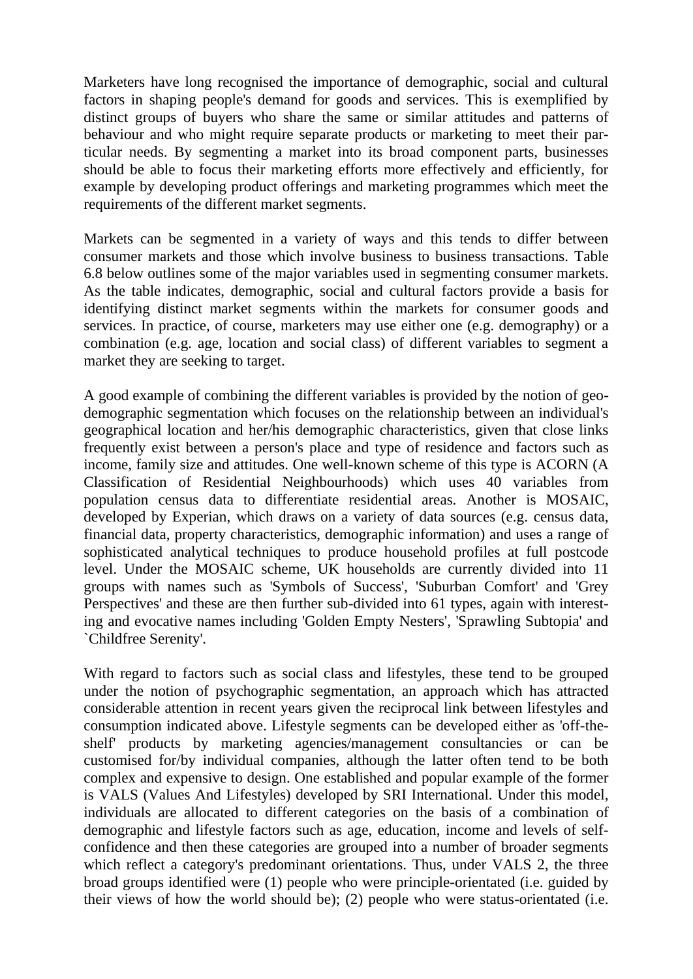Marketers have long recognised the importance of demographic, social and cultural factors in shaping people's demand for goods and services. This is exemplified by distinct groups of buyers who share the same or similar attitudes and patterns of behaviour and who might require separate products or marketing to meet their particular needs. By segmenting a market into its broad component parts, businesses should be able to focus their marketing efforts more effectively and efficiently, for example by developing product offerings and marketing programmes which meet the requirements of the different market segments.

Markets can be segmented in a variety of ways and this tends to differ between consumer markets and those which involve business to business transactions. Table 6.8 below outlines some of the major variables used in segmenting consumer markets. As the table indicates, demographic, social and cultural factors provide a basis for identifying distinct market segments within the markets for consumer goods and services. In practice, of course, marketers may use either one (e.g. demography) or a combination (e.g. age, location and social class) of different variables to segment a market they are seeking to target.

A good example of combining the different variables is provided by the notion of geodemographic segmentation which focuses on the relationship between an individual's geographical location and her/his demographic characteristics, given that close links frequently exist between a person's place and type of residence and factors such as income, family size and attitudes. One well-known scheme of this type is ACORN (A Classification of Residential Neighbourhoods) which uses 40 variables from population census data to differentiate residential areas. Another is MOSAIC, developed by Experian, which draws on a variety of data sources (e.g. census data, financial data, property characteristics, demographic information) and uses a range of sophisticated analytical techniques to produce household profiles at full postcode level. Under the MOSAIC scheme, UK households are currently divided into 11 groups with names such as 'Symbols of Success', 'Suburban Comfort' and 'Grey Perspectives' and these are then further sub-divided into 61 types, again with interesting and evocative names including 'Golden Empty Nesters', 'Sprawling Subtopia' and `Childfree Serenity'.

With regard to factors such as social class and lifestyles, these tend to be grouped under the notion of psychographic segmentation, an approach which has attracted considerable attention in recent years given the reciprocal link between lifestyles and consumption indicated above. Lifestyle segments can be developed either as 'off-theshelf' products by marketing agencies/management consultancies or can be customised for/by individual companies, although the latter often tend to be both complex and expensive to design. One established and popular example of the former is VALS (Values And Lifestyles) developed by SRI International. Under this model, individuals are allocated to different categories on the basis of a combination of demographic and lifestyle factors such as age, education, income and levels of selfconfidence and then these categories are grouped into a number of broader segments which reflect a category's predominant orientations. Thus, under VALS 2, the three broad groups identified were (1) people who were principle-orientated (i.e. guided by their views of how the world should be); (2) people who were status-orientated (i.e.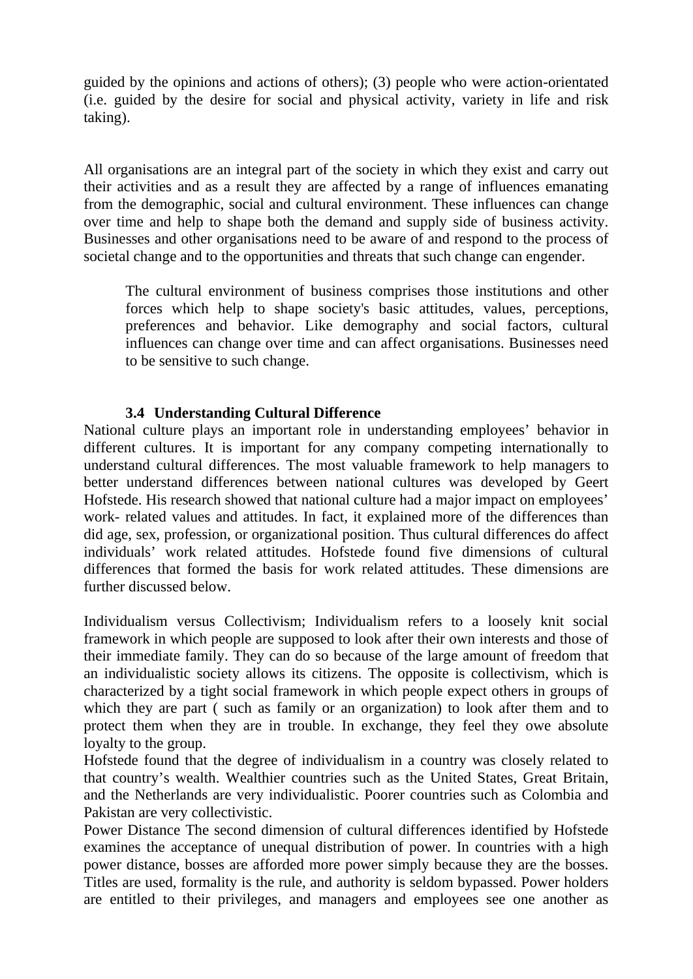guided by the opinions and actions of others); (3) people who were action-orientated (i.e. guided by the desire for social and physical activity, variety in life and risk taking).

All organisations are an integral part of the society in which they exist and carry out their activities and as a result they are affected by a range of influences emanating from the demographic, social and cultural environment. These influences can change over time and help to shape both the demand and supply side of business activity. Businesses and other organisations need to be aware of and respond to the process of societal change and to the opportunities and threats that such change can engender.

The cultural environment of business comprises those institutions and other forces which help to shape society's basic attitudes, values, perceptions, preferences and behavior. Like demography and social factors, cultural influences can change over time and can affect organisations. Businesses need to be sensitive to such change.

## **3.4 Understanding Cultural Difference**

National culture plays an important role in understanding employees' behavior in different cultures. It is important for any company competing internationally to understand cultural differences. The most valuable framework to help managers to better understand differences between national cultures was developed by Geert Hofstede. His research showed that national culture had a major impact on employees' work- related values and attitudes. In fact, it explained more of the differences than did age, sex, profession, or organizational position. Thus cultural differences do affect individuals' work related attitudes. Hofstede found five dimensions of cultural differences that formed the basis for work related attitudes. These dimensions are further discussed below.

Individualism versus Collectivism; Individualism refers to a loosely knit social framework in which people are supposed to look after their own interests and those of their immediate family. They can do so because of the large amount of freedom that an individualistic society allows its citizens. The opposite is collectivism, which is characterized by a tight social framework in which people expect others in groups of which they are part ( such as family or an organization) to look after them and to protect them when they are in trouble. In exchange, they feel they owe absolute loyalty to the group.

Hofstede found that the degree of individualism in a country was closely related to that country's wealth. Wealthier countries such as the United States, Great Britain, and the Netherlands are very individualistic. Poorer countries such as Colombia and Pakistan are very collectivistic.

Power Distance The second dimension of cultural differences identified by Hofstede examines the acceptance of unequal distribution of power. In countries with a high power distance, bosses are afforded more power simply because they are the bosses. Titles are used, formality is the rule, and authority is seldom bypassed. Power holders are entitled to their privileges, and managers and employees see one another as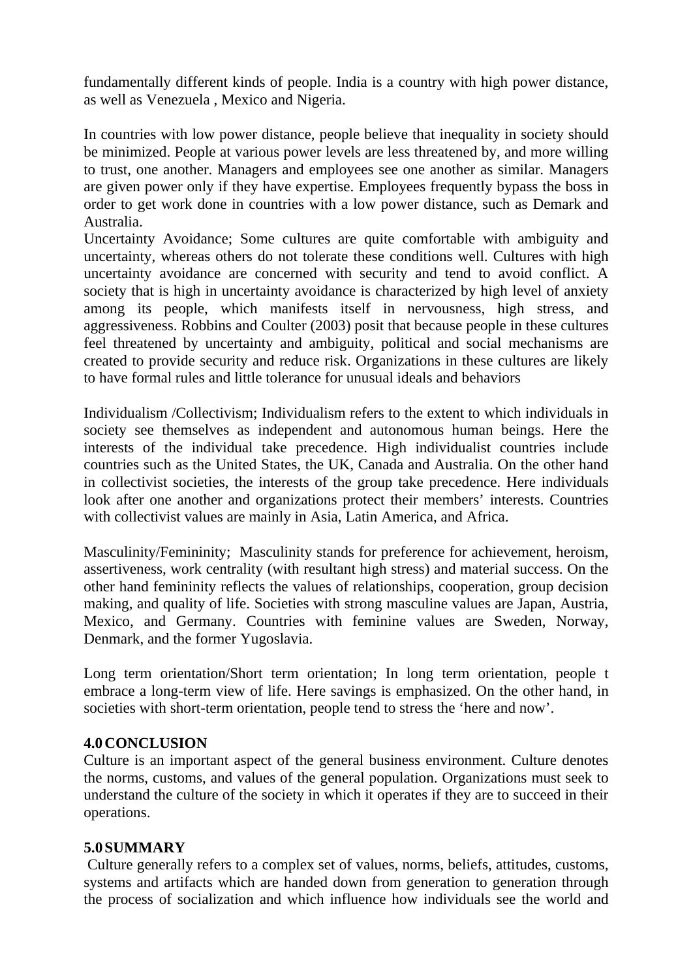fundamentally different kinds of people. India is a country with high power distance, as well as Venezuela , Mexico and Nigeria.

In countries with low power distance, people believe that inequality in society should be minimized. People at various power levels are less threatened by, and more willing to trust, one another. Managers and employees see one another as similar. Managers are given power only if they have expertise. Employees frequently bypass the boss in order to get work done in countries with a low power distance, such as Demark and Australia.

Uncertainty Avoidance; Some cultures are quite comfortable with ambiguity and uncertainty, whereas others do not tolerate these conditions well. Cultures with high uncertainty avoidance are concerned with security and tend to avoid conflict. A society that is high in uncertainty avoidance is characterized by high level of anxiety among its people, which manifests itself in nervousness, high stress, and aggressiveness. Robbins and Coulter (2003) posit that because people in these cultures feel threatened by uncertainty and ambiguity, political and social mechanisms are created to provide security and reduce risk. Organizations in these cultures are likely to have formal rules and little tolerance for unusual ideals and behaviors

Individualism /Collectivism; Individualism refers to the extent to which individuals in society see themselves as independent and autonomous human beings. Here the interests of the individual take precedence. High individualist countries include countries such as the United States, the UK, Canada and Australia. On the other hand in collectivist societies, the interests of the group take precedence. Here individuals look after one another and organizations protect their members' interests. Countries with collectivist values are mainly in Asia, Latin America, and Africa.

Masculinity/Femininity; Masculinity stands for preference for achievement, heroism, assertiveness, work centrality (with resultant high stress) and material success. On the other hand femininity reflects the values of relationships, cooperation, group decision making, and quality of life. Societies with strong masculine values are Japan, Austria, Mexico, and Germany. Countries with feminine values are Sweden, Norway, Denmark, and the former Yugoslavia.

Long term orientation/Short term orientation; In long term orientation, people t embrace a long-term view of life. Here savings is emphasized. On the other hand, in societies with short-term orientation, people tend to stress the 'here and now'.

## **4.0CONCLUSION**

Culture is an important aspect of the general business environment. Culture denotes the norms, customs, and values of the general population. Organizations must seek to understand the culture of the society in which it operates if they are to succeed in their operations.

## **5.0SUMMARY**

Culture generally refers to a complex set of values, norms, beliefs, attitudes, customs, systems and artifacts which are handed down from generation to generation through the process of socialization and which influence how individuals see the world and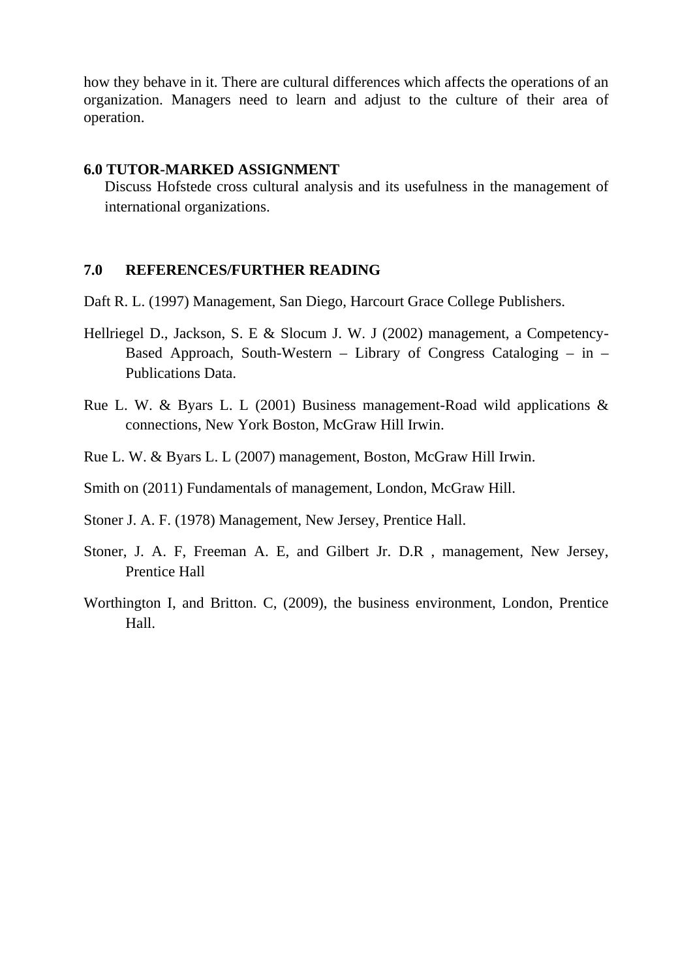how they behave in it. There are cultural differences which affects the operations of an organization. Managers need to learn and adjust to the culture of their area of operation.

#### **6.0 TUTOR-MARKED ASSIGNMENT**

Discuss Hofstede cross cultural analysis and its usefulness in the management of international organizations.

#### **7.0 REFERENCES/FURTHER READING**

Daft R. L. (1997) Management, San Diego, Harcourt Grace College Publishers.

- Hellriegel D., Jackson, S. E & Slocum J. W. J (2002) management, a Competency-Based Approach, South-Western – Library of Congress Cataloging – in – Publications Data.
- Rue L. W. & Byars L. L (2001) Business management-Road wild applications & connections, New York Boston, McGraw Hill Irwin.
- Rue L. W. & Byars L. L (2007) management, Boston, McGraw Hill Irwin.
- Smith on (2011) Fundamentals of management, London, McGraw Hill.

Stoner J. A. F. (1978) Management, New Jersey, Prentice Hall.

- Stoner, J. A. F, Freeman A. E, and Gilbert Jr. D.R , management, New Jersey, Prentice Hall
- Worthington I, and Britton. C, (2009), the business environment, London, Prentice Hall.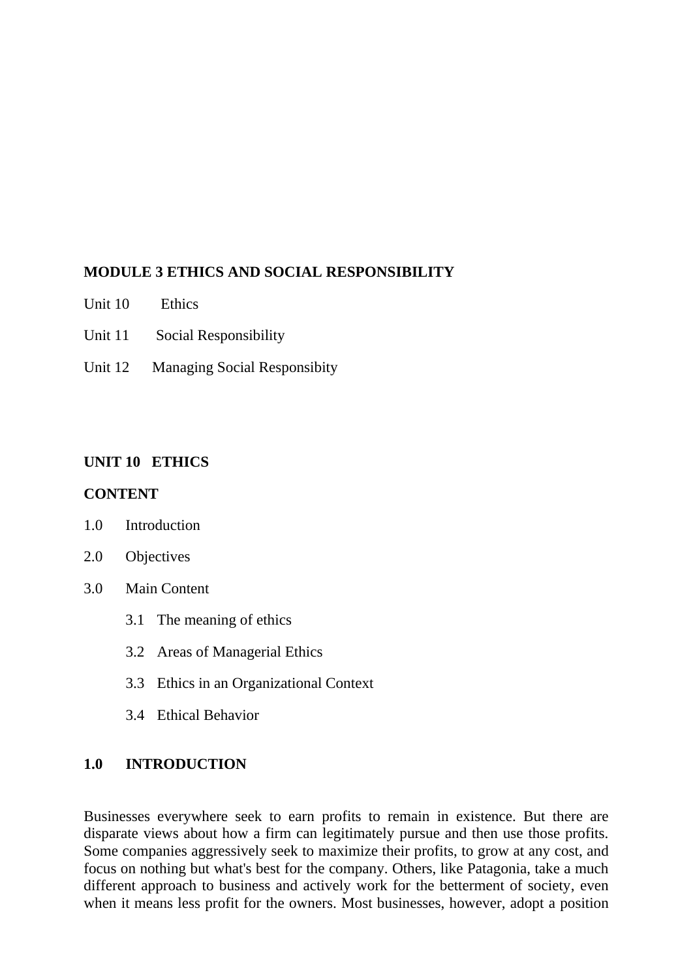# **MODULE 3 ETHICS AND SOCIAL RESPONSIBILITY**

- Unit 10 Ethics
- Unit 11 Social Responsibility
- Unit 12 Managing Social Responsibity

## **UNIT 10 ETHICS**

## **CONTENT**

- 1.0 Introduction
- 2.0 Objectives
- 3.0 Main Content
	- 3.1 The meaning of ethics
	- 3.2 Areas of Managerial Ethics
	- 3.3 Ethics in an Organizational Context
	- 3.4 Ethical Behavior

## **1.0 INTRODUCTION**

Businesses everywhere seek to earn profits to remain in existence. But there are disparate views about how a firm can legitimately pursue and then use those profits. Some companies aggressively seek to maximize their profits, to grow at any cost, and focus on nothing but what's best for the company. Others, like Patagonia, take a much different approach to business and actively work for the betterment of society, even when it means less profit for the owners. Most businesses, however, adopt a position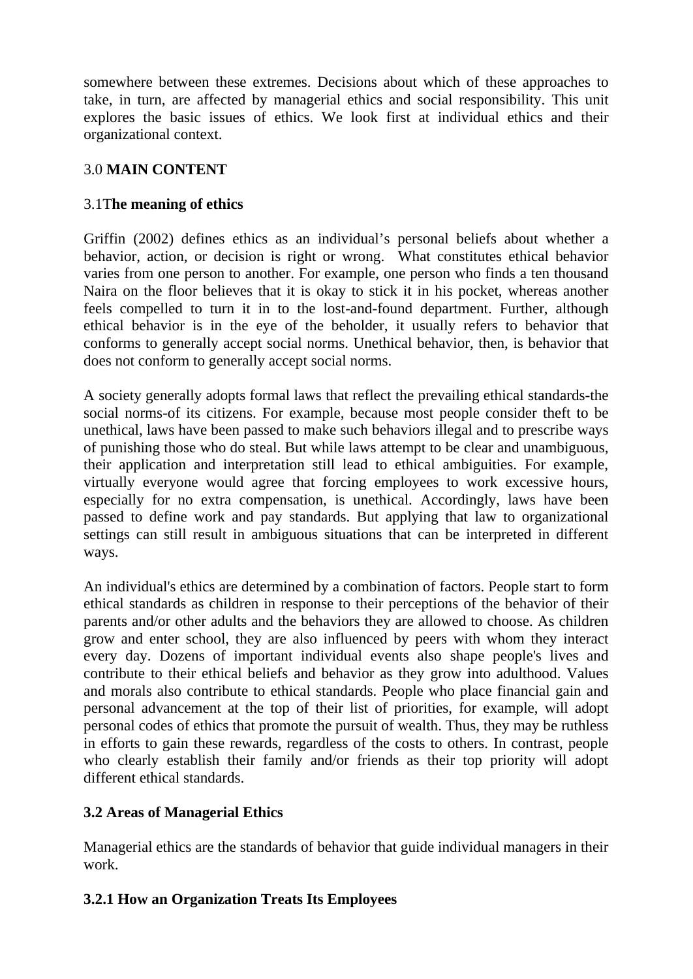somewhere between these extremes. Decisions about which of these approaches to take, in turn, are affected by managerial ethics and social responsibility. This unit explores the basic issues of ethics. We look first at individual ethics and their organizational context.

# 3.0 **MAIN CONTENT**

# 3.1T**he meaning of ethics**

Griffin (2002) defines ethics as an individual's personal beliefs about whether a behavior, action, or decision is right or wrong. What constitutes ethical behavior varies from one person to another. For example, one person who finds a ten thousand Naira on the floor believes that it is okay to stick it in his pocket, whereas another feels compelled to turn it in to the lost-and-found department. Further, although ethical behavior is in the eye of the beholder, it usually refers to behavior that conforms to generally accept social norms. Unethical behavior, then, is behavior that does not conform to generally accept social norms.

A society generally adopts formal laws that reflect the prevailing ethical standards-the social norms-of its citizens. For example, because most people consider theft to be unethical, laws have been passed to make such behaviors illegal and to prescribe ways of punishing those who do steal. But while laws attempt to be clear and unambiguous, their application and interpretation still lead to ethical ambiguities. For example, virtually everyone would agree that forcing employees to work excessive hours, especially for no extra compensation, is unethical. Accordingly, laws have been passed to define work and pay standards. But applying that law to organizational settings can still result in ambiguous situations that can be interpreted in different ways.

An individual's ethics are determined by a combination of factors. People start to form ethical standards as children in response to their perceptions of the behavior of their parents and/or other adults and the behaviors they are allowed to choose. As children grow and enter school, they are also influenced by peers with whom they interact every day. Dozens of important individual events also shape people's lives and contribute to their ethical beliefs and behavior as they grow into adulthood. Values and morals also contribute to ethical standards. People who place financial gain and personal advancement at the top of their list of priorities, for example, will adopt personal codes of ethics that promote the pursuit of wealth. Thus, they may be ruthless in efforts to gain these rewards, regardless of the costs to others. In contrast, people who clearly establish their family and/or friends as their top priority will adopt different ethical standards.

# **3.2 Areas of Managerial Ethics**

Managerial ethics are the standards of behavior that guide individual managers in their work.

# **3.2.1 How an Organization Treats Its Employees**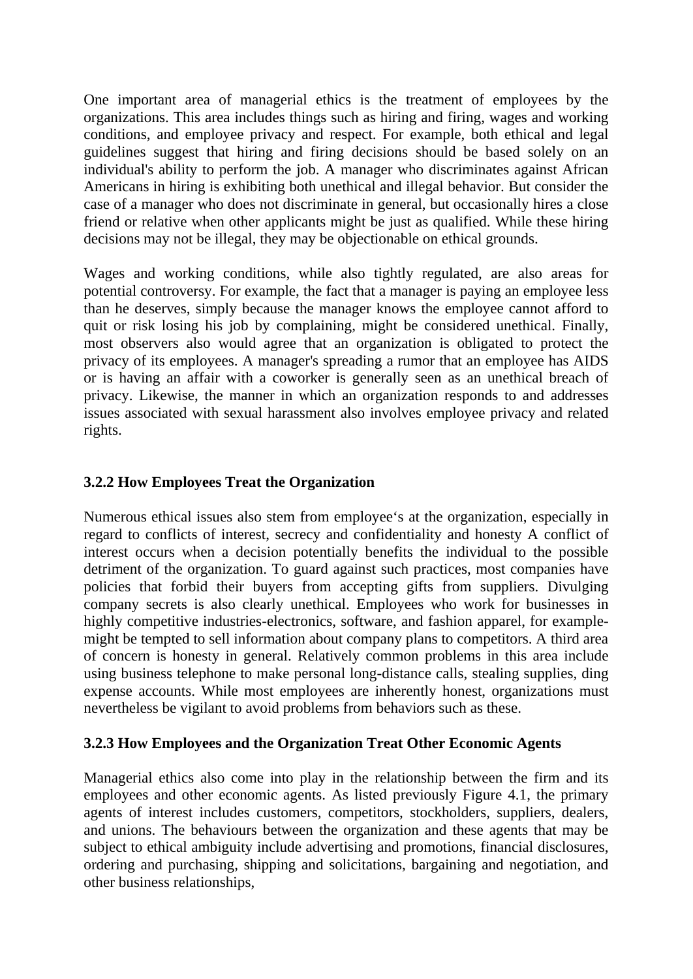One important area of managerial ethics is the treatment of employees by the organizations. This area includes things such as hiring and firing, wages and working conditions, and employee privacy and respect. For example, both ethical and legal guidelines suggest that hiring and firing decisions should be based solely on an individual's ability to perform the job. A manager who discriminates against African Americans in hiring is exhibiting both unethical and illegal behavior. But consider the case of a manager who does not discriminate in general, but occasionally hires a close friend or relative when other applicants might be just as qualified. While these hiring decisions may not be illegal, they may be objectionable on ethical grounds.

Wages and working conditions, while also tightly regulated, are also areas for potential controversy. For example, the fact that a manager is paying an employee less than he deserves, simply because the manager knows the employee cannot afford to quit or risk losing his job by complaining, might be considered unethical. Finally, most observers also would agree that an organization is obligated to protect the privacy of its employees. A manager's spreading a rumor that an employee has AIDS or is having an affair with a coworker is generally seen as an unethical breach of privacy. Likewise, the manner in which an organization responds to and addresses issues associated with sexual harassment also involves employee privacy and related rights.

### **3.2.2 How Employees Treat the Organization**

Numerous ethical issues also stem from employee's at the organization, especially in regard to conflicts of interest, secrecy and confidentiality and honesty A conflict of interest occurs when a decision potentially benefits the individual to the possible detriment of the organization. To guard against such practices, most companies have policies that forbid their buyers from accepting gifts from suppliers. Divulging company secrets is also clearly unethical. Employees who work for businesses in highly competitive industries-electronics, software, and fashion apparel, for examplemight be tempted to sell information about company plans to competitors. A third area of concern is honesty in general. Relatively common problems in this area include using business telephone to make personal long-distance calls, stealing supplies, ding expense accounts. While most employees are inherently honest, organizations must nevertheless be vigilant to avoid problems from behaviors such as these.

### **3.2.3 How Employees and the Organization Treat Other Economic Agents**

Managerial ethics also come into play in the relationship between the firm and its employees and other economic agents. As listed previously Figure 4.1, the primary agents of interest includes customers, competitors, stockholders, suppliers, dealers, and unions. The behaviours between the organization and these agents that may be subject to ethical ambiguity include advertising and promotions, financial disclosures, ordering and purchasing, shipping and solicitations, bargaining and negotiation, and other business relationships,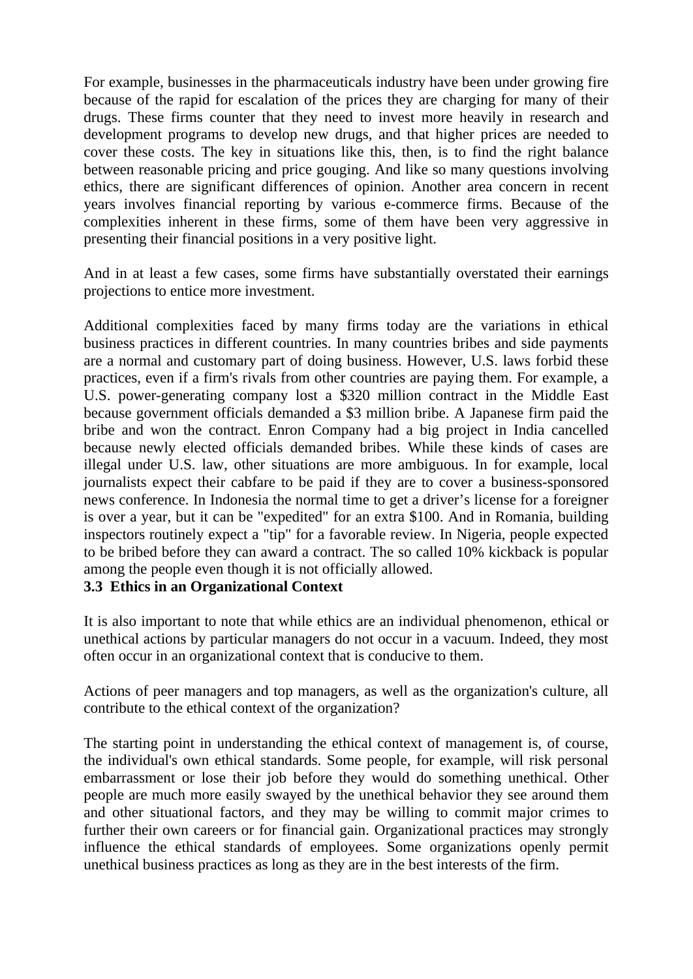For example, businesses in the pharmaceuticals industry have been under growing fire because of the rapid for escalation of the prices they are charging for many of their drugs. These firms counter that they need to invest more heavily in research and development programs to develop new drugs, and that higher prices are needed to cover these costs. The key in situations like this, then, is to find the right balance between reasonable pricing and price gouging. And like so many questions involving ethics, there are significant differences of opinion. Another area concern in recent years involves financial reporting by various e-commerce firms. Because of the complexities inherent in these firms, some of them have been very aggressive in presenting their financial positions in a very positive light.

And in at least a few cases, some firms have substantially overstated their earnings projections to entice more investment.

Additional complexities faced by many firms today are the variations in ethical business practices in different countries. In many countries bribes and side payments are a normal and customary part of doing business. However, U.S. laws forbid these practices, even if a firm's rivals from other countries are paying them. For example, a U.S. power-generating company lost a \$320 million contract in the Middle East because government officials demanded a \$3 million bribe. A Japanese firm paid the bribe and won the contract. Enron Company had a big project in India cancelled because newly elected officials demanded bribes. While these kinds of cases are illegal under U.S. law, other situations are more ambiguous. In for example, local journalists expect their cabfare to be paid if they are to cover a business-sponsored news conference. In Indonesia the normal time to get a driver's license for a foreigner is over a year, but it can be "expedited" for an extra \$100. And in Romania, building inspectors routinely expect a "tip" for a favorable review. In Nigeria, people expected to be bribed before they can award a contract. The so called 10% kickback is popular among the people even though it is not officially allowed.

## **3.3 Ethics in an Organizational Context**

It is also important to note that while ethics are an individual phenomenon, ethical or unethical actions by particular managers do not occur in a vacuum. Indeed, they most often occur in an organizational context that is conducive to them.

Actions of peer managers and top managers, as well as the organization's culture, all contribute to the ethical context of the organization?

The starting point in understanding the ethical context of management is, of course, the individual's own ethical standards. Some people, for example, will risk personal embarrassment or lose their job before they would do something unethical. Other people are much more easily swayed by the unethical behavior they see around them and other situational factors, and they may be willing to commit major crimes to further their own careers or for financial gain. Organizational practices may strongly influence the ethical standards of employees. Some organizations openly permit unethical business practices as long as they are in the best interests of the firm.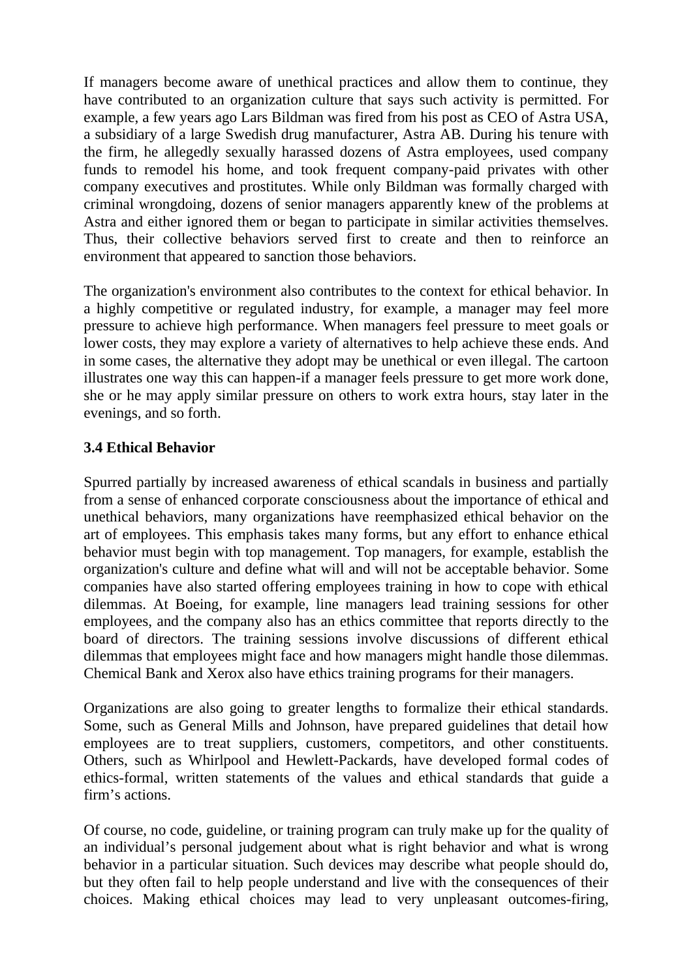If managers become aware of unethical practices and allow them to continue, they have contributed to an organization culture that says such activity is permitted. For example, a few years ago Lars Bildman was fired from his post as CEO of Astra USA, a subsidiary of a large Swedish drug manufacturer, Astra AB. During his tenure with the firm, he allegedly sexually harassed dozens of Astra employees, used company funds to remodel his home, and took frequent company-paid privates with other company executives and prostitutes. While only Bildman was formally charged with criminal wrongdoing, dozens of senior managers apparently knew of the problems at Astra and either ignored them or began to participate in similar activities themselves. Thus, their collective behaviors served first to create and then to reinforce an environment that appeared to sanction those behaviors.

The organization's environment also contributes to the context for ethical behavior. In a highly competitive or regulated industry, for example, a manager may feel more pressure to achieve high performance. When managers feel pressure to meet goals or lower costs, they may explore a variety of alternatives to help achieve these ends. And in some cases, the alternative they adopt may be unethical or even illegal. The cartoon illustrates one way this can happen-if a manager feels pressure to get more work done, she or he may apply similar pressure on others to work extra hours, stay later in the evenings, and so forth.

## **3.4 Ethical Behavior**

Spurred partially by increased awareness of ethical scandals in business and partially from a sense of enhanced corporate consciousness about the importance of ethical and unethical behaviors, many organizations have reemphasized ethical behavior on the art of employees. This emphasis takes many forms, but any effort to enhance ethical behavior must begin with top management. Top managers, for example, establish the organization's culture and define what will and will not be acceptable behavior. Some companies have also started offering employees training in how to cope with ethical dilemmas. At Boeing, for example, line managers lead training sessions for other employees, and the company also has an ethics committee that reports directly to the board of directors. The training sessions involve discussions of different ethical dilemmas that employees might face and how managers might handle those dilemmas. Chemical Bank and Xerox also have ethics training programs for their managers.

Organizations are also going to greater lengths to formalize their ethical standards. Some, such as General Mills and Johnson, have prepared guidelines that detail how employees are to treat suppliers, customers, competitors, and other constituents. Others, such as Whirlpool and Hewlett-Packards, have developed formal codes of ethics-formal, written statements of the values and ethical standards that guide a firm's actions.

Of course, no code, guideline, or training program can truly make up for the quality of an individual's personal judgement about what is right behavior and what is wrong behavior in a particular situation. Such devices may describe what people should do, but they often fail to help people understand and live with the consequences of their choices. Making ethical choices may lead to very unpleasant outcomes-firing,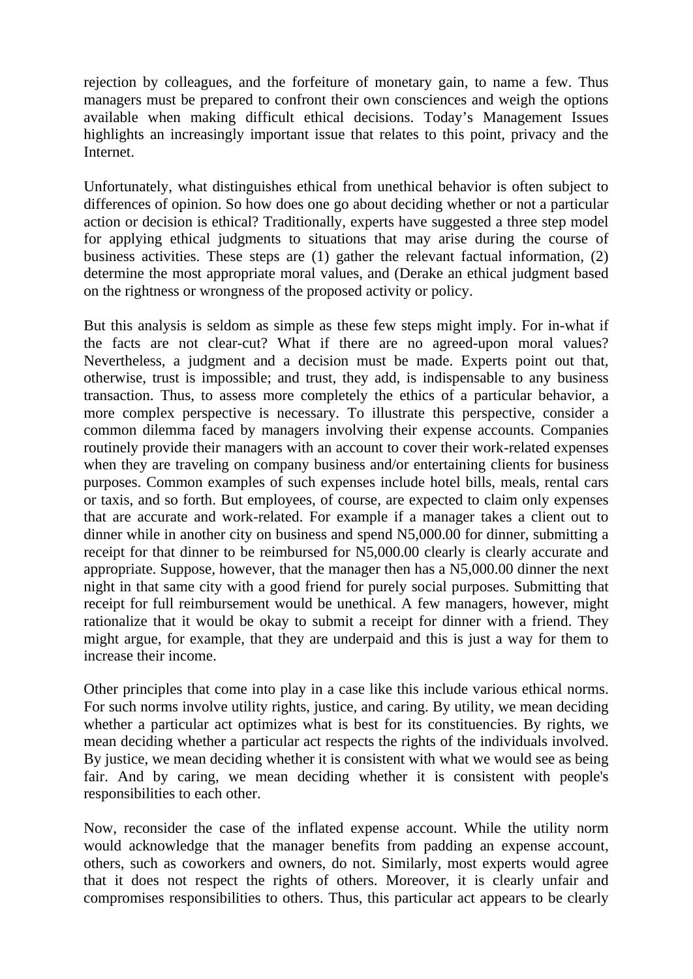rejection by colleagues, and the forfeiture of monetary gain, to name a few. Thus managers must be prepared to confront their own consciences and weigh the options available when making difficult ethical decisions. Today's Management Issues highlights an increasingly important issue that relates to this point, privacy and the Internet.

Unfortunately, what distinguishes ethical from unethical behavior is often subject to differences of opinion. So how does one go about deciding whether or not a particular action or decision is ethical? Traditionally, experts have suggested a three step model for applying ethical judgments to situations that may arise during the course of business activities. These steps are (1) gather the relevant factual information, (2) determine the most appropriate moral values, and (Derake an ethical judgment based on the rightness or wrongness of the proposed activity or policy.

But this analysis is seldom as simple as these few steps might imply. For in-what if the facts are not clear-cut? What if there are no agreed-upon moral values? Nevertheless, a judgment and a decision must be made. Experts point out that, otherwise, trust is impossible; and trust, they add, is indispensable to any business transaction. Thus, to assess more completely the ethics of a particular behavior, a more complex perspective is necessary. To illustrate this perspective, consider a common dilemma faced by managers involving their expense accounts. Companies routinely provide their managers with an account to cover their work-related expenses when they are traveling on company business and/or entertaining clients for business purposes. Common examples of such expenses include hotel bills, meals, rental cars or taxis, and so forth. But employees, of course, are expected to claim only expenses that are accurate and work-related. For example if a manager takes a client out to dinner while in another city on business and spend N5,000.00 for dinner, submitting a receipt for that dinner to be reimbursed for N5,000.00 clearly is clearly accurate and appropriate. Suppose, however, that the manager then has a N5,000.00 dinner the next night in that same city with a good friend for purely social purposes. Submitting that receipt for full reimbursement would be unethical. A few managers, however, might rationalize that it would be okay to submit a receipt for dinner with a friend. They might argue, for example, that they are underpaid and this is just a way for them to increase their income.

Other principles that come into play in a case like this include various ethical norms. For such norms involve utility rights, justice, and caring. By utility, we mean deciding whether a particular act optimizes what is best for its constituencies. By rights, we mean deciding whether a particular act respects the rights of the individuals involved. By justice, we mean deciding whether it is consistent with what we would see as being fair. And by caring, we mean deciding whether it is consistent with people's responsibilities to each other.

Now, reconsider the case of the inflated expense account. While the utility norm would acknowledge that the manager benefits from padding an expense account, others, such as coworkers and owners, do not. Similarly, most experts would agree that it does not respect the rights of others. Moreover, it is clearly unfair and compromises responsibilities to others. Thus, this particular act appears to be clearly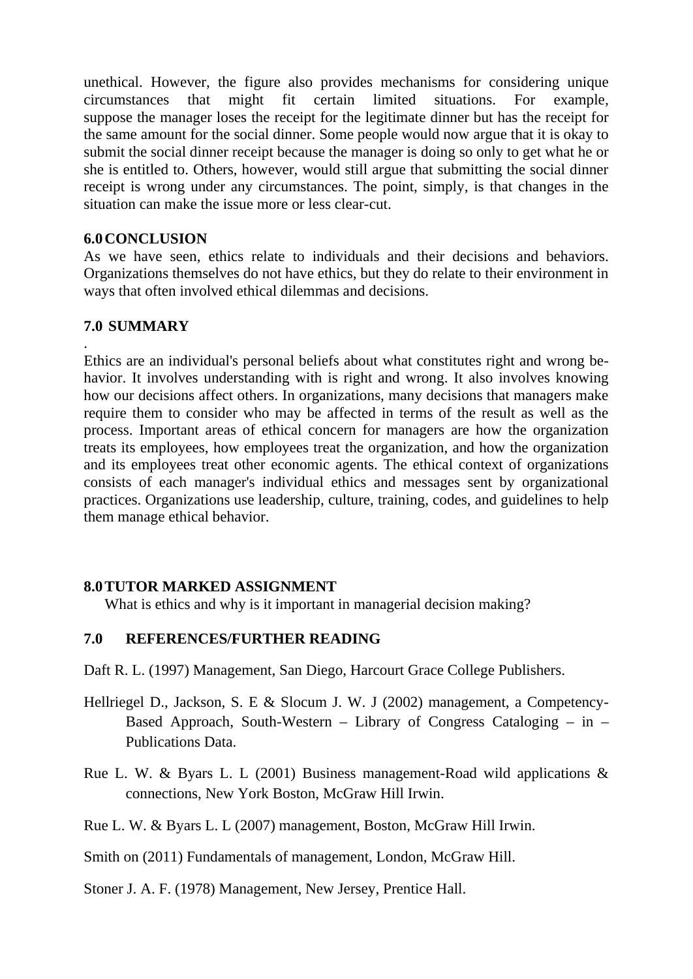unethical. However, the figure also provides mechanisms for considering unique circumstances that might fit certain limited situations. For example, suppose the manager loses the receipt for the legitimate dinner but has the receipt for the same amount for the social dinner. Some people would now argue that it is okay to submit the social dinner receipt because the manager is doing so only to get what he or she is entitled to. Others, however, would still argue that submitting the social dinner receipt is wrong under any circumstances. The point, simply, is that changes in the situation can make the issue more or less clear-cut.

## **6.0CONCLUSION**

As we have seen, ethics relate to individuals and their decisions and behaviors. Organizations themselves do not have ethics, but they do relate to their environment in ways that often involved ethical dilemmas and decisions.

## **7.0 SUMMARY**

. Ethics are an individual's personal beliefs about what constitutes right and wrong behavior. It involves understanding with is right and wrong. It also involves knowing how our decisions affect others. In organizations, many decisions that managers make require them to consider who may be affected in terms of the result as well as the process. Important areas of ethical concern for managers are how the organization treats its employees, how employees treat the organization, and how the organization and its employees treat other economic agents. The ethical context of organizations consists of each manager's individual ethics and messages sent by organizational practices. Organizations use leadership, culture, training, codes, and guidelines to help them manage ethical behavior.

# **8.0TUTOR MARKED ASSIGNMENT**

What is ethics and why is it important in managerial decision making?

## **7.0 REFERENCES/FURTHER READING**

- Daft R. L. (1997) Management, San Diego, Harcourt Grace College Publishers.
- Hellriegel D., Jackson, S. E & Slocum J. W. J (2002) management, a Competency-Based Approach, South-Western – Library of Congress Cataloging – in – Publications Data.
- Rue L. W. & Byars L. L (2001) Business management-Road wild applications & connections, New York Boston, McGraw Hill Irwin.
- Rue L. W. & Byars L. L (2007) management, Boston, McGraw Hill Irwin.
- Smith on (2011) Fundamentals of management, London, McGraw Hill.

Stoner J. A. F. (1978) Management, New Jersey, Prentice Hall.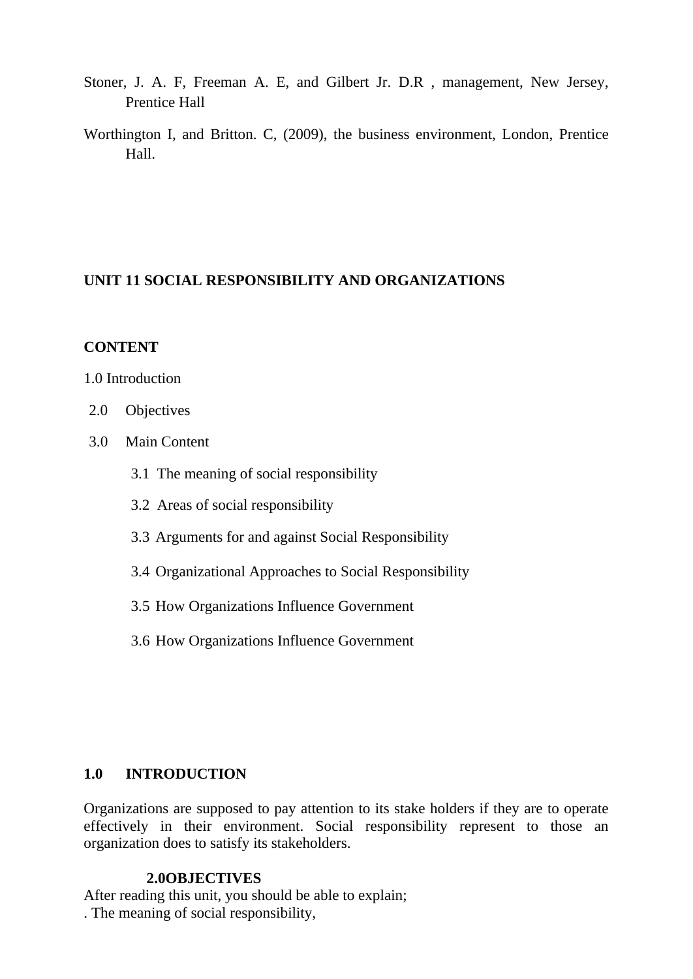- Stoner, J. A. F, Freeman A. E, and Gilbert Jr. D.R , management, New Jersey, Prentice Hall
- Worthington I, and Britton. C, (2009), the business environment, London, Prentice Hall.

### **UNIT 11 SOCIAL RESPONSIBILITY AND ORGANIZATIONS**

### **CONTENT**

1.0 Introduction

- 2.0 Objectives
- 3.0 Main Content
	- 3.1 The meaning of social responsibility
	- 3.2 Areas of social responsibility
	- 3.3 Arguments for and against Social Responsibility
	- 3.4 Organizational Approaches to Social Responsibility
	- 3.5 How Organizations Influence Government
	- 3.6 How Organizations Influence Government

### **1.0 INTRODUCTION**

Organizations are supposed to pay attention to its stake holders if they are to operate effectively in their environment. Social responsibility represent to those an organization does to satisfy its stakeholders.

### **2.0OBJECTIVES**

After reading this unit, you should be able to explain;

. The meaning of social responsibility,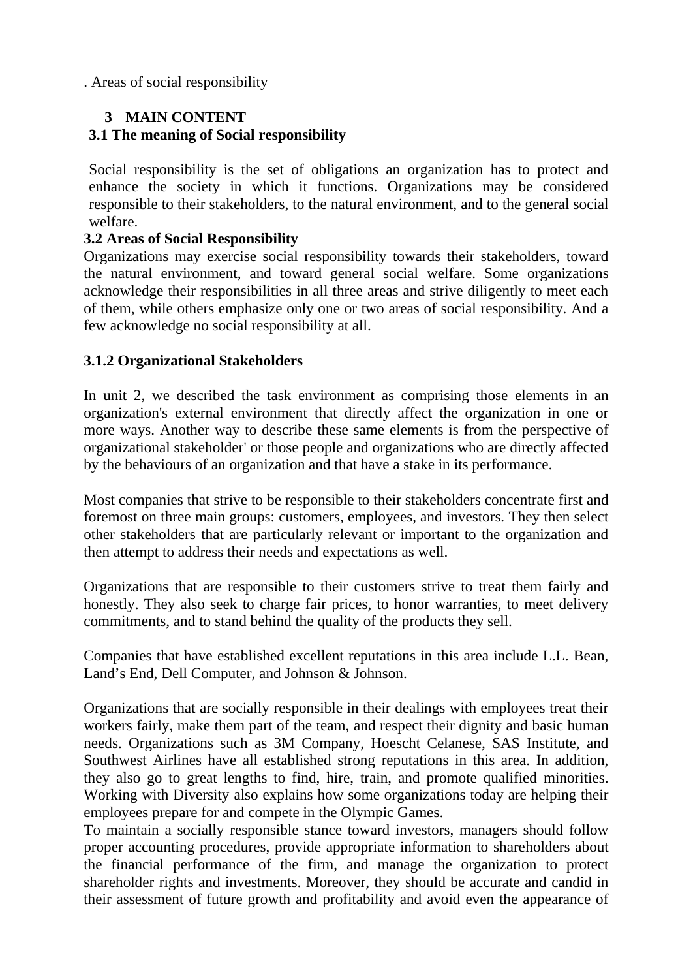. Areas of social responsibility

# **3 MAIN CONTENT**

## **3.1 The meaning of Social responsibility**

Social responsibility is the set of obligations an organization has to protect and enhance the society in which it functions. Organizations may be considered responsible to their stakeholders, to the natural environment, and to the general social welfare.

## **3.2 Areas of Social Responsibility**

Organizations may exercise social responsibility towards their stakeholders, toward the natural environment, and toward general social welfare. Some organizations acknowledge their responsibilities in all three areas and strive diligently to meet each of them, while others emphasize only one or two areas of social responsibility. And a few acknowledge no social responsibility at all.

# **3.1.2 Organizational Stakeholders**

In unit 2, we described the task environment as comprising those elements in an organization's external environment that directly affect the organization in one or more ways. Another way to describe these same elements is from the perspective of organizational stakeholder' or those people and organizations who are directly affected by the behaviours of an organization and that have a stake in its performance.

Most companies that strive to be responsible to their stakeholders concentrate first and foremost on three main groups: customers, employees, and investors. They then select other stakeholders that are particularly relevant or important to the organization and then attempt to address their needs and expectations as well.

Organizations that are responsible to their customers strive to treat them fairly and honestly. They also seek to charge fair prices, to honor warranties, to meet delivery commitments, and to stand behind the quality of the products they sell.

Companies that have established excellent reputations in this area include L.L. Bean, Land's End, Dell Computer, and Johnson & Johnson.

Organizations that are socially responsible in their dealings with employees treat their workers fairly, make them part of the team, and respect their dignity and basic human needs. Organizations such as 3M Company, Hoescht Celanese, SAS Institute, and Southwest Airlines have all established strong reputations in this area. In addition, they also go to great lengths to find, hire, train, and promote qualified minorities. Working with Diversity also explains how some organizations today are helping their employees prepare for and compete in the Olympic Games.

To maintain a socially responsible stance toward investors, managers should follow proper accounting procedures, provide appropriate information to shareholders about the financial performance of the firm, and manage the organization to protect shareholder rights and investments. Moreover, they should be accurate and candid in their assessment of future growth and profitability and avoid even the appearance of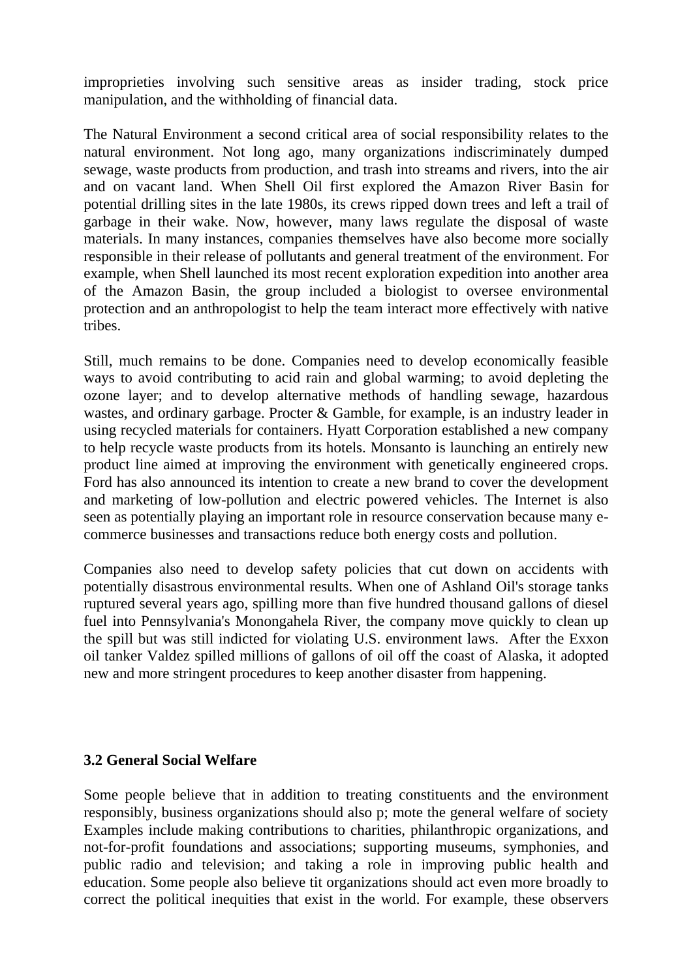improprieties involving such sensitive areas as insider trading, stock price manipulation, and the withholding of financial data.

The Natural Environment a second critical area of social responsibility relates to the natural environment. Not long ago, many organizations indiscriminately dumped sewage, waste products from production, and trash into streams and rivers, into the air and on vacant land. When Shell Oil first explored the Amazon River Basin for potential drilling sites in the late 1980s, its crews ripped down trees and left a trail of garbage in their wake. Now, however, many laws regulate the disposal of waste materials. In many instances, companies themselves have also become more socially responsible in their release of pollutants and general treatment of the environment. For example, when Shell launched its most recent exploration expedition into another area of the Amazon Basin, the group included a biologist to oversee environmental protection and an anthropologist to help the team interact more effectively with native tribes.

Still, much remains to be done. Companies need to develop economically feasible ways to avoid contributing to acid rain and global warming; to avoid depleting the ozone layer; and to develop alternative methods of handling sewage, hazardous wastes, and ordinary garbage. Procter & Gamble, for example, is an industry leader in using recycled materials for containers. Hyatt Corporation established a new company to help recycle waste products from its hotels. Monsanto is launching an entirely new product line aimed at improving the environment with genetically engineered crops. Ford has also announced its intention to create a new brand to cover the development and marketing of low-pollution and electric powered vehicles. The Internet is also seen as potentially playing an important role in resource conservation because many ecommerce businesses and transactions reduce both energy costs and pollution.

Companies also need to develop safety policies that cut down on accidents with potentially disastrous environmental results. When one of Ashland Oil's storage tanks ruptured several years ago, spilling more than five hundred thousand gallons of diesel fuel into Pennsylvania's Monongahela River, the company move quickly to clean up the spill but was still indicted for violating U.S. environment laws. After the Exxon oil tanker Valdez spilled millions of gallons of oil off the coast of Alaska, it adopted new and more stringent procedures to keep another disaster from happening.

### **3.2 General Social Welfare**

Some people believe that in addition to treating constituents and the environment responsibly, business organizations should also p; mote the general welfare of society Examples include making contributions to charities, philanthropic organizations, and not-for-profit foundations and associations; supporting museums, symphonies, and public radio and television; and taking a role in improving public health and education. Some people also believe tit organizations should act even more broadly to correct the political inequities that exist in the world. For example, these observers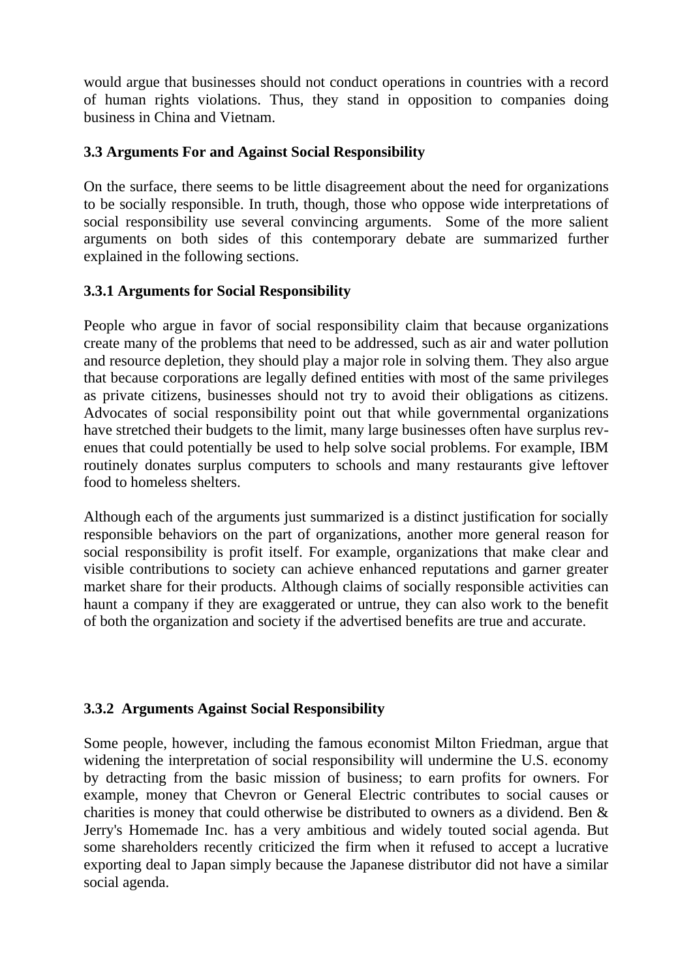would argue that businesses should not conduct operations in countries with a record of human rights violations. Thus, they stand in opposition to companies doing business in China and Vietnam.

## **3.3 Arguments For and Against Social Responsibility**

On the surface, there seems to be little disagreement about the need for organizations to be socially responsible. In truth, though, those who oppose wide interpretations of social responsibility use several convincing arguments. Some of the more salient arguments on both sides of this contemporary debate are summarized further explained in the following sections.

## **3.3.1 Arguments for Social Responsibility**

People who argue in favor of social responsibility claim that because organizations create many of the problems that need to be addressed, such as air and water pollution and resource depletion, they should play a major role in solving them. They also argue that because corporations are legally defined entities with most of the same privileges as private citizens, businesses should not try to avoid their obligations as citizens. Advocates of social responsibility point out that while governmental organizations have stretched their budgets to the limit, many large businesses often have surplus revenues that could potentially be used to help solve social problems. For example, IBM routinely donates surplus computers to schools and many restaurants give leftover food to homeless shelters.

Although each of the arguments just summarized is a distinct justification for socially responsible behaviors on the part of organizations, another more general reason for social responsibility is profit itself. For example, organizations that make clear and visible contributions to society can achieve enhanced reputations and garner greater market share for their products. Although claims of socially responsible activities can haunt a company if they are exaggerated or untrue, they can also work to the benefit of both the organization and society if the advertised benefits are true and accurate.

# **3.3.2 Arguments Against Social Responsibility**

Some people, however, including the famous economist Milton Friedman, argue that widening the interpretation of social responsibility will undermine the U.S. economy by detracting from the basic mission of business; to earn profits for owners. For example, money that Chevron or General Electric contributes to social causes or charities is money that could otherwise be distributed to owners as a dividend. Ben & Jerry's Homemade Inc. has a very ambitious and widely touted social agenda. But some shareholders recently criticized the firm when it refused to accept a lucrative exporting deal to Japan simply because the Japanese distributor did not have a similar social agenda.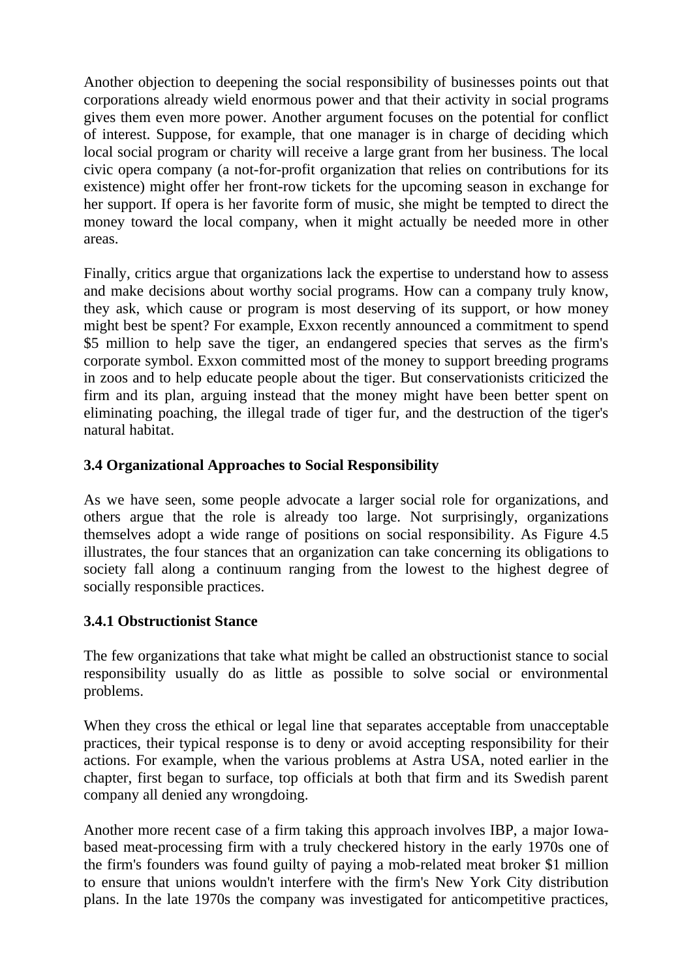Another objection to deepening the social responsibility of businesses points out that corporations already wield enormous power and that their activity in social programs gives them even more power. Another argument focuses on the potential for conflict of interest. Suppose, for example, that one manager is in charge of deciding which local social program or charity will receive a large grant from her business. The local civic opera company (a not-for-profit organization that relies on contributions for its existence) might offer her front-row tickets for the upcoming season in exchange for her support. If opera is her favorite form of music, she might be tempted to direct the money toward the local company, when it might actually be needed more in other areas.

Finally, critics argue that organizations lack the expertise to understand how to assess and make decisions about worthy social programs. How can a company truly know, they ask, which cause or program is most deserving of its support, or how money might best be spent? For example, Exxon recently announced a commitment to spend \$5 million to help save the tiger, an endangered species that serves as the firm's corporate symbol. Exxon committed most of the money to support breeding programs in zoos and to help educate people about the tiger. But conservationists criticized the firm and its plan, arguing instead that the money might have been better spent on eliminating poaching, the illegal trade of tiger fur, and the destruction of the tiger's natural habitat.

## **3.4 Organizational Approaches to Social Responsibility**

As we have seen, some people advocate a larger social role for organizations, and others argue that the role is already too large. Not surprisingly, organizations themselves adopt a wide range of positions on social responsibility. As Figure 4.5 illustrates, the four stances that an organization can take concerning its obligations to society fall along a continuum ranging from the lowest to the highest degree of socially responsible practices.

## **3.4.1 Obstructionist Stance**

The few organizations that take what might be called an obstructionist stance to social responsibility usually do as little as possible to solve social or environmental problems.

When they cross the ethical or legal line that separates acceptable from unacceptable practices, their typical response is to deny or avoid accepting responsibility for their actions. For example, when the various problems at Astra USA, noted earlier in the chapter, first began to surface, top officials at both that firm and its Swedish parent company all denied any wrongdoing.

Another more recent case of a firm taking this approach involves IBP, a major Iowabased meat-processing firm with a truly checkered history in the early 1970s one of the firm's founders was found guilty of paying a mob-related meat broker \$1 million to ensure that unions wouldn't interfere with the firm's New York City distribution plans. In the late 1970s the company was investigated for anticompetitive practices,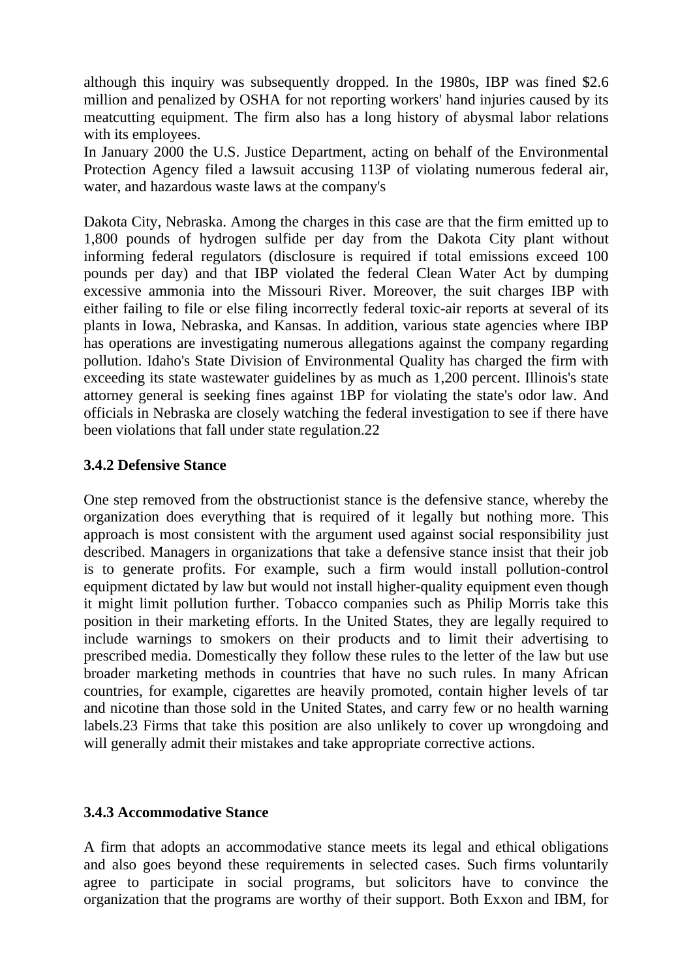although this inquiry was subsequently dropped. In the 1980s, IBP was fined \$2.6 million and penalized by OSHA for not reporting workers' hand injuries caused by its meatcutting equipment. The firm also has a long history of abysmal labor relations with its employees.

In January 2000 the U.S. Justice Department, acting on behalf of the Environmental Protection Agency filed a lawsuit accusing 113P of violating numerous federal air, water, and hazardous waste laws at the company's

Dakota City, Nebraska. Among the charges in this case are that the firm emitted up to 1,800 pounds of hydrogen sulfide per day from the Dakota City plant without informing federal regulators (disclosure is required if total emissions exceed 100 pounds per day) and that IBP violated the federal Clean Water Act by dumping excessive ammonia into the Missouri River. Moreover, the suit charges IBP with either failing to file or else filing incorrectly federal toxic-air reports at several of its plants in Iowa, Nebraska, and Kansas. In addition, various state agencies where IBP has operations are investigating numerous allegations against the company regarding pollution. Idaho's State Division of Environmental Quality has charged the firm with exceeding its state wastewater guidelines by as much as 1,200 percent. Illinois's state attorney general is seeking fines against 1BP for violating the state's odor law. And officials in Nebraska are closely watching the federal investigation to see if there have been violations that fall under state regulation.22

### **3.4.2 Defensive Stance**

One step removed from the obstructionist stance is the defensive stance, whereby the organization does everything that is required of it legally but nothing more. This approach is most consistent with the argument used against social responsibility just described. Managers in organizations that take a defensive stance insist that their job is to generate profits. For example, such a firm would install pollution-control equipment dictated by law but would not install higher-quality equipment even though it might limit pollution further. Tobacco companies such as Philip Morris take this position in their marketing efforts. In the United States, they are legally required to include warnings to smokers on their products and to limit their advertising to prescribed media. Domestically they follow these rules to the letter of the law but use broader marketing methods in countries that have no such rules. In many African countries, for example, cigarettes are heavily promoted, contain higher levels of tar and nicotine than those sold in the United States, and carry few or no health warning labels.23 Firms that take this position are also unlikely to cover up wrongdoing and will generally admit their mistakes and take appropriate corrective actions.

## **3.4.3 Accommodative Stance**

A firm that adopts an accommodative stance meets its legal and ethical obligations and also goes beyond these requirements in selected cases. Such firms voluntarily agree to participate in social programs, but solicitors have to convince the organization that the programs are worthy of their support. Both Exxon and IBM, for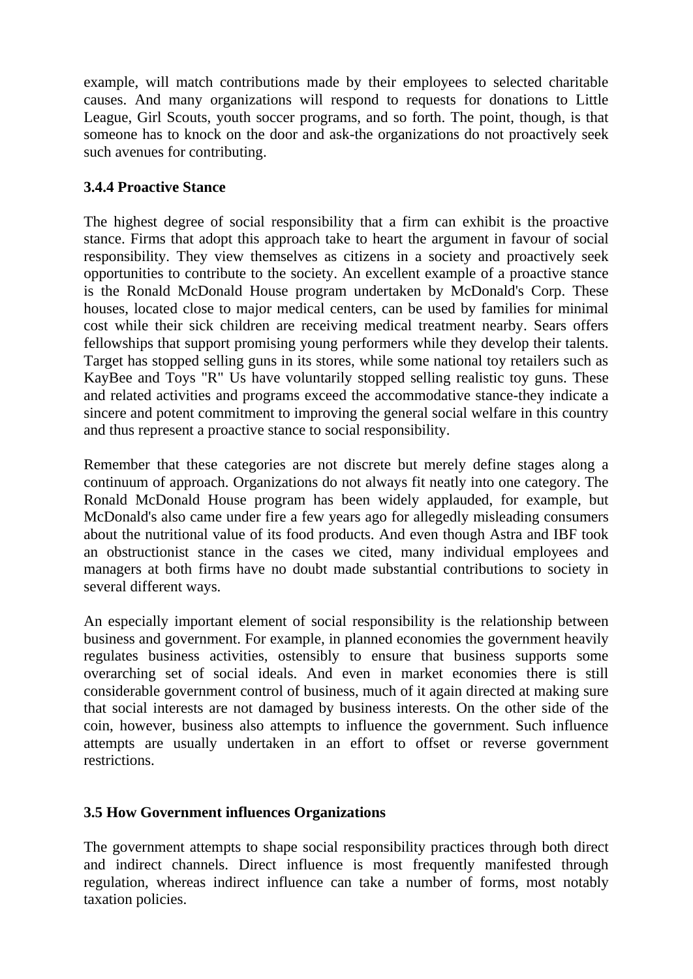example, will match contributions made by their employees to selected charitable causes. And many organizations will respond to requests for donations to Little League, Girl Scouts, youth soccer programs, and so forth. The point, though, is that someone has to knock on the door and ask-the organizations do not proactively seek such avenues for contributing.

## **3.4.4 Proactive Stance**

The highest degree of social responsibility that a firm can exhibit is the proactive stance. Firms that adopt this approach take to heart the argument in favour of social responsibility. They view themselves as citizens in a society and proactively seek opportunities to contribute to the society. An excellent example of a proactive stance is the Ronald McDonald House program undertaken by McDonald's Corp. These houses, located close to major medical centers, can be used by families for minimal cost while their sick children are receiving medical treatment nearby. Sears offers fellowships that support promising young performers while they develop their talents. Target has stopped selling guns in its stores, while some national toy retailers such as KayBee and Toys "R" Us have voluntarily stopped selling realistic toy guns. These and related activities and programs exceed the accommodative stance-they indicate a sincere and potent commitment to improving the general social welfare in this country and thus represent a proactive stance to social responsibility.

Remember that these categories are not discrete but merely define stages along a continuum of approach. Organizations do not always fit neatly into one category. The Ronald McDonald House program has been widely applauded, for example, but McDonald's also came under fire a few years ago for allegedly misleading consumers about the nutritional value of its food products. And even though Astra and IBF took an obstructionist stance in the cases we cited, many individual employees and managers at both firms have no doubt made substantial contributions to society in several different ways.

An especially important element of social responsibility is the relationship between business and government. For example, in planned economies the government heavily regulates business activities, ostensibly to ensure that business supports some overarching set of social ideals. And even in market economies there is still considerable government control of business, much of it again directed at making sure that social interests are not damaged by business interests. On the other side of the coin, however, business also attempts to influence the government. Such influence attempts are usually undertaken in an effort to offset or reverse government restrictions.

## **3.5 How Government influences Organizations**

The government attempts to shape social responsibility practices through both direct and indirect channels. Direct influence is most frequently manifested through regulation, whereas indirect influence can take a number of forms, most notably taxation policies.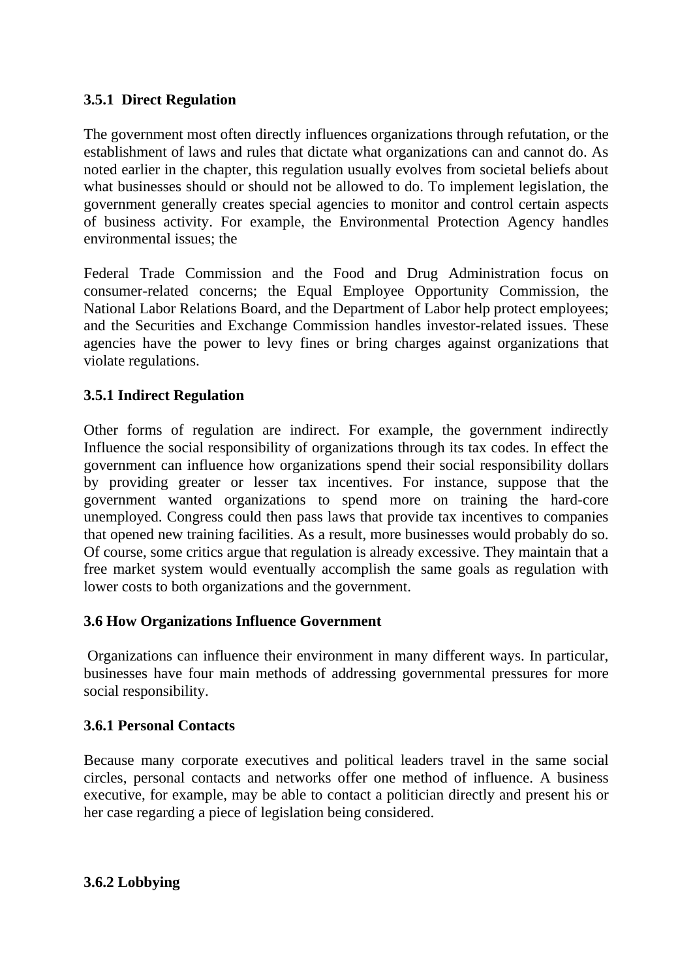## **3.5.1 Direct Regulation**

The government most often directly influences organizations through refutation, or the establishment of laws and rules that dictate what organizations can and cannot do. As noted earlier in the chapter, this regulation usually evolves from societal beliefs about what businesses should or should not be allowed to do. To implement legislation, the government generally creates special agencies to monitor and control certain aspects of business activity. For example, the Environmental Protection Agency handles environmental issues; the

Federal Trade Commission and the Food and Drug Administration focus on consumer-related concerns; the Equal Employee Opportunity Commission, the National Labor Relations Board, and the Department of Labor help protect employees; and the Securities and Exchange Commission handles investor-related issues. These agencies have the power to levy fines or bring charges against organizations that violate regulations.

## **3.5.1 Indirect Regulation**

Other forms of regulation are indirect. For example, the government indirectly Influence the social responsibility of organizations through its tax codes. In effect the government can influence how organizations spend their social responsibility dollars by providing greater or lesser tax incentives. For instance, suppose that the government wanted organizations to spend more on training the hard-core unemployed. Congress could then pass laws that provide tax incentives to companies that opened new training facilities. As a result, more businesses would probably do so. Of course, some critics argue that regulation is already excessive. They maintain that a free market system would eventually accomplish the same goals as regulation with lower costs to both organizations and the government.

## **3.6 How Organizations Influence Government**

Organizations can influence their environment in many different ways. In particular, businesses have four main methods of addressing governmental pressures for more social responsibility.

## **3.6.1 Personal Contacts**

Because many corporate executives and political leaders travel in the same social circles, personal contacts and networks offer one method of influence. A business executive, for example, may be able to contact a politician directly and present his or her case regarding a piece of legislation being considered.

## **3.6.2 Lobbying**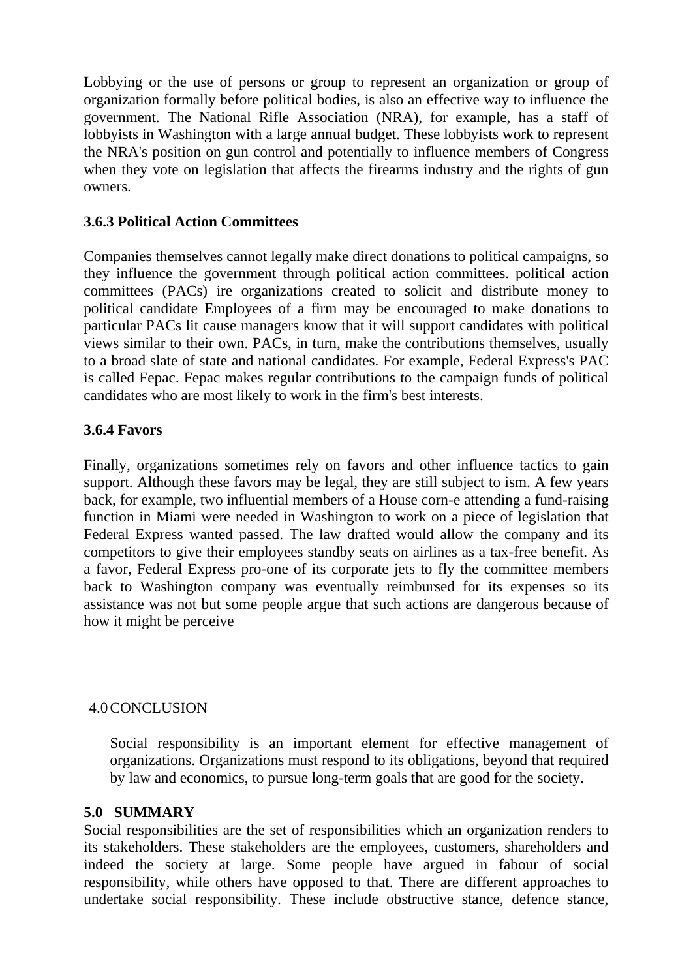Lobbying or the use of persons or group to represent an organization or group of organization formally before political bodies, is also an effective way to influence the government. The National Rifle Association (NRA), for example, has a staff of lobbyists in Washington with a large annual budget. These lobbyists work to represent the NRA's position on gun control and potentially to influence members of Congress when they vote on legislation that affects the firearms industry and the rights of gun owners.

## **3.6.3 Political Action Committees**

Companies themselves cannot legally make direct donations to political campaigns, so they influence the government through political action committees. political action committees (PACs) ire organizations created to solicit and distribute money to political candidate Employees of a firm may be encouraged to make donations to particular PACs lit cause managers know that it will support candidates with political views similar to their own. PACs, in turn, make the contributions themselves, usually to a broad slate of state and national candidates. For example, Federal Express's PAC is called Fepac. Fepac makes regular contributions to the campaign funds of political candidates who are most likely to work in the firm's best interests.

## **3.6.4 Favors**

Finally, organizations sometimes rely on favors and other influence tactics to gain support. Although these favors may be legal, they are still subject to ism. A few years back, for example, two influential members of a House corn-e attending a fund-raising function in Miami were needed in Washington to work on a piece of legislation that Federal Express wanted passed. The law drafted would allow the company and its competitors to give their employees standby seats on airlines as a tax-free benefit. As a favor, Federal Express pro-one of its corporate jets to fly the committee members back to Washington company was eventually reimbursed for its expenses so its assistance was not but some people argue that such actions are dangerous because of how it might be perceive

## 4.0CONCLUSION

Social responsibility is an important element for effective management of organizations. Organizations must respond to its obligations, beyond that required by law and economics, to pursue long-term goals that are good for the society.

## **5.0 SUMMARY**

Social responsibilities are the set of responsibilities which an organization renders to its stakeholders. These stakeholders are the employees, customers, shareholders and indeed the society at large. Some people have argued in fabour of social responsibility, while others have opposed to that. There are different approaches to undertake social responsibility. These include obstructive stance, defence stance,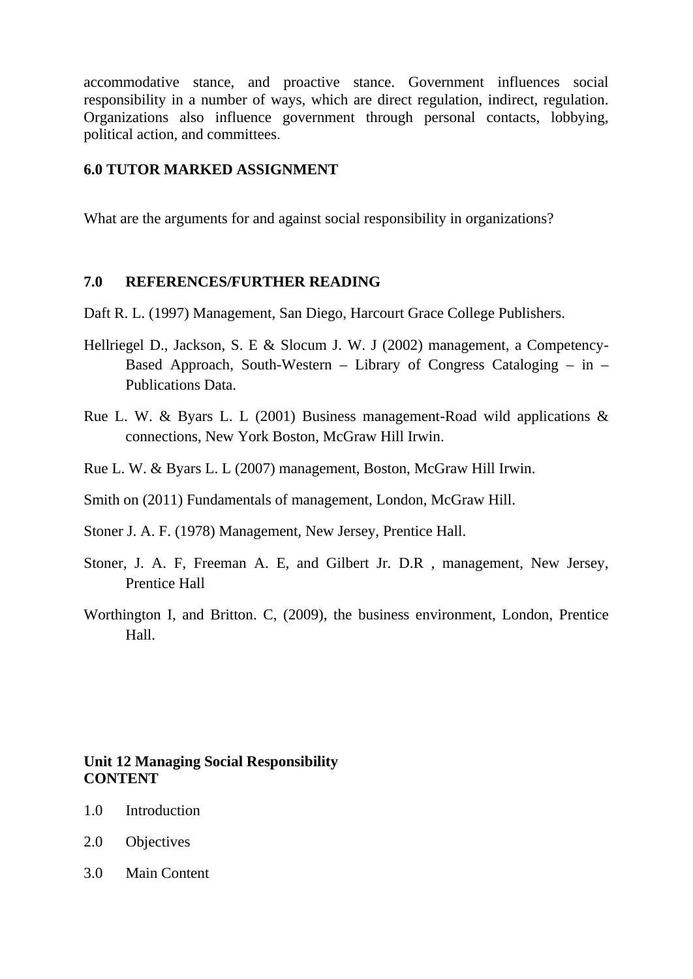accommodative stance, and proactive stance. Government influences social responsibility in a number of ways, which are direct regulation, indirect, regulation. Organizations also influence government through personal contacts, lobbying, political action, and committees.

### **6.0 TUTOR MARKED ASSIGNMENT**

What are the arguments for and against social responsibility in organizations?

### **7.0 REFERENCES/FURTHER READING**

Daft R. L. (1997) Management, San Diego, Harcourt Grace College Publishers.

- Hellriegel D., Jackson, S. E & Slocum J. W. J (2002) management, a Competency-Based Approach, South-Western – Library of Congress Cataloging – in – Publications Data.
- Rue L. W. & Byars L. L (2001) Business management-Road wild applications & connections, New York Boston, McGraw Hill Irwin.
- Rue L. W. & Byars L. L (2007) management, Boston, McGraw Hill Irwin.
- Smith on (2011) Fundamentals of management, London, McGraw Hill.
- Stoner J. A. F. (1978) Management, New Jersey, Prentice Hall.
- Stoner, J. A. F, Freeman A. E, and Gilbert Jr. D.R , management, New Jersey, Prentice Hall
- Worthington I, and Britton. C, (2009), the business environment, London, Prentice Hall.

### **Unit 12 Managing Social Responsibility CONTENT**

- 1.0 Introduction
- 2.0 Objectives
- 3.0 Main Content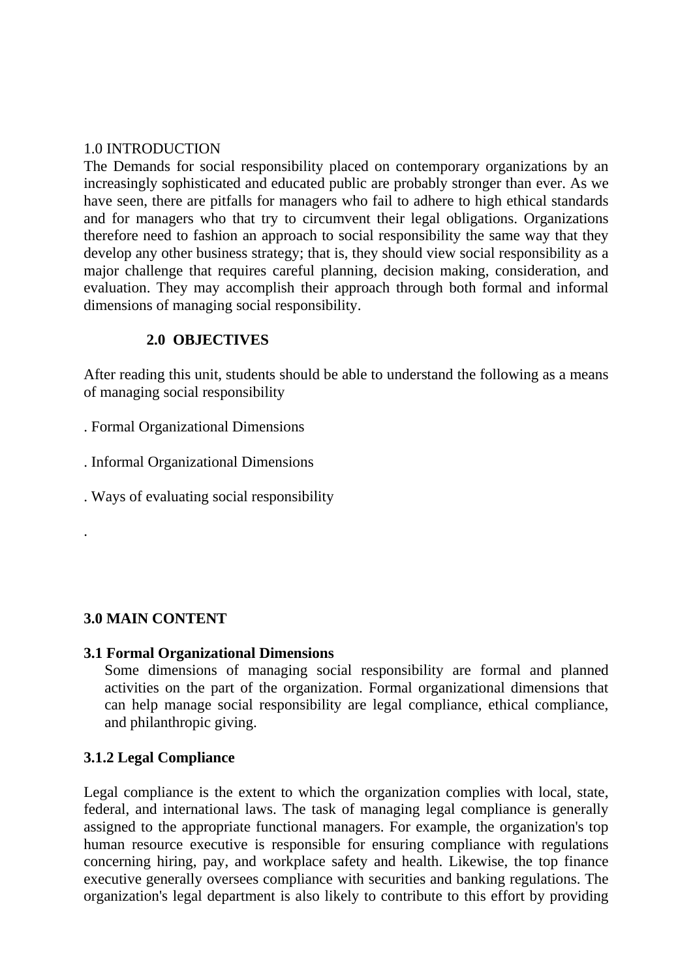### 1.0 INTRODUCTION

The Demands for social responsibility placed on contemporary organizations by an increasingly sophisticated and educated public are probably stronger than ever. As we have seen, there are pitfalls for managers who fail to adhere to high ethical standards and for managers who that try to circumvent their legal obligations. Organizations therefore need to fashion an approach to social responsibility the same way that they develop any other business strategy; that is, they should view social responsibility as a major challenge that requires careful planning, decision making, consideration, and evaluation. They may accomplish their approach through both formal and informal dimensions of managing social responsibility.

## **2.0 OBJECTIVES**

After reading this unit, students should be able to understand the following as a means of managing social responsibility

. Formal Organizational Dimensions

. Informal Organizational Dimensions

. Ways of evaluating social responsibility

## **3.0 MAIN CONTENT**

.

### **3.1 Formal Organizational Dimensions**

Some dimensions of managing social responsibility are formal and planned activities on the part of the organization. Formal organizational dimensions that can help manage social responsibility are legal compliance, ethical compliance, and philanthropic giving.

## **3.1.2 Legal Compliance**

Legal compliance is the extent to which the organization complies with local, state, federal, and international laws. The task of managing legal compliance is generally assigned to the appropriate functional managers. For example, the organization's top human resource executive is responsible for ensuring compliance with regulations concerning hiring, pay, and workplace safety and health. Likewise, the top finance executive generally oversees compliance with securities and banking regulations. The organization's legal department is also likely to contribute to this effort by providing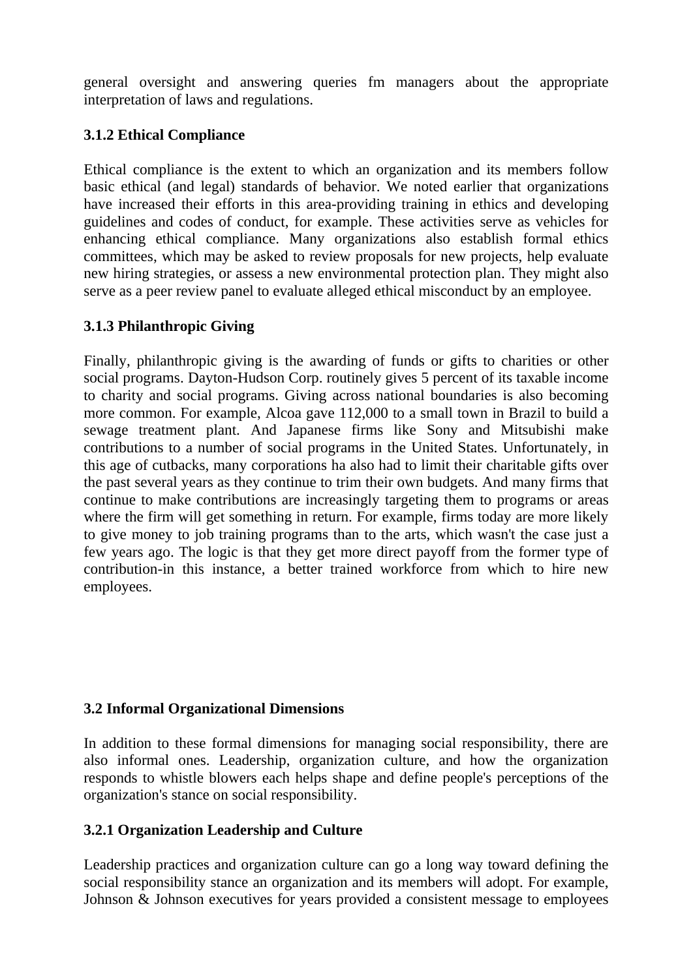general oversight and answering queries fm managers about the appropriate interpretation of laws and regulations.

## **3.1.2 Ethical Compliance**

Ethical compliance is the extent to which an organization and its members follow basic ethical (and legal) standards of behavior. We noted earlier that organizations have increased their efforts in this area-providing training in ethics and developing guidelines and codes of conduct, for example. These activities serve as vehicles for enhancing ethical compliance. Many organizations also establish formal ethics committees, which may be asked to review proposals for new projects, help evaluate new hiring strategies, or assess a new environmental protection plan. They might also serve as a peer review panel to evaluate alleged ethical misconduct by an employee.

## **3.1.3 Philanthropic Giving**

Finally, philanthropic giving is the awarding of funds or gifts to charities or other social programs. Dayton-Hudson Corp. routinely gives 5 percent of its taxable income to charity and social programs. Giving across national boundaries is also becoming more common. For example, Alcoa gave 112,000 to a small town in Brazil to build a sewage treatment plant. And Japanese firms like Sony and Mitsubishi make contributions to a number of social programs in the United States. Unfortunately, in this age of cutbacks, many corporations ha also had to limit their charitable gifts over the past several years as they continue to trim their own budgets. And many firms that continue to make contributions are increasingly targeting them to programs or areas where the firm will get something in return. For example, firms today are more likely to give money to job training programs than to the arts, which wasn't the case just a few years ago. The logic is that they get more direct payoff from the former type of contribution-in this instance, a better trained workforce from which to hire new employees.

## **3.2 Informal Organizational Dimensions**

In addition to these formal dimensions for managing social responsibility, there are also informal ones. Leadership, organization culture, and how the organization responds to whistle blowers each helps shape and define people's perceptions of the organization's stance on social responsibility.

# **3.2.1 Organization Leadership and Culture**

Leadership practices and organization culture can go a long way toward defining the social responsibility stance an organization and its members will adopt. For example, Johnson & Johnson executives for years provided a consistent message to employees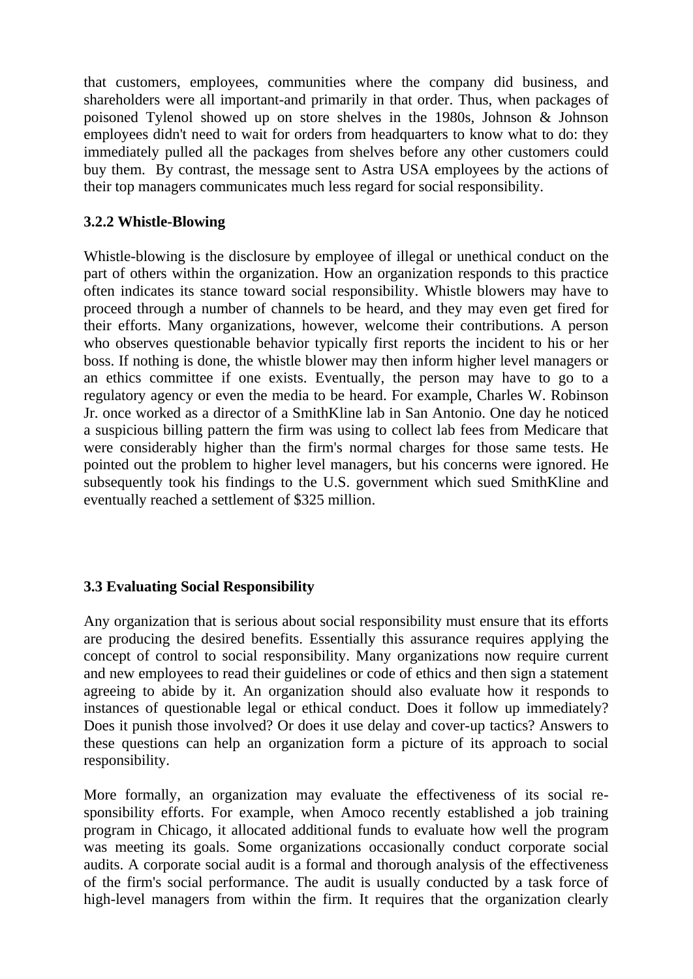that customers, employees, communities where the company did business, and shareholders were all important-and primarily in that order. Thus, when packages of poisoned Tylenol showed up on store shelves in the 1980s, Johnson & Johnson employees didn't need to wait for orders from headquarters to know what to do: they immediately pulled all the packages from shelves before any other customers could buy them. By contrast, the message sent to Astra USA employees by the actions of their top managers communicates much less regard for social responsibility.

### **3.2.2 Whistle-Blowing**

Whistle-blowing is the disclosure by employee of illegal or unethical conduct on the part of others within the organization. How an organization responds to this practice often indicates its stance toward social responsibility. Whistle blowers may have to proceed through a number of channels to be heard, and they may even get fired for their efforts. Many organizations, however, welcome their contributions. A person who observes questionable behavior typically first reports the incident to his or her boss. If nothing is done, the whistle blower may then inform higher level managers or an ethics committee if one exists. Eventually, the person may have to go to a regulatory agency or even the media to be heard. For example, Charles W. Robinson Jr. once worked as a director of a SmithKline lab in San Antonio. One day he noticed a suspicious billing pattern the firm was using to collect lab fees from Medicare that were considerably higher than the firm's normal charges for those same tests. He pointed out the problem to higher level managers, but his concerns were ignored. He subsequently took his findings to the U.S. government which sued SmithKline and eventually reached a settlement of \$325 million.

## **3.3 Evaluating Social Responsibility**

Any organization that is serious about social responsibility must ensure that its efforts are producing the desired benefits. Essentially this assurance requires applying the concept of control to social responsibility. Many organizations now require current and new employees to read their guidelines or code of ethics and then sign a statement agreeing to abide by it. An organization should also evaluate how it responds to instances of questionable legal or ethical conduct. Does it follow up immediately? Does it punish those involved? Or does it use delay and cover-up tactics? Answers to these questions can help an organization form a picture of its approach to social responsibility.

More formally, an organization may evaluate the effectiveness of its social responsibility efforts. For example, when Amoco recently established a job training program in Chicago, it allocated additional funds to evaluate how well the program was meeting its goals. Some organizations occasionally conduct corporate social audits. A corporate social audit is a formal and thorough analysis of the effectiveness of the firm's social performance. The audit is usually conducted by a task force of high-level managers from within the firm. It requires that the organization clearly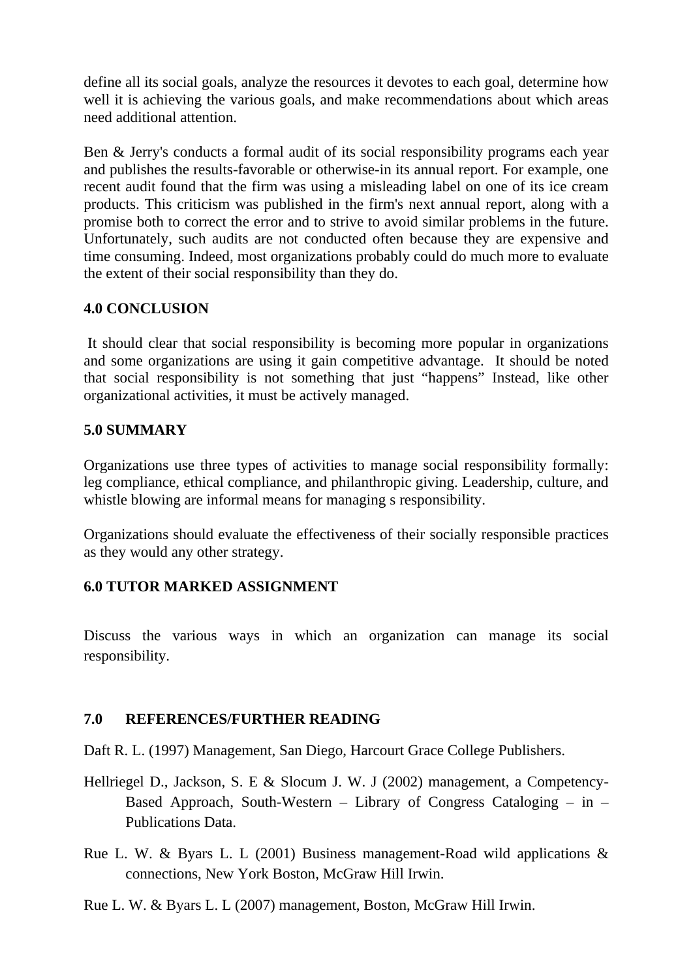define all its social goals, analyze the resources it devotes to each goal, determine how well it is achieving the various goals, and make recommendations about which areas need additional attention.

Ben & Jerry's conducts a formal audit of its social responsibility programs each year and publishes the results-favorable or otherwise-in its annual report. For example, one recent audit found that the firm was using a misleading label on one of its ice cream products. This criticism was published in the firm's next annual report, along with a promise both to correct the error and to strive to avoid similar problems in the future. Unfortunately, such audits are not conducted often because they are expensive and time consuming. Indeed, most organizations probably could do much more to evaluate the extent of their social responsibility than they do.

## **4.0 CONCLUSION**

It should clear that social responsibility is becoming more popular in organizations and some organizations are using it gain competitive advantage. It should be noted that social responsibility is not something that just "happens" Instead, like other organizational activities, it must be actively managed.

### **5.0 SUMMARY**

Organizations use three types of activities to manage social responsibility formally: leg compliance, ethical compliance, and philanthropic giving. Leadership, culture, and whistle blowing are informal means for managing s responsibility.

Organizations should evaluate the effectiveness of their socially responsible practices as they would any other strategy.

## **6.0 TUTOR MARKED ASSIGNMENT**

Discuss the various ways in which an organization can manage its social responsibility.

## **7.0 REFERENCES/FURTHER READING**

Daft R. L. (1997) Management, San Diego, Harcourt Grace College Publishers.

- Hellriegel D., Jackson, S. E & Slocum J. W. J (2002) management, a Competency-Based Approach, South-Western – Library of Congress Cataloging – in – Publications Data.
- Rue L. W. & Byars L. L (2001) Business management-Road wild applications & connections, New York Boston, McGraw Hill Irwin.
- Rue L. W. & Byars L. L (2007) management, Boston, McGraw Hill Irwin.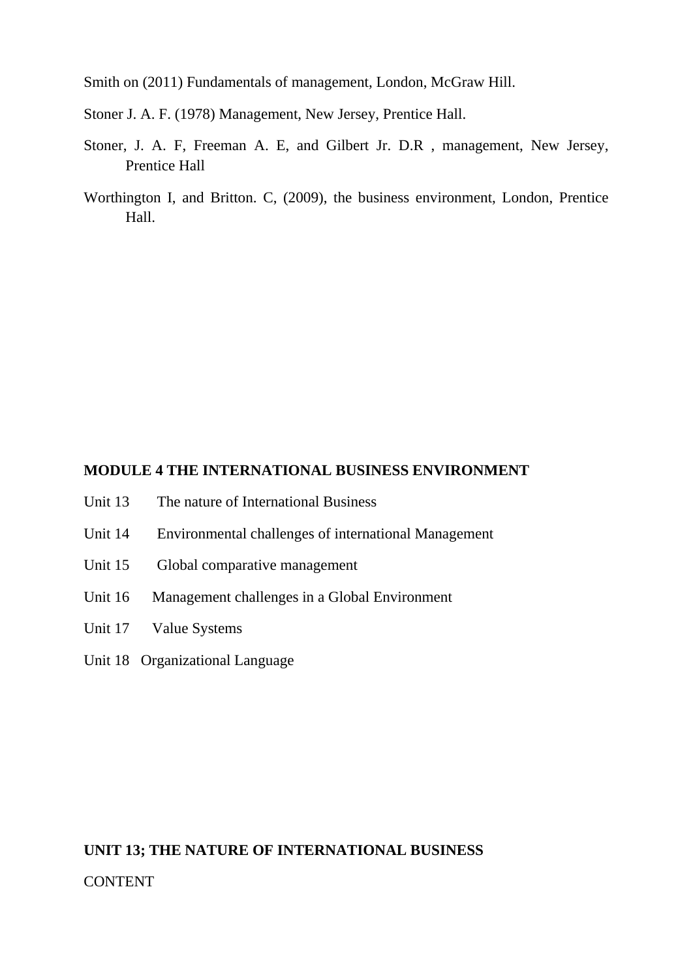Smith on (2011) Fundamentals of management, London, McGraw Hill.

Stoner J. A. F. (1978) Management, New Jersey, Prentice Hall.

- Stoner, J. A. F, Freeman A. E, and Gilbert Jr. D.R , management, New Jersey, Prentice Hall
- Worthington I, and Britton. C, (2009), the business environment, London, Prentice Hall.

#### **MODULE 4 THE INTERNATIONAL BUSINESS ENVIRONMENT**

- Unit 13 The nature of International Business
- Unit 14 Environmental challenges of international Management
- Unit 15 Global comparative management
- Unit 16 Management challenges in a Global Environment
- Unit 17 Value Systems
- Unit 18 Organizational Language

# **UNIT 13; THE NATURE OF INTERNATIONAL BUSINESS** CONTENT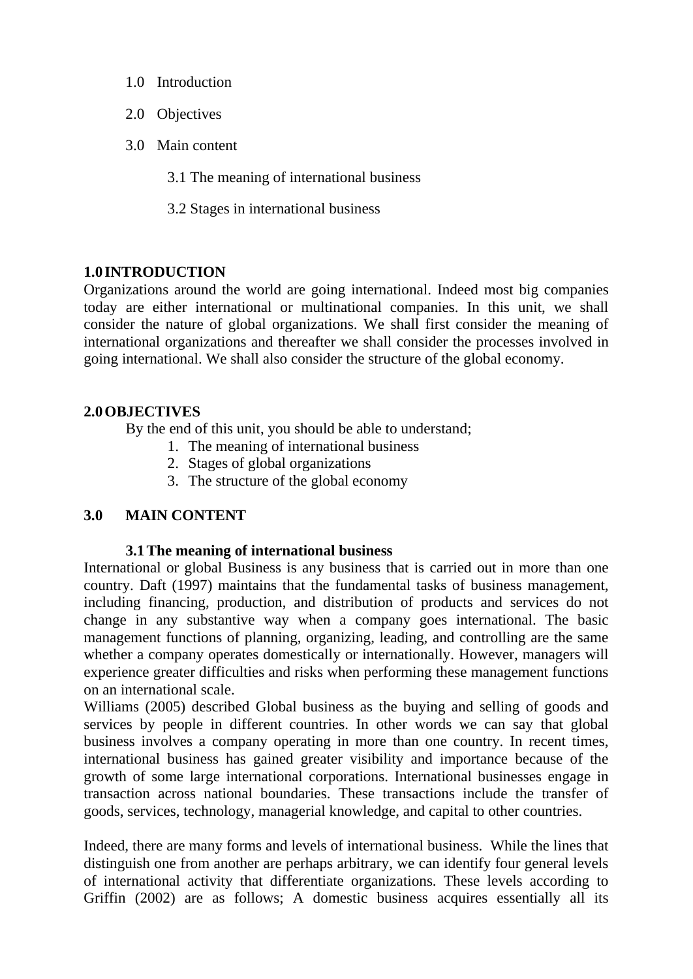- 1.0 Introduction
- 2.0 Objectives
- 3.0 Main content
	- 3.1 The meaning of international business
	- 3.2 Stages in international business

## **1.0 INTRODUCTION**

Organizations around the world are going international. Indeed most big companies today are either international or multinational companies. In this unit, we shall consider the nature of global organizations. We shall first consider the meaning of international organizations and thereafter we shall consider the processes involved in going international. We shall also consider the structure of the global economy.

## **2.0OBJECTIVES**

By the end of this unit, you should be able to understand;

- 1. The meaning of international business
- 2. Stages of global organizations
- 3. The structure of the global economy

## **3.0 MAIN CONTENT**

### **3.1The meaning of international business**

International or global Business is any business that is carried out in more than one country. Daft (1997) maintains that the fundamental tasks of business management, including financing, production, and distribution of products and services do not change in any substantive way when a company goes international. The basic management functions of planning, organizing, leading, and controlling are the same whether a company operates domestically or internationally. However, managers will experience greater difficulties and risks when performing these management functions on an international scale.

Williams (2005) described Global business as the buying and selling of goods and services by people in different countries. In other words we can say that global business involves a company operating in more than one country. In recent times, international business has gained greater visibility and importance because of the growth of some large international corporations. International businesses engage in transaction across national boundaries. These transactions include the transfer of goods, services, technology, managerial knowledge, and capital to other countries.

Indeed, there are many forms and levels of international business. While the lines that distinguish one from another are perhaps arbitrary, we can identify four general levels of international activity that differentiate organizations. These levels according to Griffin (2002) are as follows; A domestic business acquires essentially all its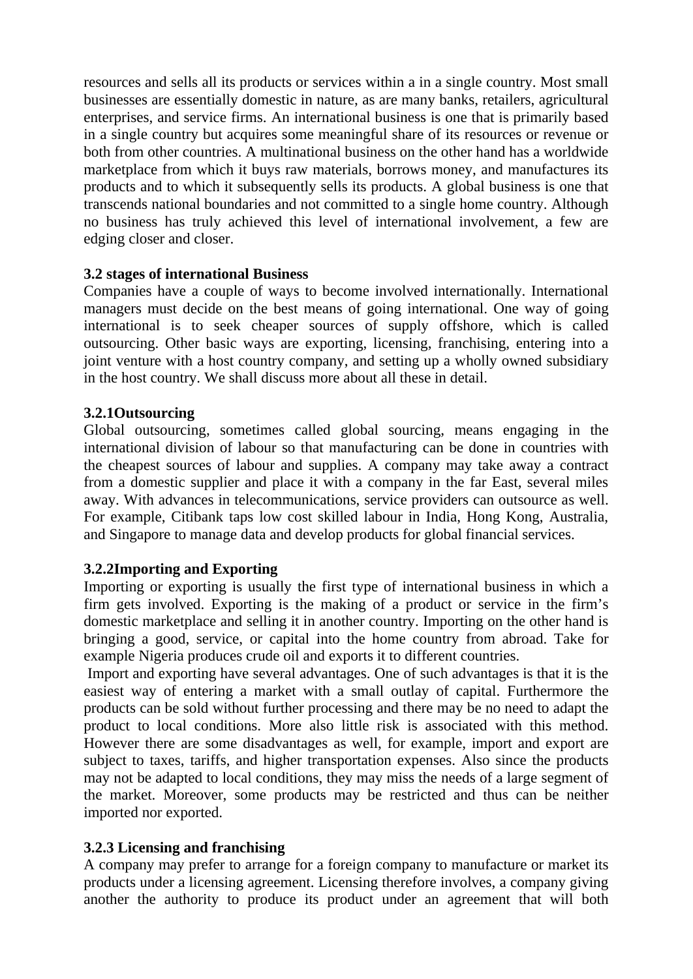resources and sells all its products or services within a in a single country. Most small businesses are essentially domestic in nature, as are many banks, retailers, agricultural enterprises, and service firms. An international business is one that is primarily based in a single country but acquires some meaningful share of its resources or revenue or both from other countries. A multinational business on the other hand has a worldwide marketplace from which it buys raw materials, borrows money, and manufactures its products and to which it subsequently sells its products. A global business is one that transcends national boundaries and not committed to a single home country. Although no business has truly achieved this level of international involvement, a few are edging closer and closer.

### **3.2 stages of international Business**

Companies have a couple of ways to become involved internationally. International managers must decide on the best means of going international. One way of going international is to seek cheaper sources of supply offshore, which is called outsourcing. Other basic ways are exporting, licensing, franchising, entering into a joint venture with a host country company, and setting up a wholly owned subsidiary in the host country. We shall discuss more about all these in detail.

### **3.2.1Outsourcing**

Global outsourcing, sometimes called global sourcing, means engaging in the international division of labour so that manufacturing can be done in countries with the cheapest sources of labour and supplies. A company may take away a contract from a domestic supplier and place it with a company in the far East, several miles away. With advances in telecommunications, service providers can outsource as well. For example, Citibank taps low cost skilled labour in India, Hong Kong, Australia, and Singapore to manage data and develop products for global financial services.

### **3.2.2Importing and Exporting**

Importing or exporting is usually the first type of international business in which a firm gets involved. Exporting is the making of a product or service in the firm's domestic marketplace and selling it in another country. Importing on the other hand is bringing a good, service, or capital into the home country from abroad. Take for example Nigeria produces crude oil and exports it to different countries.

Import and exporting have several advantages. One of such advantages is that it is the easiest way of entering a market with a small outlay of capital. Furthermore the products can be sold without further processing and there may be no need to adapt the product to local conditions. More also little risk is associated with this method. However there are some disadvantages as well, for example, import and export are subject to taxes, tariffs, and higher transportation expenses. Also since the products may not be adapted to local conditions, they may miss the needs of a large segment of the market. Moreover, some products may be restricted and thus can be neither imported nor exported.

#### **3.2.3 Licensing and franchising**

A company may prefer to arrange for a foreign company to manufacture or market its products under a licensing agreement. Licensing therefore involves, a company giving another the authority to produce its product under an agreement that will both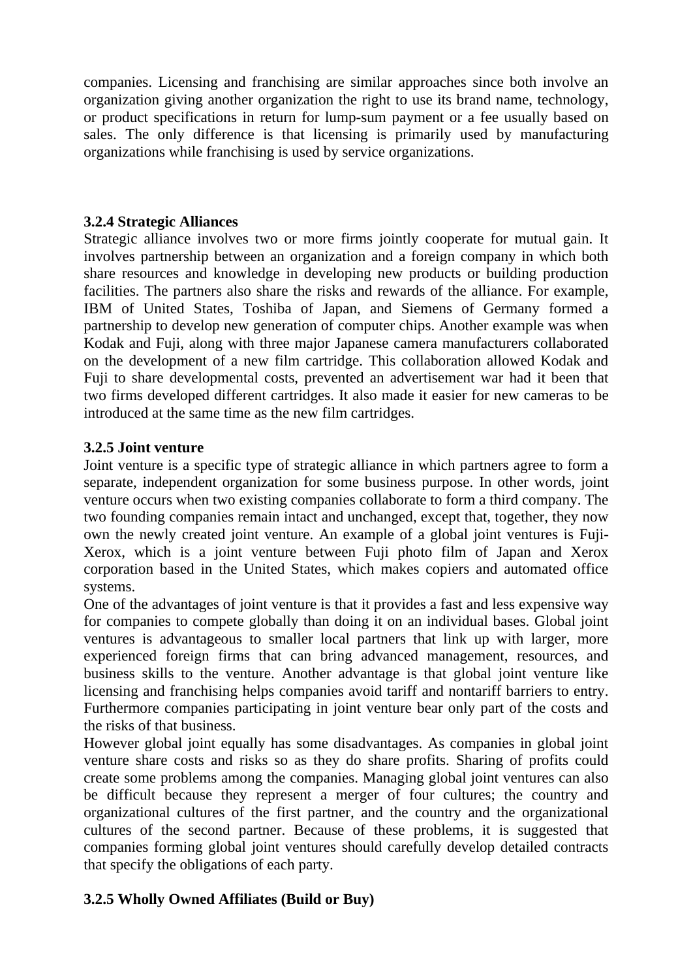companies. Licensing and franchising are similar approaches since both involve an organization giving another organization the right to use its brand name, technology, or product specifications in return for lump-sum payment or a fee usually based on sales. The only difference is that licensing is primarily used by manufacturing organizations while franchising is used by service organizations.

### **3.2.4 Strategic Alliances**

Strategic alliance involves two or more firms jointly cooperate for mutual gain. It involves partnership between an organization and a foreign company in which both share resources and knowledge in developing new products or building production facilities. The partners also share the risks and rewards of the alliance. For example, IBM of United States, Toshiba of Japan, and Siemens of Germany formed a partnership to develop new generation of computer chips. Another example was when Kodak and Fuji, along with three major Japanese camera manufacturers collaborated on the development of a new film cartridge. This collaboration allowed Kodak and Fuji to share developmental costs, prevented an advertisement war had it been that two firms developed different cartridges. It also made it easier for new cameras to be introduced at the same time as the new film cartridges.

### **3.2.5 Joint venture**

Joint venture is a specific type of strategic alliance in which partners agree to form a separate, independent organization for some business purpose. In other words, joint venture occurs when two existing companies collaborate to form a third company. The two founding companies remain intact and unchanged, except that, together, they now own the newly created joint venture. An example of a global joint ventures is Fuji-Xerox, which is a joint venture between Fuji photo film of Japan and Xerox corporation based in the United States, which makes copiers and automated office systems.

One of the advantages of joint venture is that it provides a fast and less expensive way for companies to compete globally than doing it on an individual bases. Global joint ventures is advantageous to smaller local partners that link up with larger, more experienced foreign firms that can bring advanced management, resources, and business skills to the venture. Another advantage is that global joint venture like licensing and franchising helps companies avoid tariff and nontariff barriers to entry. Furthermore companies participating in joint venture bear only part of the costs and the risks of that business.

However global joint equally has some disadvantages. As companies in global joint venture share costs and risks so as they do share profits. Sharing of profits could create some problems among the companies. Managing global joint ventures can also be difficult because they represent a merger of four cultures; the country and organizational cultures of the first partner, and the country and the organizational cultures of the second partner. Because of these problems, it is suggested that companies forming global joint ventures should carefully develop detailed contracts that specify the obligations of each party.

## **3.2.5 Wholly Owned Affiliates (Build or Buy)**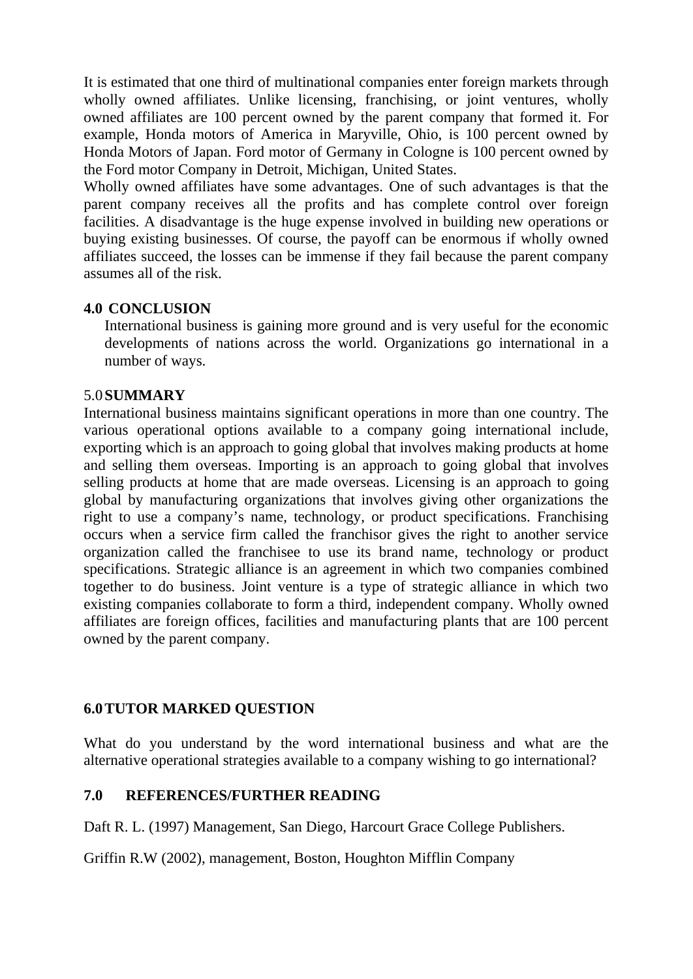It is estimated that one third of multinational companies enter foreign markets through wholly owned affiliates. Unlike licensing, franchising, or joint ventures, wholly owned affiliates are 100 percent owned by the parent company that formed it. For example, Honda motors of America in Maryville, Ohio, is 100 percent owned by Honda Motors of Japan. Ford motor of Germany in Cologne is 100 percent owned by the Ford motor Company in Detroit, Michigan, United States.

Wholly owned affiliates have some advantages. One of such advantages is that the parent company receives all the profits and has complete control over foreign facilities. A disadvantage is the huge expense involved in building new operations or buying existing businesses. Of course, the payoff can be enormous if wholly owned affiliates succeed, the losses can be immense if they fail because the parent company assumes all of the risk.

#### **4.0 CONCLUSION**

International business is gaining more ground and is very useful for the economic developments of nations across the world. Organizations go international in a number of ways.

#### 5.0**SUMMARY**

International business maintains significant operations in more than one country. The various operational options available to a company going international include, exporting which is an approach to going global that involves making products at home and selling them overseas. Importing is an approach to going global that involves selling products at home that are made overseas. Licensing is an approach to going global by manufacturing organizations that involves giving other organizations the right to use a company's name, technology, or product specifications. Franchising occurs when a service firm called the franchisor gives the right to another service organization called the franchisee to use its brand name, technology or product specifications. Strategic alliance is an agreement in which two companies combined together to do business. Joint venture is a type of strategic alliance in which two existing companies collaborate to form a third, independent company. Wholly owned affiliates are foreign offices, facilities and manufacturing plants that are 100 percent owned by the parent company.

### **6.0TUTOR MARKED QUESTION**

What do you understand by the word international business and what are the alternative operational strategies available to a company wishing to go international?

### **7.0 REFERENCES/FURTHER READING**

Daft R. L. (1997) Management, San Diego, Harcourt Grace College Publishers.

Griffin R.W (2002), management, Boston, Houghton Mifflin Company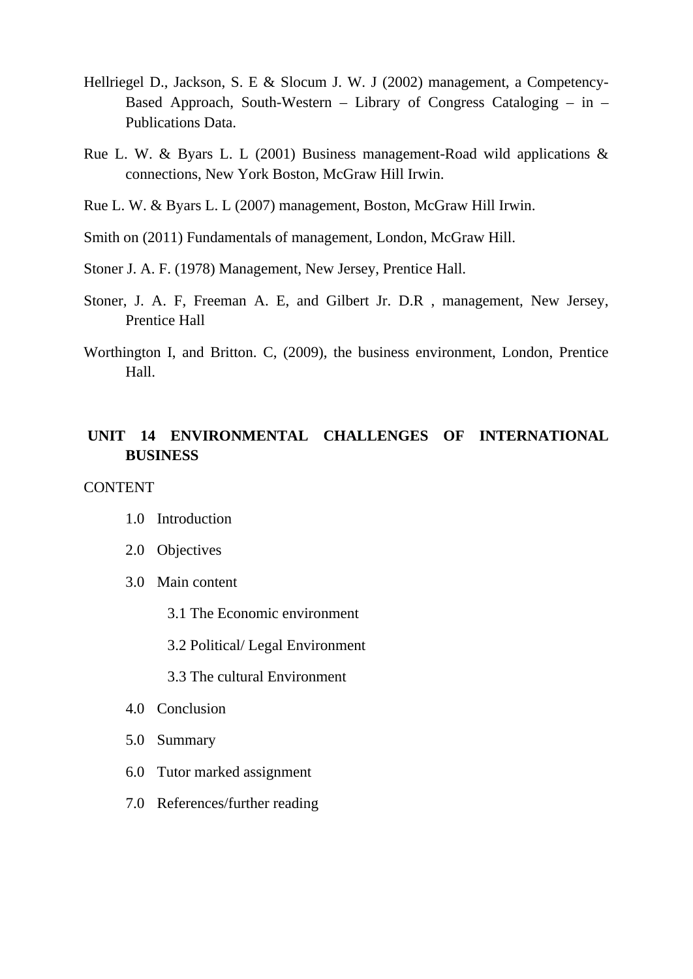- Hellriegel D., Jackson, S. E & Slocum J. W. J (2002) management, a Competency-Based Approach, South-Western – Library of Congress Cataloging – in – Publications Data.
- Rue L. W. & Byars L. L (2001) Business management-Road wild applications & connections, New York Boston, McGraw Hill Irwin.
- Rue L. W. & Byars L. L (2007) management, Boston, McGraw Hill Irwin.
- Smith on (2011) Fundamentals of management, London, McGraw Hill.
- Stoner J. A. F. (1978) Management, New Jersey, Prentice Hall.
- Stoner, J. A. F, Freeman A. E, and Gilbert Jr. D.R , management, New Jersey, Prentice Hall
- Worthington I, and Britton. C, (2009), the business environment, London, Prentice Hall.

## **UNIT 14 ENVIRONMENTAL CHALLENGES OF INTERNATIONAL BUSINESS**

**CONTENT** 

- 1.0 Introduction
- 2.0 Objectives
- 3.0 Main content
	- 3.1 The Economic environment
	- 3.2 Political/ Legal Environment
	- 3.3 The cultural Environment
- 4.0 Conclusion
- 5.0 Summary
- 6.0 Tutor marked assignment
- 7.0 References/further reading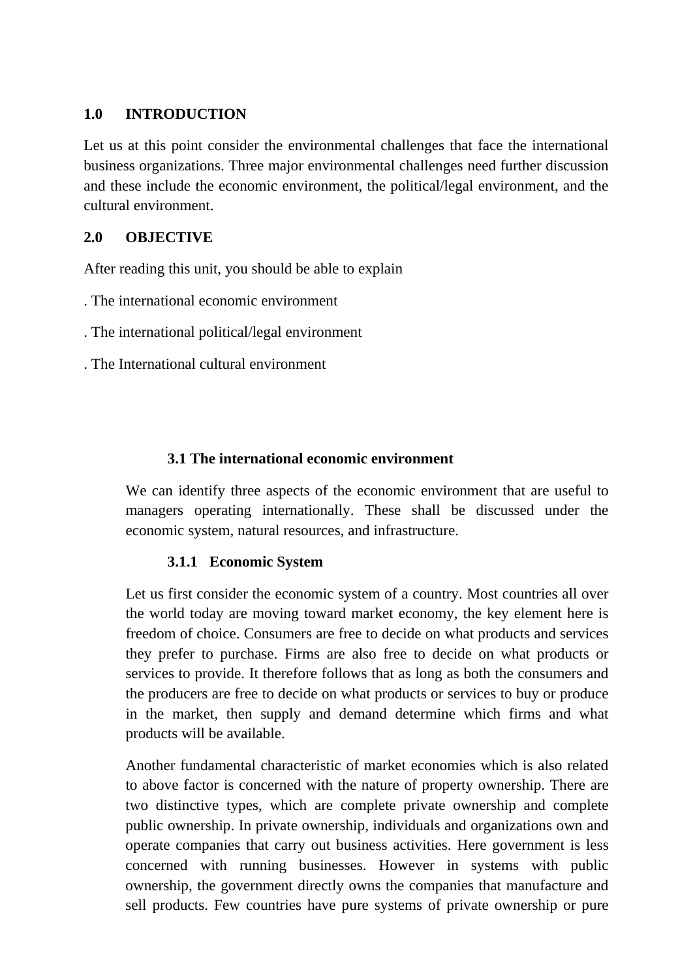### **1.0 INTRODUCTION**

Let us at this point consider the environmental challenges that face the international business organizations. Three major environmental challenges need further discussion and these include the economic environment, the political/legal environment, and the cultural environment.

### **2.0 OBJECTIVE**

After reading this unit, you should be able to explain

. The international economic environment

- . The international political/legal environment
- . The International cultural environment

#### **3.1 The international economic environment**

We can identify three aspects of the economic environment that are useful to managers operating internationally. These shall be discussed under the economic system, natural resources, and infrastructure.

### **3.1.1 Economic System**

Let us first consider the economic system of a country. Most countries all over the world today are moving toward market economy, the key element here is freedom of choice. Consumers are free to decide on what products and services they prefer to purchase. Firms are also free to decide on what products or services to provide. It therefore follows that as long as both the consumers and the producers are free to decide on what products or services to buy or produce in the market, then supply and demand determine which firms and what products will be available.

Another fundamental characteristic of market economies which is also related to above factor is concerned with the nature of property ownership. There are two distinctive types, which are complete private ownership and complete public ownership. In private ownership, individuals and organizations own and operate companies that carry out business activities. Here government is less concerned with running businesses. However in systems with public ownership, the government directly owns the companies that manufacture and sell products. Few countries have pure systems of private ownership or pure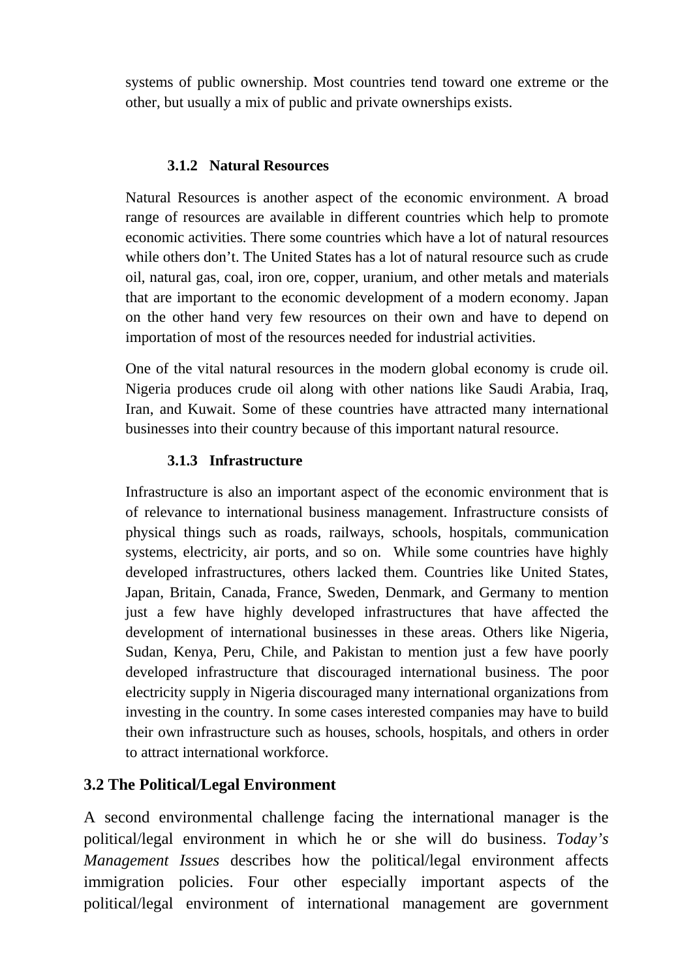systems of public ownership. Most countries tend toward one extreme or the other, but usually a mix of public and private ownerships exists.

### **3.1.2 Natural Resources**

Natural Resources is another aspect of the economic environment. A broad range of resources are available in different countries which help to promote economic activities. There some countries which have a lot of natural resources while others don't. The United States has a lot of natural resource such as crude oil, natural gas, coal, iron ore, copper, uranium, and other metals and materials that are important to the economic development of a modern economy. Japan on the other hand very few resources on their own and have to depend on importation of most of the resources needed for industrial activities.

One of the vital natural resources in the modern global economy is crude oil. Nigeria produces crude oil along with other nations like Saudi Arabia, Iraq, Iran, and Kuwait. Some of these countries have attracted many international businesses into their country because of this important natural resource.

## **3.1.3 Infrastructure**

Infrastructure is also an important aspect of the economic environment that is of relevance to international business management. Infrastructure consists of physical things such as roads, railways, schools, hospitals, communication systems, electricity, air ports, and so on. While some countries have highly developed infrastructures, others lacked them. Countries like United States, Japan, Britain, Canada, France, Sweden, Denmark, and Germany to mention just a few have highly developed infrastructures that have affected the development of international businesses in these areas. Others like Nigeria, Sudan, Kenya, Peru, Chile, and Pakistan to mention just a few have poorly developed infrastructure that discouraged international business. The poor electricity supply in Nigeria discouraged many international organizations from investing in the country. In some cases interested companies may have to build their own infrastructure such as houses, schools, hospitals, and others in order to attract international workforce.

## **3.2 The Political/Legal Environment**

A second environmental challenge facing the international manager is the political/legal environment in which he or she will do business. *Today's Management Issues* describes how the political/legal environment affects immigration policies. Four other especially important aspects of the political/legal environment of international management are government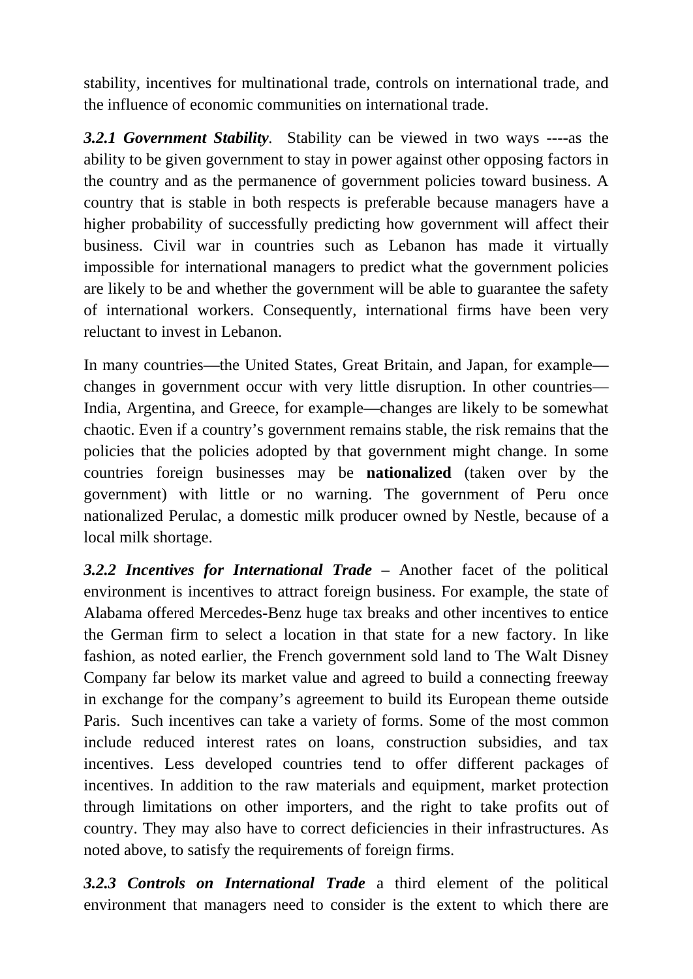stability, incentives for multinational trade, controls on international trade, and the influence of economic communities on international trade.

*3.2.1 Government Stability.* Stabilit*y* can be viewed in two ways ----as the ability to be given government to stay in power against other opposing factors in the country and as the permanence of government policies toward business. A country that is stable in both respects is preferable because managers have a higher probability of successfully predicting how government will affect their business. Civil war in countries such as Lebanon has made it virtually impossible for international managers to predict what the government policies are likely to be and whether the government will be able to guarantee the safety of international workers. Consequently, international firms have been very reluctant to invest in Lebanon.

In many countries—the United States, Great Britain, and Japan, for example changes in government occur with very little disruption. In other countries— India, Argentina, and Greece, for example—changes are likely to be somewhat chaotic. Even if a country's government remains stable, the risk remains that the policies that the policies adopted by that government might change. In some countries foreign businesses may be **nationalized** (taken over by the government) with little or no warning. The government of Peru once nationalized Perulac, a domestic milk producer owned by Nestle, because of a local milk shortage.

*3.2.2 Incentives for International Trade* – Another facet of the political environment is incentives to attract foreign business. For example, the state of Alabama offered Mercedes-Benz huge tax breaks and other incentives to entice the German firm to select a location in that state for a new factory. In like fashion, as noted earlier, the French government sold land to The Walt Disney Company far below its market value and agreed to build a connecting freeway in exchange for the company's agreement to build its European theme outside Paris. Such incentives can take a variety of forms. Some of the most common include reduced interest rates on loans, construction subsidies, and tax incentives. Less developed countries tend to offer different packages of incentives. In addition to the raw materials and equipment, market protection through limitations on other importers, and the right to take profits out of country. They may also have to correct deficiencies in their infrastructures. As noted above, to satisfy the requirements of foreign firms.

*3.2.3 Controls on International Trade* a third element of the political environment that managers need to consider is the extent to which there are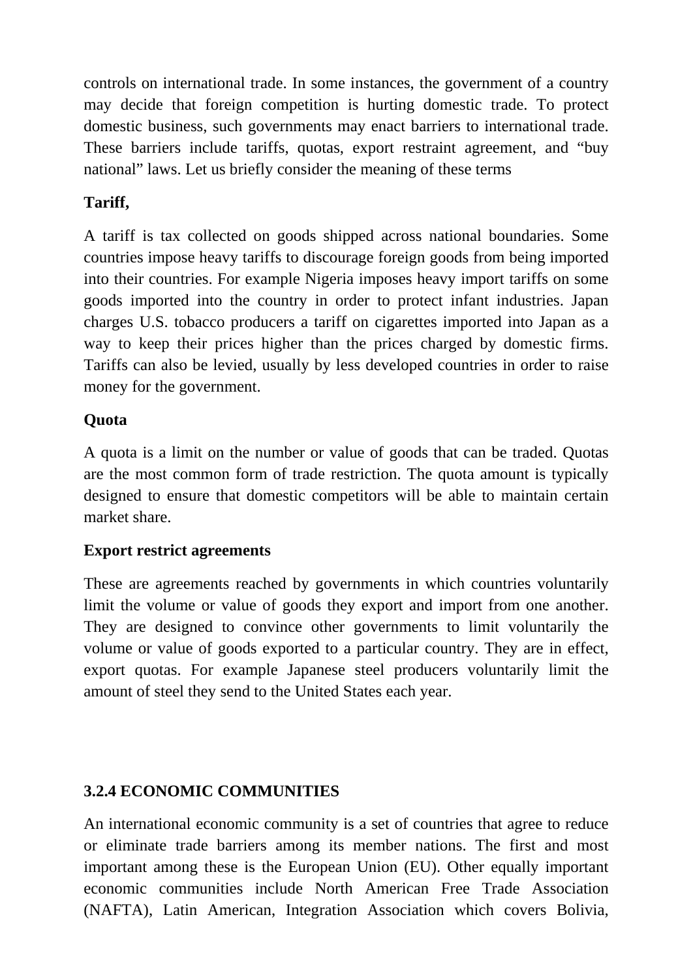controls on international trade. In some instances, the government of a country may decide that foreign competition is hurting domestic trade. To protect domestic business, such governments may enact barriers to international trade. These barriers include tariffs, quotas, export restraint agreement, and "buy national" laws. Let us briefly consider the meaning of these terms

## **Tariff,**

A tariff is tax collected on goods shipped across national boundaries. Some countries impose heavy tariffs to discourage foreign goods from being imported into their countries. For example Nigeria imposes heavy import tariffs on some goods imported into the country in order to protect infant industries. Japan charges U.S. tobacco producers a tariff on cigarettes imported into Japan as a way to keep their prices higher than the prices charged by domestic firms. Tariffs can also be levied, usually by less developed countries in order to raise money for the government.

## **Quota**

A quota is a limit on the number or value of goods that can be traded. Quotas are the most common form of trade restriction. The quota amount is typically designed to ensure that domestic competitors will be able to maintain certain market share.

## **Export restrict agreements**

These are agreements reached by governments in which countries voluntarily limit the volume or value of goods they export and import from one another. They are designed to convince other governments to limit voluntarily the volume or value of goods exported to a particular country. They are in effect, export quotas. For example Japanese steel producers voluntarily limit the amount of steel they send to the United States each year.

## **3.2.4 ECONOMIC COMMUNITIES**

An international economic community is a set of countries that agree to reduce or eliminate trade barriers among its member nations. The first and most important among these is the European Union (EU). Other equally important economic communities include North American Free Trade Association (NAFTA), Latin American, Integration Association which covers Bolivia,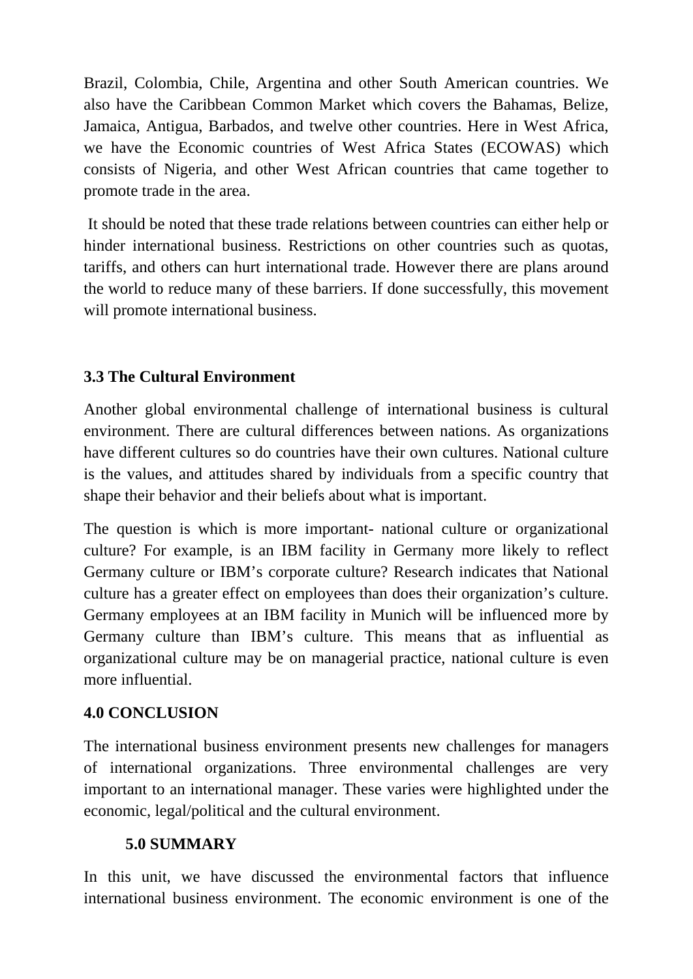Brazil, Colombia, Chile, Argentina and other South American countries. We also have the Caribbean Common Market which covers the Bahamas, Belize, Jamaica, Antigua, Barbados, and twelve other countries. Here in West Africa, we have the Economic countries of West Africa States (ECOWAS) which consists of Nigeria, and other West African countries that came together to promote trade in the area.

It should be noted that these trade relations between countries can either help or hinder international business. Restrictions on other countries such as quotas, tariffs, and others can hurt international trade. However there are plans around the world to reduce many of these barriers. If done successfully, this movement will promote international business.

## **3.3 The Cultural Environment**

Another global environmental challenge of international business is cultural environment. There are cultural differences between nations. As organizations have different cultures so do countries have their own cultures. National culture is the values, and attitudes shared by individuals from a specific country that shape their behavior and their beliefs about what is important.

The question is which is more important- national culture or organizational culture? For example, is an IBM facility in Germany more likely to reflect Germany culture or IBM's corporate culture? Research indicates that National culture has a greater effect on employees than does their organization's culture. Germany employees at an IBM facility in Munich will be influenced more by Germany culture than IBM's culture. This means that as influential as organizational culture may be on managerial practice, national culture is even more influential.

## **4.0 CONCLUSION**

The international business environment presents new challenges for managers of international organizations. Three environmental challenges are very important to an international manager. These varies were highlighted under the economic, legal/political and the cultural environment.

## **5.0 SUMMARY**

In this unit, we have discussed the environmental factors that influence international business environment. The economic environment is one of the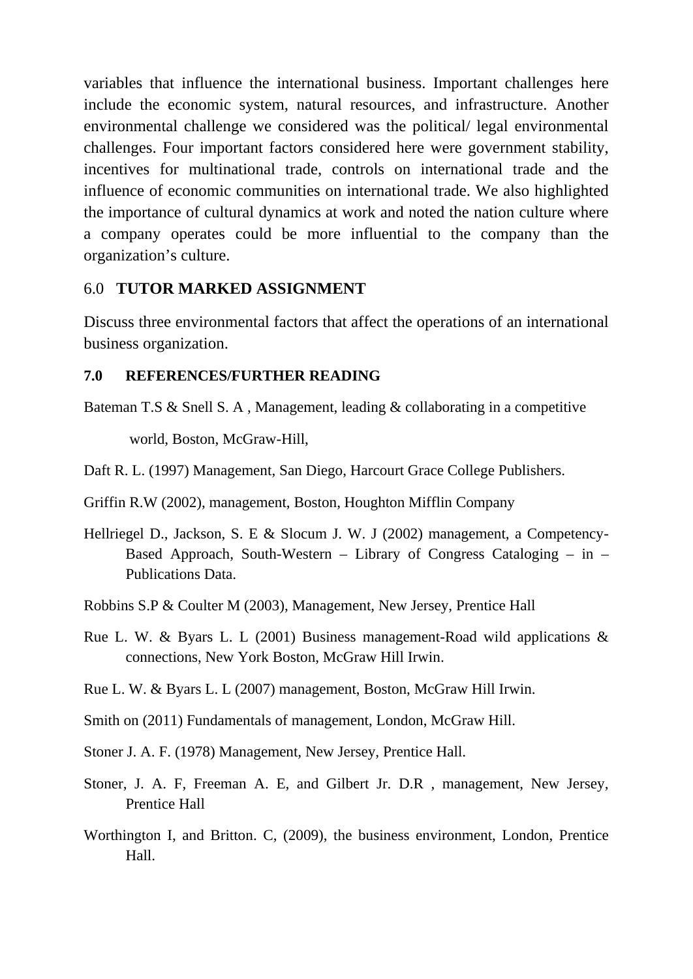variables that influence the international business. Important challenges here include the economic system, natural resources, and infrastructure. Another environmental challenge we considered was the political/ legal environmental challenges. Four important factors considered here were government stability, incentives for multinational trade, controls on international trade and the influence of economic communities on international trade. We also highlighted the importance of cultural dynamics at work and noted the nation culture where a company operates could be more influential to the company than the organization's culture.

### 6.0 **TUTOR MARKED ASSIGNMENT**

Discuss three environmental factors that affect the operations of an international business organization.

#### **7.0 REFERENCES/FURTHER READING**

Bateman T.S & Snell S. A , Management, leading & collaborating in a competitive world, Boston, McGraw-Hill,

Daft R. L. (1997) Management, San Diego, Harcourt Grace College Publishers.

Griffin R.W (2002), management, Boston, Houghton Mifflin Company

- Hellriegel D., Jackson, S. E & Slocum J. W. J (2002) management, a Competency-Based Approach, South-Western – Library of Congress Cataloging – in – Publications Data.
- Robbins S.P & Coulter M (2003), Management, New Jersey, Prentice Hall
- Rue L. W. & Byars L. L (2001) Business management-Road wild applications & connections, New York Boston, McGraw Hill Irwin.

Rue L. W. & Byars L. L (2007) management, Boston, McGraw Hill Irwin.

Smith on (2011) Fundamentals of management, London, McGraw Hill.

Stoner J. A. F. (1978) Management, New Jersey, Prentice Hall.

- Stoner, J. A. F, Freeman A. E, and Gilbert Jr. D.R , management, New Jersey, Prentice Hall
- Worthington I, and Britton. C, (2009), the business environment, London, Prentice Hall.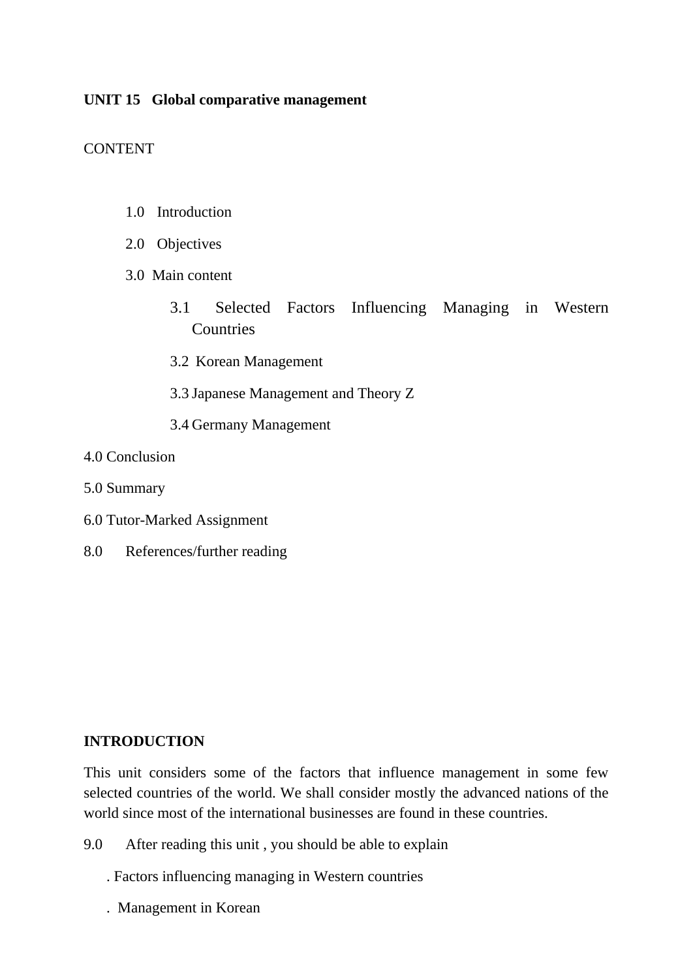#### **UNIT 15 Global comparative management**

## **CONTENT**

- 1.0 Introduction
- 2.0 Objectives
- 3.0 Main content
	- 3.1 Selected Factors Influencing Managing in Western **Countries**
	- 3.2 Korean Management
	- 3.3 Japanese Management and Theory Z
	- 3.4 Germany Management
- 4.0 Conclusion
- 5.0 Summary
- 6.0 Tutor-Marked Assignment
- 8.0 References/further reading

#### **INTRODUCTION**

This unit considers some of the factors that influence management in some few selected countries of the world. We shall consider mostly the advanced nations of the world since most of the international businesses are found in these countries.

- 9.0 After reading this unit , you should be able to explain
	- . Factors influencing managing in Western countries
	- . Management in Korean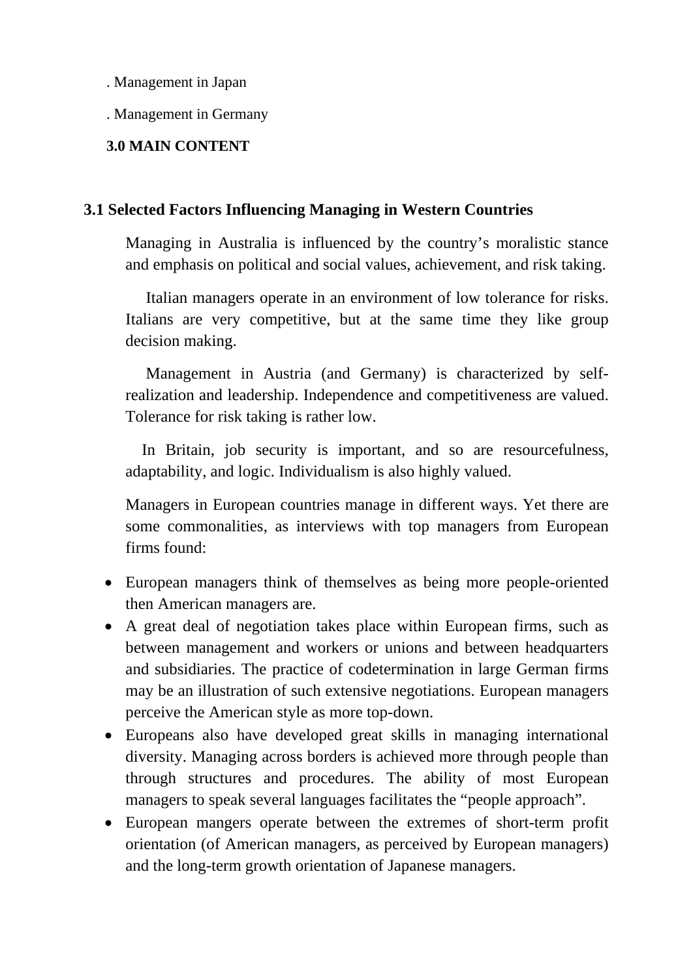. Management in Japan

. Management in Germany

**3.0 MAIN CONTENT**

## **3.1 Selected Factors Influencing Managing in Western Countries**

Managing in Australia is influenced by the country's moralistic stance and emphasis on political and social values, achievement, and risk taking.

 Italian managers operate in an environment of low tolerance for risks. Italians are very competitive, but at the same time they like group decision making.

 Management in Austria (and Germany) is characterized by selfrealization and leadership. Independence and competitiveness are valued. Tolerance for risk taking is rather low.

 In Britain, job security is important, and so are resourcefulness, adaptability, and logic. Individualism is also highly valued.

Managers in European countries manage in different ways. Yet there are some commonalities, as interviews with top managers from European firms found:

- European managers think of themselves as being more people-oriented then American managers are.
- A great deal of negotiation takes place within European firms, such as between management and workers or unions and between headquarters and subsidiaries. The practice of codetermination in large German firms may be an illustration of such extensive negotiations. European managers perceive the American style as more top-down.
- Europeans also have developed great skills in managing international diversity. Managing across borders is achieved more through people than through structures and procedures. The ability of most European managers to speak several languages facilitates the "people approach".
- European mangers operate between the extremes of short-term profit orientation (of American managers, as perceived by European managers) and the long-term growth orientation of Japanese managers.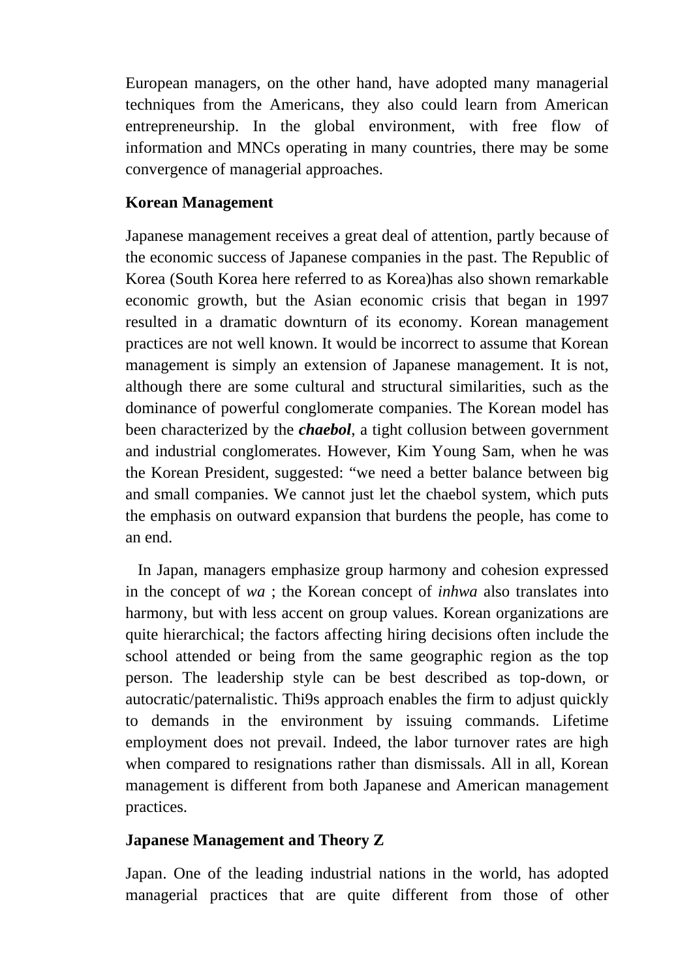European managers, on the other hand, have adopted many managerial techniques from the Americans, they also could learn from American entrepreneurship. In the global environment, with free flow of information and MNCs operating in many countries, there may be some convergence of managerial approaches.

## **Korean Management**

Japanese management receives a great deal of attention, partly because of the economic success of Japanese companies in the past. The Republic of Korea (South Korea here referred to as Korea)has also shown remarkable economic growth, but the Asian economic crisis that began in 1997 resulted in a dramatic downturn of its economy. Korean management practices are not well known. It would be incorrect to assume that Korean management is simply an extension of Japanese management. It is not, although there are some cultural and structural similarities, such as the dominance of powerful conglomerate companies. The Korean model has been characterized by the *chaebol*, a tight collusion between government and industrial conglomerates. However, Kim Young Sam, when he was the Korean President, suggested: "we need a better balance between big and small companies. We cannot just let the chaebol system, which puts the emphasis on outward expansion that burdens the people, has come to an end.

 In Japan, managers emphasize group harmony and cohesion expressed in the concept of *wa* ; the Korean concept of *inhwa* also translates into harmony, but with less accent on group values. Korean organizations are quite hierarchical; the factors affecting hiring decisions often include the school attended or being from the same geographic region as the top person. The leadership style can be best described as top-down, or autocratic/paternalistic. Thi9s approach enables the firm to adjust quickly to demands in the environment by issuing commands. Lifetime employment does not prevail. Indeed, the labor turnover rates are high when compared to resignations rather than dismissals. All in all, Korean management is different from both Japanese and American management practices.

## **Japanese Management and Theory Z**

Japan. One of the leading industrial nations in the world, has adopted managerial practices that are quite different from those of other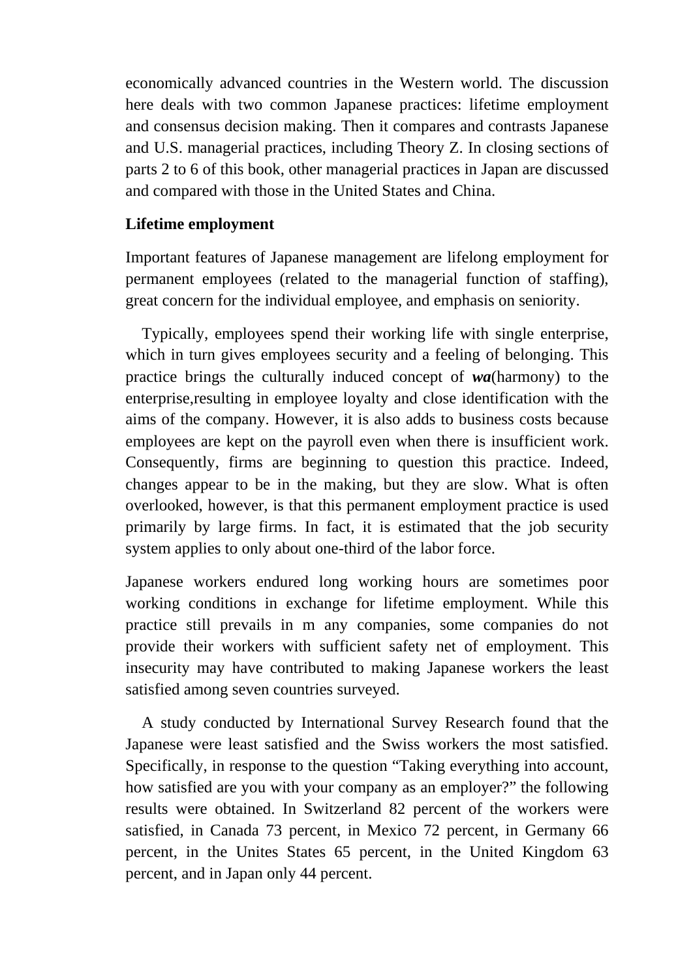economically advanced countries in the Western world. The discussion here deals with two common Japanese practices: lifetime employment and consensus decision making. Then it compares and contrasts Japanese and U.S. managerial practices, including Theory Z. In closing sections of parts 2 to 6 of this book, other managerial practices in Japan are discussed and compared with those in the United States and China.

## **Lifetime employment**

Important features of Japanese management are lifelong employment for permanent employees (related to the managerial function of staffing), great concern for the individual employee, and emphasis on seniority.

 Typically, employees spend their working life with single enterprise, which in turn gives employees security and a feeling of belonging. This practice brings the culturally induced concept of *wa*(harmony) to the enterprise,resulting in employee loyalty and close identification with the aims of the company. However, it is also adds to business costs because employees are kept on the payroll even when there is insufficient work. Consequently, firms are beginning to question this practice. Indeed, changes appear to be in the making, but they are slow. What is often overlooked, however, is that this permanent employment practice is used primarily by large firms. In fact, it is estimated that the job security system applies to only about one-third of the labor force.

Japanese workers endured long working hours are sometimes poor working conditions in exchange for lifetime employment. While this practice still prevails in m any companies, some companies do not provide their workers with sufficient safety net of employment. This insecurity may have contributed to making Japanese workers the least satisfied among seven countries surveyed.

 A study conducted by International Survey Research found that the Japanese were least satisfied and the Swiss workers the most satisfied. Specifically, in response to the question "Taking everything into account, how satisfied are you with your company as an employer?" the following results were obtained. In Switzerland 82 percent of the workers were satisfied, in Canada 73 percent, in Mexico 72 percent, in Germany 66 percent, in the Unites States 65 percent, in the United Kingdom 63 percent, and in Japan only 44 percent.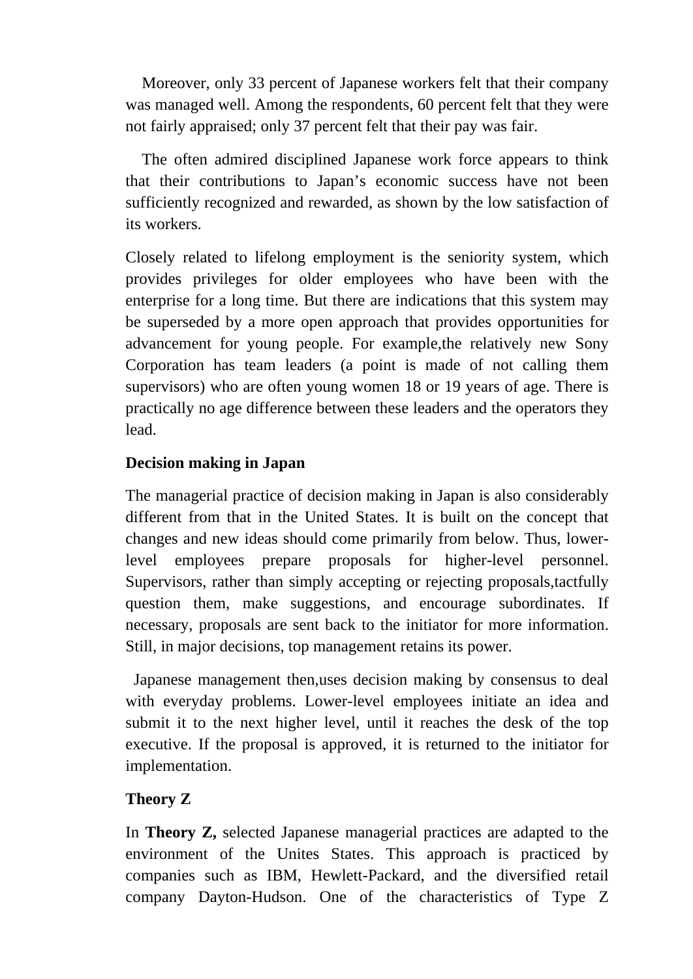Moreover, only 33 percent of Japanese workers felt that their company was managed well. Among the respondents, 60 percent felt that they were not fairly appraised; only 37 percent felt that their pay was fair.

 The often admired disciplined Japanese work force appears to think that their contributions to Japan's economic success have not been sufficiently recognized and rewarded, as shown by the low satisfaction of its workers.

Closely related to lifelong employment is the seniority system, which provides privileges for older employees who have been with the enterprise for a long time. But there are indications that this system may be superseded by a more open approach that provides opportunities for advancement for young people. For example,the relatively new Sony Corporation has team leaders (a point is made of not calling them supervisors) who are often young women 18 or 19 years of age. There is practically no age difference between these leaders and the operators they lead.

## **Decision making in Japan**

The managerial practice of decision making in Japan is also considerably different from that in the United States. It is built on the concept that changes and new ideas should come primarily from below. Thus, lowerlevel employees prepare proposals for higher-level personnel. Supervisors, rather than simply accepting or rejecting proposals,tactfully question them, make suggestions, and encourage subordinates. If necessary, proposals are sent back to the initiator for more information. Still, in major decisions, top management retains its power.

 Japanese management then,uses decision making by consensus to deal with everyday problems. Lower-level employees initiate an idea and submit it to the next higher level, until it reaches the desk of the top executive. If the proposal is approved, it is returned to the initiator for implementation.

## **Theory Z**

In **Theory Z,** selected Japanese managerial practices are adapted to the environment of the Unites States. This approach is practiced by companies such as IBM, Hewlett-Packard, and the diversified retail company Dayton-Hudson. One of the characteristics of Type Z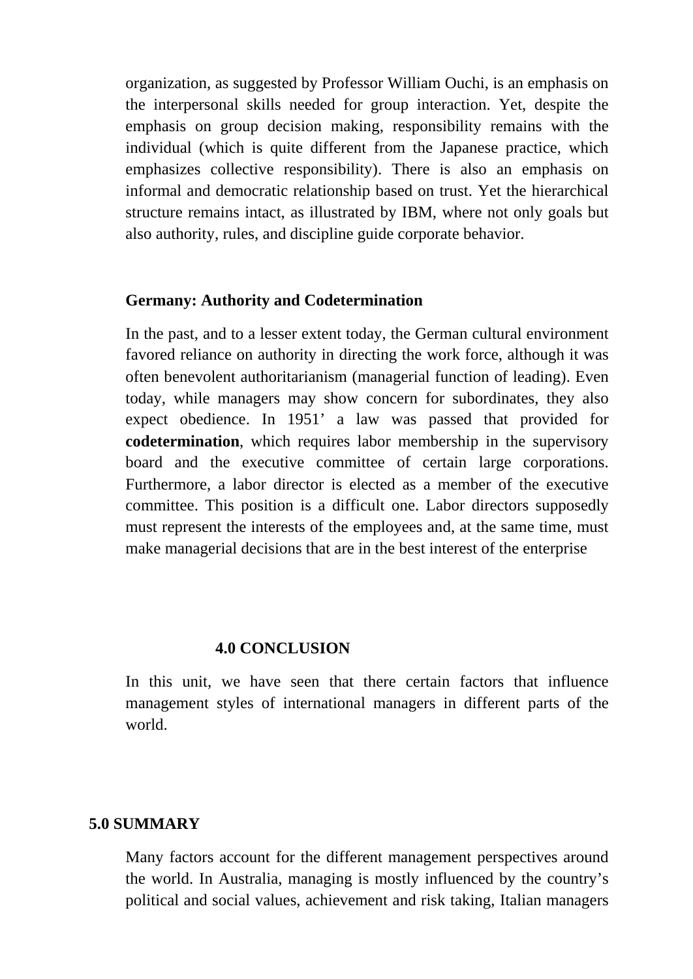organization, as suggested by Professor William Ouchi, is an emphasis on the interpersonal skills needed for group interaction. Yet, despite the emphasis on group decision making, responsibility remains with the individual (which is quite different from the Japanese practice, which emphasizes collective responsibility). There is also an emphasis on informal and democratic relationship based on trust. Yet the hierarchical structure remains intact, as illustrated by IBM, where not only goals but also authority, rules, and discipline guide corporate behavior.

#### **Germany: Authority and Codetermination**

In the past, and to a lesser extent today, the German cultural environment favored reliance on authority in directing the work force, although it was often benevolent authoritarianism (managerial function of leading). Even today, while managers may show concern for subordinates, they also expect obedience. In 1951' a law was passed that provided for **codetermination**, which requires labor membership in the supervisory board and the executive committee of certain large corporations. Furthermore, a labor director is elected as a member of the executive committee. This position is a difficult one. Labor directors supposedly must represent the interests of the employees and, at the same time, must make managerial decisions that are in the best interest of the enterprise

### **4.0 CONCLUSION**

In this unit, we have seen that there certain factors that influence management styles of international managers in different parts of the world.

### **5.0 SUMMARY**

Many factors account for the different management perspectives around the world. In Australia, managing is mostly influenced by the country's political and social values, achievement and risk taking, Italian managers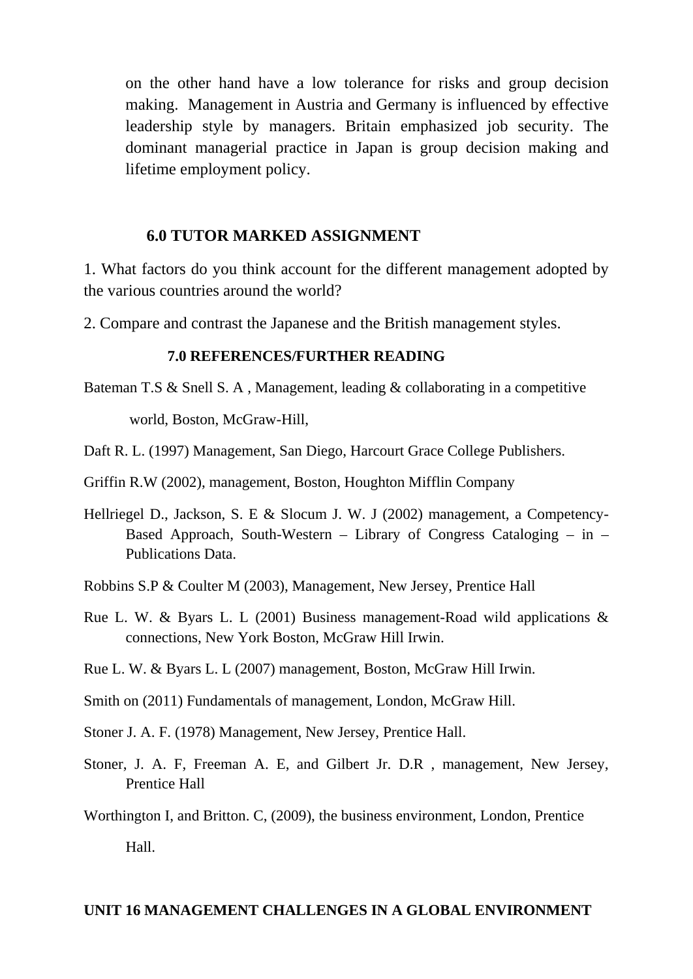on the other hand have a low tolerance for risks and group decision making. Management in Austria and Germany is influenced by effective leadership style by managers. Britain emphasized job security. The dominant managerial practice in Japan is group decision making and lifetime employment policy.

### **6.0 TUTOR MARKED ASSIGNMENT**

1. What factors do you think account for the different management adopted by the various countries around the world?

2. Compare and contrast the Japanese and the British management styles.

#### **7.0 REFERENCES/FURTHER READING**

Bateman T.S & Snell S. A , Management, leading & collaborating in a competitive

world, Boston, McGraw-Hill,

- Daft R. L. (1997) Management, San Diego, Harcourt Grace College Publishers.
- Griffin R.W (2002), management, Boston, Houghton Mifflin Company
- Hellriegel D., Jackson, S. E & Slocum J. W. J (2002) management, a Competency-Based Approach, South-Western – Library of Congress Cataloging – in – Publications Data.
- Robbins S.P & Coulter M (2003), Management, New Jersey, Prentice Hall
- Rue L. W. & Byars L. L (2001) Business management-Road wild applications & connections, New York Boston, McGraw Hill Irwin.
- Rue L. W. & Byars L. L (2007) management, Boston, McGraw Hill Irwin.
- Smith on (2011) Fundamentals of management, London, McGraw Hill.
- Stoner J. A. F. (1978) Management, New Jersey, Prentice Hall.
- Stoner, J. A. F, Freeman A. E, and Gilbert Jr. D.R , management, New Jersey, Prentice Hall
- Worthington I, and Britton. C, (2009), the business environment, London, Prentice Hall.

### **UNIT 16 MANAGEMENT CHALLENGES IN A GLOBAL ENVIRONMENT**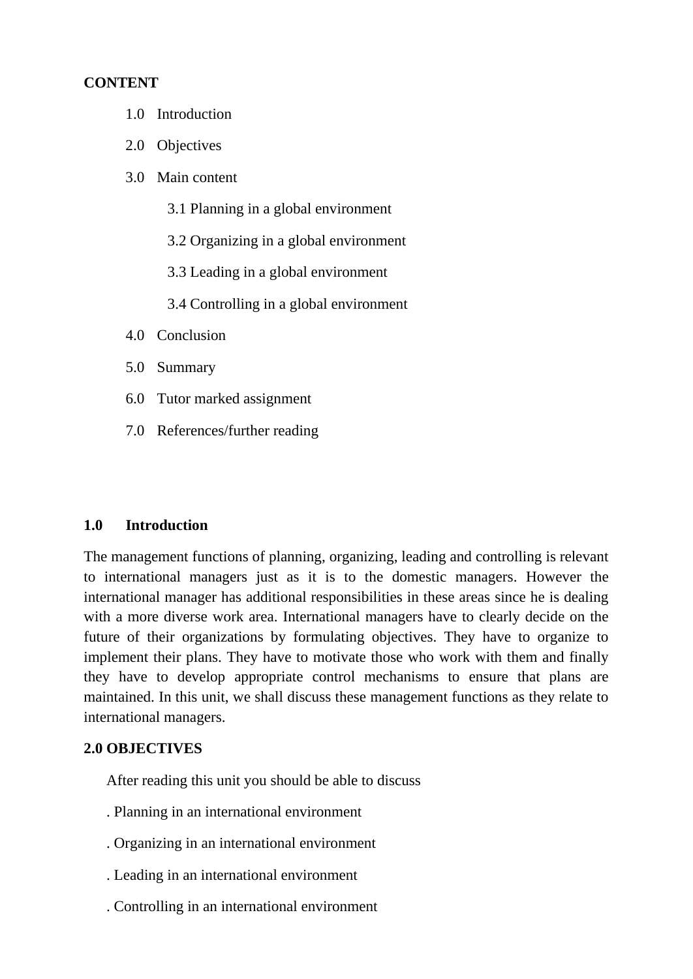### **CONTENT**

- 1.0 Introduction
- 2.0 Objectives
- 3.0 Main content
	- 3.1 Planning in a global environment
	- 3.2 Organizing in a global environment
	- 3.3 Leading in a global environment
	- 3.4 Controlling in a global environment
- 4.0 Conclusion
- 5.0 Summary
- 6.0 Tutor marked assignment
- 7.0 References/further reading

#### **1.0 Introduction**

The management functions of planning, organizing, leading and controlling is relevant to international managers just as it is to the domestic managers. However the international manager has additional responsibilities in these areas since he is dealing with a more diverse work area. International managers have to clearly decide on the future of their organizations by formulating objectives. They have to organize to implement their plans. They have to motivate those who work with them and finally they have to develop appropriate control mechanisms to ensure that plans are maintained. In this unit, we shall discuss these management functions as they relate to international managers.

### **2.0 OBJECTIVES**

After reading this unit you should be able to discuss

- . Planning in an international environment
- . Organizing in an international environment
- . Leading in an international environment
- . Controlling in an international environment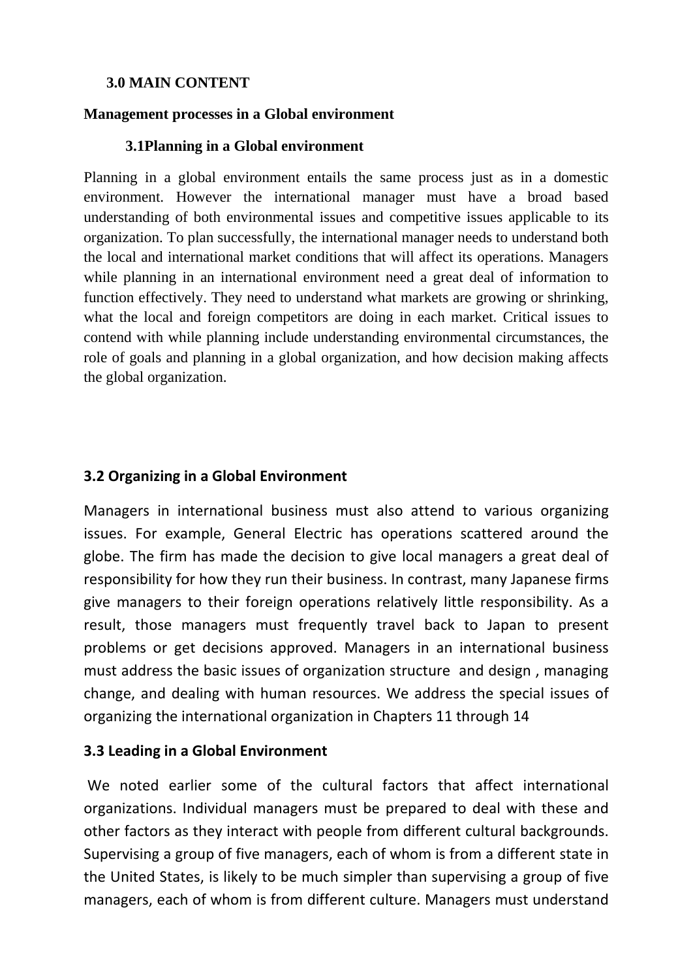## **3.0 MAIN CONTENT**

#### **Management processes in a Global environment**

#### **3.1Planning in a Global environment**

Planning in a global environment entails the same process just as in a domestic environment. However the international manager must have a broad based understanding of both environmental issues and competitive issues applicable to its organization. To plan successfully, the international manager needs to understand both the local and international market conditions that will affect its operations. Managers while planning in an international environment need a great deal of information to function effectively. They need to understand what markets are growing or shrinking, what the local and foreign competitors are doing in each market. Critical issues to contend with while planning include understanding environmental circumstances, the role of goals and planning in a global organization, and how decision making affects the global organization.

## **3.2 Organizing in a Global Environment**

Managers in international business must also attend to various organizing issues. For example, General Electric has operations scattered around the globe. The firm has made the decision to give local managers a great deal of responsibility for how they run their business. In contrast, many Japanese firms give managers to their foreign operations relatively little responsibility. As a result, those managers must frequently travel back to Japan to present problems or get decisions approved. Managers in an international business must address the basic issues of organization structure and design , managing change, and dealing with human resources. We address the special issues of organizing the international organization in Chapters 11 through 14

### **3.3 Leading in a Global Environment**

We noted earlier some of the cultural factors that affect international organizations. Individual managers must be prepared to deal with these and other factors as they interact with people from different cultural backgrounds. Supervising a group of five managers, each of whom is from a different state in the United States, is likely to be much simpler than supervising a group of five managers, each of whom is from different culture. Managers must understand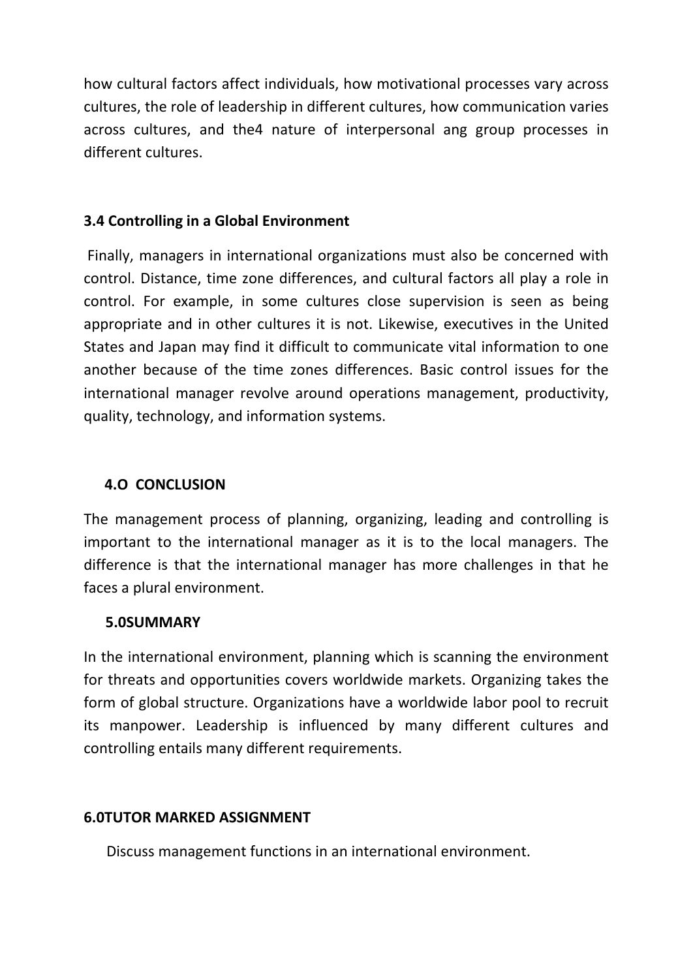how cultural factors affect individuals, how motivational processes vary across cultures, the role of leadership in different cultures, how communication varies across cultures, and the4 nature of interpersonal ang group processes in different cultures.

## **3.4 Controlling in a Global Environment**

Finally, managers in international organizations must also be concerned with control. Distance, time zone differences, and cultural factors all play a role in control. For example, in some cultures close supervision is seen as being appropriate and in other cultures it is not. Likewise, executives in the United States and Japan may find it difficult to communicate vital information to one another because of the time zones differences. Basic control issues for the international manager revolve around operations management, productivity, quality, technology, and information systems.

## **4.O CONCLUSION**

The management process of planning, organizing, leading and controlling is important to the international manager as it is to the local managers. The difference is that the international manager has more challenges in that he faces a plural environment.

## **5.0SUMMARY**

In the international environment, planning which is scanning the environment for threats and opportunities covers worldwide markets. Organizing takes the form of global structure. Organizations have a worldwide labor pool to recruit its manpower. Leadership is influenced by many different cultures and controlling entails many different requirements.

## **6.0TUTOR MARKED ASSIGNMENT**

Discuss management functions in an international environment.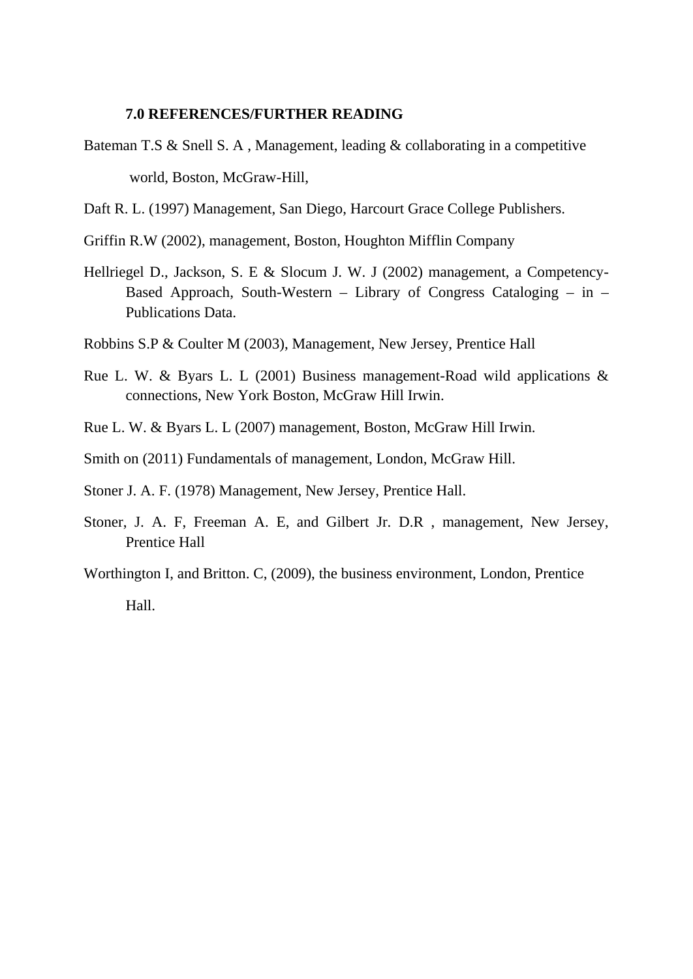#### **7.0 REFERENCES/FURTHER READING**

- Bateman T.S & Snell S. A , Management, leading & collaborating in a competitive world, Boston, McGraw-Hill,
- Daft R. L. (1997) Management, San Diego, Harcourt Grace College Publishers.
- Griffin R.W (2002), management, Boston, Houghton Mifflin Company
- Hellriegel D., Jackson, S. E & Slocum J. W. J (2002) management, a Competency-Based Approach, South-Western – Library of Congress Cataloging – in – Publications Data.
- Robbins S.P & Coulter M (2003), Management, New Jersey, Prentice Hall
- Rue L. W. & Byars L. L (2001) Business management-Road wild applications & connections, New York Boston, McGraw Hill Irwin.
- Rue L. W. & Byars L. L (2007) management, Boston, McGraw Hill Irwin.
- Smith on (2011) Fundamentals of management, London, McGraw Hill.
- Stoner J. A. F. (1978) Management, New Jersey, Prentice Hall.
- Stoner, J. A. F, Freeman A. E, and Gilbert Jr. D.R , management, New Jersey, Prentice Hall
- Worthington I, and Britton. C, (2009), the business environment, London, Prentice Hall.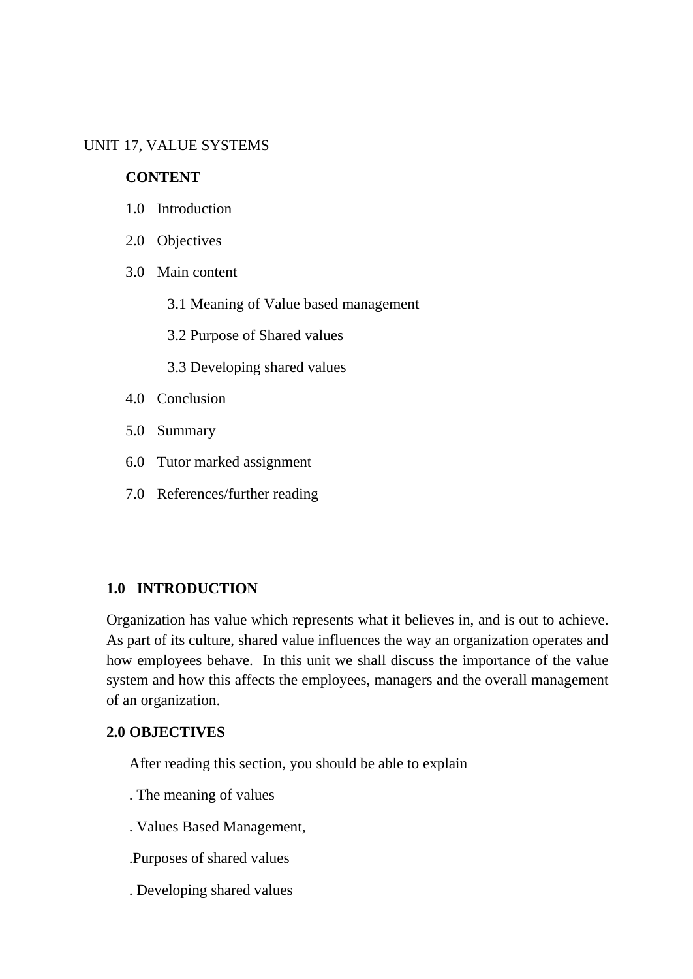#### UNIT 17, VALUE SYSTEMS

#### **CONTENT**

- 1.0 Introduction
- 2.0 Objectives
- 3.0 Main content
	- 3.1 Meaning of Value based management
	- 3.2 Purpose of Shared values
	- 3.3 Developing shared values
- 4.0 Conclusion
- 5.0 Summary
- 6.0 Tutor marked assignment
- 7.0 References/further reading

#### **1.0 INTRODUCTION**

Organization has value which represents what it believes in, and is out to achieve. As part of its culture, shared value influences the way an organization operates and how employees behave. In this unit we shall discuss the importance of the value system and how this affects the employees, managers and the overall management of an organization.

#### **2.0 OBJECTIVES**

After reading this section, you should be able to explain

- . The meaning of values
- . Values Based Management,
- .Purposes of shared values
- . Developing shared values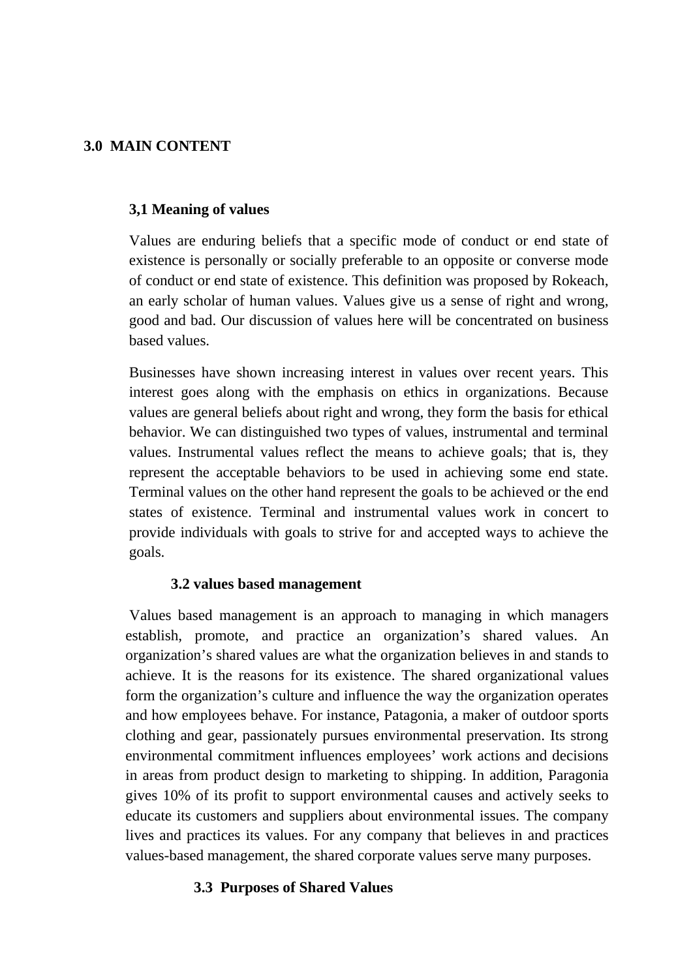#### **3.0 MAIN CONTENT**

#### **3,1 Meaning of values**

Values are enduring beliefs that a specific mode of conduct or end state of existence is personally or socially preferable to an opposite or converse mode of conduct or end state of existence. This definition was proposed by Rokeach, an early scholar of human values. Values give us a sense of right and wrong, good and bad. Our discussion of values here will be concentrated on business based values.

Businesses have shown increasing interest in values over recent years. This interest goes along with the emphasis on ethics in organizations. Because values are general beliefs about right and wrong, they form the basis for ethical behavior. We can distinguished two types of values, instrumental and terminal values. Instrumental values reflect the means to achieve goals; that is, they represent the acceptable behaviors to be used in achieving some end state. Terminal values on the other hand represent the goals to be achieved or the end states of existence. Terminal and instrumental values work in concert to provide individuals with goals to strive for and accepted ways to achieve the goals.

#### **3.2 values based management**

Values based management is an approach to managing in which managers establish, promote, and practice an organization's shared values. An organization's shared values are what the organization believes in and stands to achieve. It is the reasons for its existence. The shared organizational values form the organization's culture and influence the way the organization operates and how employees behave. For instance, Patagonia, a maker of outdoor sports clothing and gear, passionately pursues environmental preservation. Its strong environmental commitment influences employees' work actions and decisions in areas from product design to marketing to shipping. In addition, Paragonia gives 10% of its profit to support environmental causes and actively seeks to educate its customers and suppliers about environmental issues. The company lives and practices its values. For any company that believes in and practices values-based management, the shared corporate values serve many purposes.

#### **3.3 Purposes of Shared Values**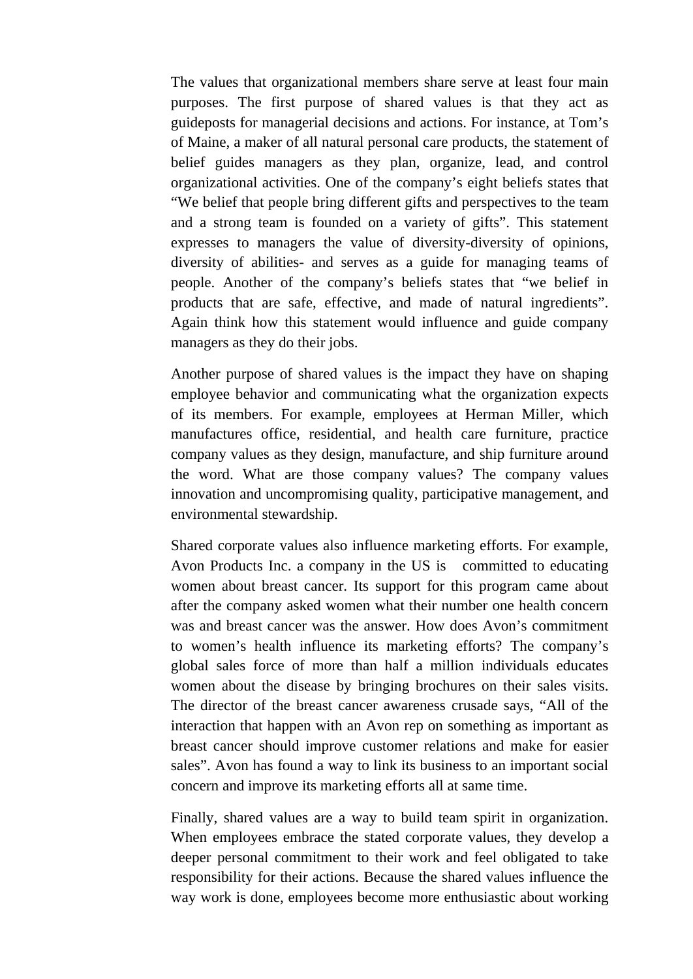The values that organizational members share serve at least four main purposes. The first purpose of shared values is that they act as guideposts for managerial decisions and actions. For instance, at Tom's of Maine, a maker of all natural personal care products, the statement of belief guides managers as they plan, organize, lead, and control organizational activities. One of the company's eight beliefs states that "We belief that people bring different gifts and perspectives to the team and a strong team is founded on a variety of gifts". This statement expresses to managers the value of diversity-diversity of opinions, diversity of abilities- and serves as a guide for managing teams of people. Another of the company's beliefs states that "we belief in products that are safe, effective, and made of natural ingredients". Again think how this statement would influence and guide company managers as they do their jobs.

Another purpose of shared values is the impact they have on shaping employee behavior and communicating what the organization expects of its members. For example, employees at Herman Miller, which manufactures office, residential, and health care furniture, practice company values as they design, manufacture, and ship furniture around the word. What are those company values? The company values innovation and uncompromising quality, participative management, and environmental stewardship.

Shared corporate values also influence marketing efforts. For example, Avon Products Inc. a company in the US is committed to educating women about breast cancer. Its support for this program came about after the company asked women what their number one health concern was and breast cancer was the answer. How does Avon's commitment to women's health influence its marketing efforts? The company's global sales force of more than half a million individuals educates women about the disease by bringing brochures on their sales visits. The director of the breast cancer awareness crusade says, "All of the interaction that happen with an Avon rep on something as important as breast cancer should improve customer relations and make for easier sales". Avon has found a way to link its business to an important social concern and improve its marketing efforts all at same time.

Finally, shared values are a way to build team spirit in organization. When employees embrace the stated corporate values, they develop a deeper personal commitment to their work and feel obligated to take responsibility for their actions. Because the shared values influence the way work is done, employees become more enthusiastic about working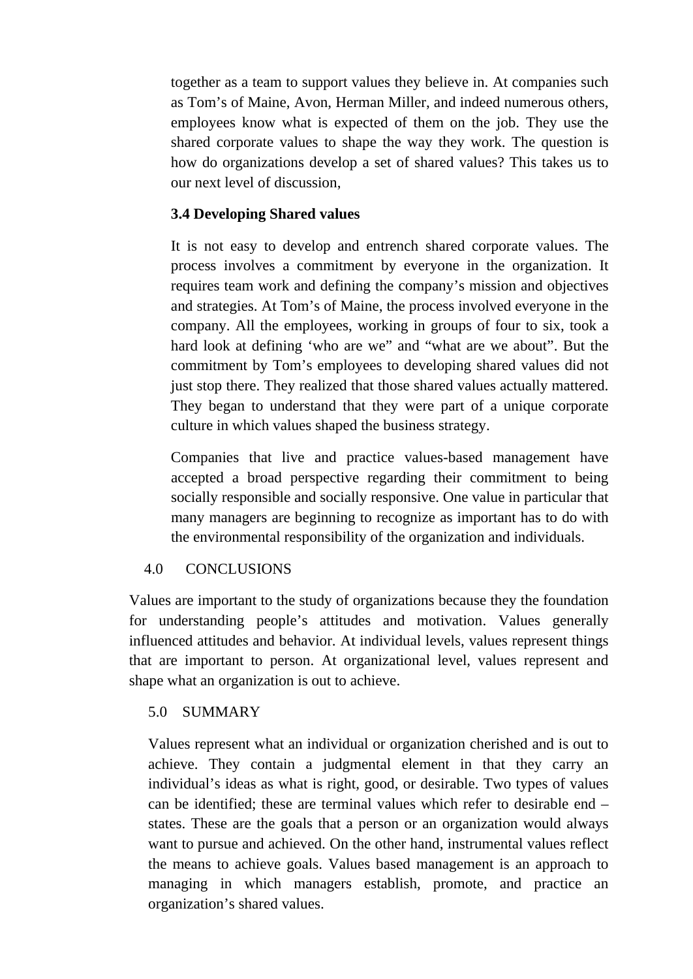together as a team to support values they believe in. At companies such as Tom's of Maine, Avon, Herman Miller, and indeed numerous others, employees know what is expected of them on the job. They use the shared corporate values to shape the way they work. The question is how do organizations develop a set of shared values? This takes us to our next level of discussion,

#### **3.4 Developing Shared values**

It is not easy to develop and entrench shared corporate values. The process involves a commitment by everyone in the organization. It requires team work and defining the company's mission and objectives and strategies. At Tom's of Maine, the process involved everyone in the company. All the employees, working in groups of four to six, took a hard look at defining 'who are we" and "what are we about". But the commitment by Tom's employees to developing shared values did not just stop there. They realized that those shared values actually mattered. They began to understand that they were part of a unique corporate culture in which values shaped the business strategy.

Companies that live and practice values-based management have accepted a broad perspective regarding their commitment to being socially responsible and socially responsive. One value in particular that many managers are beginning to recognize as important has to do with the environmental responsibility of the organization and individuals.

#### 4.0 CONCLUSIONS

Values are important to the study of organizations because they the foundation for understanding people's attitudes and motivation. Values generally influenced attitudes and behavior. At individual levels, values represent things that are important to person. At organizational level, values represent and shape what an organization is out to achieve.

#### 5.0 SUMMARY

Values represent what an individual or organization cherished and is out to achieve. They contain a judgmental element in that they carry an individual's ideas as what is right, good, or desirable. Two types of values can be identified; these are terminal values which refer to desirable end – states. These are the goals that a person or an organization would always want to pursue and achieved. On the other hand, instrumental values reflect the means to achieve goals. Values based management is an approach to managing in which managers establish, promote, and practice an organization's shared values.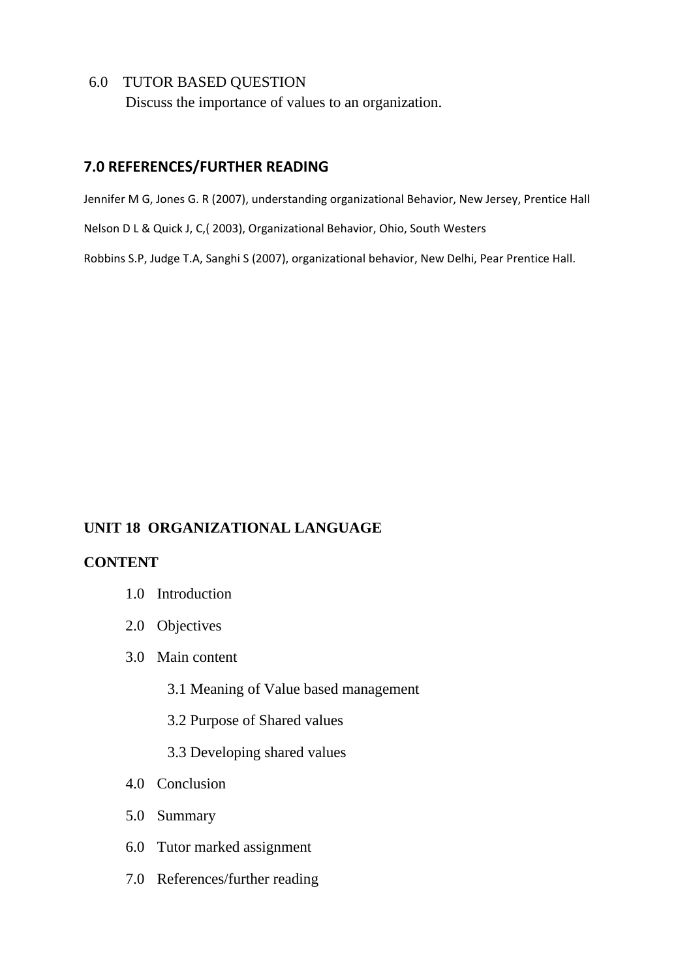#### 6.0 TUTOR BASED QUESTION

Discuss the importance of values to an organization.

#### **7.0 REFERENCES/FURTHER READING**

Jennifer M G, Jones G. R (2007), understanding organizational Behavior, New Jersey, Prentice Hall

Nelson D L & Quick J, C,( 2003), Organizational Behavior, Ohio, South Westers

Robbins S.P, Judge T.A, Sanghi S (2007), organizational behavior, New Delhi, Pear Prentice Hall.

### **UNIT 18 ORGANIZATIONAL LANGUAGE**

#### **CONTENT**

- 1.0 Introduction
- 2.0 Objectives
- 3.0 Main content
	- 3.1 Meaning of Value based management
	- 3.2 Purpose of Shared values
	- 3.3 Developing shared values
- 4.0 Conclusion
- 5.0 Summary
- 6.0 Tutor marked assignment
- 7.0 References/further reading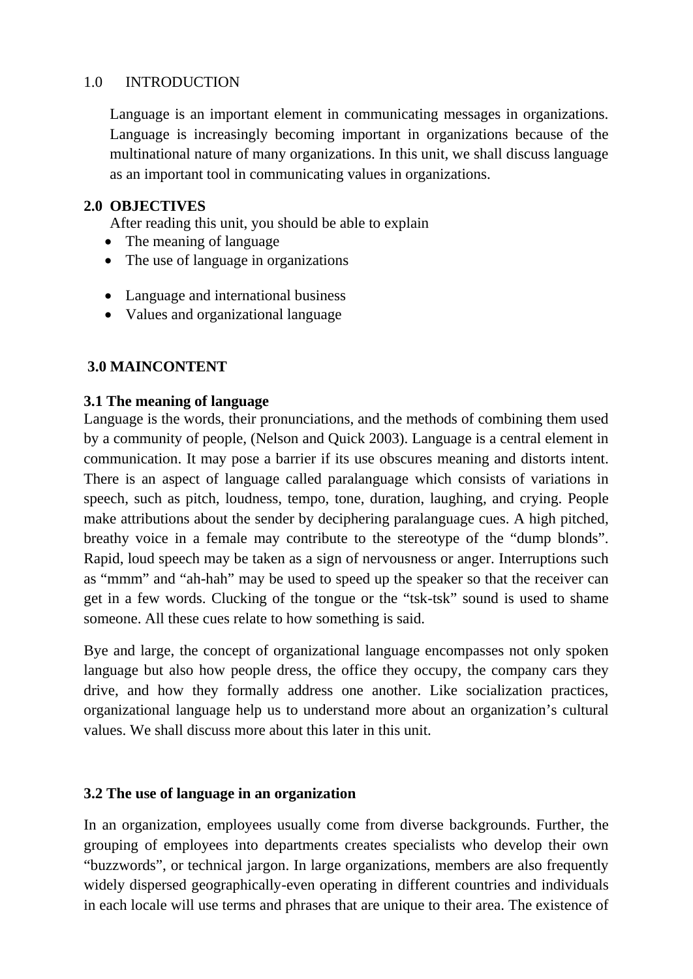### 1.0 INTRODUCTION

Language is an important element in communicating messages in organizations. Language is increasingly becoming important in organizations because of the multinational nature of many organizations. In this unit, we shall discuss language as an important tool in communicating values in organizations.

## **2.0 OBJECTIVES**

After reading this unit, you should be able to explain

- The meaning of language
- The use of language in organizations
- Language and international business
- Values and organizational language

## **3.0 MAINCONTENT**

## **3.1 The meaning of language**

Language is the words, their pronunciations, and the methods of combining them used by a community of people, (Nelson and Quick 2003). Language is a central element in communication. It may pose a barrier if its use obscures meaning and distorts intent. There is an aspect of language called paralanguage which consists of variations in speech, such as pitch, loudness, tempo, tone, duration, laughing, and crying. People make attributions about the sender by deciphering paralanguage cues. A high pitched, breathy voice in a female may contribute to the stereotype of the "dump blonds". Rapid, loud speech may be taken as a sign of nervousness or anger. Interruptions such as "mmm" and "ah-hah" may be used to speed up the speaker so that the receiver can get in a few words. Clucking of the tongue or the "tsk-tsk" sound is used to shame someone. All these cues relate to how something is said.

Bye and large, the concept of organizational language encompasses not only spoken language but also how people dress, the office they occupy, the company cars they drive, and how they formally address one another. Like socialization practices, organizational language help us to understand more about an organization's cultural values. We shall discuss more about this later in this unit.

## **3.2 The use of language in an organization**

In an organization, employees usually come from diverse backgrounds. Further, the grouping of employees into departments creates specialists who develop their own "buzzwords", or technical jargon. In large organizations, members are also frequently widely dispersed geographically-even operating in different countries and individuals in each locale will use terms and phrases that are unique to their area. The existence of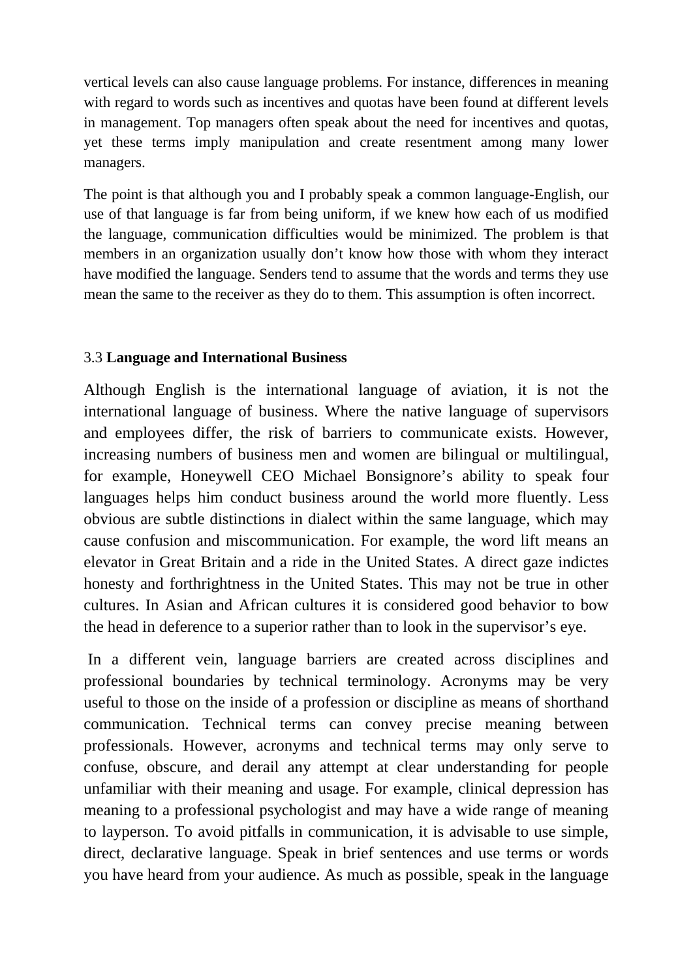vertical levels can also cause language problems. For instance, differences in meaning with regard to words such as incentives and quotas have been found at different levels in management. Top managers often speak about the need for incentives and quotas, yet these terms imply manipulation and create resentment among many lower managers.

The point is that although you and I probably speak a common language-English, our use of that language is far from being uniform, if we knew how each of us modified the language, communication difficulties would be minimized. The problem is that members in an organization usually don't know how those with whom they interact have modified the language. Senders tend to assume that the words and terms they use mean the same to the receiver as they do to them. This assumption is often incorrect.

## 3.3 **Language and International Business**

Although English is the international language of aviation, it is not the international language of business. Where the native language of supervisors and employees differ, the risk of barriers to communicate exists. However, increasing numbers of business men and women are bilingual or multilingual, for example, Honeywell CEO Michael Bonsignore's ability to speak four languages helps him conduct business around the world more fluently. Less obvious are subtle distinctions in dialect within the same language, which may cause confusion and miscommunication. For example, the word lift means an elevator in Great Britain and a ride in the United States. A direct gaze indictes honesty and forthrightness in the United States. This may not be true in other cultures. In Asian and African cultures it is considered good behavior to bow the head in deference to a superior rather than to look in the supervisor's eye.

In a different vein, language barriers are created across disciplines and professional boundaries by technical terminology. Acronyms may be very useful to those on the inside of a profession or discipline as means of shorthand communication. Technical terms can convey precise meaning between professionals. However, acronyms and technical terms may only serve to confuse, obscure, and derail any attempt at clear understanding for people unfamiliar with their meaning and usage. For example, clinical depression has meaning to a professional psychologist and may have a wide range of meaning to layperson. To avoid pitfalls in communication, it is advisable to use simple, direct, declarative language. Speak in brief sentences and use terms or words you have heard from your audience. As much as possible, speak in the language